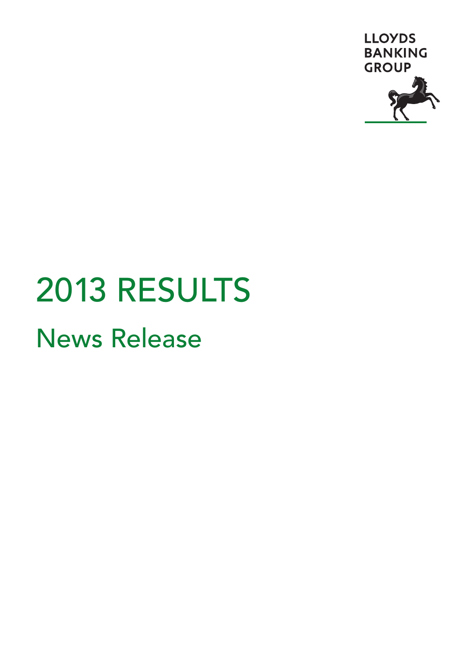

# 2013 RESULTS News Release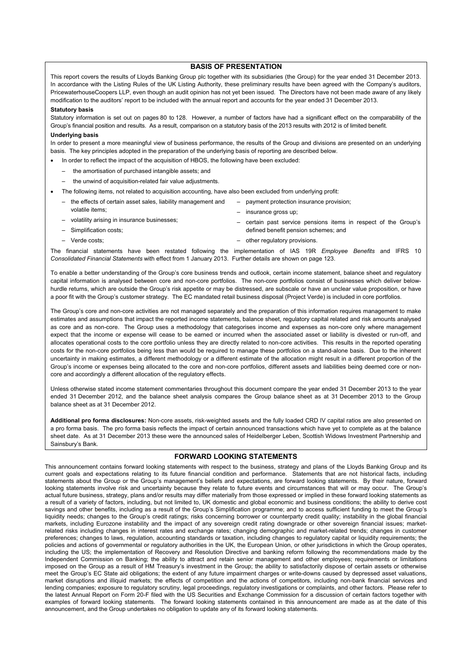#### **BASIS OF PRESENTATION**

This report covers the results of Lloyds Banking Group plc together with its subsidiaries (the Group) for the year ended 31 December 2013. In accordance with the Listing Rules of the UK Listing Authority, these preliminary results have been agreed with the Company's auditors, PricewaterhouseCoopers LLP, even though an audit opinion has not yet been issued. The Directors have not been made aware of any likely modification to the auditors' report to be included with the annual report and accounts for the year ended 31 December 2013.

#### **Statutory basis**

Statutory information is set out on pages 80 to 128. However, a number of factors have had a significant effect on the comparability of the Group's financial position and results. As a result, comparison on a statutory basis of the 2013 results with 2012 is of limited benefit.

#### **Underlying basis**

In order to present a more meaningful view of business performance, the results of the Group and divisions are presented on an underlying basis. The key principles adopted in the preparation of the underlying basis of reporting are described below.

- In order to reflect the impact of the acquisition of HBOS, the following have been excluded:
	- the amortisation of purchased intangible assets; and
	- the unwind of acquisition-related fair value adjustments.
- The following items, not related to acquisition accounting, have also been excluded from underlying profit:
	- the effects of certain asset sales, liability management and volatile items;
	- volatility arising in insurance businesses;
	- Simplification costs;
	- Verde costs;
- insurance gross up;
- certain past service pensions items in respect of the Group's defined benefit pension schemes; and
- other regulatory provisions.

– payment protection insurance provision;

The financial statements have been restated following the implementation of IAS 19R *Employee Benefits* and IFRS 10 *Consolidated Financial Statements* with effect from 1 January 2013. Further details are shown on page 123.

To enable a better understanding of the Group's core business trends and outlook, certain income statement, balance sheet and regulatory capital information is analysed between core and non-core portfolios. The non-core portfolios consist of businesses which deliver belowhurdle returns, which are outside the Group's risk appetite or may be distressed, are subscale or have an unclear value proposition, or have a poor fit with the Group's customer strategy. The EC mandated retail business disposal (Project Verde) is included in core portfolios.

The Group's core and non-core activities are not managed separately and the preparation of this information requires management to make estimates and assumptions that impact the reported income statements, balance sheet, regulatory capital related and risk amounts analysed as core and as non-core. The Group uses a methodology that categorises income and expenses as non-core only where management expect that the income or expense will cease to be earned or incurred when the associated asset or liability is divested or run-off, and allocates operational costs to the core portfolio unless they are directly related to non-core activities. This results in the reported operating costs for the non-core portfolios being less than would be required to manage these portfolios on a stand-alone basis. Due to the inherent uncertainty in making estimates, a different methodology or a different estimate of the allocation might result in a different proportion of the Group's income or expenses being allocated to the core and non-core portfolios, different assets and liabilities being deemed core or noncore and accordingly a different allocation of the regulatory effects.

Unless otherwise stated income statement commentaries throughout this document compare the year ended 31 December 2013 to the year ended 31 December 2012, and the balance sheet analysis compares the Group balance sheet as at 31 December 2013 to the Group balance sheet as at 31 December 2012.

**Additional pro forma disclosures:** Non-core assets, risk-weighted assets and the fully loaded CRD IV capital ratios are also presented on a pro forma basis. The pro forma basis reflects the impact of certain announced transactions which have yet to complete as at the balance sheet date. As at 31 December 2013 these were the announced sales of Heidelberger Leben, Scottish Widows Investment Partnership and Sainsbury's Bank.

#### **FORWARD LOOKING STATEMENTS**

This announcement contains forward looking statements with respect to the business, strategy and plans of the Lloyds Banking Group and its current goals and expectations relating to its future financial condition and performance. Statements that are not historical facts, including statements about the Group or the Group's management's beliefs and expectations, are forward looking statements. By their nature, forward looking statements involve risk and uncertainty because they relate to future events and circumstances that will or may occur. The Group's actual future business, strategy, plans and/or results may differ materially from those expressed or implied in these forward looking statements as a result of a variety of factors, including, but not limited to, UK domestic and global economic and business conditions; the ability to derive cost savings and other benefits, including as a result of the Group's Simplification programme; and to access sufficient funding to meet the Group's liquidity needs; changes to the Group's credit ratings; risks concerning borrower or counterparty credit quality; instability in the global financial markets, including Eurozone instability and the impact of any sovereign credit rating downgrade or other sovereign financial issues; marketrelated risks including changes in interest rates and exchange rates; changing demographic and market-related trends; changes in customer preferences; changes to laws, regulation, accounting standards or taxation, including changes to regulatory capital or liquidity requirements; the policies and actions of governmental or regulatory authorities in the UK, the European Union, or other jurisdictions in which the Group operates, including the US; the implementation of Recovery and Resolution Directive and banking reform following the recommendations made by the Independent Commission on Banking; the ability to attract and retain senior management and other employees; requirements or limitations imposed on the Group as a result of HM Treasury's investment in the Group; the ability to satisfactorily dispose of certain assets or otherwise meet the Group's EC State aid obligations; the extent of any future impairment charges or write-downs caused by depressed asset valuations, market disruptions and illiquid markets; the effects of competition and the actions of competitors, including non-bank financial services and lending companies; exposure to regulatory scrutiny, legal proceedings, regulatory investigations or complaints, and other factors. Please refer to the latest Annual Report on Form 20-F filed with the US Securities and Exchange Commission for a discussion of certain factors together with examples of forward looking statements. The forward looking statements contained in this announcement are made as at the date of this announcement, and the Group undertakes no obligation to update any of its forward looking statements.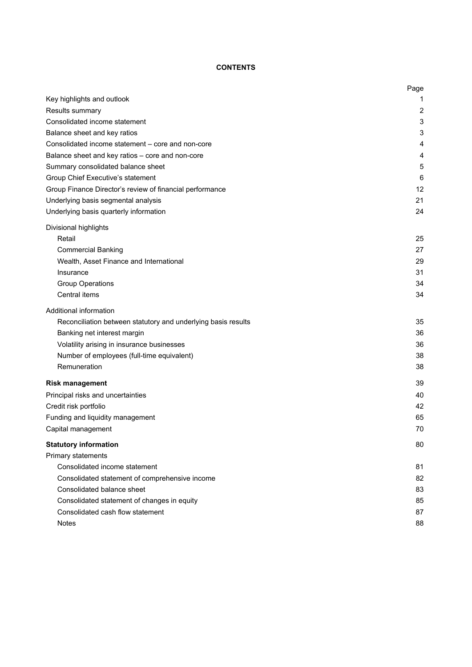# **CONTENTS**

|                                                               | Page |
|---------------------------------------------------------------|------|
| Key highlights and outlook                                    | 1    |
| Results summary                                               | 2    |
| Consolidated income statement                                 | 3    |
| Balance sheet and key ratios                                  | 3    |
| Consolidated income statement - core and non-core             | 4    |
| Balance sheet and key ratios - core and non-core              | 4    |
| Summary consolidated balance sheet                            | 5    |
| Group Chief Executive's statement                             | 6    |
| Group Finance Director's review of financial performance      | 12   |
| Underlying basis segmental analysis                           | 21   |
| Underlying basis quarterly information                        | 24   |
| Divisional highlights                                         |      |
| Retail                                                        | 25   |
| <b>Commercial Banking</b>                                     | 27   |
| Wealth, Asset Finance and International                       | 29   |
| Insurance                                                     | 31   |
| <b>Group Operations</b>                                       | 34   |
| Central items                                                 | 34   |
| Additional information                                        |      |
| Reconciliation between statutory and underlying basis results | 35   |
| Banking net interest margin                                   | 36   |
| Volatility arising in insurance businesses                    | 36   |
| Number of employees (full-time equivalent)                    | 38   |
| Remuneration                                                  | 38   |
| <b>Risk management</b>                                        | 39   |
| Principal risks and uncertainties                             | 40   |
| Credit risk portfolio                                         | 42   |
| Funding and liquidity management                              | 65   |
| Capital management                                            | 70   |
| <b>Statutory information</b>                                  | 80   |
| Primary statements                                            |      |
| Consolidated income statement                                 | 81   |
| Consolidated statement of comprehensive income                | 82   |
| Consolidated balance sheet                                    | 83   |
| Consolidated statement of changes in equity                   | 85   |
| Consolidated cash flow statement                              | 87   |
| <b>Notes</b>                                                  | 88   |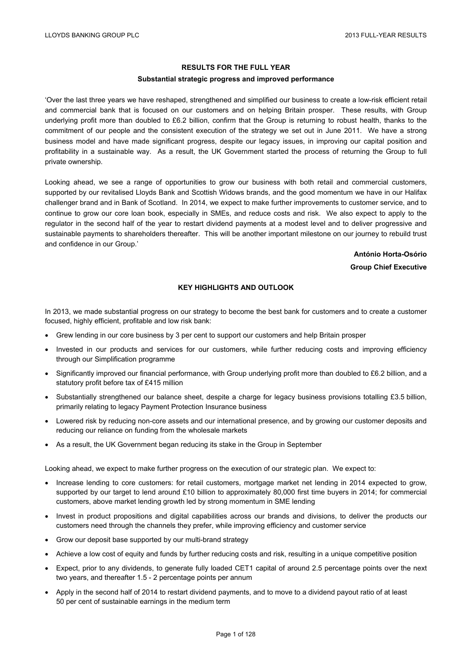## **RESULTS FOR THE FULL YEAR**

#### **Substantial strategic progress and improved performance**

'Over the last three years we have reshaped, strengthened and simplified our business to create a low-risk efficient retail and commercial bank that is focused on our customers and on helping Britain prosper. These results, with Group underlying profit more than doubled to £6.2 billion, confirm that the Group is returning to robust health, thanks to the commitment of our people and the consistent execution of the strategy we set out in June 2011. We have a strong business model and have made significant progress, despite our legacy issues, in improving our capital position and profitability in a sustainable way. As a result, the UK Government started the process of returning the Group to full private ownership.

Looking ahead, we see a range of opportunities to grow our business with both retail and commercial customers, supported by our revitalised Lloyds Bank and Scottish Widows brands, and the good momentum we have in our Halifax challenger brand and in Bank of Scotland. In 2014, we expect to make further improvements to customer service, and to continue to grow our core loan book, especially in SMEs, and reduce costs and risk. We also expect to apply to the regulator in the second half of the year to restart dividend payments at a modest level and to deliver progressive and sustainable payments to shareholders thereafter. This will be another important milestone on our journey to rebuild trust and confidence in our Group.'

> **António Horta-Osório Group Chief Executive**

## **KEY HIGHLIGHTS AND OUTLOOK**

In 2013, we made substantial progress on our strategy to become the best bank for customers and to create a customer focused, highly efficient, profitable and low risk bank:

- Grew lending in our core business by 3 per cent to support our customers and help Britain prosper
- Invested in our products and services for our customers, while further reducing costs and improving efficiency through our Simplification programme
- Significantly improved our financial performance, with Group underlying profit more than doubled to £6.2 billion, and a statutory profit before tax of £415 million
- Substantially strengthened our balance sheet, despite a charge for legacy business provisions totalling £3.5 billion, primarily relating to legacy Payment Protection Insurance business
- Lowered risk by reducing non-core assets and our international presence, and by growing our customer deposits and reducing our reliance on funding from the wholesale markets
- As a result, the UK Government began reducing its stake in the Group in September

Looking ahead, we expect to make further progress on the execution of our strategic plan. We expect to:

- Increase lending to core customers: for retail customers, mortgage market net lending in 2014 expected to grow, supported by our target to lend around £10 billion to approximately 80,000 first time buyers in 2014; for commercial customers, above market lending growth led by strong momentum in SME lending
- Invest in product propositions and digital capabilities across our brands and divisions, to deliver the products our customers need through the channels they prefer, while improving efficiency and customer service
- Grow our deposit base supported by our multi-brand strategy
- Achieve a low cost of equity and funds by further reducing costs and risk, resulting in a unique competitive position
- Expect, prior to any dividends, to generate fully loaded CET1 capital of around 2.5 percentage points over the next two years, and thereafter 1.5 - 2 percentage points per annum
- Apply in the second half of 2014 to restart dividend payments, and to move to a dividend payout ratio of at least 50 per cent of sustainable earnings in the medium term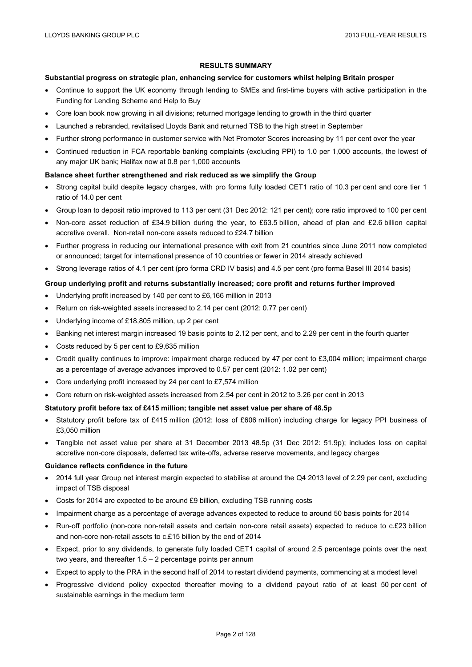## **RESULTS SUMMARY**

#### **Substantial progress on strategic plan, enhancing service for customers whilst helping Britain prosper**

- Continue to support the UK economy through lending to SMEs and first-time buyers with active participation in the Funding for Lending Scheme and Help to Buy
- Core loan book now growing in all divisions; returned mortgage lending to growth in the third quarter
- Launched a rebranded, revitalised Lloyds Bank and returned TSB to the high street in September
- Further strong performance in customer service with Net Promoter Scores increasing by 11 per cent over the year
- Continued reduction in FCA reportable banking complaints (excluding PPI) to 1.0 per 1,000 accounts, the lowest of any major UK bank; Halifax now at 0.8 per 1,000 accounts

#### **Balance sheet further strengthened and risk reduced as we simplify the Group**

- Strong capital build despite legacy charges, with pro forma fully loaded CET1 ratio of 10.3 per cent and core tier 1 ratio of 14.0 per cent
- Group loan to deposit ratio improved to 113 per cent (31 Dec 2012: 121 per cent); core ratio improved to 100 per cent
- Non-core asset reduction of £34.9 billion during the year, to £63.5 billion, ahead of plan and £2.6 billion capital accretive overall. Non-retail non-core assets reduced to £24.7 billion
- Further progress in reducing our international presence with exit from 21 countries since June 2011 now completed or announced; target for international presence of 10 countries or fewer in 2014 already achieved
- Strong leverage ratios of 4.1 per cent (pro forma CRD IV basis) and 4.5 per cent (pro forma Basel III 2014 basis)

#### **Group underlying profit and returns substantially increased; core profit and returns further improved**

- Underlying profit increased by 140 per cent to £6,166 million in 2013
- Return on risk-weighted assets increased to 2.14 per cent (2012: 0.77 per cent)
- Underlying income of £18,805 million, up 2 per cent
- Banking net interest margin increased 19 basis points to 2.12 per cent, and to 2.29 per cent in the fourth quarter
- Costs reduced by 5 per cent to £9,635 million
- Credit quality continues to improve: impairment charge reduced by 47 per cent to £3,004 million; impairment charge as a percentage of average advances improved to 0.57 per cent (2012: 1.02 per cent)
- Core underlying profit increased by 24 per cent to £7,574 million
- Core return on risk-weighted assets increased from 2.54 per cent in 2012 to 3.26 per cent in 2013

#### **Statutory profit before tax of £415 million; tangible net asset value per share of 48.5p**

- Statutory profit before tax of £415 million (2012: loss of £606 million) including charge for legacy PPI business of £3,050 million
- Tangible net asset value per share at 31 December 2013 48.5p (31 Dec 2012: 51.9p); includes loss on capital accretive non-core disposals, deferred tax write-offs, adverse reserve movements, and legacy charges

#### **Guidance reflects confidence in the future**

- 2014 full year Group net interest margin expected to stabilise at around the Q4 2013 level of 2.29 per cent, excluding impact of TSB disposal
- Costs for 2014 are expected to be around £9 billion, excluding TSB running costs
- Impairment charge as a percentage of average advances expected to reduce to around 50 basis points for 2014
- Run-off portfolio (non-core non-retail assets and certain non-core retail assets) expected to reduce to c.£23 billion and non-core non-retail assets to c.£15 billion by the end of 2014
- Expect, prior to any dividends, to generate fully loaded CET1 capital of around 2.5 percentage points over the next two years, and thereafter 1.5 – 2 percentage points per annum
- Expect to apply to the PRA in the second half of 2014 to restart dividend payments, commencing at a modest level
- Progressive dividend policy expected thereafter moving to a dividend payout ratio of at least 50 per cent of sustainable earnings in the medium term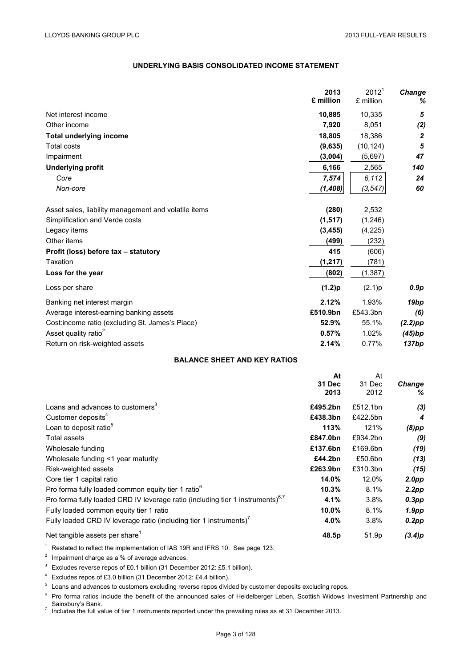# **UNDERLYING BASIS CONSOLIDATED INCOME STATEMENT**

|                                                      | 2013<br>£ million    | 2012 <sup>1</sup><br>£ million | Change<br>%      |
|------------------------------------------------------|----------------------|--------------------------------|------------------|
| Net interest income                                  | 10,885               | 10,335                         | 5                |
| Other income                                         | 7,920                | 8,051                          | (2)              |
| <b>Total underlying income</b>                       | 18,805               | 18,386                         | $\boldsymbol{2}$ |
| Total costs                                          | (9,635)              | (10, 124)                      | 5                |
| Impairment                                           | (3,004)              | (5,697)                        | 47               |
| <b>Underlying profit</b>                             | 6,166                | 2,565                          | 140              |
| Core                                                 | 7,574                | 6,112                          | 24               |
| Non-core                                             | (1, 408)             | (3, 547)                       | 60               |
| Asset sales, liability management and volatile items | (280)                | 2,532                          |                  |
| Simplification and Verde costs                       | (1, 517)             | (1, 246)                       |                  |
| Legacy items                                         | (3, 455)             | (4,225)                        |                  |
| Other items                                          | (499)                | (232)                          |                  |
| Profit (loss) before tax - statutory                 | 415                  | (606)                          |                  |
| Taxation                                             | (1, 217)             | (781)                          |                  |
| Loss for the year                                    | (802)                | (1, 387)                       |                  |
| Loss per share                                       | (1.2)p               | (2.1)p                         | 0.9p             |
| Banking net interest margin                          | 2.12%                | 1.93%                          | 19 <sub>bp</sub> |
| Average interest-earning banking assets              | £510.9bn             | £543.3bn                       | (6)              |
| Cost:income ratio (excluding St. James's Place)      | 52.9%                | 55.1%                          | $(2.2)$ pp       |
| Asset quality ratio <sup>2</sup>                     | 0.57%                | 1.02%                          | (45)bp           |
| Return on risk-weighted assets                       | 2.14%                | 0.77%                          | 137bp            |
| <b>BALANCE SHEET AND KEY RATIOS</b>                  |                      |                                |                  |
|                                                      | At<br>31 Dec<br>2013 | At<br>31 Dec<br>2012           | Change<br>%      |
| Loans and advances to customers <sup>3</sup>         | £495.2bn             | £512.1bn                       | (3)              |
| Customer deposits <sup>4</sup>                       | £438.3bn             | £422.5bn                       | 4                |
| Loan to deposit ratio <sup>5</sup>                   | 113%                 | 121%                           | $(8)$ pp         |
| <b>Total assets</b>                                  | £847.0bn             | £934.2bn                       | (9)              |
| Wholesale funding                                    | £137.6bn             | £169.6bn                       | (19)             |

|                                                                                   |          |          | $\cdot$ $\cdot$   |
|-----------------------------------------------------------------------------------|----------|----------|-------------------|
| Wholesale funding <1 year maturity                                                | £44.2bn  | £50.6bn  | (13)              |
| Risk-weighted assets                                                              | £263.9bn | £310.3bn | (15)              |
| Core tier 1 capital ratio                                                         | 14.0%    | 12.0%    | 2.0 <sub>DP</sub> |
| Pro forma fully loaded common equity tier 1 ratio <sup>6</sup>                    | 10.3%    | 8.1%     | 2.2pp             |
| Pro forma fully loaded CRD IV leverage ratio (including tier 1 instruments) $6.7$ | 4.1%     | 3.8%     | $0.3$ pp          |
| Fully loaded common equity tier 1 ratio                                           | $10.0\%$ | 8.1%     | 1.9 <sub>pp</sub> |
| Fully loaded CRD IV leverage ratio (including tier 1 instruments) <sup>7</sup>    | $4.0\%$  | 3.8%     | $0.2$ pp          |
|                                                                                   |          |          |                   |

## Net tangible assets per share<sup>1</sup> **48.5p 51.9p (3.4)p 48.5p 51.9p (3.4)p**

<sup>1</sup> Restated to reflect the implementation of IAS 19R and IFRS 10. See page 123.

 $2$  Impairment charge as a % of average advances.

<sup>3</sup> Excludes reverse repos of £0.1 billion (31 December 2012: £5.1 billion).

<sup>4</sup> Excludes repos of £3.0 billion (31 December 2012: £4.4 billion).

<sup>5</sup> Loans and advances to customers excluding reverse repos divided by customer deposits excluding repos.

<sup>6</sup> Pro forma ratios include the benefit of the announced sales of Heidelberger Leben, Scottish Widows Investment Partnership and Sainsbury's Bank.

 $\frac{3}{7}$  Includes the full value of tier 1 instruments reported under the prevailing rules as at 31 December 2013.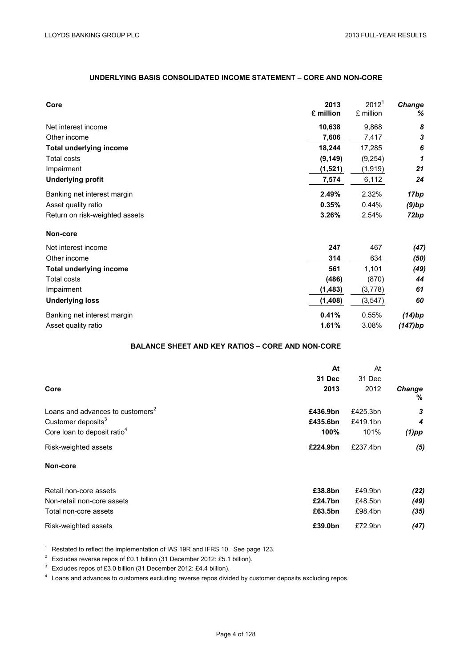## **UNDERLYING BASIS CONSOLIDATED INCOME STATEMENT – CORE AND NON-CORE**

| Core                           | 2013<br>£ million | 2012 <sup>1</sup><br>£ million | Change<br>℅ |
|--------------------------------|-------------------|--------------------------------|-------------|
| Net interest income            | 10,638            | 9,868                          | 8           |
| Other income                   | 7,606             | 7,417                          | 3           |
| <b>Total underlying income</b> | 18,244            | 17,285                         | 6           |
| <b>Total costs</b>             | (9, 149)          | (9,254)                        | 1           |
| Impairment                     | (1,521)           | (1,919)                        | 21          |
| <b>Underlying profit</b>       | 7,574             | 6,112                          | 24          |
| Banking net interest margin    | 2.49%             | 2.32%                          | 17bp        |
| Asset quality ratio            | 0.35%             | 0.44%                          | $(9)$ bp    |
| Return on risk-weighted assets | 3.26%             | 2.54%                          | 72bp        |
| Non-core                       |                   |                                |             |
| Net interest income            | 247               | 467                            | (47)        |
| Other income                   | 314               | 634                            | (50)        |
| <b>Total underlying income</b> | 561               | 1,101                          | (49)        |
| <b>Total costs</b>             | (486)             | (870)                          | 44          |
| Impairment                     | (1, 483)          | (3,778)                        | 61          |
| <b>Underlying loss</b>         | (1, 408)          | (3, 547)                       | 60          |
| Banking net interest margin    | 0.41%             | 0.55%                          | (14)bp      |
| Asset quality ratio            | 1.61%             | 3.08%                          | (147)bp     |

# **BALANCE SHEET AND KEY RATIOS – CORE AND NON-CORE**

|                                              | At             | At             |                |
|----------------------------------------------|----------------|----------------|----------------|
| Core                                         | 31 Dec<br>2013 | 31 Dec<br>2012 | <b>Change</b>  |
|                                              |                |                | %              |
| Loans and advances to customers <sup>2</sup> | £436.9bn       | £425.3bn       | 3              |
| Customer deposits <sup>3</sup>               | £435.6bn       | £419.1bn       | $\overline{4}$ |
| Core loan to deposit ratio <sup>4</sup>      | 100%           | 101%           | $(1)$ pp       |
| Risk-weighted assets                         | £224.9bn       | £237.4bn       | (5)            |
| Non-core                                     |                |                |                |

| Retail non-core assets     | £38.8bn | £49.9bn | (22) |
|----------------------------|---------|---------|------|
| Non-retail non-core assets | £24.7bn | £48.5bn | (49) |
| Total non-core assets      | £63.5bn | £98.4bn | (35) |
| Risk-weighted assets       | £39.0bn | £72.9bn | (47) |

<sup>1</sup> Restated to reflect the implementation of IAS 19R and IFRS 10. See page 123.

<sup>2</sup> Excludes reverse repos of £0.1 billion (31 December 2012: £5.1 billion).

<sup>3</sup> Excludes repos of £3.0 billion (31 December 2012: £4.4 billion).

<sup>4</sup> Loans and advances to customers excluding reverse repos divided by customer deposits excluding repos.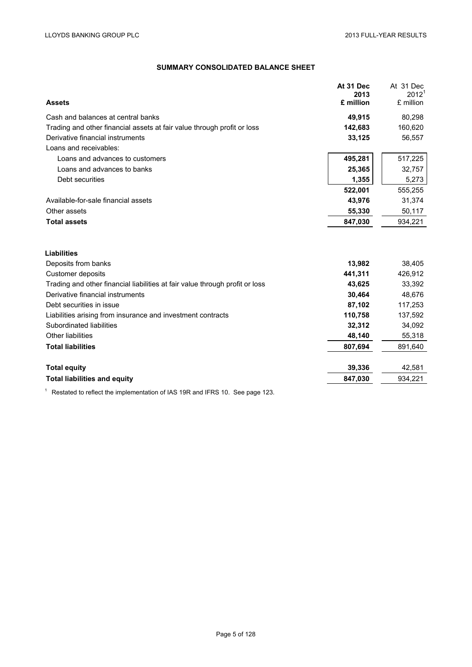## **SUMMARY CONSOLIDATED BALANCE SHEET**

| <b>Assets</b>                                                                | At 31 Dec<br>2013<br>£ million | At 31 Dec<br>2012 <sup>1</sup><br>£ million |
|------------------------------------------------------------------------------|--------------------------------|---------------------------------------------|
| Cash and balances at central banks                                           | 49,915                         | 80,298                                      |
| Trading and other financial assets at fair value through profit or loss      | 142,683                        | 160,620                                     |
| Derivative financial instruments                                             | 33,125                         | 56,557                                      |
| Loans and receivables:                                                       |                                |                                             |
| Loans and advances to customers                                              | 495,281                        | 517,225                                     |
| Loans and advances to banks                                                  | 25,365                         | 32,757                                      |
| Debt securities                                                              | 1,355                          | 5,273                                       |
|                                                                              | 522,001                        | 555,255                                     |
| Available-for-sale financial assets                                          | 43,976                         | 31,374                                      |
| Other assets                                                                 | 55,330                         | 50,117                                      |
| <b>Total assets</b>                                                          | 847,030                        | 934,221                                     |
| <b>Liabilities</b>                                                           |                                |                                             |
| Deposits from banks                                                          | 13,982                         | 38,405                                      |
| Customer deposits                                                            | 441,311                        | 426,912                                     |
| Trading and other financial liabilities at fair value through profit or loss | 43,625                         | 33,392                                      |
| Derivative financial instruments                                             | 30,464                         | 48,676                                      |
| Debt securities in issue                                                     | 87,102                         | 117,253                                     |
| Liabilities arising from insurance and investment contracts                  | 110,758                        | 137,592                                     |
| Subordinated liabilities                                                     | 32,312                         | 34,092                                      |
| <b>Other liabilities</b>                                                     | 48,140                         | 55,318                                      |
| <b>Total liabilities</b>                                                     | 807,694                        | 891,640                                     |
| <b>Total equity</b>                                                          | 39,336                         | 42,581                                      |
| <b>Total liabilities and equity</b>                                          | 847,030                        | 934,221                                     |
|                                                                              |                                |                                             |

<sup>1</sup> Restated to reflect the implementation of IAS 19R and IFRS 10. See page 123.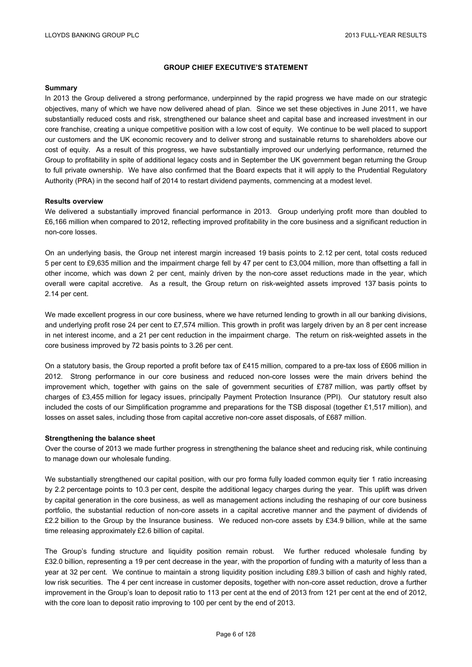## **GROUP CHIEF EXECUTIVE'S STATEMENT**

#### **Summary**

In 2013 the Group delivered a strong performance, underpinned by the rapid progress we have made on our strategic objectives, many of which we have now delivered ahead of plan. Since we set these objectives in June 2011, we have substantially reduced costs and risk, strengthened our balance sheet and capital base and increased investment in our core franchise, creating a unique competitive position with a low cost of equity. We continue to be well placed to support our customers and the UK economic recovery and to deliver strong and sustainable returns to shareholders above our cost of equity. As a result of this progress, we have substantially improved our underlying performance, returned the Group to profitability in spite of additional legacy costs and in September the UK government began returning the Group to full private ownership. We have also confirmed that the Board expects that it will apply to the Prudential Regulatory Authority (PRA) in the second half of 2014 to restart dividend payments, commencing at a modest level.

#### **Results overview**

We delivered a substantially improved financial performance in 2013. Group underlying profit more than doubled to £6,166 million when compared to 2012, reflecting improved profitability in the core business and a significant reduction in non-core losses.

On an underlying basis, the Group net interest margin increased 19 basis points to 2.12 per cent, total costs reduced 5 per cent to £9,635 million and the impairment charge fell by 47 per cent to £3,004 million, more than offsetting a fall in other income, which was down 2 per cent, mainly driven by the non-core asset reductions made in the year, which overall were capital accretive. As a result, the Group return on risk-weighted assets improved 137 basis points to 2.14 per cent.

We made excellent progress in our core business, where we have returned lending to growth in all our banking divisions, and underlying profit rose 24 per cent to £7,574 million. This growth in profit was largely driven by an 8 per cent increase in net interest income, and a 21 per cent reduction in the impairment charge. The return on risk-weighted assets in the core business improved by 72 basis points to 3.26 per cent.

On a statutory basis, the Group reported a profit before tax of £415 million, compared to a pre-tax loss of £606 million in 2012. Strong performance in our core business and reduced non-core losses were the main drivers behind the improvement which, together with gains on the sale of government securities of £787 million, was partly offset by charges of £3,455 million for legacy issues, principally Payment Protection Insurance (PPI). Our statutory result also included the costs of our Simplification programme and preparations for the TSB disposal (together £1,517 million), and losses on asset sales, including those from capital accretive non-core asset disposals, of £687 million.

#### **Strengthening the balance sheet**

Over the course of 2013 we made further progress in strengthening the balance sheet and reducing risk, while continuing to manage down our wholesale funding.

We substantially strengthened our capital position, with our pro forma fully loaded common equity tier 1 ratio increasing by 2.2 percentage points to 10.3 per cent, despite the additional legacy charges during the year. This uplift was driven by capital generation in the core business, as well as management actions including the reshaping of our core business portfolio, the substantial reduction of non-core assets in a capital accretive manner and the payment of dividends of £2.2 billion to the Group by the Insurance business. We reduced non-core assets by £34.9 billion, while at the same time releasing approximately £2.6 billion of capital.

The Group's funding structure and liquidity position remain robust. We further reduced wholesale funding by £32.0 billion, representing a 19 per cent decrease in the year, with the proportion of funding with a maturity of less than a year at 32 per cent. We continue to maintain a strong liquidity position including £89.3 billion of cash and highly rated, low risk securities.The 4 per cent increase in customer deposits, together with non-core asset reduction, drove a further improvement in the Group's loan to deposit ratio to 113 per cent at the end of 2013 from 121 per cent at the end of 2012, with the core loan to deposit ratio improving to 100 per cent by the end of 2013.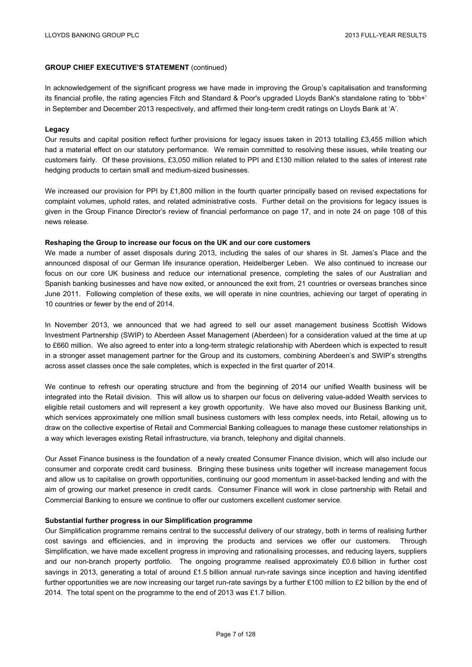In acknowledgement of the significant progress we have made in improving the Group's capitalisation and transforming its financial profile, the rating agencies Fitch and Standard & Poor's upgraded Lloyds Bank's standalone rating to 'bbb+' in September and December 2013 respectively, and affirmed their long-term credit ratings on Lloyds Bank at 'A'.

#### **Legacy**

Our results and capital position reflect further provisions for legacy issues taken in 2013 totalling £3,455 million which had a material effect on our statutory performance. We remain committed to resolving these issues, while treating our customers fairly. Of these provisions, £3,050 million related to PPI and £130 million related to the sales of interest rate hedging products to certain small and medium-sized businesses.

We increased our provision for PPI by £1,800 million in the fourth quarter principally based on revised expectations for complaint volumes, uphold rates, and related administrative costs. Further detail on the provisions for legacy issues is given in the Group Finance Director's review of financial performance on page 17, and in note 24 on page 108 of this news release.

#### **Reshaping the Group to increase our focus on the UK and our core customers**

We made a number of asset disposals during 2013, including the sales of our shares in St. James's Place and the announced disposal of our German life insurance operation, Heidelberger Leben. We also continued to increase our focus on our core UK business and reduce our international presence, completing the sales of our Australian and Spanish banking businesses and have now exited, or announced the exit from, 21 countries or overseas branches since June 2011. Following completion of these exits, we will operate in nine countries, achieving our target of operating in 10 countries or fewer by the end of 2014.

In November 2013, we announced that we had agreed to sell our asset management business Scottish Widows Investment Partnership (SWIP) to Aberdeen Asset Management (Aberdeen) for a consideration valued at the time at up to £660 million. We also agreed to enter into a long-term strategic relationship with Aberdeen which is expected to result in a stronger asset management partner for the Group and its customers, combining Aberdeen's and SWIP's strengths across asset classes once the sale completes, which is expected in the first quarter of 2014.

We continue to refresh our operating structure and from the beginning of 2014 our unified Wealth business will be integrated into the Retail division. This will allow us to sharpen our focus on delivering value-added Wealth services to eligible retail customers and will represent a key growth opportunity. We have also moved our Business Banking unit, which services approximately one million small business customers with less complex needs, into Retail, allowing us to draw on the collective expertise of Retail and Commercial Banking colleagues to manage these customer relationships in a way which leverages existing Retail infrastructure, via branch, telephony and digital channels.

Our Asset Finance business is the foundation of a newly created Consumer Finance division, which will also include our consumer and corporate credit card business. Bringing these business units together will increase management focus and allow us to capitalise on growth opportunities, continuing our good momentum in asset-backed lending and with the aim of growing our market presence in credit cards. Consumer Finance will work in close partnership with Retail and Commercial Banking to ensure we continue to offer our customers excellent customer service.

#### **Substantial further progress in our Simplification programme**

Our Simplification programme remains central to the successful delivery of our strategy, both in terms of realising further cost savings and efficiencies, and in improving the products and services we offer our customers. Through Simplification, we have made excellent progress in improving and rationalising processes, and reducing layers, suppliers and our non-branch property portfolio. The ongoing programme realised approximately £0.6 billion in further cost savings in 2013, generating a total of around £1.5 billion annual run-rate savings since inception and having identified further opportunities we are now increasing our target run-rate savings by a further £100 million to £2 billion by the end of 2014. The total spent on the programme to the end of 2013 was £1.7 billion.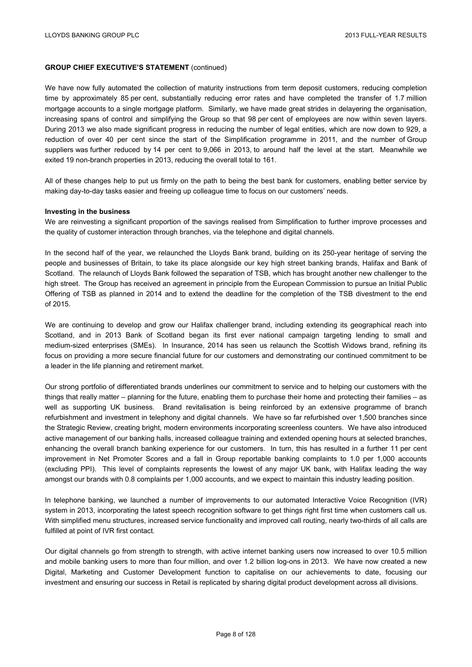We have now fully automated the collection of maturity instructions from term deposit customers, reducing completion time by approximately 85 per cent, substantially reducing error rates and have completed the transfer of 1.7 million mortgage accounts to a single mortgage platform. Similarly, we have made great strides in delayering the organisation, increasing spans of control and simplifying the Group so that 98 per cent of employees are now within seven layers. During 2013 we also made significant progress in reducing the number of legal entities, which are now down to 929, a reduction of over 40 per cent since the start of the Simplification programme in 2011, and the number of Group suppliers was further reduced by 14 per cent to 9,066 in 2013, to around half the level at the start. Meanwhile we exited 19 non-branch properties in 2013, reducing the overall total to 161.

All of these changes help to put us firmly on the path to being the best bank for customers, enabling better service by making day-to-day tasks easier and freeing up colleague time to focus on our customers' needs.

#### **Investing in the business**

We are reinvesting a significant proportion of the savings realised from Simplification to further improve processes and the quality of customer interaction through branches, via the telephone and digital channels.

In the second half of the year, we relaunched the Lloyds Bank brand, building on its 250-year heritage of serving the people and businesses of Britain, to take its place alongside our key high street banking brands, Halifax and Bank of Scotland. The relaunch of Lloyds Bank followed the separation of TSB, which has brought another new challenger to the high street. The Group has received an agreement in principle from the European Commission to pursue an Initial Public Offering of TSB as planned in 2014 and to extend the deadline for the completion of the TSB divestment to the end of 2015.

We are continuing to develop and grow our Halifax challenger brand, including extending its geographical reach into Scotland, and in 2013 Bank of Scotland began its first ever national campaign targeting lending to small and medium-sized enterprises (SMEs). In Insurance, 2014 has seen us relaunch the Scottish Widows brand, refining its focus on providing a more secure financial future for our customers and demonstrating our continued commitment to be a leader in the life planning and retirement market.

Our strong portfolio of differentiated brands underlines our commitment to service and to helping our customers with the things that really matter – planning for the future, enabling them to purchase their home and protecting their families – as well as supporting UK business. Brand revitalisation is being reinforced by an extensive programme of branch refurbishment and investment in telephony and digital channels. We have so far refurbished over 1,500 branches since the Strategic Review, creating bright, modern environments incorporating screenless counters. We have also introduced active management of our banking halls, increased colleague training and extended opening hours at selected branches, enhancing the overall branch banking experience for our customers. In turn, this has resulted in a further 11 per cent improvement in Net Promoter Scores and a fall in Group reportable banking complaints to 1.0 per 1,000 accounts (excluding PPI). This level of complaints represents the lowest of any major UK bank, with Halifax leading the way amongst our brands with 0.8 complaints per 1,000 accounts, and we expect to maintain this industry leading position.

In telephone banking, we launched a number of improvements to our automated Interactive Voice Recognition (IVR) system in 2013, incorporating the latest speech recognition software to get things right first time when customers call us. With simplified menu structures, increased service functionality and improved call routing, nearly two-thirds of all calls are fulfilled at point of IVR first contact.

Our digital channels go from strength to strength, with active internet banking users now increased to over 10.5 million and mobile banking users to more than four million, and over 1.2 billion log-ons in 2013. We have now created a new Digital, Marketing and Customer Development function to capitalise on our achievements to date, focusing our investment and ensuring our success in Retail is replicated by sharing digital product development across all divisions.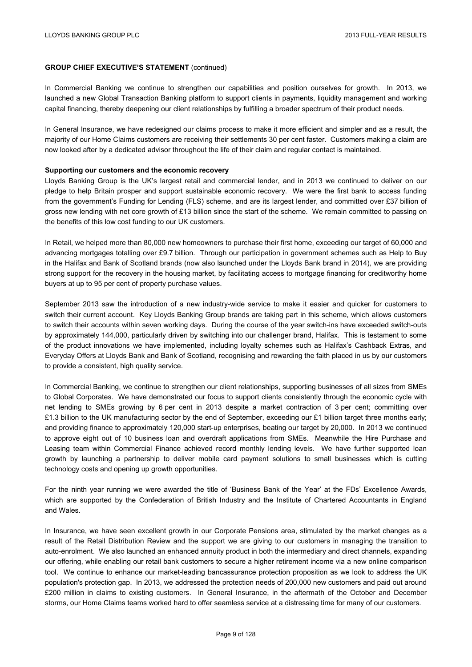In Commercial Banking we continue to strengthen our capabilities and position ourselves for growth. In 2013, we launched a new Global Transaction Banking platform to support clients in payments, liquidity management and working capital financing, thereby deepening our client relationships by fulfilling a broader spectrum of their product needs.

In General Insurance, we have redesigned our claims process to make it more efficient and simpler and as a result, the majority of our Home Claims customers are receiving their settlements 30 per cent faster. Customers making a claim are now looked after by a dedicated advisor throughout the life of their claim and regular contact is maintained.

#### **Supporting our customers and the economic recovery**

Lloyds Banking Group is the UK's largest retail and commercial lender, and in 2013 we continued to deliver on our pledge to help Britain prosper and support sustainable economic recovery. We were the first bank to access funding from the government's Funding for Lending (FLS) scheme, and are its largest lender, and committed over £37 billion of gross new lending with net core growth of £13 billion since the start of the scheme. We remain committed to passing on the benefits of this low cost funding to our UK customers.

In Retail, we helped more than 80,000 new homeowners to purchase their first home, exceeding our target of 60,000 and advancing mortgages totalling over £9.7 billion. Through our participation in government schemes such as Help to Buy in the Halifax and Bank of Scotland brands (now also launched under the Lloyds Bank brand in 2014), we are providing strong support for the recovery in the housing market, by facilitating access to mortgage financing for creditworthy home buyers at up to 95 per cent of property purchase values.

September 2013 saw the introduction of a new industry-wide service to make it easier and quicker for customers to switch their current account. Key Lloyds Banking Group brands are taking part in this scheme, which allows customers to switch their accounts within seven working days. During the course of the year switch-ins have exceeded switch-outs by approximately 144,000, particularly driven by switching into our challenger brand, Halifax. This is testament to some of the product innovations we have implemented, including loyalty schemes such as Halifax's Cashback Extras, and Everyday Offers at Lloyds Bank and Bank of Scotland, recognising and rewarding the faith placed in us by our customers to provide a consistent, high quality service.

In Commercial Banking, we continue to strengthen our client relationships, supporting businesses of all sizes from SMEs to Global Corporates. We have demonstrated our focus to support clients consistently through the economic cycle with net lending to SMEs growing by 6 per cent in 2013 despite a market contraction of 3 per cent; committing over £1.3 billion to the UK manufacturing sector by the end of September, exceeding our £1 billion target three months early; and providing finance to approximately 120,000 start-up enterprises, beating our target by 20,000. In 2013 we continued to approve eight out of 10 business loan and overdraft applications from SMEs. Meanwhile the Hire Purchase and Leasing team within Commercial Finance achieved record monthly lending levels. We have further supported loan growth by launching a partnership to deliver mobile card payment solutions to small businesses which is cutting technology costs and opening up growth opportunities.

For the ninth year running we were awarded the title of 'Business Bank of the Year' at the FDs' Excellence Awards, which are supported by the Confederation of British Industry and the Institute of Chartered Accountants in England and Wales.

In Insurance, we have seen excellent growth in our Corporate Pensions area, stimulated by the market changes as a result of the Retail Distribution Review and the support we are giving to our customers in managing the transition to auto-enrolment. We also launched an enhanced annuity product in both the intermediary and direct channels, expanding our offering, while enabling our retail bank customers to secure a higher retirement income via a new online comparison tool. We continue to enhance our market-leading bancassurance protection proposition as we look to address the UK population's protection gap. In 2013, we addressed the protection needs of 200,000 new customers and paid out around £200 million in claims to existing customers. In General Insurance, in the aftermath of the October and December storms, our Home Claims teams worked hard to offer seamless service at a distressing time for many of our customers.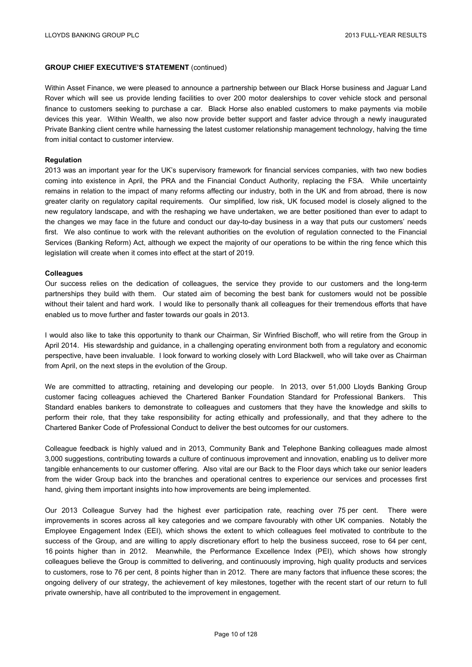Within Asset Finance, we were pleased to announce a partnership between our Black Horse business and Jaguar Land Rover which will see us provide lending facilities to over 200 motor dealerships to cover vehicle stock and personal finance to customers seeking to purchase a car. Black Horse also enabled customers to make payments via mobile devices this year. Within Wealth, we also now provide better support and faster advice through a newly inaugurated Private Banking client centre while harnessing the latest customer relationship management technology, halving the time from initial contact to customer interview.

#### **Regulation**

2013 was an important year for the UK's supervisory framework for financial services companies, with two new bodies coming into existence in April, the PRA and the Financial Conduct Authority, replacing the FSA. While uncertainty remains in relation to the impact of many reforms affecting our industry, both in the UK and from abroad, there is now greater clarity on regulatory capital requirements. Our simplified, low risk, UK focused model is closely aligned to the new regulatory landscape, and with the reshaping we have undertaken, we are better positioned than ever to adapt to the changes we may face in the future and conduct our day-to-day business in a way that puts our customers' needs first. We also continue to work with the relevant authorities on the evolution of regulation connected to the Financial Services (Banking Reform) Act, although we expect the majority of our operations to be within the ring fence which this legislation will create when it comes into effect at the start of 2019.

#### **Colleagues**

Our success relies on the dedication of colleagues, the service they provide to our customers and the long-term partnerships they build with them. Our stated aim of becoming the best bank for customers would not be possible without their talent and hard work. I would like to personally thank all colleagues for their tremendous efforts that have enabled us to move further and faster towards our goals in 2013.

I would also like to take this opportunity to thank our Chairman, Sir Winfried Bischoff, who will retire from the Group in April 2014. His stewardship and guidance, in a challenging operating environment both from a regulatory and economic perspective, have been invaluable. I look forward to working closely with Lord Blackwell, who will take over as Chairman from April, on the next steps in the evolution of the Group.

We are committed to attracting, retaining and developing our people. In 2013, over 51,000 Lloyds Banking Group customer facing colleagues achieved the Chartered Banker Foundation Standard for Professional Bankers. This Standard enables bankers to demonstrate to colleagues and customers that they have the knowledge and skills to perform their role, that they take responsibility for acting ethically and professionally, and that they adhere to the Chartered Banker Code of Professional Conduct to deliver the best outcomes for our customers.

Colleague feedback is highly valued and in 2013, Community Bank and Telephone Banking colleagues made almost 3,000 suggestions, contributing towards a culture of continuous improvement and innovation, enabling us to deliver more tangible enhancements to our customer offering. Also vital are our Back to the Floor days which take our senior leaders from the wider Group back into the branches and operational centres to experience our services and processes first hand, giving them important insights into how improvements are being implemented.

Our 2013 Colleague Survey had the highest ever participation rate, reaching over 75 per cent. There were improvements in scores across all key categories and we compare favourably with other UK companies. Notably the Employee Engagement Index (EEI), which shows the extent to which colleagues feel motivated to contribute to the success of the Group, and are willing to apply discretionary effort to help the business succeed, rose to 64 per cent, 16 points higher than in 2012. Meanwhile, the Performance Excellence Index (PEI), which shows how strongly colleagues believe the Group is committed to delivering, and continuously improving, high quality products and services to customers, rose to 76 per cent, 8 points higher than in 2012. There are many factors that influence these scores; the ongoing delivery of our strategy, the achievement of key milestones, together with the recent start of our return to full private ownership, have all contributed to the improvement in engagement.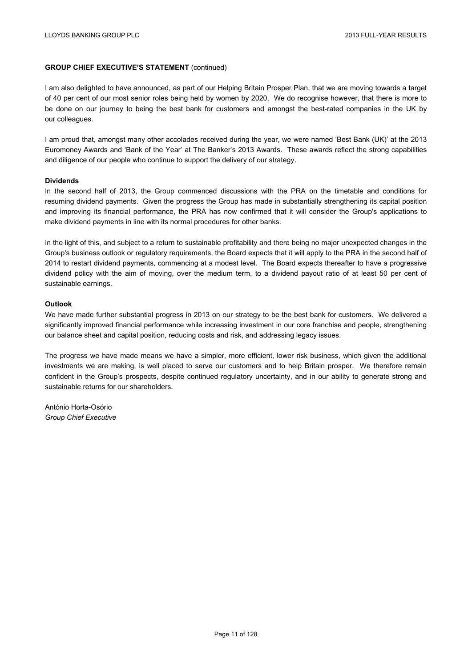I am also delighted to have announced, as part of our Helping Britain Prosper Plan, that we are moving towards a target of 40 per cent of our most senior roles being held by women by 2020. We do recognise however, that there is more to be done on our journey to being the best bank for customers and amongst the best-rated companies in the UK by our colleagues.

I am proud that, amongst many other accolades received during the year, we were named 'Best Bank (UK)' at the 2013 Euromoney Awards and 'Bank of the Year' at The Banker's 2013 Awards. These awards reflect the strong capabilities and diligence of our people who continue to support the delivery of our strategy.

#### **Dividends**

In the second half of 2013, the Group commenced discussions with the PRA on the timetable and conditions for resuming dividend payments. Given the progress the Group has made in substantially strengthening its capital position and improving its financial performance, the PRA has now confirmed that it will consider the Group's applications to make dividend payments in line with its normal procedures for other banks.

In the light of this, and subject to a return to sustainable profitability and there being no major unexpected changes in the Group's business outlook or regulatory requirements, the Board expects that it will apply to the PRA in the second half of 2014 to restart dividend payments, commencing at a modest level. The Board expects thereafter to have a progressive dividend policy with the aim of moving, over the medium term, to a dividend payout ratio of at least 50 per cent of sustainable earnings.

#### **Outlook**

We have made further substantial progress in 2013 on our strategy to be the best bank for customers. We delivered a significantly improved financial performance while increasing investment in our core franchise and people, strengthening our balance sheet and capital position, reducing costs and risk, and addressing legacy issues.

The progress we have made means we have a simpler, more efficient, lower risk business, which given the additional investments we are making, is well placed to serve our customers and to help Britain prosper. We therefore remain confident in the Group's prospects, despite continued regulatory uncertainty, and in our ability to generate strong and sustainable returns for our shareholders.

António Horta-Osório *Group Chief Executive*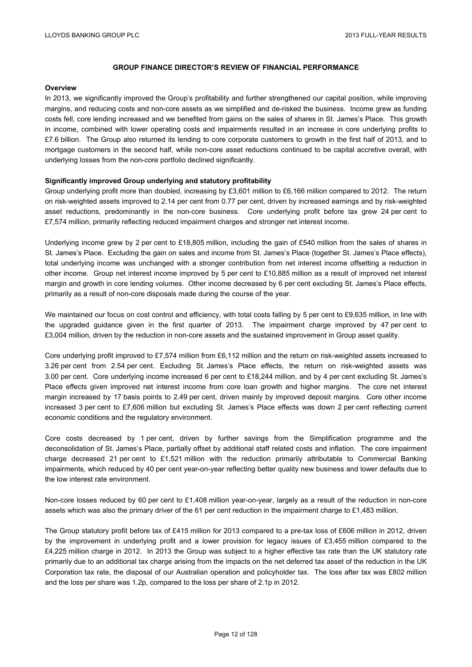#### **Overview**

In 2013, we significantly improved the Group's profitability and further strengthened our capital position, while improving margins, and reducing costs and non-core assets as we simplified and de-risked the business. Income grew as funding costs fell, core lending increased and we benefited from gains on the sales of shares in St. James's Place. This growth in income, combined with lower operating costs and impairments resulted in an increase in core underlying profits to £7.6 billion. The Group also returned its lending to core corporate customers to growth in the first half of 2013, and to mortgage customers in the second half, while non-core asset reductions continued to be capital accretive overall, with underlying losses from the non-core portfolio declined significantly.

## **Significantly improved Group underlying and statutory profitability**

Group underlying profit more than doubled, increasing by £3,601 million to £6,166 million compared to 2012. The return on risk-weighted assets improved to 2.14 per cent from 0.77 per cent, driven by increased earnings and by risk-weighted asset reductions, predominantly in the non-core business. Core underlying profit before tax grew 24 per cent to £7,574 million, primarily reflecting reduced impairment charges and stronger net interest income.

Underlying income grew by 2 per cent to £18,805 million, including the gain of £540 million from the sales of shares in St. James's Place. Excluding the gain on sales and income from St. James's Place (together St. James's Place effects), total underlying income was unchanged with a stronger contribution from net interest income offsetting a reduction in other income. Group net interest income improved by 5 per cent to £10,885 million as a result of improved net interest margin and growth in core lending volumes. Other income decreased by 6 per cent excluding St. James's Place effects, primarily as a result of non-core disposals made during the course of the year.

We maintained our focus on cost control and efficiency, with total costs falling by 5 per cent to £9,635 million, in line with the upgraded guidance given in the first quarter of 2013. The impairment charge improved by 47 per cent to £3,004 million, driven by the reduction in non-core assets and the sustained improvement in Group asset quality.

Core underlying profit improved to £7,574 million from £6,112 million and the return on risk-weighted assets increased to 3.26 per cent from 2.54 per cent. Excluding St. James's Place effects, the return on risk-weighted assets was 3.00 per cent. Core underlying income increased 6 per cent to £18,244 million, and by 4 per cent excluding St. James's Place effects given improved net interest income from core loan growth and higher margins. The core net interest margin increased by 17 basis points to 2.49 per cent, driven mainly by improved deposit margins. Core other income increased 3 per cent to £7,606 million but excluding St. James's Place effects was down 2 per cent reflecting current economic conditions and the regulatory environment.

Core costs decreased by 1 per cent, driven by further savings from the Simplification programme and the deconsolidation of St. James's Place, partially offset by additional staff related costs and inflation. The core impairment charge decreased 21 per cent to £1,521 million with the reduction primarily attributable to Commercial Banking impairments, which reduced by 40 per cent year-on-year reflecting better quality new business and lower defaults due to the low interest rate environment.

Non-core losses reduced by 60 per cent to £1,408 million year-on-year, largely as a result of the reduction in non-core assets which was also the primary driver of the 61 per cent reduction in the impairment charge to £1,483 million.

The Group statutory profit before tax of £415 million for 2013 compared to a pre-tax loss of £606 million in 2012, driven by the improvement in underlying profit and a lower provision for legacy issues of £3,455 million compared to the £4,225 million charge in 2012. In 2013 the Group was subject to a higher effective tax rate than the UK statutory rate primarily due to an additional tax charge arising from the impacts on the net deferred tax asset of the reduction in the UK Corporation tax rate, the disposal of our Australian operation and policyholder tax. The loss after tax was £802 million and the loss per share was 1.2p, compared to the loss per share of 2.1p in 2012.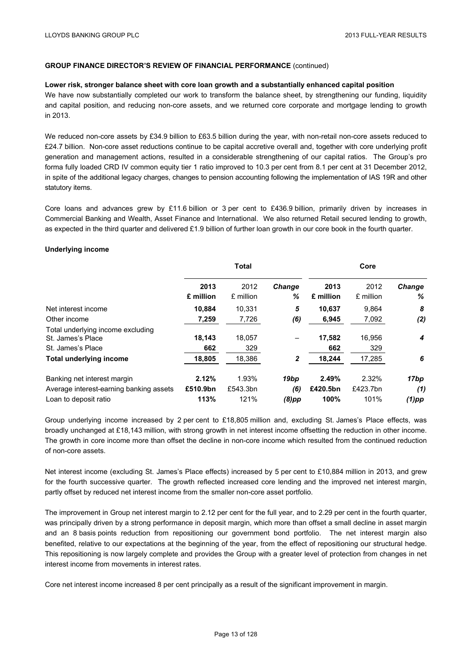#### **Lower risk, stronger balance sheet with core loan growth and a substantially enhanced capital position**

We have now substantially completed our work to transform the balance sheet, by strengthening our funding, liquidity and capital position, and reducing non-core assets, and we returned core corporate and mortgage lending to growth in 2013.

We reduced non-core assets by £34.9 billion to £63.5 billion during the year, with non-retail non-core assets reduced to £24.7 billion. Non-core asset reductions continue to be capital accretive overall and, together with core underlying profit generation and management actions, resulted in a considerable strengthening of our capital ratios. The Group's pro forma fully loaded CRD IV common equity tier 1 ratio improved to 10.3 per cent from 8.1 per cent at 31 December 2012, in spite of the additional legacy charges, changes to pension accounting following the implementation of IAS 19R and other statutory items.

Core loans and advances grew by £11.6 billion or 3 per cent to £436.9 billion, primarily driven by increases in Commercial Banking and Wealth, Asset Finance and International. We also returned Retail secured lending to growth, as expected in the third quarter and delivered £1.9 billion of further loan growth in our core book in the fourth quarter.

#### **Underlying income**

|                                                                             |                   | <b>Total</b>      |              |                   | Core              |             |
|-----------------------------------------------------------------------------|-------------------|-------------------|--------------|-------------------|-------------------|-------------|
|                                                                             | 2013<br>£ million | 2012<br>£ million | Change<br>℅  | 2013<br>£ million | 2012<br>£ million | Change<br>℅ |
| Net interest income                                                         | 10.884            | 10.331            | 5            | 10,637            | 9,864             | 8           |
| Other income                                                                | 7,259             | 7,726             | (6)          | 6,945             | 7,092             | (2)         |
| Total underlying income excluding<br>St. James's Place<br>St. James's Place | 18,143<br>662     | 18.057<br>329     | -            | 17,582<br>662     | 16.956<br>329     | 4           |
| <b>Total underlying income</b>                                              | 18,805            | 18,386            | $\mathbf{2}$ | 18,244            | 17,285            | 6           |
| Banking net interest margin<br>Average interest-earning banking assets      | 2.12%<br>£510.9bn | 1.93%<br>£543.3bn | 19bp<br>(6)  | 2.49%<br>£420.5bn | 2.32%<br>£423.7bn | 17bp<br>(1) |
| Loan to deposit ratio                                                       | 113%              | 121%              | $(8)$ pp     | 100%              | 101%              | $(1)$ pp    |

Group underlying income increased by 2 per cent to £18,805 million and, excluding St. James's Place effects, was broadly unchanged at £18,143 million, with strong growth in net interest income offsetting the reduction in other income. The growth in core income more than offset the decline in non-core income which resulted from the continued reduction of non-core assets.

Net interest income (excluding St. James's Place effects) increased by 5 per cent to £10,884 million in 2013, and grew for the fourth successive quarter. The growth reflected increased core lending and the improved net interest margin, partly offset by reduced net interest income from the smaller non-core asset portfolio.

The improvement in Group net interest margin to 2.12 per cent for the full year, and to 2.29 per cent in the fourth quarter, was principally driven by a strong performance in deposit margin, which more than offset a small decline in asset margin and an 8 basis points reduction from repositioning our government bond portfolio. The net interest margin also benefited, relative to our expectations at the beginning of the year, from the effect of repositioning our structural hedge. This repositioning is now largely complete and provides the Group with a greater level of protection from changes in net interest income from movements in interest rates.

Core net interest income increased 8 per cent principally as a result of the significant improvement in margin.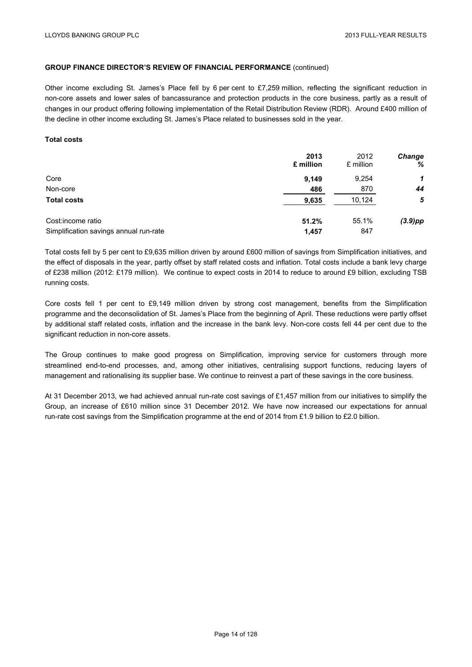Other income excluding St. James's Place fell by 6 per cent to £7,259 million, reflecting the significant reduction in non-core assets and lower sales of bancassurance and protection products in the core business, partly as a result of changes in our product offering following implementation of the Retail Distribution Review (RDR). Around £400 million of the decline in other income excluding St. James's Place related to businesses sold in the year.

#### **Total costs**

|                                        | 2013      | 2012      | <b>Change</b> |
|----------------------------------------|-----------|-----------|---------------|
|                                        | £ million | £ million | %             |
| Core                                   | 9.149     | 9,254     | 1             |
| Non-core                               | 486       | 870       | 44            |
| <b>Total costs</b>                     | 9,635     | 10,124    | 5             |
| Cost:income ratio                      | 51.2%     | 55.1%     | $(3.9)$ pp    |
| Simplification savings annual run-rate | 1,457     | 847       |               |

Total costs fell by 5 per cent to £9,635 million driven by around £600 million of savings from Simplification initiatives, and the effect of disposals in the year, partly offset by staff related costs and inflation. Total costs include a bank levy charge of £238 million (2012: £179 million). We continue to expect costs in 2014 to reduce to around £9 billion, excluding TSB running costs.

Core costs fell 1 per cent to £9,149 million driven by strong cost management, benefits from the Simplification programme and the deconsolidation of St. James's Place from the beginning of April. These reductions were partly offset by additional staff related costs, inflation and the increase in the bank levy. Non-core costs fell 44 per cent due to the significant reduction in non-core assets.

The Group continues to make good progress on Simplification, improving service for customers through more streamlined end-to-end processes, and, among other initiatives, centralising support functions, reducing layers of management and rationalising its supplier base. We continue to reinvest a part of these savings in the core business.

At 31 December 2013, we had achieved annual run-rate cost savings of £1,457 million from our initiatives to simplify the Group, an increase of £610 million since 31 December 2012. We have now increased our expectations for annual run-rate cost savings from the Simplification programme at the end of 2014 from £1.9 billion to £2.0 billion.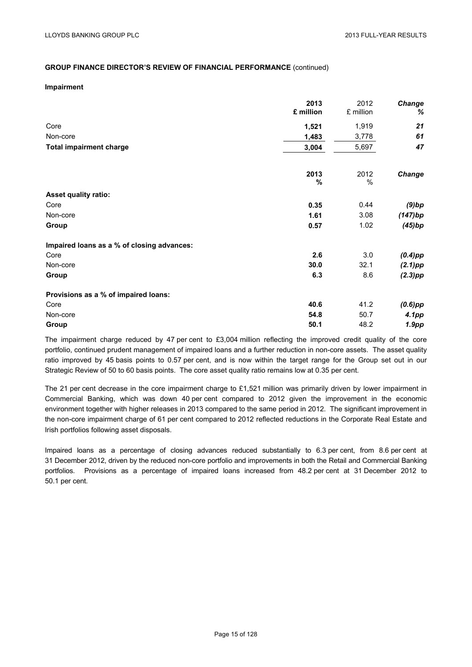#### **Impairment**

|                                            | 2013<br>£ million | 2012<br>£ million     | Change<br>%       |
|--------------------------------------------|-------------------|-----------------------|-------------------|
|                                            |                   |                       |                   |
| Core                                       | 1,521             | 1,919                 | 21                |
| Non-core                                   | 1,483             | 3,778                 | 61                |
| <b>Total impairment charge</b>             | 3,004             | 5,697                 | 47                |
|                                            | 2013<br>%         | 2012<br>$\frac{0}{0}$ | Change            |
| <b>Asset quality ratio:</b>                |                   |                       |                   |
| Core                                       | 0.35              | 0.44                  | $(9)$ bp          |
| Non-core                                   | 1.61              | 3.08                  | (147)bp           |
| Group                                      | 0.57              | 1.02                  | (45)bp            |
| Impaired loans as a % of closing advances: |                   |                       |                   |
| Core                                       | 2.6               | 3.0                   | $(0.4)$ pp        |
| Non-core                                   | 30.0              | 32.1                  | $(2.1)$ pp        |
| Group                                      | 6.3               | 8.6                   | $(2.3)$ pp        |
| Provisions as a % of impaired loans:       |                   |                       |                   |
| Core                                       | 40.6              | 41.2                  | $(0.6)$ pp        |
| Non-core                                   | 54.8              | 50.7                  | 4.1pp             |
| Group                                      | 50.1              | 48.2                  | 1.9 <sub>pp</sub> |

The impairment charge reduced by 47 per cent to £3,004 million reflecting the improved credit quality of the core portfolio, continued prudent management of impaired loans and a further reduction in non-core assets. The asset quality ratio improved by 45 basis points to 0.57 per cent, and is now within the target range for the Group set out in our Strategic Review of 50 to 60 basis points. The core asset quality ratio remains low at 0.35 per cent.

The 21 per cent decrease in the core impairment charge to £1,521 million was primarily driven by lower impairment in Commercial Banking, which was down 40 per cent compared to 2012 given the improvement in the economic environment together with higher releases in 2013 compared to the same period in 2012. The significant improvement in the non-core impairment charge of 61 per cent compared to 2012 reflected reductions in the Corporate Real Estate and Irish portfolios following asset disposals.

Impaired loans as a percentage of closing advances reduced substantially to 6.3 per cent, from 8.6 per cent at 31 December 2012, driven by the reduced non-core portfolio and improvements in both the Retail and Commercial Banking portfolios. Provisions as a percentage of impaired loans increased from 48.2 per cent at 31 December 2012 to 50.1 per cent.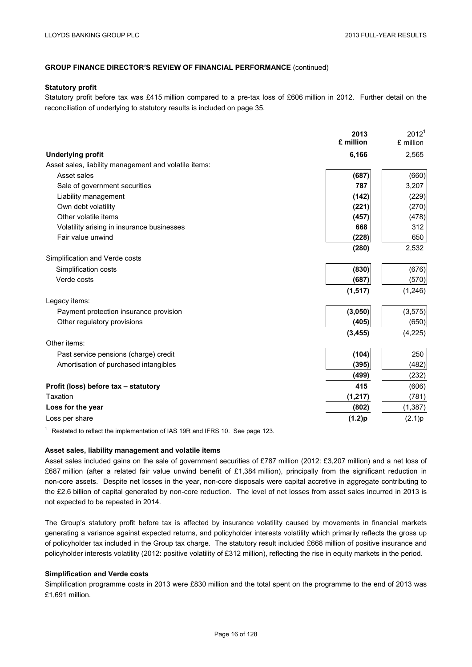#### **Statutory profit**

Statutory profit before tax was £415 million compared to a pre-tax loss of £606 million in 2012. Further detail on the reconciliation of underlying to statutory results is included on page 35.

|                                                       | 2013<br>£ million | 2012 <sup>1</sup><br>£ million |
|-------------------------------------------------------|-------------------|--------------------------------|
|                                                       |                   |                                |
| <b>Underlying profit</b>                              | 6,166             | 2,565                          |
| Asset sales, liability management and volatile items: |                   |                                |
| Asset sales                                           | (687)             | (660)                          |
| Sale of government securities                         | 787               | 3,207                          |
| Liability management                                  | (142)             | (229)                          |
| Own debt volatility                                   | (221)             | (270)                          |
| Other volatile items                                  | (457)             | (478)                          |
| Volatility arising in insurance businesses            | 668               | 312                            |
| Fair value unwind                                     | (228)             | 650                            |
|                                                       | (280)             | 2,532                          |
| Simplification and Verde costs                        |                   |                                |
| Simplification costs                                  | (830)             | (676)                          |
| Verde costs                                           | (687)             | (570)                          |
|                                                       | (1, 517)          | (1,246)                        |
| Legacy items:                                         |                   |                                |
| Payment protection insurance provision                | (3,050)           | (3, 575)                       |
| Other regulatory provisions                           | (405)             | (650)                          |
|                                                       | (3, 455)          | (4, 225)                       |
| Other items:                                          |                   |                                |
| Past service pensions (charge) credit                 | (104)             | 250                            |
| Amortisation of purchased intangibles                 | (395)             | (482)                          |
|                                                       | (499)             | (232)                          |
| Profit (loss) before tax - statutory                  | 415               | (606)                          |
| Taxation                                              | (1, 217)          | (781)                          |
| Loss for the year                                     | (802)             | (1, 387)                       |
| Loss per share                                        |                   |                                |
|                                                       | (1.2)p            | (2.1)p                         |

 $1$  Restated to reflect the implementation of IAS 19R and IFRS 10. See page 123.

#### **Asset sales, liability management and volatile items**

Asset sales included gains on the sale of government securities of £787 million (2012: £3,207 million) and a net loss of £687 million (after a related fair value unwind benefit of £1,384 million), principally from the significant reduction in non-core assets. Despite net losses in the year, non-core disposals were capital accretive in aggregate contributing to the £2.6 billion of capital generated by non-core reduction. The level of net losses from asset sales incurred in 2013 is not expected to be repeated in 2014.

The Group's statutory profit before tax is affected by insurance volatility caused by movements in financial markets generating a variance against expected returns, and policyholder interests volatility which primarily reflects the gross up of policyholder tax included in the Group tax charge. The statutory result included £668 million of positive insurance and policyholder interests volatility (2012: positive volatility of £312 million), reflecting the rise in equity markets in the period.

#### **Simplification and Verde costs**

Simplification programme costs in 2013 were £830 million and the total spent on the programme to the end of 2013 was £1,691 million.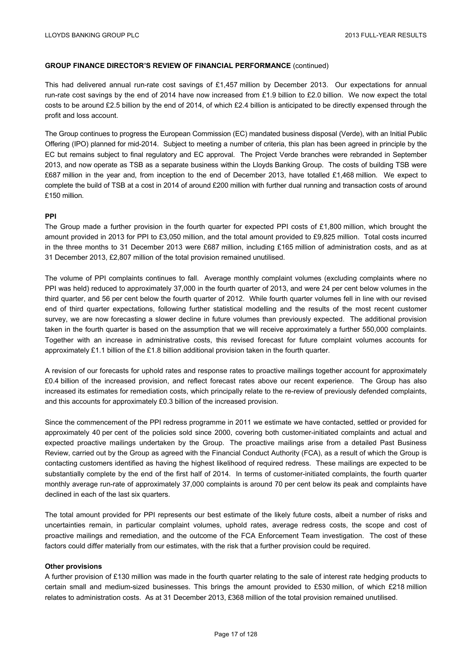This had delivered annual run-rate cost savings of £1,457 million by December 2013. Our expectations for annual run-rate cost savings by the end of 2014 have now increased from £1.9 billion to £2.0 billion. We now expect the total costs to be around £2.5 billion by the end of 2014, of which £2.4 billion is anticipated to be directly expensed through the profit and loss account.

The Group continues to progress the European Commission (EC) mandated business disposal (Verde), with an Initial Public Offering (IPO) planned for mid-2014. Subject to meeting a number of criteria, this plan has been agreed in principle by the EC but remains subject to final regulatory and EC approval. The Project Verde branches were rebranded in September 2013, and now operate as TSB as a separate business within the Lloyds Banking Group. The costs of building TSB were £687 million in the year and, from inception to the end of December 2013, have totalled £1,468 million. We expect to complete the build of TSB at a cost in 2014 of around £200 million with further dual running and transaction costs of around £150 million.

## **PPI**

The Group made a further provision in the fourth quarter for expected PPI costs of £1,800 million, which brought the amount provided in 2013 for PPI to £3,050 million, and the total amount provided to £9,825 million. Total costs incurred in the three months to 31 December 2013 were £687 million, including £165 million of administration costs, and as at 31 December 2013, £2,807 million of the total provision remained unutilised.

The volume of PPI complaints continues to fall. Average monthly complaint volumes (excluding complaints where no PPI was held) reduced to approximately 37,000 in the fourth quarter of 2013, and were 24 per cent below volumes in the third quarter, and 56 per cent below the fourth quarter of 2012. While fourth quarter volumes fell in line with our revised end of third quarter expectations, following further statistical modelling and the results of the most recent customer survey, we are now forecasting a slower decline in future volumes than previously expected. The additional provision taken in the fourth quarter is based on the assumption that we will receive approximately a further 550,000 complaints. Together with an increase in administrative costs, this revised forecast for future complaint volumes accounts for approximately £1.1 billion of the £1.8 billion additional provision taken in the fourth quarter.

A revision of our forecasts for uphold rates and response rates to proactive mailings together account for approximately £0.4 billion of the increased provision, and reflect forecast rates above our recent experience. The Group has also increased its estimates for remediation costs, which principally relate to the re-review of previously defended complaints, and this accounts for approximately £0.3 billion of the increased provision.

Since the commencement of the PPI redress programme in 2011 we estimate we have contacted, settled or provided for approximately 40 per cent of the policies sold since 2000, covering both customer-initiated complaints and actual and expected proactive mailings undertaken by the Group. The proactive mailings arise from a detailed Past Business Review, carried out by the Group as agreed with the Financial Conduct Authority (FCA), as a result of which the Group is contacting customers identified as having the highest likelihood of required redress. These mailings are expected to be substantially complete by the end of the first half of 2014. In terms of customer-initiated complaints, the fourth quarter monthly average run-rate of approximately 37,000 complaints is around 70 per cent below its peak and complaints have declined in each of the last six quarters.

The total amount provided for PPI represents our best estimate of the likely future costs, albeit a number of risks and uncertainties remain, in particular complaint volumes, uphold rates, average redress costs, the scope and cost of proactive mailings and remediation, and the outcome of the FCA Enforcement Team investigation. The cost of these factors could differ materially from our estimates, with the risk that a further provision could be required.

#### **Other provisions**

A further provision of £130 million was made in the fourth quarter relating to the sale of interest rate hedging products to certain small and medium-sized businesses. This brings the amount provided to £530 million, of which £218 million relates to administration costs. As at 31 December 2013, £368 million of the total provision remained unutilised.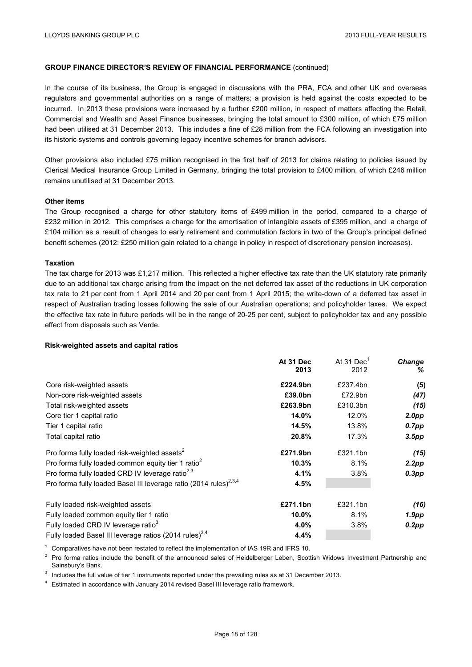In the course of its business, the Group is engaged in discussions with the PRA, FCA and other UK and overseas regulators and governmental authorities on a range of matters; a provision is held against the costs expected to be incurred. In 2013 these provisions were increased by a further £200 million, in respect of matters affecting the Retail, Commercial and Wealth and Asset Finance businesses, bringing the total amount to £300 million, of which £75 million had been utilised at 31 December 2013. This includes a fine of £28 million from the FCA following an investigation into its historic systems and controls governing legacy incentive schemes for branch advisors.

Other provisions also included £75 million recognised in the first half of 2013 for claims relating to policies issued by Clerical Medical Insurance Group Limited in Germany, bringing the total provision to £400 million, of which £246 million remains unutilised at 31 December 2013.

#### **Other items**

The Group recognised a charge for other statutory items of £499 million in the period, compared to a charge of £232 million in 2012. This comprises a charge for the amortisation of intangible assets of £395 million, and a charge of £104 million as a result of changes to early retirement and commutation factors in two of the Group's principal defined benefit schemes (2012: £250 million gain related to a change in policy in respect of discretionary pension increases).

#### **Taxation**

The tax charge for 2013 was £1,217 million. This reflected a higher effective tax rate than the UK statutory rate primarily due to an additional tax charge arising from the impact on the net deferred tax asset of the reductions in UK corporation tax rate to 21 per cent from 1 April 2014 and 20 per cent from 1 April 2015; the write-down of a deferred tax asset in respect of Australian trading losses following the sale of our Australian operations; and policyholder taxes. We expect the effective tax rate in future periods will be in the range of 20-25 per cent, subject to policyholder tax and any possible effect from disposals such as Verde.

#### **Risk-weighted assets and capital ratios**

|                                                                               | At 31 Dec<br>2013 | At 31 $DecT$<br>2012 | Change<br>℅       |
|-------------------------------------------------------------------------------|-------------------|----------------------|-------------------|
|                                                                               |                   |                      |                   |
| Core risk-weighted assets                                                     | £224.9bn          | £237.4bn             | (5)               |
| Non-core risk-weighted assets                                                 | £39.0bn           | £72.9bn              | (47)              |
| Total risk-weighted assets                                                    | £263.9bn          | £310.3bn             | (15)              |
| Core tier 1 capital ratio                                                     | 14.0%             | 12.0%                | 2.0 <sub>pp</sub> |
| Tier 1 capital ratio                                                          | 14.5%             | 13.8%                | $0.7$ pp          |
| Total capital ratio                                                           | 20.8%             | 17.3%                | 3.5pp             |
| Pro forma fully loaded risk-weighted assets <sup>2</sup>                      | £271.9bn          | £321.1bn             | (15)              |
| Pro forma fully loaded common equity tier 1 ratio <sup>2</sup>                | 10.3%             | 8.1%                 | 2.2pp             |
| Pro forma fully loaded CRD IV leverage ratio <sup>2,3</sup>                   | 4.1%              | 3.8%                 | $0.3$ pp          |
| Pro forma fully loaded Basel III leverage ratio (2014 rules) <sup>2,3,4</sup> | 4.5%              |                      |                   |
| Fully loaded risk-weighted assets                                             | £271.1bn          | £321.1bn             | (16)              |
| Fully loaded common equity tier 1 ratio                                       | 10.0%             | 8.1%                 | 1.9 <sub>pp</sub> |
| Fully loaded CRD IV leverage ratio <sup>3</sup>                               | 4.0%              | 3.8%                 | 0.2pp             |
| Fully loaded Basel III leverage ratios (2014 rules) <sup>3,4</sup>            | 4.4%              |                      |                   |

<sup>1</sup> Comparatives have not been restated to reflect the implementation of IAS 19R and IFRS 10.

<sup>2</sup> Pro forma ratios include the benefit of the announced sales of Heidelberger Leben, Scottish Widows Investment Partnership and Sainsbury's Bank.

<sup>3</sup> Includes the full value of tier 1 instruments reported under the prevailing rules as at 31 December 2013.

<sup>4</sup> Estimated in accordance with January 2014 revised Basel III leverage ratio framework.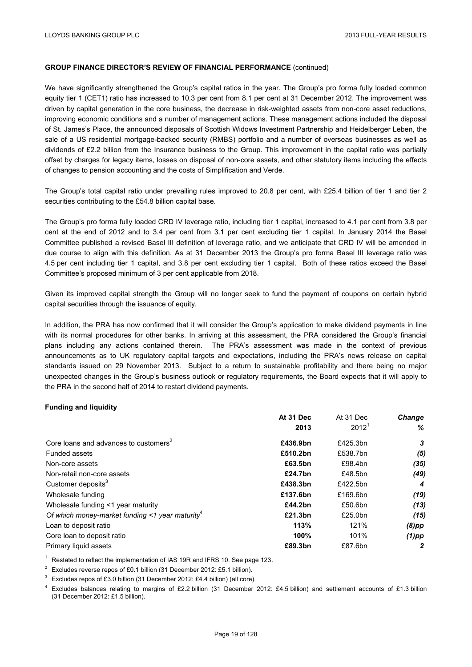We have significantly strengthened the Group's capital ratios in the year. The Group's pro forma fully loaded common equity tier 1 (CET1) ratio has increased to 10.3 per cent from 8.1 per cent at 31 December 2012. The improvement was driven by capital generation in the core business, the decrease in risk-weighted assets from non-core asset reductions, improving economic conditions and a number of management actions. These management actions included the disposal of St. James's Place, the announced disposals of Scottish Widows Investment Partnership and Heidelberger Leben, the sale of a US residential mortgage-backed security (RMBS) portfolio and a number of overseas businesses as well as dividends of £2.2 billion from the Insurance business to the Group. This improvement in the capital ratio was partially offset by charges for legacy items, losses on disposal of non-core assets, and other statutory items including the effects of changes to pension accounting and the costs of Simplification and Verde.

The Group's total capital ratio under prevailing rules improved to 20.8 per cent, with £25.4 billion of tier 1 and tier 2 securities contributing to the £54.8 billion capital base.

The Group's pro forma fully loaded CRD IV leverage ratio, including tier 1 capital, increased to 4.1 per cent from 3.8 per cent at the end of 2012 and to 3.4 per cent from 3.1 per cent excluding tier 1 capital. In January 2014 the Basel Committee published a revised Basel III definition of leverage ratio, and we anticipate that CRD IV will be amended in due course to align with this definition. As at 31 December 2013 the Group's pro forma Basel III leverage ratio was 4.5 per cent including tier 1 capital, and 3.8 per cent excluding tier 1 capital. Both of these ratios exceed the Basel Committee's proposed minimum of 3 per cent applicable from 2018.

Given its improved capital strength the Group will no longer seek to fund the payment of coupons on certain hybrid capital securities through the issuance of equity.

In addition, the PRA has now confirmed that it will consider the Group's application to make dividend payments in line with its normal procedures for other banks. In arriving at this assessment, the PRA considered the Group's financial plans including any actions contained therein. The PRA's assessment was made in the context of previous announcements as to UK regulatory capital targets and expectations, including the PRA's news release on capital standards issued on 29 November 2013. Subject to a return to sustainable profitability and there being no major unexpected changes in the Group's business outlook or regulatory requirements, the Board expects that it will apply to the PRA in the second half of 2014 to restart dividend payments.

**At 31 Dec** 

At 31 Dec

## **Funding and liquidity**

| 2012 <sup>1</sup><br>2013<br>Core loans and advances to customers <sup>2</sup><br>£436.9bn<br>£425.3bn | ℅    |
|--------------------------------------------------------------------------------------------------------|------|
|                                                                                                        |      |
|                                                                                                        | 3    |
| £510.2bn<br>£538.7bn<br>Funded assets                                                                  | (5)  |
| £63.5bn<br>£98.4bn<br>Non-core assets                                                                  | (35) |
| Non-retail non-core assets<br>£48.5bn<br>£24.7bn                                                       | (49) |
| Customer deposits <sup>3</sup><br>£438.3bn<br>£422.5bn                                                 | 4    |
| £137.6bn<br>£169.6bn<br>Wholesale funding                                                              | (19) |
| £50.6bn<br>Wholesale funding <1 year maturity<br>£44.2bn                                               | (13) |
| Of which money-market funding $\leq$ 1 year maturity <sup>4</sup><br>£21.3bn<br>£25.0bn                | (15) |
| 113%<br>121%<br>Loan to deposit ratio<br>$(8)$ pp                                                      |      |
| 100%<br>Core loan to deposit ratio<br>101%<br>$(1)$ pp                                                 |      |
| Primary liquid assets<br>£89.3bn<br>£87.6bn                                                            | 2    |

 $1$  Restated to reflect the implementation of IAS 19R and IFRS 10. See page 123.

<sup>2</sup> Excludes reverse repos of £0.1 billion (31 December 2012: £5.1 billion).

 $3$  Excludes repos of £3.0 billion (31 December 2012: £4.4 billion) (all core).

<sup>4</sup> Excludes balances relating to margins of £2.2 billion (31 December 2012: £4.5 billion) and settlement accounts of £1.3 billion (31 December 2012: £1.5 billion).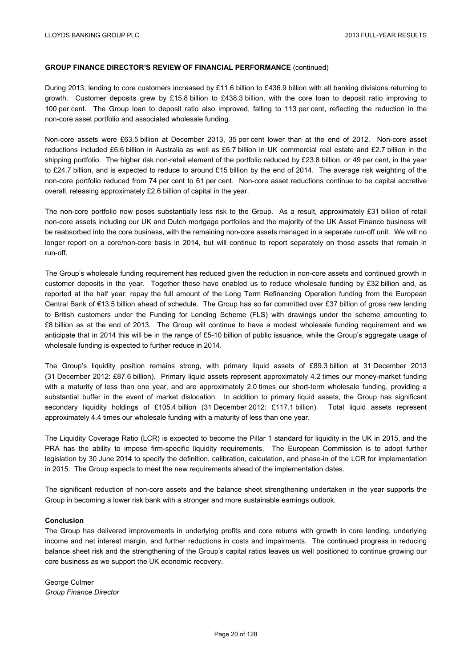During 2013, lending to core customers increased by £11.6 billion to £436.9 billion with all banking divisions returning to growth. Customer deposits grew by £15.8 billion to £438.3 billion, with the core loan to deposit ratio improving to 100 per cent. The Group loan to deposit ratio also improved, falling to 113 per cent, reflecting the reduction in the non-core asset portfolio and associated wholesale funding.

Non-core assets were £63.5 billion at December 2013, 35 per cent lower than at the end of 2012. Non-core asset reductions included £6.6 billion in Australia as well as £6.7 billion in UK commercial real estate and £2.7 billion in the shipping portfolio. The higher risk non-retail element of the portfolio reduced by £23.8 billion, or 49 per cent, in the year to £24.7 billion, and is expected to reduce to around £15 billion by the end of 2014. The average risk weighting of the non-core portfolio reduced from 74 per cent to 61 per cent. Non-core asset reductions continue to be capital accretive overall, releasing approximately £2.6 billion of capital in the year.

The non-core portfolio now poses substantially less risk to the Group. As a result, approximately £31 billion of retail non-core assets including our UK and Dutch mortgage portfolios and the majority of the UK Asset Finance business will be reabsorbed into the core business, with the remaining non-core assets managed in a separate run-off unit. We will no longer report on a core/non-core basis in 2014, but will continue to report separately on those assets that remain in run-off.

The Group's wholesale funding requirement has reduced given the reduction in non-core assets and continued growth in customer deposits in the year. Together these have enabled us to reduce wholesale funding by £32 billion and, as reported at the half year, repay the full amount of the Long Term Refinancing Operation funding from the European Central Bank of €13.5 billion ahead of schedule. The Group has so far committed over £37 billion of gross new lending to British customers under the Funding for Lending Scheme (FLS) with drawings under the scheme amounting to £8 billion as at the end of 2013. The Group will continue to have a modest wholesale funding requirement and we anticipate that in 2014 this will be in the range of £5-10 billion of public issuance, while the Group's aggregate usage of wholesale funding is expected to further reduce in 2014.

The Group's liquidity position remains strong, with primary liquid assets of £89.3 billion at 31 December 2013 (31 December 2012: £87.6 billion). Primary liquid assets represent approximately 4.2 times our money-market funding with a maturity of less than one year, and are approximately 2.0 times our short-term wholesale funding, providing a substantial buffer in the event of market dislocation. In addition to primary liquid assets, the Group has significant secondary liquidity holdings of £105.4 billion (31 December 2012: £117.1 billion). Total liquid assets represent approximately 4.4 times our wholesale funding with a maturity of less than one year.

The Liquidity Coverage Ratio (LCR) is expected to become the Pillar 1 standard for liquidity in the UK in 2015, and the PRA has the ability to impose firm-specific liquidity requirements. The European Commission is to adopt further legislation by 30 June 2014 to specify the definition, calibration, calculation, and phase-in of the LCR for implementation in 2015. The Group expects to meet the new requirements ahead of the implementation dates.

The significant reduction of non-core assets and the balance sheet strengthening undertaken in the year supports the Group in becoming a lower risk bank with a stronger and more sustainable earnings outlook.

#### **Conclusion**

The Group has delivered improvements in underlying profits and core returns with growth in core lending, underlying income and net interest margin, and further reductions in costs and impairments. The continued progress in reducing balance sheet risk and the strengthening of the Group's capital ratios leaves us well positioned to continue growing our core business as we support the UK economic recovery.

George Culmer *Group Finance Director*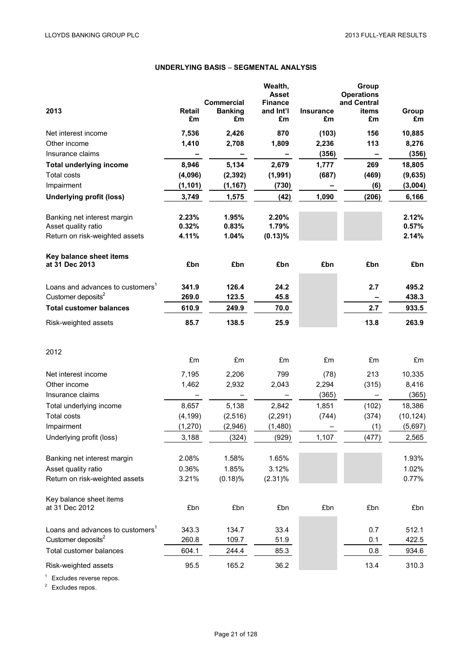# **UNDERLYING BASIS** – **SEGMENTAL ANALYSIS**

| 2013                                                 | <b>Retail</b>       | <b>Commercial</b><br><b>Banking</b> | Wealth,<br><b>Asset</b><br><b>Finance</b><br>and Int'l | <b>Insurance</b> | Group<br><b>Operations</b><br>and Central<br>items | Group     |
|------------------------------------------------------|---------------------|-------------------------------------|--------------------------------------------------------|------------------|----------------------------------------------------|-----------|
|                                                      | £m                  | £m                                  | £m                                                     | £m               | £m                                                 | £m        |
| Net interest income                                  | 7,536               | 2,426                               | 870                                                    | (103)            | 156                                                | 10,885    |
| Other income                                         | 1,410               | 2,708                               | 1,809                                                  | 2,236            | 113                                                | 8,276     |
| Insurance claims                                     |                     |                                     |                                                        | (356)            |                                                    | (356)     |
| <b>Total underlying income</b><br><b>Total costs</b> | 8,946               | 5,134                               | 2,679                                                  | 1,777            | 269<br>(469)                                       | 18,805    |
| Impairment                                           | (4,096)<br>(1, 101) | (2, 392)<br>(1, 167)                | (1,991)                                                | (687)            |                                                    | (9,635)   |
|                                                      |                     |                                     | (730)                                                  |                  | (6)                                                | (3,004)   |
| <b>Underlying profit (loss)</b>                      | 3,749               | 1,575                               | (42)                                                   | 1,090            | (206)                                              | 6,166     |
| Banking net interest margin                          | 2.23%               | 1.95%                               | 2.20%                                                  |                  |                                                    | 2.12%     |
| Asset quality ratio                                  | 0.32%               | 0.83%                               | 1.79%                                                  |                  |                                                    | 0.57%     |
| Return on risk-weighted assets                       | 4.11%               | 1.04%                               | $(0.13)\%$                                             |                  |                                                    | 2.14%     |
| Key balance sheet items                              |                     |                                     |                                                        |                  |                                                    |           |
| at 31 Dec 2013                                       | £bn                 | £bn                                 | £bn                                                    | £bn              | £bn                                                | £bn       |
| Loans and advances to customers <sup>1</sup>         | 341.9               | 126.4                               | 24.2                                                   |                  | 2.7                                                | 495.2     |
| Customer deposits <sup>2</sup>                       | 269.0               | 123.5                               | 45.8                                                   |                  |                                                    | 438.3     |
| <b>Total customer balances</b>                       | 610.9               | 249.9                               | 70.0                                                   |                  | 2.7                                                | 933.5     |
| Risk-weighted assets                                 | 85.7                | 138.5                               | 25.9                                                   |                  | 13.8                                               | 263.9     |
|                                                      |                     |                                     |                                                        |                  |                                                    |           |
| 2012                                                 |                     |                                     |                                                        |                  |                                                    |           |
|                                                      | £m                  | £m                                  | £m                                                     | £m               | £m                                                 | £m        |
| Net interest income                                  | 7,195               | 2,206                               | 799                                                    | (78)             | 213                                                | 10,335    |
| Other income                                         | 1,462               | 2,932                               | 2,043                                                  | 2,294            | (315)                                              | 8,416     |
| Insurance claims                                     |                     |                                     |                                                        | (365)            |                                                    | (365)     |
| Total underlying income                              | 8,657               | 5,138                               | 2,842                                                  | 1,851            | (102)                                              | 18,386    |
| <b>Total costs</b>                                   | (4, 199)            | (2,516)                             | (2, 291)                                               | (744)            | (374)                                              | (10, 124) |
| Impairment                                           | (1, 270)            | (2,946)                             | (1,480)                                                |                  | (1)                                                | (5,697)   |
| Underlying profit (loss)                             | 3,188               | (324)                               | (929)                                                  | 1,107            | (477)                                              | 2,565     |
| Banking net interest margin                          | 2.08%               | 1.58%                               | 1.65%                                                  |                  |                                                    | 1.93%     |
| Asset quality ratio                                  | 0.36%               | 1.85%                               | 3.12%                                                  |                  |                                                    | 1.02%     |
| Return on risk-weighted assets                       | 3.21%               | (0.18)%                             | $(2.31)\%$                                             |                  |                                                    | 0.77%     |
| Key balance sheet items                              |                     |                                     |                                                        |                  |                                                    |           |
| at 31 Dec 2012                                       | £bn                 | £bn                                 | £bn                                                    | £bn              | £bn                                                | £bn       |
| Loans and advances to customers <sup>1</sup>         | 343.3               | 134.7                               | 33.4                                                   |                  | 0.7                                                | 512.1     |
| Customer deposits <sup>2</sup>                       | 260.8               | 109.7                               | 51.9                                                   |                  | 0.1                                                | 422.5     |
| Total customer balances                              | 604.1               | 244.4                               | 85.3                                                   |                  | 0.8                                                | 934.6     |
| Risk-weighted assets                                 | 95.5                | 165.2                               | 36.2                                                   |                  | 13.4                                               | 310.3     |

<sup>1</sup> Excludes reverse repos.<br><sup>2</sup> Excludes repos.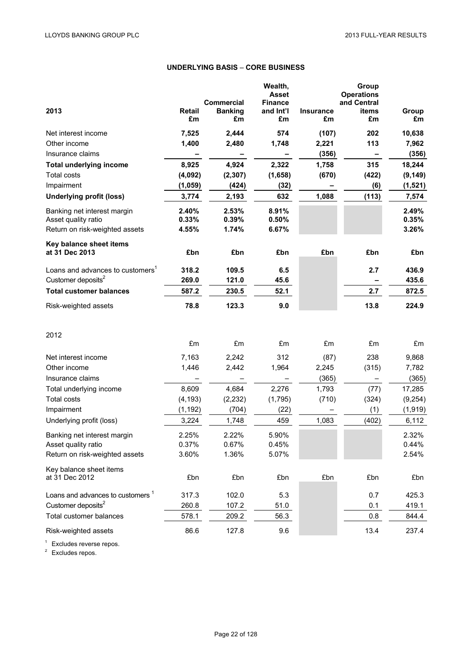# **UNDERLYING BASIS** – **CORE BUSINESS**

|                                                    |                     |                      | Wealth,<br><b>Asset</b> |                        | Group<br><b>Operations</b> |                |
|----------------------------------------------------|---------------------|----------------------|-------------------------|------------------------|----------------------------|----------------|
|                                                    |                     | <b>Commercial</b>    | <b>Finance</b>          |                        | and Central                |                |
| 2013                                               | <b>Retail</b><br>£m | <b>Banking</b><br>£m | and Int'l<br>£m         | <b>Insurance</b><br>£m | items<br>£m                | Group<br>£m    |
| Net interest income                                | 7,525               | 2,444                | 574                     | (107)                  | 202                        | 10,638         |
| Other income                                       | 1,400               | 2,480                | 1,748                   | 2,221                  | 113                        | 7,962          |
| Insurance claims                                   |                     |                      |                         | (356)                  |                            | (356)          |
| <b>Total underlying income</b>                     | 8,925               | 4,924                | 2,322                   | 1,758                  | 315                        | 18,244         |
| <b>Total costs</b>                                 | (4,092)             | (2, 307)             | (1,658)                 | (670)                  | (422)                      | (9, 149)       |
| Impairment                                         | (1,059)             | (424)                | (32)                    |                        | (6)                        | (1,521)        |
| <b>Underlying profit (loss)</b>                    | 3,774               | 2,193                | 632                     | 1,088                  | (113)                      | 7,574          |
| Banking net interest margin<br>Asset quality ratio | 2.40%<br>0.33%      | 2.53%<br>0.39%       | 8.91%<br>0.50%          |                        |                            | 2.49%<br>0.35% |
| Return on risk-weighted assets                     | 4.55%               | 1.74%                | 6.67%                   |                        |                            | 3.26%          |
| Key balance sheet items                            |                     |                      |                         |                        |                            |                |
| at 31 Dec 2013                                     | £bn                 | £bn                  | £bn                     | £bn                    | £bn                        | £bn            |
| Loans and advances to customers <sup>1</sup>       | 318.2               | 109.5                | 6.5                     |                        | 2.7                        | 436.9          |
| Customer deposits <sup>2</sup>                     | 269.0               | 121.0                | 45.6                    |                        |                            | 435.6          |
| <b>Total customer balances</b>                     | 587.2               | 230.5                | 52.1                    |                        | 2.7                        | 872.5          |
| Risk-weighted assets                               | 78.8                | 123.3                | 9.0                     |                        | 13.8                       | 224.9          |
| 2012                                               |                     |                      |                         |                        |                            |                |
|                                                    | £m                  | £m                   | £m                      | £m                     | £m                         | £m             |
| Net interest income                                | 7,163               | 2,242                | 312                     | (87)                   | 238                        | 9,868          |
| Other income                                       | 1,446               | 2,442                | 1,964                   | 2,245                  | (315)                      | 7,782          |
| Insurance claims                                   |                     |                      |                         | (365)                  |                            | (365)          |
| Total underlying income                            | 8,609               | 4,684                | 2,276                   | 1,793                  | (77)                       | 17,285         |
| <b>Total costs</b>                                 | (4, 193)            | (2, 232)             | (1,795)                 | (710)                  | (324)                      | (9,254)        |
| Impairment                                         | (1, 192)            | (704)                | (22)                    |                        | (1)                        | (1, 919)       |
| Underlying profit (loss)                           | 3,224               | 1,748                | 459                     | 1,083                  | (402)                      | 6,112          |
| Banking net interest margin                        | 2.25%               | 2.22%                | 5.90%                   |                        |                            | 2.32%          |
| Asset quality ratio                                | 0.37%               | 0.67%                | 0.45%                   |                        |                            | 0.44%          |
| Return on risk-weighted assets                     | 3.60%               | 1.36%                | 5.07%                   |                        |                            | 2.54%          |
| Key balance sheet items<br>at 31 Dec 2012          | £bn                 | £bn                  | £bn                     | £bn                    | £bn                        | £bn            |
| Loans and advances to customers <sup>1</sup>       | 317.3               | 102.0                | 5.3                     |                        | 0.7                        | 425.3          |
| Customer deposits <sup>2</sup>                     | 260.8               | 107.2                | 51.0                    |                        | 0.1                        | 419.1          |
| Total customer balances                            | 578.1               | 209.2                | 56.3                    |                        | 0.8                        | 844.4          |
| Risk-weighted assets                               | 86.6                | 127.8                | 9.6                     |                        | 13.4                       | 237.4          |

<sup>1</sup> Excludes reverse repos.<br><sup>2</sup> Excludes repos.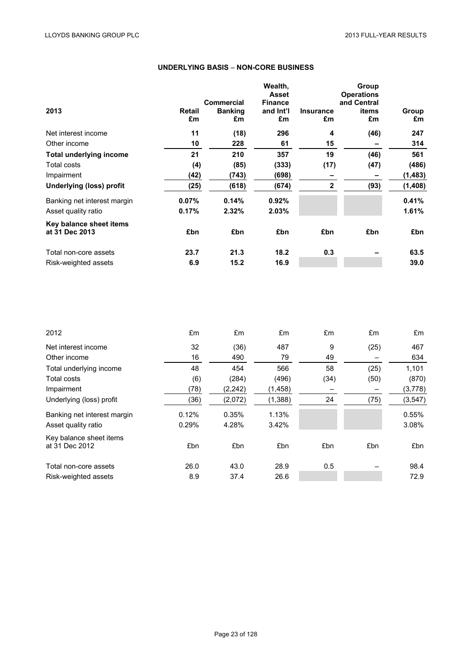# **UNDERLYING BASIS** – **NON-CORE BUSINESS**

| 2013                                      | Retail<br>£m | <b>Commercial</b><br><b>Banking</b><br>£m | Wealth,<br><b>Asset</b><br><b>Finance</b><br>and Int'l<br>£m | <b>Insurance</b><br>£m | Group<br><b>Operations</b><br>and Central<br>items<br>£m | Group<br>£m |
|-------------------------------------------|--------------|-------------------------------------------|--------------------------------------------------------------|------------------------|----------------------------------------------------------|-------------|
| Net interest income                       | 11           | (18)                                      | 296                                                          | 4                      | (46)                                                     | 247         |
| Other income                              | 10           | 228                                       | 61                                                           | 15                     |                                                          | 314         |
| <b>Total underlying income</b>            | 21           | 210                                       | 357                                                          | 19                     | (46)                                                     | 561         |
| <b>Total costs</b>                        | (4)          | (85)                                      | (333)                                                        | (17)                   | (47)                                                     | (486)       |
| Impairment                                | (42)         | (743)                                     | (698)                                                        | -                      |                                                          | (1, 483)    |
| <b>Underlying (loss) profit</b>           | (25)         | (618)                                     | (674)                                                        | $\overline{2}$         | (93)                                                     | (1,408)     |
| Banking net interest margin               | 0.07%        | 0.14%                                     | 0.92%                                                        |                        |                                                          | 0.41%       |
| Asset quality ratio                       | 0.17%        | 2.32%                                     | 2.03%                                                        |                        |                                                          | 1.61%       |
| Key balance sheet items<br>at 31 Dec 2013 | £bn          | £bn                                       | £bn                                                          | £bn                    | £bn                                                      | £bn         |
| Total non-core assets                     | 23.7         | 21.3                                      | 18.2                                                         | 0.3                    |                                                          | 63.5        |
| Risk-weighted assets                      | 6.9          | 15.2                                      | 16.9                                                         |                        |                                                          | 39.0        |

| 2012                                      | £m    | £m       | £m      | £m   | £m   | £m       |
|-------------------------------------------|-------|----------|---------|------|------|----------|
| Net interest income                       | 32    | (36)     | 487     | 9    | (25) | 467      |
| Other income                              | 16    | 490      | 79      | 49   |      | 634      |
| Total underlying income                   | 48    | 454      | 566     | 58   | (25) | 1,101    |
| Total costs                               | (6)   | (284)    | (496)   | (34) | (50) | (870)    |
| Impairment                                | (78)  | (2, 242) | (1,458) |      |      | (3,778)  |
| Underlying (loss) profit                  | (36)  | (2,072)  | (1,388) | 24   | (75) | (3, 547) |
| Banking net interest margin               | 0.12% | 0.35%    | 1.13%   |      |      | 0.55%    |
| Asset quality ratio                       | 0.29% | 4.28%    | 3.42%   |      |      | 3.08%    |
| Key balance sheet items<br>at 31 Dec 2012 | £bn   | £bn      | £bn     | £bn  | £bn  | £bn      |
| Total non-core assets                     | 26.0  | 43.0     | 28.9    | 0.5  |      | 98.4     |
| Risk-weighted assets                      | 8.9   | 37.4     | 26.6    |      |      | 72.9     |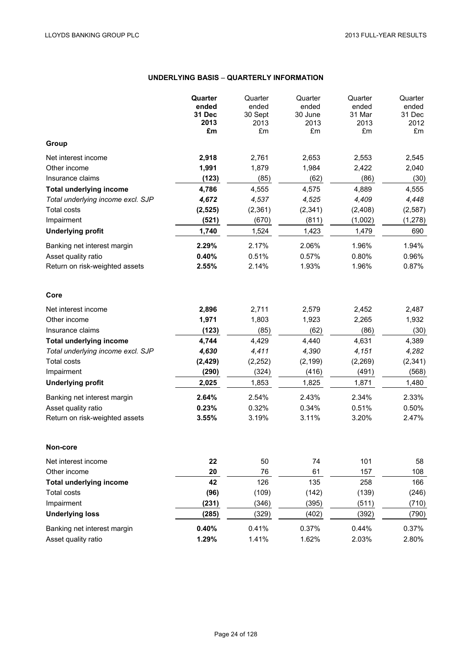# **UNDERLYING BASIS** – **QUARTERLY INFORMATION**

|                                   | Quarter<br>ended<br>31 Dec<br>2013<br>£m | Quarter<br>ended<br>30 Sept<br>2013<br>£m | Quarter<br>ended<br>30 June<br>2013<br>£m | Quarter<br>ended<br>31 Mar<br>2013<br>£m | Quarter<br>ended<br>31 Dec<br>2012<br>£m |
|-----------------------------------|------------------------------------------|-------------------------------------------|-------------------------------------------|------------------------------------------|------------------------------------------|
| Group                             |                                          |                                           |                                           |                                          |                                          |
| Net interest income               | 2,918                                    | 2,761                                     | 2,653                                     | 2,553                                    | 2,545                                    |
| Other income                      | 1,991                                    | 1,879                                     | 1,984                                     | 2,422                                    | 2,040                                    |
| Insurance claims                  | (123)                                    | (85)                                      | (62)                                      | (86)                                     | (30)                                     |
| <b>Total underlying income</b>    | 4,786                                    | 4,555                                     | 4,575                                     | 4,889                                    | 4,555                                    |
| Total underlying income excl. SJP | 4,672                                    | 4,537                                     | 4,525                                     | 4,409                                    | 4,448                                    |
| <b>Total costs</b>                | (2, 525)                                 | (2,361)                                   | (2, 341)                                  | (2,408)                                  | (2, 587)                                 |
| Impairment                        | (521)                                    | (670)                                     | (811)                                     | (1,002)                                  | (1, 278)                                 |
| <b>Underlying profit</b>          | 1,740                                    | 1,524                                     | 1,423                                     | 1,479                                    | 690                                      |
| Banking net interest margin       | 2.29%                                    | 2.17%                                     | 2.06%                                     | 1.96%                                    | 1.94%                                    |
| Asset quality ratio               | 0.40%                                    | 0.51%                                     | 0.57%                                     | 0.80%                                    | 0.96%                                    |
| Return on risk-weighted assets    | 2.55%                                    | 2.14%                                     | 1.93%                                     | 1.96%                                    | 0.87%                                    |
| Core                              |                                          |                                           |                                           |                                          |                                          |
| Net interest income               | 2,896                                    | 2,711                                     | 2,579                                     | 2,452                                    | 2,487                                    |
| Other income                      | 1,971                                    | 1,803                                     | 1,923                                     | 2,265                                    | 1,932                                    |
| Insurance claims                  | (123)                                    | (85)                                      | (62)                                      | (86)                                     | (30)                                     |
| <b>Total underlying income</b>    | 4,744                                    | 4,429                                     | 4,440                                     | 4,631                                    | 4,389                                    |
| Total underlying income excl. SJP | 4,630                                    | 4,411                                     | 4,390                                     | 4,151                                    | 4,282                                    |
| <b>Total costs</b>                | (2, 429)                                 | (2, 252)                                  | (2, 199)                                  | (2, 269)                                 | (2, 341)                                 |
| Impairment                        | (290)                                    | (324)                                     | (416)                                     | (491)                                    | (568)                                    |
| <b>Underlying profit</b>          | 2,025                                    | 1,853                                     | 1,825                                     | 1,871                                    | 1,480                                    |
| Banking net interest margin       | 2.64%                                    | 2.54%                                     | 2.43%                                     | 2.34%                                    | 2.33%                                    |
| Asset quality ratio               | 0.23%                                    | 0.32%                                     | 0.34%                                     | 0.51%                                    | 0.50%                                    |
| Return on risk-weighted assets    | 3.55%                                    | 3.19%                                     | 3.11%                                     | 3.20%                                    | 2.47%                                    |
| Non-core                          |                                          |                                           |                                           |                                          |                                          |
| Net interest income               | 22                                       | 50                                        | 74                                        | 101                                      | 58                                       |
| Other income                      | 20                                       | 76                                        | 61                                        | 157                                      | 108                                      |
| <b>Total underlying income</b>    | 42                                       | 126                                       | 135                                       | 258                                      | 166                                      |
| <b>Total costs</b>                | (96)                                     | (109)                                     | (142)                                     | (139)                                    | (246)                                    |
| Impairment                        | (231)                                    | (346)                                     | (395)                                     | (511)                                    | (710)                                    |
| <b>Underlying loss</b>            | (285)                                    | (329)                                     | (402)                                     | (392)                                    | (790)                                    |
| Banking net interest margin       | 0.40%                                    | 0.41%                                     | 0.37%                                     | 0.44%                                    | 0.37%                                    |
| Asset quality ratio               | 1.29%                                    | 1.41%                                     | 1.62%                                     | 2.03%                                    | 2.80%                                    |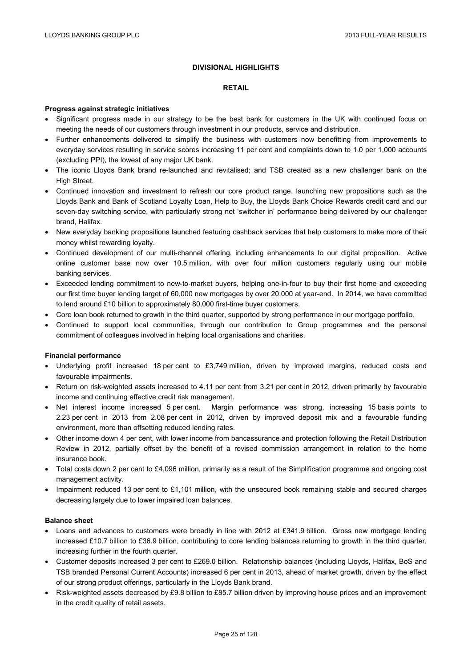## **DIVISIONAL HIGHLIGHTS**

#### **RETAIL**

#### **Progress against strategic initiatives**

- Significant progress made in our strategy to be the best bank for customers in the UK with continued focus on meeting the needs of our customers through investment in our products, service and distribution.
- Further enhancements delivered to simplify the business with customers now benefitting from improvements to everyday services resulting in service scores increasing 11 per cent and complaints down to 1.0 per 1,000 accounts (excluding PPI), the lowest of any major UK bank.
- The iconic Lloyds Bank brand re-launched and revitalised; and TSB created as a new challenger bank on the High Street.
- Continued innovation and investment to refresh our core product range, launching new propositions such as the Lloyds Bank and Bank of Scotland Loyalty Loan, Help to Buy, the Lloyds Bank Choice Rewards credit card and our seven-day switching service, with particularly strong net 'switcher in' performance being delivered by our challenger brand, Halifax.
- New everyday banking propositions launched featuring cashback services that help customers to make more of their money whilst rewarding loyalty.
- Continued development of our multi-channel offering, including enhancements to our digital proposition. Active online customer base now over 10.5 million, with over four million customers regularly using our mobile banking services.
- Exceeded lending commitment to new-to-market buyers, helping one-in-four to buy their first home and exceeding our first time buyer lending target of 60,000 new mortgages by over 20,000 at year-end. In 2014, we have committed to lend around £10 billion to approximately 80,000 first-time buyer customers.
- Core loan book returned to growth in the third quarter, supported by strong performance in our mortgage portfolio.
- Continued to support local communities, through our contribution to Group programmes and the personal commitment of colleagues involved in helping local organisations and charities.

#### **Financial performance**

- Underlying profit increased 18 per cent to £3,749 million, driven by improved margins, reduced costs and favourable impairments.
- Return on risk-weighted assets increased to 4.11 per cent from 3.21 per cent in 2012, driven primarily by favourable income and continuing effective credit risk management.
- Net interest income increased 5 per cent. Margin performance was strong, increasing 15 basis points to 2.23 per cent in 2013 from 2.08 per cent in 2012, driven by improved deposit mix and a favourable funding environment, more than offsetting reduced lending rates.
- Other income down 4 per cent, with lower income from bancassurance and protection following the Retail Distribution Review in 2012, partially offset by the benefit of a revised commission arrangement in relation to the home insurance book.
- Total costs down 2 per cent to £4,096 million, primarily as a result of the Simplification programme and ongoing cost management activity.
- Impairment reduced 13 per cent to £1,101 million, with the unsecured book remaining stable and secured charges decreasing largely due to lower impaired loan balances.

## **Balance sheet**

- Loans and advances to customers were broadly in line with 2012 at £341.9 billion. Gross new mortgage lending increased £10.7 billion to £36.9 billion, contributing to core lending balances returning to growth in the third quarter, increasing further in the fourth quarter.
- Customer deposits increased 3 per cent to £269.0 billion. Relationship balances (including Lloyds, Halifax, BoS and TSB branded Personal Current Accounts) increased 6 per cent in 2013, ahead of market growth, driven by the effect of our strong product offerings, particularly in the Lloyds Bank brand.
- Risk-weighted assets decreased by £9.8 billion to £85.7 billion driven by improving house prices and an improvement in the credit quality of retail assets.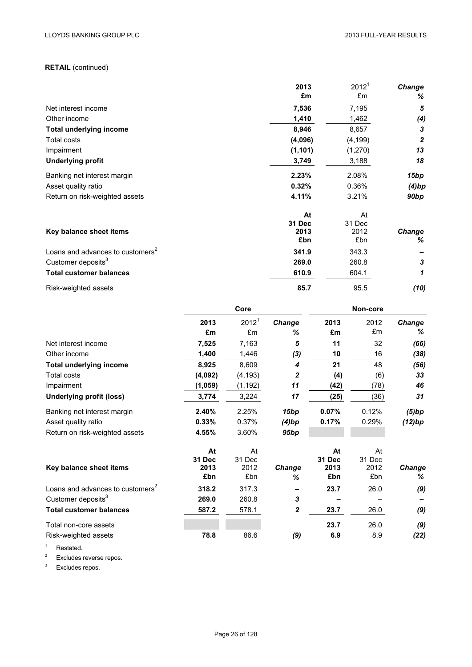# **RETAIL** (continued)

|                                              | 2013        | 2012 <sup>1</sup> | <b>Change</b>      |
|----------------------------------------------|-------------|-------------------|--------------------|
|                                              | £m          | £m                | %                  |
| Net interest income                          | 7,536       | 7,195             | 5                  |
| Other income                                 | 1,410       | 1,462             | (4)                |
| <b>Total underlying income</b>               | 8,946       | 8,657             | 3                  |
| Total costs                                  | (4,096)     | (4, 199)          | $\boldsymbol{2}$   |
| Impairment                                   | (1, 101)    | (1, 270)          | 13                 |
| <b>Underlying profit</b>                     | 3,749       | 3,188             | 18                 |
| Banking net interest margin                  | 2.23%       | 2.08%             | 15bp               |
| Asset quality ratio                          | 0.32%       | 0.36%             | (4)bp              |
| Return on risk-weighted assets               | 4.11%       | 3.21%             | 90 <sub>bp</sub>   |
|                                              | At          | At                |                    |
|                                              | 31 Dec      | 31 Dec            |                    |
| Key balance sheet items                      | 2013<br>£bn | 2012<br>£bn       | <b>Change</b><br>% |
| Loans and advances to customers <sup>2</sup> | 341.9       | 343.3             |                    |
| Customer deposits <sup>3</sup>               | 269.0       | 260.8             | 3                  |
| <b>Total customer balances</b>               | 610.9       | 604.1             | 1                  |
| Risk-weighted assets                         | 85.7        | 95.5              | (10)               |

|                                              | Core    |                   |                  | Non-core      |        |        |  |
|----------------------------------------------|---------|-------------------|------------------|---------------|--------|--------|--|
|                                              | 2013    | 2012 <sup>1</sup> | <b>Change</b>    | 2013          | 2012   | Change |  |
|                                              | £m      | £m                | %                | £m            | £m     | %      |  |
| Net interest income                          | 7,525   | 7,163             | 5                | 11            | 32     | (66)   |  |
| Other income                                 | 1,400   | 1,446             | (3)              | 10            | 16     | (38)   |  |
| <b>Total underlying income</b>               | 8,925   | 8,609             | 4                | 21            | 48     | (56)   |  |
| <b>Total costs</b>                           | (4,092) | (4, 193)          | 2                | (4)           | (6)    | 33     |  |
| Impairment                                   | (1,059) | (1, 192)          | 11               | (42)          | (78)   | 46     |  |
| <b>Underlying profit (loss)</b>              | 3,774   | 3,224             | 17               | (25)          | (36)   | 31     |  |
| Banking net interest margin                  | 2.40%   | 2.25%             | 15 <sub>bp</sub> | 0.07%         | 0.12%  | (5)bp  |  |
| Asset quality ratio                          | 0.33%   | 0.37%             | (4)bp            | 0.17%         | 0.29%  | (12)bp |  |
| Return on risk-weighted assets               | 4.55%   | 3.60%             | 95bp             |               |        |        |  |
|                                              | At      | At                |                  | At            | At     |        |  |
|                                              | 31 Dec  | 31 Dec            |                  | <b>31 Dec</b> | 31 Dec |        |  |
| Key balance sheet items                      | 2013    | 2012              | Change           | 2013          | 2012   | Change |  |
|                                              | £bn     | £bn               | ℅                | £bn           | £bn    | ℅      |  |
| Loans and advances to customers <sup>2</sup> | 318.2   | 317.3             |                  | 23.7          | 26.0   | (9)    |  |
| Customer deposits <sup>3</sup>               | 269.0   | 260.8             | 3                |               |        |        |  |
| <b>Total customer balances</b>               | 587.2   | 578.1             | $\boldsymbol{2}$ | 23.7          | 26.0   | (9)    |  |
| Total non-core assets                        |         |                   |                  | 23.7          | 26.0   | (9)    |  |
| Risk-weighted assets                         | 78.8    | 86.6              | (9)              | 6.9           | 8.9    | (22)   |  |

<sup>1</sup> Restated.

<sup>2</sup> Excludes reverse repos.

 $3$  Excludes repos.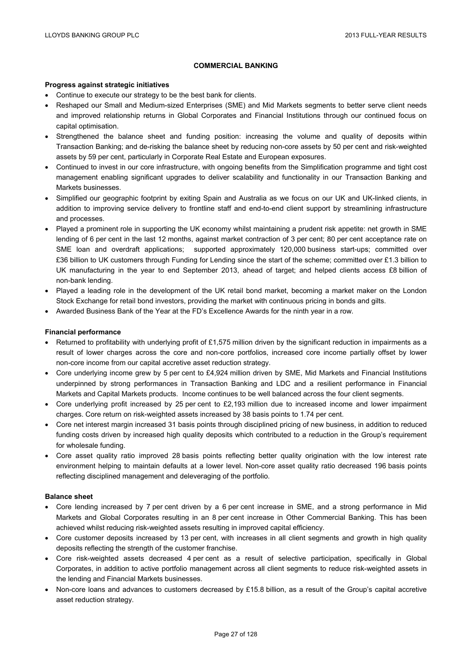## **COMMERCIAL BANKING**

#### **Progress against strategic initiatives**

- Continue to execute our strategy to be the best bank for clients.
- Reshaped our Small and Medium-sized Enterprises (SME) and Mid Markets segments to better serve client needs and improved relationship returns in Global Corporates and Financial Institutions through our continued focus on capital optimisation.
- Strengthened the balance sheet and funding position: increasing the volume and quality of deposits within Transaction Banking; and de-risking the balance sheet by reducing non-core assets by 50 per cent and risk-weighted assets by 59 per cent, particularly in Corporate Real Estate and European exposures.
- Continued to invest in our core infrastructure, with ongoing benefits from the Simplification programme and tight cost management enabling significant upgrades to deliver scalability and functionality in our Transaction Banking and Markets businesses.
- Simplified our geographic footprint by exiting Spain and Australia as we focus on our UK and UK-linked clients, in addition to improving service delivery to frontline staff and end-to-end client support by streamlining infrastructure and processes.
- Played a prominent role in supporting the UK economy whilst maintaining a prudent risk appetite: net growth in SME lending of 6 per cent in the last 12 months, against market contraction of 3 per cent; 80 per cent acceptance rate on SME loan and overdraft applications; supported approximately 120,000 business start-ups; committed over £36 billion to UK customers through Funding for Lending since the start of the scheme; committed over £1.3 billion to UK manufacturing in the year to end September 2013, ahead of target; and helped clients access £8 billion of non-bank lending.
- Played a leading role in the development of the UK retail bond market, becoming a market maker on the London Stock Exchange for retail bond investors, providing the market with continuous pricing in bonds and gilts.
- Awarded Business Bank of the Year at the FD's Excellence Awards for the ninth year in a row.

## **Financial performance**

- **•** Returned to profitability with underlying profit of £1,575 million driven by the significant reduction in impairments as a result of lower charges across the core and non-core portfolios, increased core income partially offset by lower non-core income from our capital accretive asset reduction strategy.
- Core underlying income grew by 5 per cent to £4,924 million driven by SME, Mid Markets and Financial Institutions underpinned by strong performances in Transaction Banking and LDC and a resilient performance in Financial Markets and Capital Markets products. Income continues to be well balanced across the four client segments.
- Core underlying profit increased by 25 per cent to £2,193 million due to increased income and lower impairment charges. Core return on risk-weighted assets increased by 38 basis points to 1.74 per cent.
- Core net interest margin increased 31 basis points through disciplined pricing of new business, in addition to reduced funding costs driven by increased high quality deposits which contributed to a reduction in the Group's requirement for wholesale funding.
- Core asset quality ratio improved 28 basis points reflecting better quality origination with the low interest rate environment helping to maintain defaults at a lower level. Non-core asset quality ratio decreased 196 basis points reflecting disciplined management and deleveraging of the portfolio.

#### **Balance sheet**

- Core lending increased by 7 per cent driven by a 6 per cent increase in SME, and a strong performance in Mid Markets and Global Corporates resulting in an 8 per cent increase in Other Commercial Banking. This has been achieved whilst reducing risk-weighted assets resulting in improved capital efficiency.
- Core customer deposits increased by 13 per cent, with increases in all client segments and growth in high quality deposits reflecting the strength of the customer franchise.
- Core risk-weighted assets decreased 4 per cent as a result of selective participation, specifically in Global Corporates, in addition to active portfolio management across all client segments to reduce risk-weighted assets in the lending and Financial Markets businesses.
- Non-core loans and advances to customers decreased by £15.8 billion, as a result of the Group's capital accretive asset reduction strategy.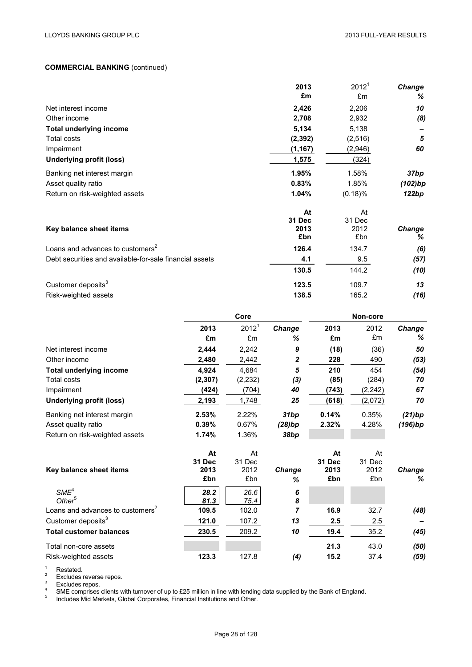## **COMMERCIAL BANKING** (continued)

|                                                         | 2013        | 2012 <sup>1</sup> | Change      |
|---------------------------------------------------------|-------------|-------------------|-------------|
|                                                         | £m          | £m                | %           |
| Net interest income                                     | 2,426       | 2,206             | 10          |
| Other income                                            | 2,708       | 2,932             | (8)         |
| <b>Total underlying income</b>                          | 5,134       | 5,138             |             |
| Total costs                                             | (2, 392)    | (2, 516)          | 5           |
| Impairment                                              | (1, 167)    | (2,946)           | 60          |
| <b>Underlying profit (loss)</b>                         | 1,575       | (324)             |             |
| Banking net interest margin                             | 1.95%       | 1.58%             | 37bp        |
| Asset quality ratio                                     | 0.83%       | 1.85%             | (102)bp     |
| Return on risk-weighted assets                          | 1.04%       | (0.18)%           | 122bp       |
|                                                         | At          | At                |             |
|                                                         | 31 Dec      | 31 Dec            |             |
| Key balance sheet items                                 | 2013<br>£bn | 2012<br>£bn       | Change<br>% |
| Loans and advances to customers <sup>2</sup>            |             |                   |             |
|                                                         | 126.4       | 134.7             | (6)         |
| Debt securities and available-for-sale financial assets | 4.1         | 9.5               | (57)        |
|                                                         | 130.5       | 144.2             | (10)        |
| Customer deposits <sup>3</sup>                          | 123.5       | 109.7             | 13          |
| Risk-weighted assets                                    | 138.5       | 165.2             | (16)        |

|                                              | Core     |          |                  | Non-core |          |               |  |
|----------------------------------------------|----------|----------|------------------|----------|----------|---------------|--|
|                                              | 2013     | $2012^1$ | Change           | 2013     | 2012     | <b>Change</b> |  |
|                                              | £m       | £m       | ℅                | £m       | £m       | %             |  |
| Net interest income                          | 2,444    | 2,242    | 9                | (18)     | (36)     | 50            |  |
| Other income                                 | 2,480    | 2,442    | $\boldsymbol{2}$ | 228      | 490      | (53)          |  |
| <b>Total underlying income</b>               | 4,924    | 4,684    | 5                | 210      | 454      | (54)          |  |
| Total costs                                  | (2, 307) | (2, 232) | (3)              | (85)     | (284)    | 70            |  |
| Impairment                                   | (424)    | (704)    | 40               | (743)    | (2, 242) | 67            |  |
| <b>Underlying profit (loss)</b>              | 2,193    | 1,748    | 25               | (618)    | (2,072)  | 70            |  |
| Banking net interest margin                  | 2.53%    | 2.22%    | 31bp             | 0.14%    | 0.35%    | (21)bp        |  |
| Asset quality ratio                          | 0.39%    | 0.67%    | (28)bp           | 2.32%    | 4.28%    | (196)bp       |  |
| Return on risk-weighted assets               | 1.74%    | 1.36%    | 38bp             |          |          |               |  |
|                                              | At       | At       |                  | At       | At       |               |  |
|                                              | 31 Dec   | 31 Dec   |                  | 31 Dec   | 31 Dec   |               |  |
| Key balance sheet items                      | 2013     | 2012     | Change           | 2013     | 2012     | <b>Change</b> |  |
|                                              | £bn      | £bn      | %                | £bn      | £bn      | %             |  |
| SME <sup>4</sup>                             | 28.2     | 26.6     | 6                |          |          |               |  |
| Other <sup>5</sup>                           | 81.3     | 75.4     | 8                |          |          |               |  |
| Loans and advances to customers <sup>2</sup> | 109.5    | 102.0    | $\overline{7}$   | 16.9     | 32.7     | (48)          |  |
| Customer deposits <sup>3</sup>               | 121.0    | 107.2    | 13               | 2.5      | 2.5      |               |  |
| <b>Total customer balances</b>               | 230.5    | 209.2    | 10               | 19.4     | 35.2     | (45)          |  |
| Total non-core assets                        |          |          |                  | 21.3     | 43.0     | (50)          |  |
| Risk-weighted assets                         | 123.3    | 127.8    | (4)              | 15.2     | 37.4     | (59)          |  |

<sup>1</sup><br>
Richard Excludes reverse repos.<br>
<sup>2</sup><br>
Excludes repos.<br>
SME comprises clients with turnover of up to £25 million in line with lending data supplied by the Bank of England.<br>
<sup>4</sup><br>
Includes Mid Markets, Global Corporates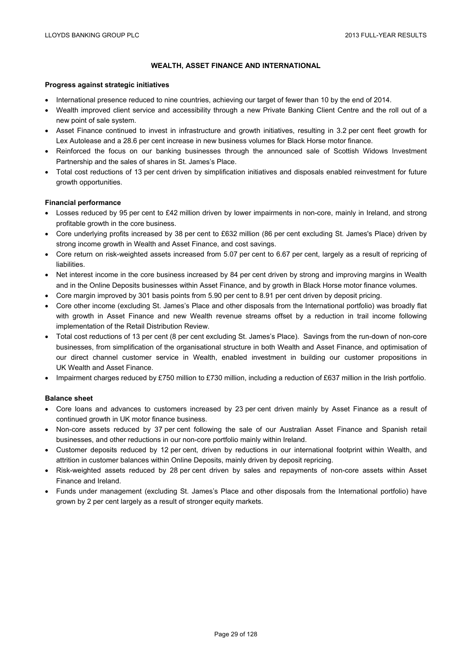# **WEALTH, ASSET FINANCE AND INTERNATIONAL**

#### **Progress against strategic initiatives**

- International presence reduced to nine countries, achieving our target of fewer than 10 by the end of 2014.
- Wealth improved client service and accessibility through a new Private Banking Client Centre and the roll out of a new point of sale system.
- Asset Finance continued to invest in infrastructure and growth initiatives, resulting in 3.2 per cent fleet growth for Lex Autolease and a 28.6 per cent increase in new business volumes for Black Horse motor finance.
- Reinforced the focus on our banking businesses through the announced sale of Scottish Widows Investment Partnership and the sales of shares in St. James's Place.
- Total cost reductions of 13 per cent driven by simplification initiatives and disposals enabled reinvestment for future growth opportunities.

## **Financial performance**

- Losses reduced by 95 per cent to £42 million driven by lower impairments in non-core, mainly in Ireland, and strong profitable growth in the core business.
- Core underlying profits increased by 38 per cent to £632 million (86 per cent excluding St. James's Place) driven by strong income growth in Wealth and Asset Finance, and cost savings.
- Core return on risk-weighted assets increased from 5.07 per cent to 6.67 per cent, largely as a result of repricing of **liabilities**
- Net interest income in the core business increased by 84 per cent driven by strong and improving margins in Wealth and in the Online Deposits businesses within Asset Finance, and by growth in Black Horse motor finance volumes.
- Core margin improved by 301 basis points from 5.90 per cent to 8.91 per cent driven by deposit pricing.
- Core other income (excluding St. James's Place and other disposals from the International portfolio) was broadly flat with growth in Asset Finance and new Wealth revenue streams offset by a reduction in trail income following implementation of the Retail Distribution Review.
- Total cost reductions of 13 per cent (8 per cent excluding St. James's Place). Savings from the run-down of non-core businesses, from simplification of the organisational structure in both Wealth and Asset Finance, and optimisation of our direct channel customer service in Wealth, enabled investment in building our customer propositions in UK Wealth and Asset Finance.
- Impairment charges reduced by £750 million to £730 million, including a reduction of £637 million in the Irish portfolio.

## **Balance sheet**

- Core loans and advances to customers increased by 23 per cent driven mainly by Asset Finance as a result of continued growth in UK motor finance business.
- Non-core assets reduced by 37 per cent following the sale of our Australian Asset Finance and Spanish retail businesses, and other reductions in our non-core portfolio mainly within Ireland.
- Customer deposits reduced by 12 per cent, driven by reductions in our international footprint within Wealth, and attrition in customer balances within Online Deposits, mainly driven by deposit repricing.
- Risk-weighted assets reduced by 28 per cent driven by sales and repayments of non-core assets within Asset Finance and Ireland.
- Funds under management (excluding St. James's Place and other disposals from the International portfolio) have grown by 2 per cent largely as a result of stronger equity markets.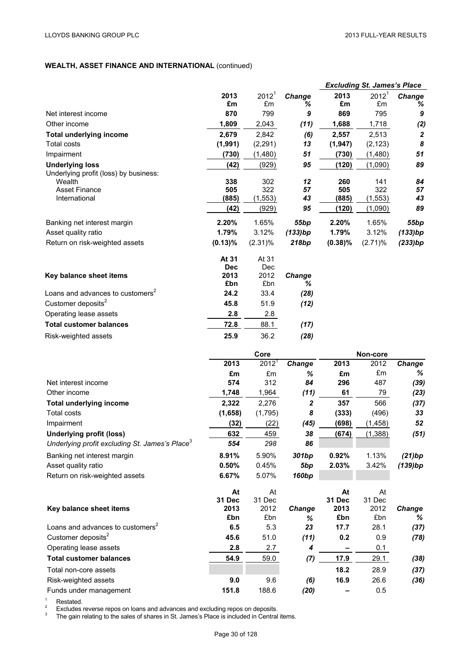# **WEALTH, ASSET FINANCE AND INTERNATIONAL** (continued)

|                                                            |                    |                   |                  |              | <b>Excluding St. James's Place</b> |                  |
|------------------------------------------------------------|--------------------|-------------------|------------------|--------------|------------------------------------|------------------|
|                                                            | 2013               | 2012 <sup>1</sup> | Change           | 2013         | 2012 <sup>1</sup>                  | Change           |
|                                                            | £m                 | £m                | ℅                | £m           | £m                                 | %                |
| Net interest income                                        | 870                | 799               | 9                | 869          | 795                                | 9                |
| Other income                                               | 1,809              | 2,043             | (11)             | 1,688        | 1,718                              | (2)              |
| <b>Total underlying income</b>                             | 2,679              | 2,842             | (6)              | 2,557        | 2,513                              | $\boldsymbol{2}$ |
| <b>Total costs</b>                                         | (1,991)            | (2, 291)          | 13               | (1, 947)     | (2, 123)                           | 8                |
| Impairment                                                 | (730)              | (1,480)           | 51               | (730)        | (1,480)                            | 51               |
| <b>Underlying loss</b>                                     | (42)               | (929)             | 95               | (120)        | (1,090)                            | 89               |
| Underlying profit (loss) by business:<br>Wealth            | 338                | 302               | 12               | 260          | 141                                | 84               |
| <b>Asset Finance</b>                                       | 505                | 322               | 57               | 505          | 322                                | 57               |
| International                                              | (885)              | (1, 553)          | 43               | (885)        | (1, 553)                           | 43               |
|                                                            | (42)               | (929)             | 95               | (120)        | (1,090)                            | 89               |
| Banking net interest margin                                | 2.20%              | 1.65%             | 55bp             | 2.20%        | 1.65%                              | 55 <sub>bp</sub> |
| Asset quality ratio                                        | 1.79%              | 3.12%             | (133)bp          | 1.79%        | 3.12%                              | (133)bp          |
| Return on risk-weighted assets                             | $(0.13)\%$         | $(2.31)\%$        | 218bp            | $(0.38)\%$   | (2.71)%                            | (233)bp          |
|                                                            |                    |                   |                  |              |                                    |                  |
|                                                            | At 31              | At 31             |                  |              |                                    |                  |
|                                                            | <b>Dec</b><br>2013 | Dec<br>2012       |                  |              |                                    |                  |
| Key balance sheet items                                    | £bn                | £bn               | Change<br>℅      |              |                                    |                  |
| Loans and advances to customers <sup>2</sup>               | 24.2               | 33.4              | (28)             |              |                                    |                  |
| Customer deposits <sup>2</sup>                             | 45.8               | 51.9              | (12)             |              |                                    |                  |
| Operating lease assets                                     | 2.8                | 2.8               |                  |              |                                    |                  |
| <b>Total customer balances</b>                             | 72.8               | 88.1              | (17)             |              |                                    |                  |
|                                                            | 25.9               | 36.2              | (28)             |              |                                    |                  |
| Risk-weighted assets                                       |                    |                   |                  |              |                                    |                  |
|                                                            |                    |                   |                  |              |                                    |                  |
|                                                            |                    | Core              |                  |              | Non-core                           |                  |
|                                                            | 2013               | 2012 <sup>1</sup> | Change           | 2013         | 2012                               | Change           |
|                                                            | £m                 | £m                | %                | £m           | £m                                 | ℅                |
| Net interest income                                        | 574                | 312               | 84               | 296          | 487                                | (39)             |
| Other income                                               | 1,748              | 1,964             | (11)             | 61           | 79                                 | (23)             |
| <b>Total underlying income</b>                             | 2,322              | 2,276             | $\boldsymbol{2}$ | 357          | 566                                | (37)             |
| <b>Total costs</b>                                         | (1,658)            | (1,795)           | 8                | (333)        | (496)                              | 33               |
| Impairment                                                 | (32)               | (22)              | (45)             | (698)        | (1, 458)                           | 52               |
| <b>Underlying profit (loss)</b>                            | 632                | 459               | 38               | (674)        | (1, 388)                           | (51)             |
| Underlying profit excluding St. James's Place <sup>3</sup> | 554                | 298               | 86               |              |                                    |                  |
| Banking net interest margin                                | 8.91%              | 5.90%             | 301bp            | 0.92%        | 1.13%                              | (21)bp           |
| Asset quality ratio                                        | 0.50%              | 0.45%             | 5bp              | 2.03%        | 3.42%                              | (139)bp          |
| Return on risk-weighted assets                             | 6.67%              | 5.07%             | <b>160bp</b>     |              |                                    |                  |
|                                                            |                    |                   |                  |              |                                    |                  |
|                                                            | At<br>31 Dec       | At<br>31 Dec      |                  | At<br>31 Dec | At<br>31 Dec                       |                  |
| Key balance sheet items                                    | 2013               | 2012              | Change           | 2013         | 2012                               | Change           |
|                                                            | £bn                | £bn               | ℅                | £bn          | £bn                                | %                |
| Loans and advances to customers <sup>2</sup>               | 6.5                | 5.3               | 23               | 17.7         | 28.1                               | (37)             |
| Customer deposits <sup>2</sup>                             | 45.6               | 51.0              | (11)             | 0.2          | 0.9                                | (78)             |
| Operating lease assets                                     | 2.8                | 2.7               | 4                |              | 0.1                                |                  |
| <b>Total customer balances</b>                             | 54.9               | 59.0              | (7)              | 17.9         | 29.1                               | (38)             |
| Total non-core assets                                      |                    |                   |                  | 18.2         | 28.9                               | (37)             |
| Risk-weighted assets                                       | 9.0                | 9.6               | (6)              | 16.9         | 26.6                               | (36)             |

<sup>1</sup> Restated.<br><sup>2</sup> Excludes reverse repos on loans and advances and excluding repos on deposits.<br><sup>3</sup> The gain relating to the sales of shares in St. James's Place is included in Central items.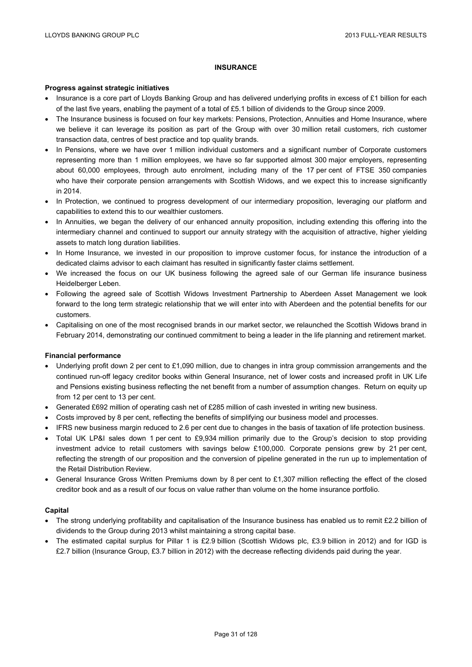## **INSURANCE**

#### **Progress against strategic initiatives**

- Insurance is a core part of Lloyds Banking Group and has delivered underlying profits in excess of £1 billion for each of the last five years, enabling the payment of a total of £5.1 billion of dividends to the Group since 2009.
- The Insurance business is focused on four key markets: Pensions, Protection, Annuities and Home Insurance, where we believe it can leverage its position as part of the Group with over 30 million retail customers, rich customer transaction data, centres of best practice and top quality brands.
- In Pensions, where we have over 1 million individual customers and a significant number of Corporate customers representing more than 1 million employees, we have so far supported almost 300 major employers, representing about 60,000 employees, through auto enrolment, including many of the 17 per cent of FTSE 350 companies who have their corporate pension arrangements with Scottish Widows, and we expect this to increase significantly in 2014.
- In Protection, we continued to progress development of our intermediary proposition, leveraging our platform and capabilities to extend this to our wealthier customers.
- In Annuities, we began the delivery of our enhanced annuity proposition, including extending this offering into the intermediary channel and continued to support our annuity strategy with the acquisition of attractive, higher yielding assets to match long duration liabilities.
- In Home Insurance, we invested in our proposition to improve customer focus, for instance the introduction of a dedicated claims advisor to each claimant has resulted in significantly faster claims settlement.
- We increased the focus on our UK business following the agreed sale of our German life insurance business Heidelberger Leben.
- Following the agreed sale of Scottish Widows Investment Partnership to Aberdeen Asset Management we look forward to the long term strategic relationship that we will enter into with Aberdeen and the potential benefits for our customers.
- Capitalising on one of the most recognised brands in our market sector, we relaunched the Scottish Widows brand in February 2014, demonstrating our continued commitment to being a leader in the life planning and retirement market.

#### **Financial performance**

- Underlying profit down 2 per cent to £1,090 million, due to changes in intra group commission arrangements and the continued run-off legacy creditor books within General Insurance, net of lower costs and increased profit in UK Life and Pensions existing business reflecting the net benefit from a number of assumption changes. Return on equity up from 12 per cent to 13 per cent.
- Generated £692 million of operating cash net of £285 million of cash invested in writing new business.
- Costs improved by 8 per cent, reflecting the benefits of simplifying our business model and processes.
- IFRS new business margin reduced to 2.6 per cent due to changes in the basis of taxation of life protection business.
- Total UK LP&I sales down 1 per cent to £9,934 million primarily due to the Group's decision to stop providing investment advice to retail customers with savings below £100,000. Corporate pensions grew by 21 per cent, reflecting the strength of our proposition and the conversion of pipeline generated in the run up to implementation of the Retail Distribution Review.
- General Insurance Gross Written Premiums down by 8 per cent to £1,307 million reflecting the effect of the closed creditor book and as a result of our focus on value rather than volume on the home insurance portfolio.

#### **Capital**

- The strong underlying profitability and capitalisation of the Insurance business has enabled us to remit £2.2 billion of dividends to the Group during 2013 whilst maintaining a strong capital base.
- The estimated capital surplus for Pillar 1 is £2.9 billion (Scottish Widows plc, £3.9 billion in 2012) and for IGD is £2.7 billion (Insurance Group, £3.7 billion in 2012) with the decrease reflecting dividends paid during the year.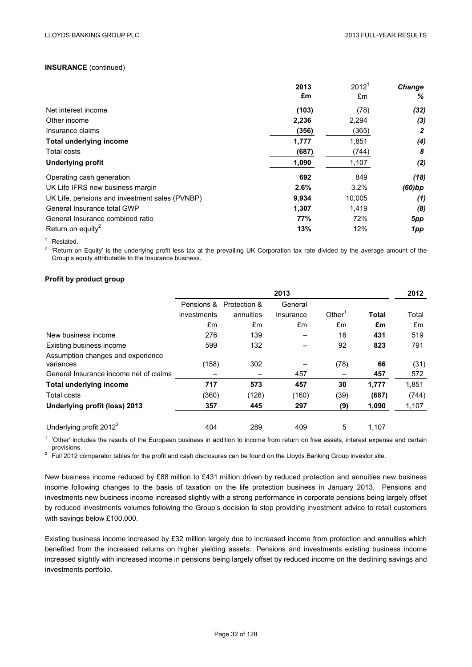#### **INSURANCE** (continued)

|                                                | 2013  | $2012^1$ | Change |
|------------------------------------------------|-------|----------|--------|
|                                                | £m    | £m       | %      |
| Net interest income                            | (103) | (78)     | (32)   |
| Other income                                   | 2,236 | 2,294    | (3)    |
| Insurance claims                               | (356) | (365)    | 2      |
| <b>Total underlying income</b>                 | 1,777 | 1,851    | (4)    |
| Total costs                                    | (687) | (744)    | 8      |
| <b>Underlying profit</b>                       | 1,090 | 1,107    | (2)    |
| Operating cash generation                      | 692   | 849      | (18)   |
| UK Life IFRS new business margin               | 2.6%  | 3.2%     | (60)bp |
| UK Life, pensions and investment sales (PVNBP) | 9,934 | 10,005   | (1)    |
| General Insurance total GWP                    | 1,307 | 1,419    | (8)    |
| General Insurance combined ratio               | 77%   | 72%      | 5pp    |
| Return on equity <sup>2</sup>                  | 13%   | 12%      | 1pp    |

<sup>1</sup> Restated.<br><sup>2</sup> 'Return on Equity' is the underlying profit less tax at the prevailing UK Corporation tax rate divided by the average amount of the Group's equity attributable to the Insurance business.

#### **Profit by product group**

|                                                | 2013        |              |           |                    |              |       |  |
|------------------------------------------------|-------------|--------------|-----------|--------------------|--------------|-------|--|
|                                                | Pensions &  | Protection & | General   |                    |              |       |  |
|                                                | investments | annuities    | Insurance | Other <sup>1</sup> | <b>Total</b> | Total |  |
|                                                | £m          | £m           | £m        | £m                 | £m           | £m    |  |
| New business income                            | 276         | 139          |           | 16                 | 431          | 519   |  |
| Existing business income                       | 599         | 132          |           | 92                 | 823          | 791   |  |
| Assumption changes and experience<br>variances | (158)       | 302          |           | (78)               | 66           | (31)  |  |
| General Insurance income net of claims         |             |              | 457       |                    | 457          | 572   |  |
| <b>Total underlying income</b>                 | 717         | 573          | 457       | 30                 | 1,777        | 1,851 |  |
| Total costs                                    | (360)       | (128)        | (160)     | (39)               | (687)        | (744) |  |
| Underlying profit (loss) 2013                  | 357         | 445          | 297       | (9)                | 1,090        | 1,107 |  |
| Underlying profit $2012^2$                     | 404         | 289          | 409       | 5                  | 1,107        |       |  |

<sup>1</sup> 'Other' includes the results of the European business in addition to income from return on free assets, interest expense and certain provisions.

<sup>2</sup> Full 2012 comparator tables for the profit and cash disclosures can be found on the Lloyds Banking Group investor site.

New business income reduced by £88 million to £431 million driven by reduced protection and annuities new business income following changes to the basis of taxation on the life protection business in January 2013. Pensions and investments new business income increased slightly with a strong performance in corporate pensions being largely offset by reduced investments volumes following the Group's decision to stop providing investment advice to retail customers with savings below £100,000.

Existing business income increased by £32 million largely due to increased income from protection and annuities which benefited from the increased returns on higher yielding assets. Pensions and investments existing business income increased slightly with increased income in pensions being largely offset by reduced income on the declining savings and investments portfolio.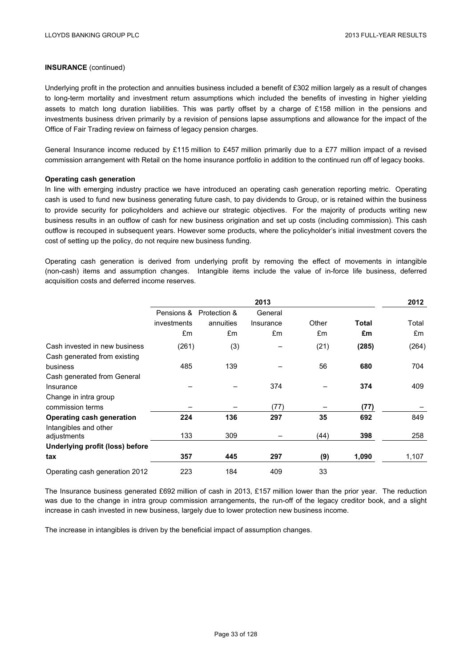## **INSURANCE** (continued)

Underlying profit in the protection and annuities business included a benefit of £302 million largely as a result of changes to long-term mortality and investment return assumptions which included the benefits of investing in higher yielding assets to match long duration liabilities. This was partly offset by a charge of £158 million in the pensions and investments business driven primarily by a revision of pensions lapse assumptions and allowance for the impact of the Office of Fair Trading review on fairness of legacy pension charges.

General Insurance income reduced by £115 million to £457 million primarily due to a £77 million impact of a revised commission arrangement with Retail on the home insurance portfolio in addition to the continued run off of legacy books.

#### **Operating cash generation**

In line with emerging industry practice we have introduced an operating cash generation reporting metric. Operating cash is used to fund new business generating future cash, to pay dividends to Group, or is retained within the business to provide security for policyholders and achieve our strategic objectives. For the majority of products writing new business results in an outflow of cash for new business origination and set up costs (including commission). This cash outflow is recouped in subsequent years. However some products, where the policyholder's initial investment covers the cost of setting up the policy, do not require new business funding.

Operating cash generation is derived from underlying profit by removing the effect of movements in intangible (non-cash) items and assumption changes. Intangible items include the value of in-force life business, deferred acquisition costs and deferred income reserves.

|                                 | 2013        |                         |           |       |       |       |  |
|---------------------------------|-------------|-------------------------|-----------|-------|-------|-------|--|
|                                 |             | Pensions & Protection & | General   |       |       |       |  |
|                                 | investments | annuities               | Insurance | Other | Total | Total |  |
|                                 | £m          | £m                      | £m        | £m    | £m    | £m    |  |
| Cash invested in new business   | (261)       | (3)                     |           | (21)  | (285) | (264) |  |
| Cash generated from existing    |             |                         |           |       |       |       |  |
| business                        | 485         | 139                     |           | 56    | 680   | 704   |  |
| Cash generated from General     |             |                         |           |       |       |       |  |
| Insurance                       |             |                         | 374       |       | 374   | 409   |  |
| Change in intra group           |             |                         |           |       |       |       |  |
| commission terms                |             |                         | (77)      |       | (77)  |       |  |
| Operating cash generation       | 224         | 136                     | 297       | 35    | 692   | 849   |  |
| Intangibles and other           |             |                         |           |       |       |       |  |
| adjustments                     | 133         | 309                     |           | (44)  | 398   | 258   |  |
| Underlying profit (loss) before |             |                         |           |       |       |       |  |
| tax                             | 357         | 445                     | 297       | (9)   | 1,090 | 1,107 |  |
| Operating cash generation 2012  | 223         | 184                     | 409       | 33    |       |       |  |

The Insurance business generated £692 million of cash in 2013, £157 million lower than the prior year. The reduction was due to the change in intra group commission arrangements, the run-off of the legacy creditor book, and a slight increase in cash invested in new business, largely due to lower protection new business income.

The increase in intangibles is driven by the beneficial impact of assumption changes.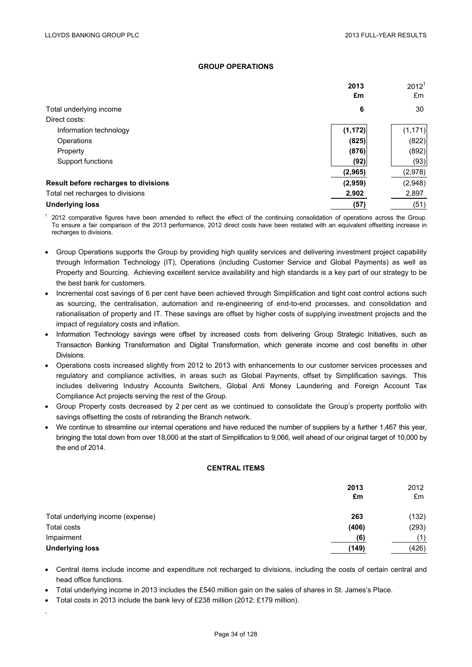# **GROUP OPERATIONS**

|                                      | 2013<br>£m | 2012 <sup>1</sup><br>£m |
|--------------------------------------|------------|-------------------------|
| Total underlying income              | 6          | 30                      |
| Direct costs:                        |            |                         |
| Information technology               | (1, 172)   | (1, 171)                |
| Operations                           | (825)      | (822)                   |
| Property                             | (876)      | (892)                   |
| Support functions                    | (92)       | (93)                    |
|                                      | (2,965)    | (2,978)                 |
| Result before recharges to divisions | (2,959)    | (2,948)                 |
| Total net recharges to divisions     | 2,902      | 2,897                   |
| <b>Underlying loss</b>               | (57)       | (51)                    |

<sup>1</sup> 2012 comparative figures have been amended to reflect the effect of the continuing consolidation of operations across the Group. To ensure a fair comparison of the 2013 performance, 2012 direct costs have been restated with an equivalent offsetting increase in recharges to divisions.

- Group Operations supports the Group by providing high quality services and delivering investment project capability through Information Technology (IT), Operations (including Customer Service and Global Payments) as well as Property and Sourcing. Achieving excellent service availability and high standards is a key part of our strategy to be the best bank for customers.
- Incremental cost savings of 6 per cent have been achieved through Simplification and tight cost control actions such as sourcing, the centralisation, automation and re-engineering of end-to-end processes, and consolidation and rationalisation of property and IT. These savings are offset by higher costs of supplying investment projects and the impact of regulatory costs and inflation.
- Information Technology savings were offset by increased costs from delivering Group Strategic Initiatives, such as Transaction Banking Transformation and Digital Transformation, which generate income and cost benefits in other Divisions.
- Operations costs increased slightly from 2012 to 2013 with enhancements to our customer services processes and regulatory and compliance activities, in areas such as Global Payments, offset by Simplification savings. This includes delivering Industry Accounts Switchers, Global Anti Money Laundering and Foreign Account Tax Compliance Act projects serving the rest of the Group.
- Group Property costs decreased by 2 per cent as we continued to consolidate the Group's property portfolio with savings offsetting the costs of rebranding the Branch network.
- We continue to streamline our internal operations and have reduced the number of suppliers by a further 1,467 this year, bringing the total down from over 18,000 at the start of Simplification to 9,066, well ahead of our original target of 10,000 by the end of 2014.

### **CENTRAL ITEMS**

|                                   | 2013<br>£m | 2012<br>£m |
|-----------------------------------|------------|------------|
| Total underlying income (expense) | 263        | (132)      |
| Total costs                       | (406)      | (293)      |
| Impairment                        | (6)        | (1)        |
| <b>Underlying loss</b>            | (149)      | (426)      |

- Central items include income and expenditure not recharged to divisions, including the costs of certain central and head office functions.
- Total underlying income in 2013 includes the £540 million gain on the sales of shares in St. James's Place.
- Total costs in 2013 include the bank levy of £238 million (2012: £179 million).

.

Page 34 of 128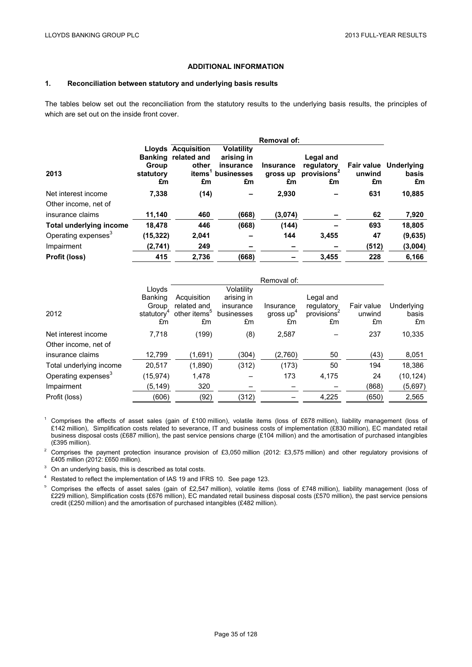### **ADDITIONAL INFORMATION**

### **1. Reconciliation between statutory and underlying basis results**

The tables below set out the reconciliation from the statutory results to the underlying basis results, the principles of which are set out on the inside front cover.

|                                 |                 |                              |                         | <b>Removal of:</b> |                         |              |                              |
|---------------------------------|-----------------|------------------------------|-------------------------|--------------------|-------------------------|--------------|------------------------------|
|                                 |                 | <b>Lloyds Acquisition</b>    | <b>Volatility</b>       |                    |                         |              |                              |
|                                 | Group           | Banking related and<br>other | arising in<br>insurance | <b>Insurance</b>   | Legal and<br>regulatory |              | <b>Fair value</b> Underlying |
| 2013                            | statutory<br>£m | items <sup>1</sup><br>£m     | businesses<br>£m        | gross up<br>£m     | provisions<br>£m        | unwind<br>£m | basis<br>£m                  |
| Net interest income             | 7,338           | (14)                         |                         | 2.930              |                         | 631          | 10,885                       |
| Other income, net of            |                 |                              |                         |                    |                         |              |                              |
| insurance claims                | 11,140          | 460                          | (668)                   | (3,074)            |                         | 62           | 7,920                        |
| <b>Total underlying income</b>  | 18.478          | 446                          | (668)                   | (144)              |                         | 693          | 18,805                       |
| Operating expenses <sup>3</sup> | (15, 322)       | 2,041                        |                         | 144                | 3,455                   | 47           | (9,635)                      |
| Impairment                      | (2,741)         | 249                          |                         |                    |                         | (512)        | (3,004)                      |
| Profit (loss)                   | 415             | 2,736                        | (668)                   |                    | 3.455                   | 228          | 6.166                        |

|                                 |                        |                          |            | Removal of:           |            |            |            |
|---------------------------------|------------------------|--------------------------|------------|-----------------------|------------|------------|------------|
|                                 | Lloyds                 |                          | Volatility |                       |            |            |            |
|                                 | Banking                | Acquisition              | arising in |                       | Legal and  |            |            |
|                                 | Group                  | related and              | insurance  | Insurance             | regulatory | Fair value | Underlying |
| 2012                            | statutory <sup>4</sup> | other items <sup>5</sup> | businesses | gross up <sup>+</sup> | provisions | unwind     | basis      |
|                                 | £m                     | £m                       | £m         | £m                    | £m         | £m         | £m         |
| Net interest income             | 7,718                  | (199)                    | (8)        | 2,587                 |            | 237        | 10,335     |
| Other income, net of            |                        |                          |            |                       |            |            |            |
| insurance claims                | 12,799                 | (1,691)                  | (304)      | (2,760)               | 50         | (43)       | 8,051      |
| Total underlying income         | 20,517                 | (1,890)                  | (312)      | (173)                 | 50         | 194        | 18,386     |
| Operating expenses <sup>3</sup> | (15,974)               | 1,478                    |            | 173                   | 4,175      | 24         | (10, 124)  |
| Impairment                      | (5, 149)               | 320                      |            |                       |            | (868)      | (5,697)    |
| Profit (loss)                   | (606)                  | (92)                     | (312)      |                       | 4,225      | (650)      | 2,565      |

<sup>1</sup> Comprises the effects of asset sales (gain of £100 million), volatile items (loss of £678 million), liability management (loss of £142 million), Simplification costs related to severance, IT and business costs of implementation (£830 million), EC mandated retail business disposal costs (£687 million), the past service pensions charge (£104 million) and the amortisation of purchased intangibles (£395 million).

<sup>2</sup> Comprises the payment protection insurance provision of £3,050 million (2012: £3,575 million) and other regulatory provisions of £405 million (2012: £650 million).

<sup>3</sup> On an underlying basis, this is described as total costs.

<sup>4</sup> Restated to reflect the implementation of IAS 19 and IFRS 10. See page 123.

<sup>5</sup> Comprises the effects of asset sales (gain of £2,547 million), volatile items (loss of £748 million), liability management (loss of £229 million), Simplification costs (£676 million), EC mandated retail business disposal costs (£570 million), the past service pensions credit (£250 million) and the amortisation of purchased intangibles (£482 million).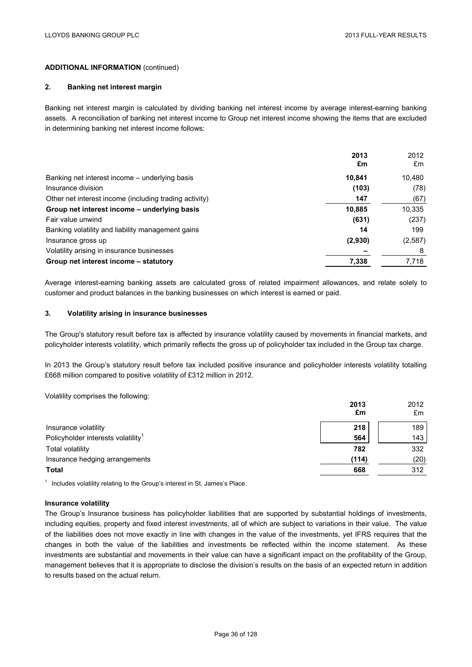# **ADDITIONAL INFORMATION** (continued)

### **2. Banking net interest margin**

Banking net interest margin is calculated by dividing banking net interest income by average interest-earning banking assets. A reconciliation of banking net interest income to Group net interest income showing the items that are excluded in determining banking net interest income follows:

|                                                        | 2013<br>£m | 2012<br>£m |
|--------------------------------------------------------|------------|------------|
| Banking net interest income – underlying basis         | 10,841     | 10,480     |
| Insurance division                                     | (103)      | (78)       |
| Other net interest income (including trading activity) | 147        | (67)       |
| Group net interest income – underlying basis           | 10,885     | 10,335     |
| Fair value unwind                                      | (631)      | (237)      |
| Banking volatility and liability management gains      | 14         | 199        |
| Insurance gross up                                     | (2,930)    | (2,587)    |
| Volatility arising in insurance businesses             |            | 8          |
| Group net interest income – statutory                  | 7,338      | 7,718      |

Average interest-earning banking assets are calculated gross of related impairment allowances, and relate solely to customer and product balances in the banking businesses on which interest is earned or paid.

#### **3. Volatility arising in insurance businesses**

The Group's statutory result before tax is affected by insurance volatility caused by movements in financial markets, and policyholder interests volatility, which primarily reflects the gross up of policyholder tax included in the Group tax charge.

In 2013 the Group's statutory result before tax included positive insurance and policyholder interests volatility totalling £668 million compared to positive volatility of £312 million in 2012.

Volatility comprises the following:

|                                                | 2013<br>£m | 2012<br>£m |
|------------------------------------------------|------------|------------|
| Insurance volatility                           | 218        | 189        |
| Policyholder interests volatility <sup>1</sup> | 564        | 143        |
| Total volatility                               | 782        | 332        |
| Insurance hedging arrangements                 | (114)      | (20)       |
| <b>Total</b>                                   | 668        | 312        |

 $1$  Includes volatility relating to the Group's interest in St. James's Place.

#### **Insurance volatility**

The Group's Insurance business has policyholder liabilities that are supported by substantial holdings of investments, including equities, property and fixed interest investments, all of which are subject to variations in their value. The value of the liabilities does not move exactly in line with changes in the value of the investments, yet IFRS requires that the changes in both the value of the liabilities and investments be reflected within the income statement. As these investments are substantial and movements in their value can have a significant impact on the profitability of the Group, management believes that it is appropriate to disclose the division's results on the basis of an expected return in addition to results based on the actual return.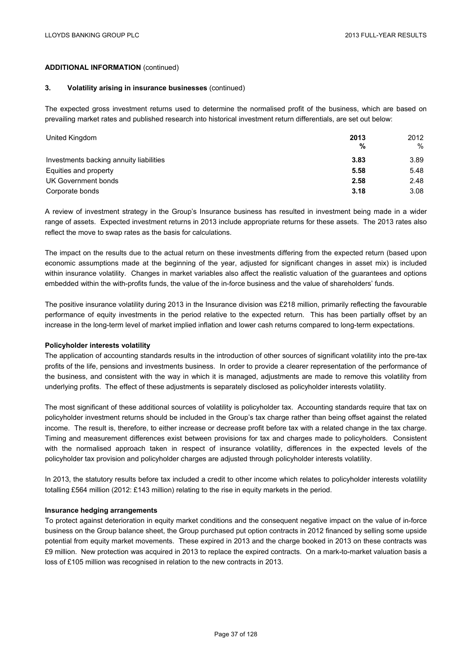# **ADDITIONAL INFORMATION** (continued)

#### **3. Volatility arising in insurance businesses** (continued)

The expected gross investment returns used to determine the normalised profit of the business, which are based on prevailing market rates and published research into historical investment return differentials, are set out below:

| United Kingdom                          | 2013<br>% | 2012<br>$\%$ |
|-----------------------------------------|-----------|--------------|
| Investments backing annuity liabilities | 3.83      | 3.89         |
| Equities and property                   | 5.58      | 5.48         |
| UK Government bonds                     | 2.58      | 2.48         |
| Corporate bonds                         | 3.18      | 3.08         |

A review of investment strategy in the Group's Insurance business has resulted in investment being made in a wider range of assets. Expected investment returns in 2013 include appropriate returns for these assets. The 2013 rates also reflect the move to swap rates as the basis for calculations.

The impact on the results due to the actual return on these investments differing from the expected return (based upon economic assumptions made at the beginning of the year, adjusted for significant changes in asset mix) is included within insurance volatility. Changes in market variables also affect the realistic valuation of the guarantees and options embedded within the with-profits funds, the value of the in-force business and the value of shareholders' funds.

The positive insurance volatility during 2013 in the Insurance division was £218 million, primarily reflecting the favourable performance of equity investments in the period relative to the expected return. This has been partially offset by an increase in the long-term level of market implied inflation and lower cash returns compared to long-term expectations.

### **Policyholder interests volatility**

The application of accounting standards results in the introduction of other sources of significant volatility into the pre-tax profits of the life, pensions and investments business. In order to provide a clearer representation of the performance of the business, and consistent with the way in which it is managed, adjustments are made to remove this volatility from underlying profits. The effect of these adjustments is separately disclosed as policyholder interests volatility.

The most significant of these additional sources of volatility is policyholder tax. Accounting standards require that tax on policyholder investment returns should be included in the Group's tax charge rather than being offset against the related income. The result is, therefore, to either increase or decrease profit before tax with a related change in the tax charge. Timing and measurement differences exist between provisions for tax and charges made to policyholders. Consistent with the normalised approach taken in respect of insurance volatility, differences in the expected levels of the policyholder tax provision and policyholder charges are adjusted through policyholder interests volatility.

In 2013, the statutory results before tax included a credit to other income which relates to policyholder interests volatility totalling £564 million (2012: £143 million) relating to the rise in equity markets in the period.

### **Insurance hedging arrangements**

To protect against deterioration in equity market conditions and the consequent negative impact on the value of in-force business on the Group balance sheet, the Group purchased put option contracts in 2012 financed by selling some upside potential from equity market movements. These expired in 2013 and the charge booked in 2013 on these contracts was £9 million. New protection was acquired in 2013 to replace the expired contracts. On a mark-to-market valuation basis a loss of £105 million was recognised in relation to the new contracts in 2013.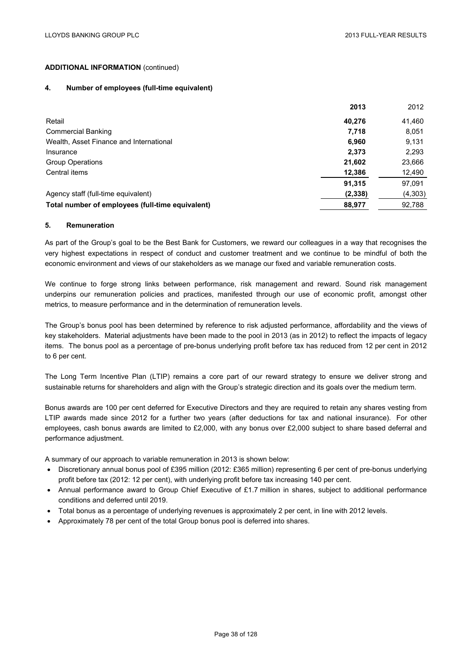# **ADDITIONAL INFORMATION** (continued)

### **4. Number of employees (full-time equivalent)**

|                                                  | 2013     | 2012    |
|--------------------------------------------------|----------|---------|
| Retail                                           | 40,276   | 41,460  |
| <b>Commercial Banking</b>                        | 7,718    | 8,051   |
| Wealth, Asset Finance and International          | 6.960    | 9,131   |
| Insurance                                        | 2,373    | 2,293   |
| <b>Group Operations</b>                          | 21,602   | 23,666  |
| Central items                                    | 12,386   | 12,490  |
|                                                  | 91,315   | 97,091  |
| Agency staff (full-time equivalent)              | (2, 338) | (4,303) |
| Total number of employees (full-time equivalent) | 88,977   | 92,788  |

### **5. Remuneration**

As part of the Group's goal to be the Best Bank for Customers, we reward our colleagues in a way that recognises the very highest expectations in respect of conduct and customer treatment and we continue to be mindful of both the economic environment and views of our stakeholders as we manage our fixed and variable remuneration costs.

We continue to forge strong links between performance, risk management and reward. Sound risk management underpins our remuneration policies and practices, manifested through our use of economic profit, amongst other metrics, to measure performance and in the determination of remuneration levels.

The Group's bonus pool has been determined by reference to risk adjusted performance, affordability and the views of key stakeholders. Material adjustments have been made to the pool in 2013 (as in 2012) to reflect the impacts of legacy items. The bonus pool as a percentage of pre-bonus underlying profit before tax has reduced from 12 per cent in 2012 to 6 per cent.

The Long Term Incentive Plan (LTIP) remains a core part of our reward strategy to ensure we deliver strong and sustainable returns for shareholders and align with the Group's strategic direction and its goals over the medium term.

Bonus awards are 100 per cent deferred for Executive Directors and they are required to retain any shares vesting from LTIP awards made since 2012 for a further two years (after deductions for tax and national insurance). For other employees, cash bonus awards are limited to £2,000, with any bonus over £2,000 subject to share based deferral and performance adjustment.

A summary of our approach to variable remuneration in 2013 is shown below:

- Discretionary annual bonus pool of £395 million (2012: £365 million) representing 6 per cent of pre-bonus underlying profit before tax (2012: 12 per cent), with underlying profit before tax increasing 140 per cent.
- Annual performance award to Group Chief Executive of £1.7 million in shares, subject to additional performance conditions and deferred until 2019.
- Total bonus as a percentage of underlying revenues is approximately 2 per cent, in line with 2012 levels.
- Approximately 78 per cent of the total Group bonus pool is deferred into shares.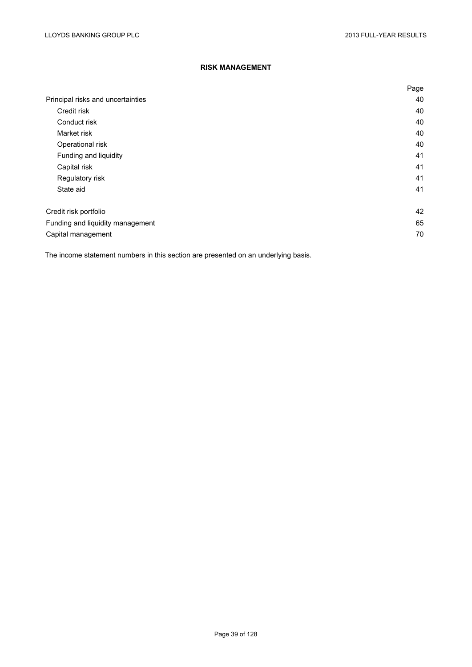# **RISK MANAGEMENT**

|                                   | Page |
|-----------------------------------|------|
| Principal risks and uncertainties | 40   |
| Credit risk                       | 40   |
| Conduct risk                      | 40   |
| Market risk                       | 40   |
| Operational risk                  | 40   |
| Funding and liquidity             | 41   |
| Capital risk                      | 41   |
| Regulatory risk                   | 41   |
| State aid                         | 41   |
| Credit risk portfolio             | 42   |
| Funding and liquidity management  | 65   |
| Capital management                | 70   |

The income statement numbers in this section are presented on an underlying basis.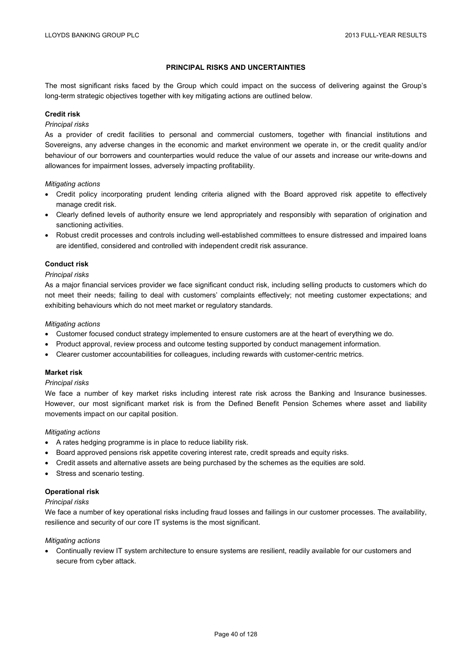## **PRINCIPAL RISKS AND UNCERTAINTIES**

The most significant risks faced by the Group which could impact on the success of delivering against the Group's long-term strategic objectives together with key mitigating actions are outlined below.

### **Credit risk**

### *Principal risks*

As a provider of credit facilities to personal and commercial customers, together with financial institutions and Sovereigns, any adverse changes in the economic and market environment we operate in, or the credit quality and/or behaviour of our borrowers and counterparties would reduce the value of our assets and increase our write-downs and allowances for impairment losses, adversely impacting profitability.

### *Mitigating actions*

- Credit policy incorporating prudent lending criteria aligned with the Board approved risk appetite to effectively manage credit risk.
- Clearly defined levels of authority ensure we lend appropriately and responsibly with separation of origination and sanctioning activities.
- Robust credit processes and controls including well-established committees to ensure distressed and impaired loans are identified, considered and controlled with independent credit risk assurance.

## **Conduct risk**

### *Principal risks*

As a major financial services provider we face significant conduct risk, including selling products to customers which do not meet their needs; failing to deal with customers' complaints effectively; not meeting customer expectations; and exhibiting behaviours which do not meet market or regulatory standards.

### *Mitigating actions*

- Customer focused conduct strategy implemented to ensure customers are at the heart of everything we do.
- Product approval, review process and outcome testing supported by conduct management information.
- Clearer customer accountabilities for colleagues, including rewards with customer-centric metrics.

### **Market risk**

### *Principal risks*

We face a number of key market risks including interest rate risk across the Banking and Insurance businesses. However, our most significant market risk is from the Defined Benefit Pension Schemes where asset and liability movements impact on our capital position.

### *Mitigating actions*

- A rates hedging programme is in place to reduce liability risk.
- Board approved pensions risk appetite covering interest rate, credit spreads and equity risks.
- Credit assets and alternative assets are being purchased by the schemes as the equities are sold.
- Stress and scenario testing.

### **Operational risk**

### *Principal risks*

We face a number of key operational risks including fraud losses and failings in our customer processes. The availability, resilience and security of our core IT systems is the most significant.

### *Mitigating actions*

 Continually review IT system architecture to ensure systems are resilient, readily available for our customers and secure from cyber attack.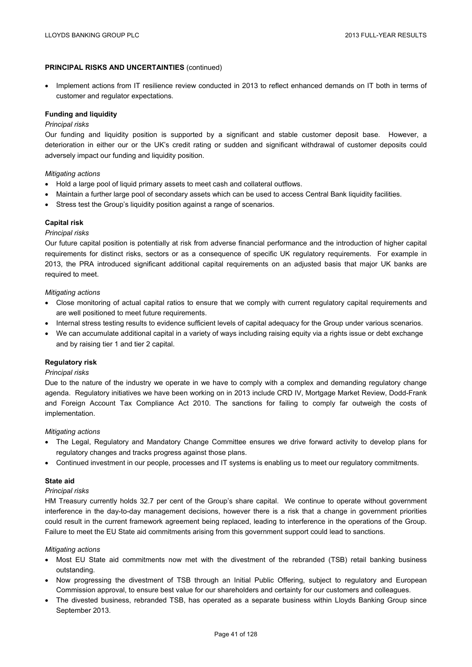# **PRINCIPAL RISKS AND UNCERTAINTIES** (continued)

• Implement actions from IT resilience review conducted in 2013 to reflect enhanced demands on IT both in terms of customer and regulator expectations.

### **Funding and liquidity**

### *Principal risks*

Our funding and liquidity position is supported by a significant and stable customer deposit base. However, a deterioration in either our or the UK's credit rating or sudden and significant withdrawal of customer deposits could adversely impact our funding and liquidity position.

### *Mitigating actions*

- Hold a large pool of liquid primary assets to meet cash and collateral outflows.
- Maintain a further large pool of secondary assets which can be used to access Central Bank liquidity facilities.
- Stress test the Group's liquidity position against a range of scenarios.

# **Capital risk**

### *Principal risks*

Our future capital position is potentially at risk from adverse financial performance and the introduction of higher capital requirements for distinct risks, sectors or as a consequence of specific UK regulatory requirements. For example in 2013, the PRA introduced significant additional capital requirements on an adjusted basis that major UK banks are required to meet.

### *Mitigating actions*

- Close monitoring of actual capital ratios to ensure that we comply with current regulatory capital requirements and are well positioned to meet future requirements.
- Internal stress testing results to evidence sufficient levels of capital adequacy for the Group under various scenarios.
- We can accumulate additional capital in a variety of ways including raising equity via a rights issue or debt exchange and by raising tier 1 and tier 2 capital.

### **Regulatory risk**

### *Principal risks*

Due to the nature of the industry we operate in we have to comply with a complex and demanding regulatory change agenda. Regulatory initiatives we have been working on in 2013 include CRD IV, Mortgage Market Review, Dodd-Frank and Foreign Account Tax Compliance Act 2010. The sanctions for failing to comply far outweigh the costs of implementation.

*Mitigating actions* 

- The Legal, Regulatory and Mandatory Change Committee ensures we drive forward activity to develop plans for regulatory changes and tracks progress against those plans.
- Continued investment in our people, processes and IT systems is enabling us to meet our regulatory commitments.

# **State aid**

### *Principal risks*

HM Treasury currently holds 32.7 per cent of the Group's share capital. We continue to operate without government interference in the day-to-day management decisions, however there is a risk that a change in government priorities could result in the current framework agreement being replaced, leading to interference in the operations of the Group. Failure to meet the EU State aid commitments arising from this government support could lead to sanctions.

### *Mitigating actions*

- Most EU State aid commitments now met with the divestment of the rebranded (TSB) retail banking business outstanding.
- Now progressing the divestment of TSB through an Initial Public Offering, subject to regulatory and European Commission approval, to ensure best value for our shareholders and certainty for our customers and colleagues.
- The divested business, rebranded TSB, has operated as a separate business within Lloyds Banking Group since September 2013.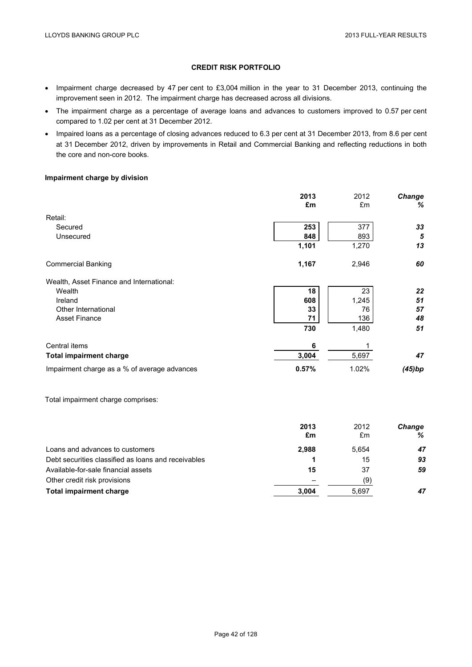# **CREDIT RISK PORTFOLIO**

- Impairment charge decreased by 47 per cent to £3,004 million in the year to 31 December 2013, continuing the improvement seen in 2012. The impairment charge has decreased across all divisions.
- The impairment charge as a percentage of average loans and advances to customers improved to 0.57 per cent compared to 1.02 per cent at 31 December 2012.
- Impaired loans as a percentage of closing advances reduced to 6.3 per cent at 31 December 2013, from 8.6 per cent at 31 December 2012, driven by improvements in Retail and Commercial Banking and reflecting reductions in both the core and non-core books.

# **Impairment charge by division**

|                                              | 2013  | 2012  | Change |
|----------------------------------------------|-------|-------|--------|
|                                              | £m    | £m    | %      |
| Retail:                                      |       |       |        |
| Secured                                      | 253   | 377   | 33     |
| Unsecured                                    | 848   | 893   | 5      |
|                                              | 1,101 | 1,270 | 13     |
| <b>Commercial Banking</b>                    | 1,167 | 2,946 | 60     |
| Wealth, Asset Finance and International:     |       |       |        |
| Wealth                                       | 18    | 23    | 22     |
| Ireland                                      | 608   | 1,245 | 51     |
| Other International                          | 33    | 76    | 57     |
| <b>Asset Finance</b>                         | 71    | 136   | 48     |
|                                              | 730   | 1,480 | 51     |
| Central items                                | 6     |       |        |
| <b>Total impairment charge</b>               | 3,004 | 5,697 | 47     |
| Impairment charge as a % of average advances | 0.57% | 1.02% | (45)bp |
|                                              |       |       |        |

Total impairment charge comprises:

|                                                     | 2013<br>£m | 2012<br>£m | <b>Change</b><br>℅ |
|-----------------------------------------------------|------------|------------|--------------------|
| Loans and advances to customers                     | 2,988      | 5.654      | 47                 |
| Debt securities classified as loans and receivables |            | 15         | 93                 |
| Available-for-sale financial assets                 | 15         | 37         | 59                 |
| Other credit risk provisions                        |            | (9)        |                    |
| Total impairment charge                             | 3.004      | 5,697      | 47                 |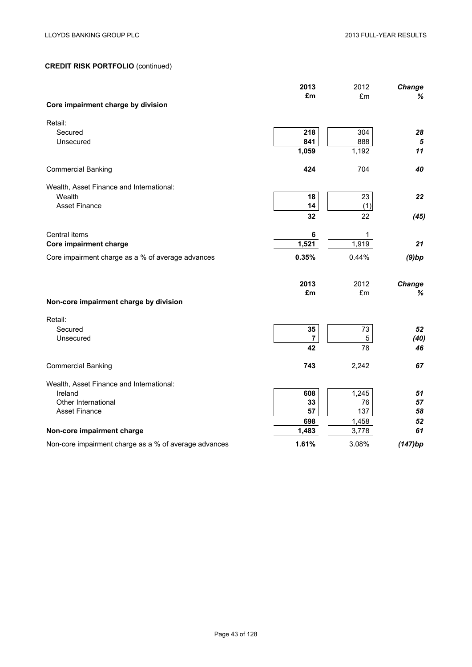|                                                       | 2013<br>£m | 2012<br>£m  | Change<br>%   |
|-------------------------------------------------------|------------|-------------|---------------|
| Core impairment charge by division                    |            |             |               |
| Retail:                                               |            |             |               |
| Secured                                               | 218        | 304         | 28            |
| Unsecured                                             | 841        | 888         | $\sqrt{5}$    |
|                                                       | 1,059      | 1,192       | 11            |
| <b>Commercial Banking</b>                             | 424        | 704         | 40            |
| Wealth, Asset Finance and International:              |            |             |               |
| Wealth                                                | 18         | 23          | 22            |
| <b>Asset Finance</b>                                  | 14         | (1)         |               |
|                                                       | 32         | 22          | (45)          |
| Central items                                         | 6          | $\mathbf 1$ |               |
| Core impairment charge                                | 1,521      | 1,919       | 21            |
| Core impairment charge as a % of average advances     | 0.35%      | 0.44%       | (9)bp         |
|                                                       |            |             |               |
|                                                       | 2013       | 2012        | <b>Change</b> |
| Non-core impairment charge by division                | £m         | £m          | %             |
| Retail:                                               |            |             |               |
| Secured                                               | 35         | 73          | 52            |
| Unsecured                                             | 7          | 5           | (40)          |
|                                                       | 42         | 78          | 46            |
| <b>Commercial Banking</b>                             | 743        | 2,242       | 67            |
| Wealth, Asset Finance and International:              |            |             |               |
| Ireland                                               | 608        | 1,245       | 51            |
| Other International                                   | 33         | 76          | 57            |
| <b>Asset Finance</b>                                  | 57         | 137         | 58            |
|                                                       | 698        | 1,458       | 52            |
| Non-core impairment charge                            | 1,483      | 3,778       | 61            |
| Non-core impairment charge as a % of average advances | 1.61%      | 3.08%       | (147)bp       |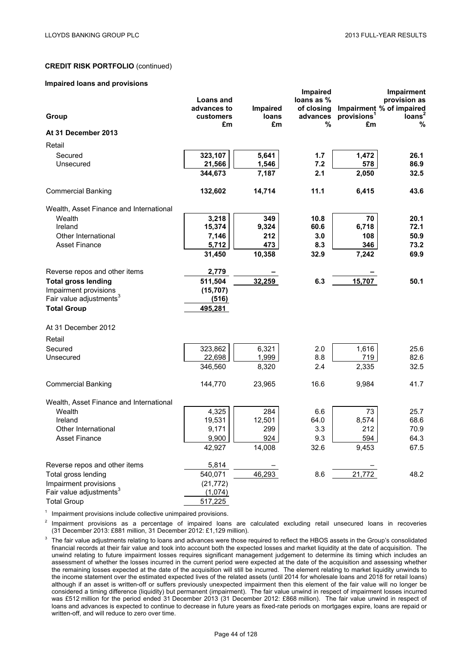#### **Impaired loans and provisions**

|                                         |                 |             | <b>Impaired</b> |                               | Impairment                 |
|-----------------------------------------|-----------------|-------------|-----------------|-------------------------------|----------------------------|
|                                         | Loans and       |             | loans as %      |                               | provision as               |
|                                         | advances to     | Impaired    | of closing      |                               | Impairment % of impaired   |
| Group                                   | customers<br>£m | loans<br>£m | advances<br>%   | provisions <sup>1</sup><br>£m | Ioans <sup>2</sup><br>$\%$ |
| At 31 December 2013                     |                 |             |                 |                               |                            |
| Retail                                  |                 |             |                 |                               |                            |
| Secured                                 | 323,107         | 5,641       | 1.7             | 1,472                         | 26.1                       |
| Unsecured                               | 21,566          | 1,546       | 7.2             | 578                           | 86.9                       |
|                                         | 344,673         | 7,187       | 2.1             | 2,050                         | 32.5                       |
| <b>Commercial Banking</b>               | 132,602         | 14,714      | 11.1            | 6,415                         | 43.6                       |
| Wealth, Asset Finance and International |                 |             |                 |                               |                            |
| Wealth                                  | 3,218           | 349         | 10.8            | 70                            | 20.1                       |
| Ireland                                 | 15,374          | 9,324       | 60.6            | 6,718                         | 72.1                       |
| Other International                     | 7,146           | 212         | 3.0             | 108                           | 50.9                       |
| <b>Asset Finance</b>                    | 5,712           | 473         | 8.3             | 346                           | 73.2                       |
|                                         | 31,450          | 10,358      | 32.9            | 7,242                         | 69.9                       |
| Reverse repos and other items           | 2,779           |             |                 |                               |                            |
| <b>Total gross lending</b>              | 511,504         | 32,259      | 6.3             | 15,707                        | 50.1                       |
| Impairment provisions                   | (15, 707)       |             |                 |                               |                            |
| Fair value adjustments <sup>3</sup>     | (516)           |             |                 |                               |                            |
| <b>Total Group</b>                      | 495,281         |             |                 |                               |                            |
| At 31 December 2012                     |                 |             |                 |                               |                            |
| Retail                                  |                 |             |                 |                               |                            |
| Secured                                 | 323,862         | 6,321       | 2.0             | 1,616                         | 25.6                       |
| Unsecured                               | 22,698          | 1,999       | 8.8             | 719                           | 82.6                       |
|                                         | 346,560         | 8,320       | 2.4             | 2,335                         | 32.5                       |
| <b>Commercial Banking</b>               | 144,770         | 23,965      | 16.6            | 9,984                         | 41.7                       |
| Wealth, Asset Finance and International |                 |             |                 |                               |                            |
| Wealth                                  | 4,325           | 284         | 6.6             | 73                            | 25.7                       |
| Ireland                                 | 19,531          | 12,501      | 64.0            | 8,574                         | 68.6                       |
| Other International                     | 9,171           | 299         | 3.3             | 212                           | 70.9                       |
| <b>Asset Finance</b>                    | 9,900           | 924         | 9.3             | 594                           | 64.3                       |
|                                         | 42,927          | 14,008      | 32.6            | 9,453                         | 67.5                       |
| Reverse repos and other items           | 5,814           |             |                 |                               |                            |
| Total gross lending                     | 540,071         | 46,293      | 8.6             | 21,772                        | 48.2                       |
| Impairment provisions                   | (21, 772)       |             |                 |                               |                            |
| Fair value adjustments <sup>3</sup>     | (1,074)         |             |                 |                               |                            |
| <b>Total Group</b>                      | 517,225         |             |                 |                               |                            |

 $1$  Impairment provisions include collective unimpaired provisions.

<sup>2</sup> Impairment provisions as a percentage of impaired loans are calculated excluding retail unsecured loans in recoveries (31 December 2013: £881 million, 31 December 2012: £1,129 million).

<sup>3</sup> The fair value adjustments relating to loans and advances were those required to reflect the HBOS assets in the Group's consolidated financial records at their fair value and took into account both the expected losses and market liquidity at the date of acquisition. The unwind relating to future impairment losses requires significant management judgement to determine its timing which includes an assessment of whether the losses incurred in the current period were expected at the date of the acquisition and assessing whether the remaining losses expected at the date of the acquisition will still be incurred. The element relating to market liquidity unwinds to the income statement over the estimated expected lives of the related assets (until 2014 for wholesale loans and 2018 for retail loans) although if an asset is written-off or suffers previously unexpected impairment then this element of the fair value will no longer be considered a timing difference (liquidity) but permanent (impairment). The fair value unwind in respect of impairment losses incurred was £512 million for the period ended 31 December 2013 (31 December 2012: £868 million). The fair value unwind in respect of loans and advances is expected to continue to decrease in future years as fixed-rate periods on mortgages expire, loans are repaid or written-off, and will reduce to zero over time.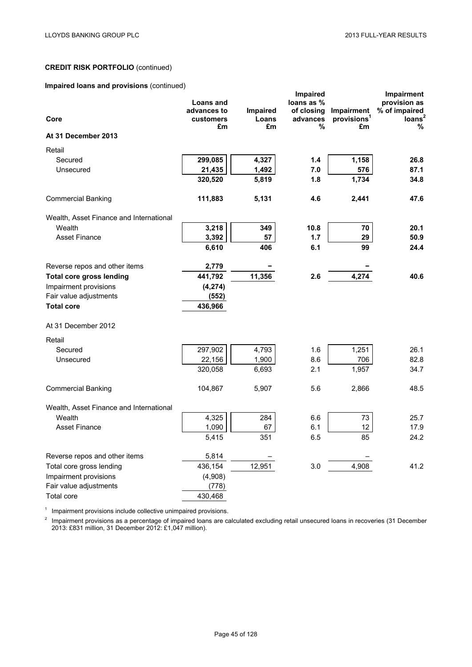# **Impaired loans and provisions** (continued)

|                                         |                 |             | <b>Impaired</b> |                               | Impairment              |
|-----------------------------------------|-----------------|-------------|-----------------|-------------------------------|-------------------------|
|                                         | Loans and       |             | loans as %      |                               | provision as            |
|                                         | advances to     | Impaired    | of closing      | Impairment                    | % of impaired           |
| Core                                    | customers<br>£m | Loans<br>£m | advances<br>%   | provisions <sup>1</sup><br>£m | loans <sup>2</sup><br>% |
| At 31 December 2013                     |                 |             |                 |                               |                         |
| Retail                                  |                 |             |                 |                               |                         |
| Secured                                 | 299,085         | 4,327       | 1.4             | 1,158                         | 26.8                    |
| Unsecured                               | 21,435          | 1,492       | 7.0             | 576                           | 87.1                    |
|                                         | 320,520         | 5,819       | 1.8             | 1,734                         | 34.8                    |
| <b>Commercial Banking</b>               | 111,883         | 5,131       | 4.6             | 2,441                         | 47.6                    |
|                                         |                 |             |                 |                               |                         |
| Wealth, Asset Finance and International |                 |             |                 |                               |                         |
| Wealth                                  | 3,218           | 349         | 10.8            | 70                            | 20.1                    |
| <b>Asset Finance</b>                    | 3,392           | 57          | 1.7             | 29                            | 50.9                    |
|                                         | 6,610           | 406         | 6.1             | 99                            | 24.4                    |
| Reverse repos and other items           | 2,779           |             |                 |                               |                         |
| <b>Total core gross lending</b>         | 441,792         | 11,356      | 2.6             | 4,274                         | 40.6                    |
| Impairment provisions                   | (4, 274)        |             |                 |                               |                         |
| Fair value adjustments                  | (552)           |             |                 |                               |                         |
| <b>Total core</b>                       | 436,966         |             |                 |                               |                         |
| At 31 December 2012                     |                 |             |                 |                               |                         |
| Retail                                  |                 |             |                 |                               |                         |
| Secured                                 | 297,902         | 4,793       | 1.6             | 1,251                         | 26.1                    |
| Unsecured                               | 22,156          | 1,900       | 8.6             | 706                           | 82.8                    |
|                                         | 320,058         | 6,693       | 2.1             | 1,957                         | 34.7                    |
| <b>Commercial Banking</b>               | 104,867         | 5,907       | 5.6             | 2,866                         | 48.5                    |
|                                         |                 |             |                 |                               |                         |
| Wealth, Asset Finance and International |                 |             |                 |                               |                         |
| Wealth                                  | 4,325           | 284         | 6.6             | 73                            | 25.7                    |
| <b>Asset Finance</b>                    | 1,090           | 67          | 6.1             | 12                            | 17.9                    |
|                                         | 5,415           | 351         | 6.5             | 85                            | 24.2                    |
| Reverse repos and other items           | 5,814           |             |                 |                               |                         |
| Total core gross lending                | 436,154         | 12,951      | 3.0             | 4,908                         | 41.2                    |
| Impairment provisions                   | (4,908)         |             |                 |                               |                         |
| Fair value adjustments                  | (778)           |             |                 |                               |                         |
| Total core                              | 430,468         |             |                 |                               |                         |

<sup>1</sup> Impairment provisions include collective unimpaired provisions.

 $2$  Impairment provisions as a percentage of impaired loans are calculated excluding retail unsecured loans in recoveries (31 December 2013: £831 million, 31 December 2012: £1,047 million).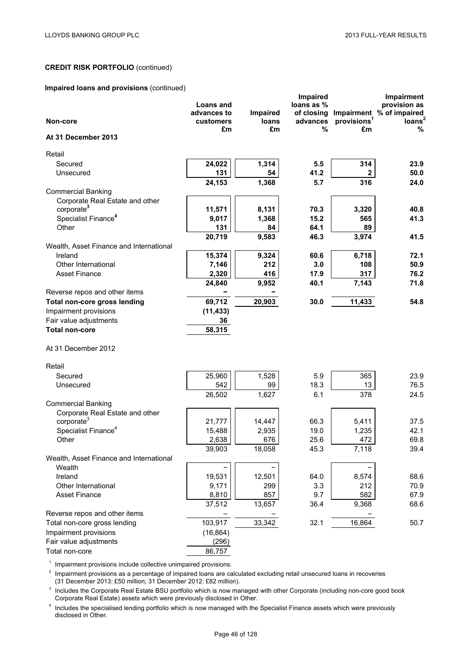# **Impaired loans and provisions** (continued)

| Non-core                                 | <b>Loans and</b><br>advances to<br>customers | Impaired<br><b>loans</b> | Impaired<br>loans as %<br>of closing<br>advances<br>% | provisions <sup>1</sup> | Impairment<br>provision as<br>Impairment % of impaired<br>loans <sup>2</sup><br>% |
|------------------------------------------|----------------------------------------------|--------------------------|-------------------------------------------------------|-------------------------|-----------------------------------------------------------------------------------|
| At 31 December 2013                      | £m                                           | £m                       |                                                       | £m                      |                                                                                   |
| Retail                                   |                                              |                          |                                                       |                         |                                                                                   |
| Secured                                  | 24,022                                       | 1,314                    | 5.5                                                   | 314                     | 23.9                                                                              |
| Unsecured                                | 131                                          | 54                       | 41.2                                                  | $\mathbf{2}$            | $50.0$                                                                            |
|                                          | 24,153                                       | 1,368                    | 5.7                                                   | 316                     | 24.0                                                                              |
| <b>Commercial Banking</b>                |                                              |                          |                                                       |                         |                                                                                   |
| Corporate Real Estate and other          |                                              |                          |                                                       |                         |                                                                                   |
| corporate <sup>3</sup>                   | 11,571                                       | 8,131                    | 70.3                                                  | 3,320                   | 40.8                                                                              |
| Specialist Finance <sup>4</sup><br>Other | 9,017<br>131                                 | 1,368<br>84              | 15.2<br>64.1                                          | 565<br>89               | 41.3                                                                              |
|                                          | 20,719                                       | 9,583                    | 46.3                                                  | 3,974                   | 41.5                                                                              |
| Wealth, Asset Finance and International  |                                              |                          |                                                       |                         |                                                                                   |
| Ireland                                  | 15,374                                       | 9,324                    | 60.6                                                  | 6,718                   | 72.1                                                                              |
| Other International                      | 7,146                                        | 212                      | 3.0                                                   | 108                     | 50.9                                                                              |
| <b>Asset Finance</b>                     | 2,320                                        | 416                      | 17.9                                                  | 317                     | 76.2                                                                              |
|                                          | 24,840                                       | 9,952                    | 40.1                                                  | 7,143                   | 71.8                                                                              |
| Reverse repos and other items            |                                              |                          |                                                       |                         |                                                                                   |
| Total non-core gross lending             | 69,712                                       | 20,903                   | 30.0                                                  | 11,433                  | 54.8                                                                              |
| Impairment provisions                    | (11, 433)                                    |                          |                                                       |                         |                                                                                   |
| Fair value adjustments                   | 36                                           |                          |                                                       |                         |                                                                                   |
| <b>Total non-core</b>                    | 58,315                                       |                          |                                                       |                         |                                                                                   |
| At 31 December 2012                      |                                              |                          |                                                       |                         |                                                                                   |
| Retail                                   |                                              |                          |                                                       |                         |                                                                                   |
| Secured                                  | 25,960                                       | 1,528                    | 5.9                                                   | 365                     | 23.9                                                                              |
| Unsecured                                | 542                                          | 99                       | 18.3                                                  | 13                      | 76.5                                                                              |
|                                          | 26,502                                       | 1,627                    | 6.1                                                   | 378                     | 24.5                                                                              |
| <b>Commercial Banking</b>                |                                              |                          |                                                       |                         |                                                                                   |
| Corporate Real Estate and other          |                                              |                          |                                                       |                         |                                                                                   |
| corporate <sup>3</sup>                   | 21,777                                       | 14,447                   | 66.3                                                  | 5,411                   | 37.5                                                                              |
| Specialist Finance <sup>4</sup>          | 15,488                                       | 2,935                    | 19.0                                                  | 1,235                   | 42.1                                                                              |
| Other                                    | 2,638                                        | 676                      | 25.6                                                  | 472                     | 69.8                                                                              |
| Wealth, Asset Finance and International  | 39,903                                       | 18,058                   | 45.3                                                  | 7,118                   | 39.4                                                                              |
| Wealth                                   |                                              |                          |                                                       |                         |                                                                                   |
| Ireland                                  | 19,531                                       | 12,501                   | 64.0                                                  | 8,574                   | 68.6                                                                              |
| Other International                      | 9,171                                        | 299                      | 3.3                                                   | 212                     | 70.9                                                                              |
| <b>Asset Finance</b>                     | 8,810                                        | 857                      | 9.7                                                   | 582                     | 67.9                                                                              |
|                                          | 37,512                                       | 13,657                   | 36.4                                                  | 9,368                   | 68.6                                                                              |
| Reverse repos and other items            |                                              |                          |                                                       |                         |                                                                                   |
| Total non-core gross lending             | 103,917                                      | 33,342                   | 32.1                                                  | 16,864                  | 50.7                                                                              |
| Impairment provisions                    | (16, 864)                                    |                          |                                                       |                         |                                                                                   |
| Fair value adjustments                   | (296)                                        |                          |                                                       |                         |                                                                                   |
| Total non-core                           | 86,757                                       |                          |                                                       |                         |                                                                                   |

 $1$  Impairment provisions include collective unimpaired provisions.

 $2$  Impairment provisions as a percentage of impaired loans are calculated excluding retail unsecured loans in recoveries (31 December 2013: £50 million; 31 December 2012: £82 million).

 $3$  Includes the Corporate Real Estate BSU portfolio which is now managed with other Corporate (including non-core good book Corporate Real Estate) assets which were previously disclosed in Other.

<sup>4</sup> Includes the specialised lending portfolio which is now managed with the Specialist Finance assets which were previously disclosed in Other.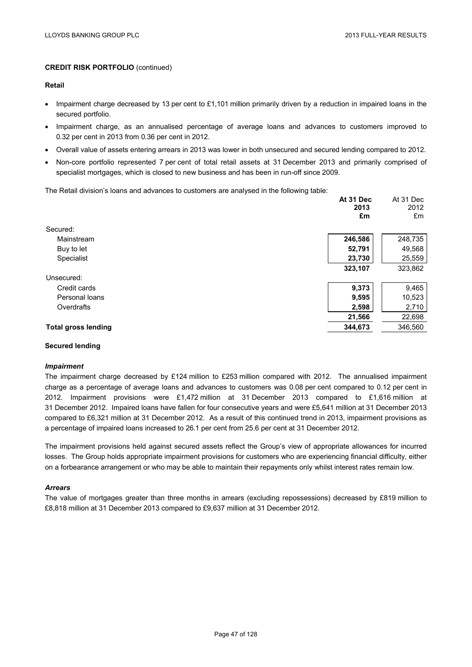#### **Retail**

- Impairment charge decreased by 13 per cent to £1,101 million primarily driven by a reduction in impaired loans in the secured portfolio.
- Impairment charge, as an annualised percentage of average loans and advances to customers improved to 0.32 per cent in 2013 from 0.36 per cent in 2012.
- Overall value of assets entering arrears in 2013 was lower in both unsecured and secured lending compared to 2012.
- Non-core portfolio represented 7 per cent of total retail assets at 31 December 2013 and primarily comprised of specialist mortgages, which is closed to new business and has been in run-off since 2009.

The Retail division's loans and advances to customers are analysed in the following table:

|                            | At 31 Dec<br>2013<br>£m | At 31 Dec<br>2012<br>£m |
|----------------------------|-------------------------|-------------------------|
| Secured:                   |                         |                         |
| Mainstream                 | 246,586                 | 248,735                 |
| Buy to let                 | 52,791                  | 49,568                  |
| Specialist                 | 23,730                  | 25,559                  |
|                            | 323,107                 | 323,862                 |
| Unsecured:                 |                         |                         |
| Credit cards               | 9,373                   | 9,465                   |
| Personal loans             | 9,595                   | 10,523                  |
| Overdrafts                 | 2,598                   | 2,710                   |
|                            | 21,566                  | 22,698                  |
| <b>Total gross lending</b> | 344.673                 | 346.560                 |

### **Secured lending**

### *Impairment*

The impairment charge decreased by £124 million to £253 million compared with 2012. The annualised impairment charge as a percentage of average loans and advances to customers was 0.08 per cent compared to 0.12 per cent in 2012. Impairment provisions were £1,472 million at 31 December 2013 compared to £1,616 million at 31 December 2012. Impaired loans have fallen for four consecutive years and were £5,641 million at 31 December 2013 compared to £6,321 million at 31 December 2012. As a result of this continued trend in 2013, impairment provisions as a percentage of impaired loans increased to 26.1 per cent from 25.6 per cent at 31 December 2012.

The impairment provisions held against secured assets reflect the Group's view of appropriate allowances for incurred losses. The Group holds appropriate impairment provisions for customers who are experiencing financial difficulty, either on a forbearance arrangement or who may be able to maintain their repayments only whilst interest rates remain low.

#### *Arrears*

The value of mortgages greater than three months in arrears (excluding repossessions) decreased by £819 million to £8,818 million at 31 December 2013 compared to £9,637 million at 31 December 2012.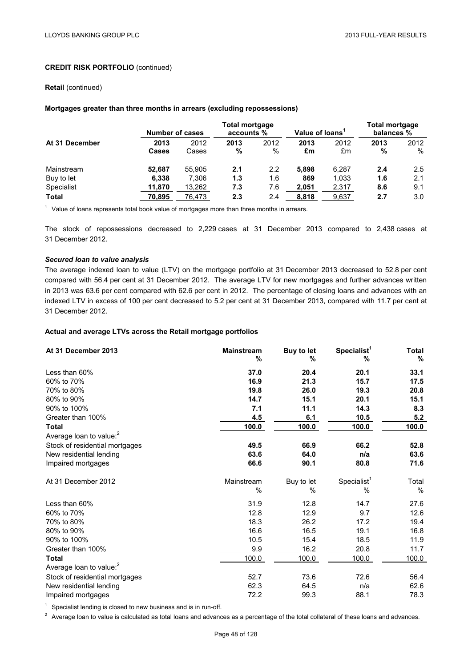### **Retail** (continued)

### **Mortgages greater than three months in arrears (excluding repossessions)**

|                | Number of cases |        | <b>Total mortgage</b><br>accounts % |      | Value of loans <sup>1</sup> |       | <b>Total mortgage</b><br>balances % |      |
|----------------|-----------------|--------|-------------------------------------|------|-----------------------------|-------|-------------------------------------|------|
| At 31 December | 2013            | 2012   | 2013                                | 2012 | 2013                        | 2012  | 2013                                | 2012 |
|                | Cases           | Cases  | %                                   | $\%$ | £m                          | £m    | %                                   | %    |
| Mainstream     | 52,687          | 55.905 | 2.1                                 | 2.2  | 5.898                       | 6,287 | 2.4                                 | 2.5  |
| Buy to let     | 6.338           | 7,306  | 1.3                                 | 1.6  | 869                         | 1.033 | 1.6                                 | 2.1  |
| Specialist     | 11,870          | 13,262 | 7.3                                 | 7.6  | 2,051                       | 2,317 | 8.6                                 | 9.1  |
| <b>Total</b>   | 70,895          | 76,473 | 2.3                                 | 2.4  | 8,818                       | 9,637 | 2.7                                 | 3.0  |

 $<sup>1</sup>$  Value of loans represents total book value of mortgages more than three months in arrears.</sup>

The stock of repossessions decreased to 2,229 cases at 31 December 2013 compared to 2,438 cases at 31 December 2012.

### *Secured loan to value analysis*

The average indexed loan to value (LTV) on the mortgage portfolio at 31 December 2013 decreased to 52.8 per cent compared with 56.4 per cent at 31 December 2012. The average LTV for new mortgages and further advances written in 2013 was 63.6 per cent compared with 62.6 per cent in 2012. The percentage of closing loans and advances with an indexed LTV in excess of 100 per cent decreased to 5.2 per cent at 31 December 2013, compared with 11.7 per cent at 31 December 2012.

## **Actual and average LTVs across the Retail mortgage portfolios**

| At 31 December 2013                 | <b>Mainstream</b><br>% | Buy to let<br>% | Specialist <sup>1</sup><br>% | <b>Total</b><br>% |
|-------------------------------------|------------------------|-----------------|------------------------------|-------------------|
| Less than 60%                       | 37.0                   | 20.4            | 20.1                         | 33.1              |
| 60% to 70%                          | 16.9                   | 21.3            | 15.7                         | 17.5              |
| 70% to 80%                          | 19.8                   | 26.0            | 19.3                         | 20.8              |
| 80% to 90%                          | 14.7                   | 15.1            | 20.1                         | 15.1              |
| 90% to 100%                         | 7.1                    | 11.1            | 14.3                         | 8.3               |
| Greater than 100%                   | 4.5                    | 6.1             | 10.5                         | 5.2               |
| Total                               | 100.0                  | 100.0           | 100.0                        | 100.0             |
| Average loan to value: <sup>2</sup> |                        |                 |                              |                   |
| Stock of residential mortgages      | 49.5                   | 66.9            | 66.2                         | 52.8              |
| New residential lending             | 63.6                   | 64.0            | n/a                          | 63.6              |
| Impaired mortgages                  | 66.6                   | 90.1            | 80.8                         | 71.6              |
| At 31 December 2012                 | Mainstream             | Buy to let      | Specialist <sup>1</sup>      | Total             |
|                                     | $\%$                   | $\frac{0}{0}$   | $\frac{0}{0}$                | %                 |
| Less than 60%                       | 31.9                   | 12.8            | 14.7                         | 27.6              |
| 60% to 70%                          | 12.8                   | 12.9            | 9.7                          | 12.6              |
| 70% to 80%                          | 18.3                   | 26.2            | 17.2                         | 19.4              |
| 80% to 90%                          | 16.6                   | 16.5            | 19.1                         | 16.8              |
| 90% to 100%                         | 10.5                   | 15.4            | 18.5                         | 11.9              |
| Greater than 100%                   | 9.9                    | 16.2            | 20.8                         | 11.7              |
| <b>Total</b>                        | 100.0                  | 100.0           | 100.0                        | 100.0             |
| Average loan to value: <sup>2</sup> |                        |                 |                              |                   |
| Stock of residential mortgages      | 52.7                   | 73.6            | 72.6                         | 56.4              |
| New residential lending             | 62.3                   | 64.5            | n/a                          | 62.6              |
| Impaired mortgages                  | 72.2                   | 99.3            | 88.1                         | 78.3              |

 $1$  Specialist lending is closed to new business and is in run-off.

 $2$  Average loan to value is calculated as total loans and advances as a percentage of the total collateral of these loans and advances.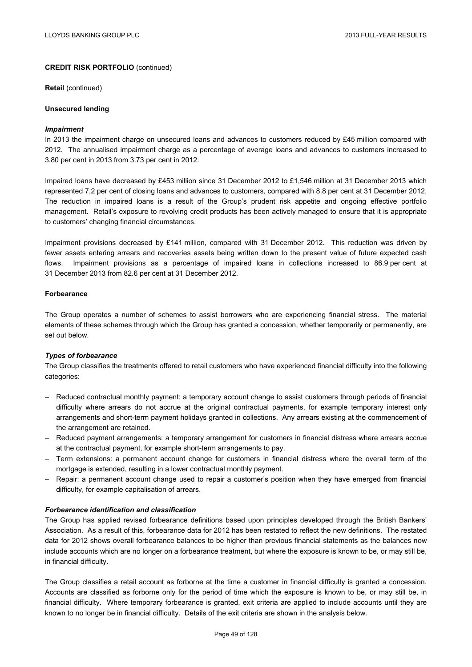**Retail** (continued)

#### **Unsecured lending**

#### *Impairment*

In 2013 the impairment charge on unsecured loans and advances to customers reduced by £45 million compared with 2012. The annualised impairment charge as a percentage of average loans and advances to customers increased to 3.80 per cent in 2013 from 3.73 per cent in 2012.

Impaired loans have decreased by £453 million since 31 December 2012 to £1,546 million at 31 December 2013 which represented 7.2 per cent of closing loans and advances to customers, compared with 8.8 per cent at 31 December 2012. The reduction in impaired loans is a result of the Group's prudent risk appetite and ongoing effective portfolio management. Retail's exposure to revolving credit products has been actively managed to ensure that it is appropriate to customers' changing financial circumstances.

Impairment provisions decreased by £141 million, compared with 31 December 2012. This reduction was driven by fewer assets entering arrears and recoveries assets being written down to the present value of future expected cash flows. Impairment provisions as a percentage of impaired loans in collections increased to 86.9 per cent at 31 December 2013 from 82.6 per cent at 31 December 2012.

#### **Forbearance**

The Group operates a number of schemes to assist borrowers who are experiencing financial stress. The material elements of these schemes through which the Group has granted a concession, whether temporarily or permanently, are set out below.

#### *Types of forbearance*

The Group classifies the treatments offered to retail customers who have experienced financial difficulty into the following categories:

- Reduced contractual monthly payment: a temporary account change to assist customers through periods of financial difficulty where arrears do not accrue at the original contractual payments, for example temporary interest only arrangements and short-term payment holidays granted in collections. Any arrears existing at the commencement of the arrangement are retained.
- Reduced payment arrangements: a temporary arrangement for customers in financial distress where arrears accrue at the contractual payment, for example short-term arrangements to pay.
- Term extensions: a permanent account change for customers in financial distress where the overall term of the mortgage is extended, resulting in a lower contractual monthly payment.
- Repair: a permanent account change used to repair a customer's position when they have emerged from financial difficulty, for example capitalisation of arrears.

#### *Forbearance identification and classification*

The Group has applied revised forbearance definitions based upon principles developed through the British Bankers' Association. As a result of this, forbearance data for 2012 has been restated to reflect the new definitions. The restated data for 2012 shows overall forbearance balances to be higher than previous financial statements as the balances now include accounts which are no longer on a forbearance treatment, but where the exposure is known to be, or may still be, in financial difficulty.

The Group classifies a retail account as forborne at the time a customer in financial difficulty is granted a concession. Accounts are classified as forborne only for the period of time which the exposure is known to be, or may still be, in financial difficulty. Where temporary forbearance is granted, exit criteria are applied to include accounts until they are known to no longer be in financial difficulty. Details of the exit criteria are shown in the analysis below.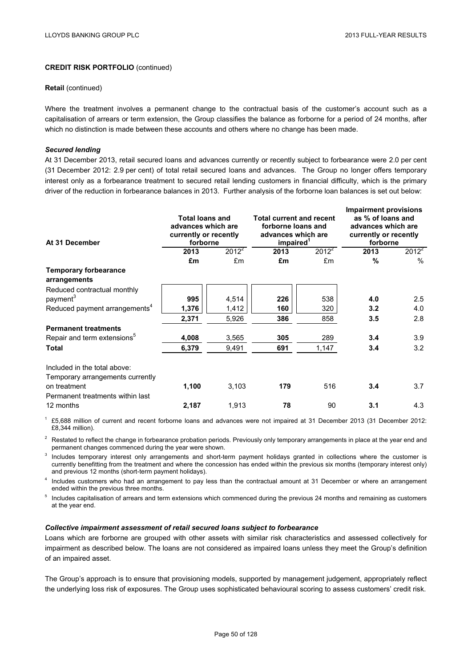#### **Retail** (continued)

Where the treatment involves a permanent change to the contractual basis of the customer's account such as a capitalisation of arrears or term extension, the Group classifies the balance as forborne for a period of 24 months, after which no distinction is made between these accounts and others where no change has been made.

### *Secured lending*

At 31 December 2013, retail secured loans and advances currently or recently subject to forbearance were 2.0 per cent (31 December 2012: 2.9 per cent) of total retail secured loans and advances. The Group no longer offers temporary interest only as a forbearance treatment to secured retail lending customers in financial difficulty, which is the primary driver of the reduction in forbearance balances in 2013. Further analysis of the forborne loan balances is set out below:

| At 31 December                                                   | <b>Total loans and</b><br>advances which are<br>currently or recently<br>forborne |          | <b>Total current and recent</b><br>forborne loans and<br>advances which are<br>impaired <sup>1</sup> |          | <b>Impairment provisions</b><br>as % of loans and<br>advances which are<br>currently or recently<br>forborne |          |
|------------------------------------------------------------------|-----------------------------------------------------------------------------------|----------|------------------------------------------------------------------------------------------------------|----------|--------------------------------------------------------------------------------------------------------------|----------|
|                                                                  | 2013                                                                              | $2012^2$ | 2013                                                                                                 | $2012^2$ | 2013                                                                                                         | $2012^2$ |
|                                                                  | £m                                                                                | £m       | £m                                                                                                   | £m       | %                                                                                                            | $\%$     |
| <b>Temporary forbearance</b>                                     |                                                                                   |          |                                                                                                      |          |                                                                                                              |          |
| arrangements                                                     |                                                                                   |          |                                                                                                      |          |                                                                                                              |          |
| Reduced contractual monthly                                      |                                                                                   |          |                                                                                                      |          |                                                                                                              |          |
| payment <sup>3</sup>                                             | 995                                                                               | 4,514    | 226                                                                                                  | 538      | 4.0                                                                                                          | 2.5      |
| Reduced payment arrangements <sup>4</sup>                        | 1,376                                                                             | 1,412    | 160                                                                                                  | 320      | 3.2                                                                                                          | 4.0      |
|                                                                  | 2,371                                                                             | 5,926    | 386                                                                                                  | 858      | 3.5                                                                                                          | 2.8      |
| <b>Permanent treatments</b>                                      |                                                                                   |          |                                                                                                      |          |                                                                                                              |          |
| Repair and term extensions <sup>5</sup>                          | 4,008                                                                             | 3,565    | 305                                                                                                  | 289      | 3.4                                                                                                          | 3.9      |
| Total                                                            | 6,379                                                                             | 9,491    | 691                                                                                                  | 1,147    | 3.4                                                                                                          | 3.2      |
| Included in the total above:<br>Temporary arrangements currently |                                                                                   |          |                                                                                                      |          |                                                                                                              |          |
| on treatment<br>Permanent treatments within last                 | 1,100                                                                             | 3,103    | 179                                                                                                  | 516      | 3.4                                                                                                          | 3.7      |
| 12 months                                                        | 2,187                                                                             | 1,913    | 78                                                                                                   | 90       | 3.1                                                                                                          | 4.3      |

1 £5,688 million of current and recent forborne loans and advances were not impaired at 31 December 2013 (31 December 2012: £8,344 million).

<sup>2</sup> Restated to reflect the change in forbearance probation periods. Previously only temporary arrangements in place at the year end and permanent changes commenced during the year were shown.

<sup>3</sup> Includes temporary interest only arrangements and short-term payment holidays granted in collections where the customer is currently benefitting from the treatment and where the concession has ended within the previous six months (temporary interest only) and previous 12 months (short-term payment holidays).

<sup>4</sup> Includes customers who had an arrangement to pay less than the contractual amount at 31 December or where an arrangement ended within the previous three months.

<sup>5</sup> Includes capitalisation of arrears and term extensions which commenced during the previous 24 months and remaining as customers at the year end.

### *Collective impairment assessment of retail secured loans subject to forbearance*

Loans which are forborne are grouped with other assets with similar risk characteristics and assessed collectively for impairment as described below. The loans are not considered as impaired loans unless they meet the Group's definition of an impaired asset.

The Group's approach is to ensure that provisioning models, supported by management judgement, appropriately reflect the underlying loss risk of exposures. The Group uses sophisticated behavioural scoring to assess customers' credit risk.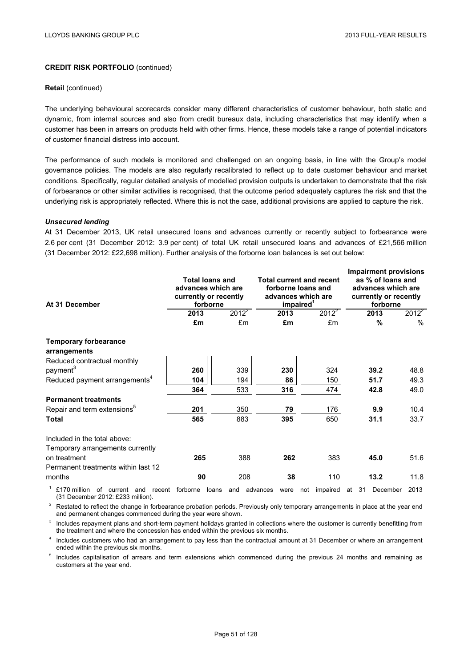#### **Retail** (continued)

The underlying behavioural scorecards consider many different characteristics of customer behaviour, both static and dynamic, from internal sources and also from credit bureaux data, including characteristics that may identify when a customer has been in arrears on products held with other firms. Hence, these models take a range of potential indicators of customer financial distress into account.

The performance of such models is monitored and challenged on an ongoing basis, in line with the Group's model governance policies. The models are also regularly recalibrated to reflect up to date customer behaviour and market conditions. Specifically, regular detailed analysis of modelled provision outputs is undertaken to demonstrate that the risk of forbearance or other similar activities is recognised, that the outcome period adequately captures the risk and that the underlying risk is appropriately reflected. Where this is not the case, additional provisions are applied to capture the risk.

#### *Unsecured lending*

At 31 December 2013, UK retail unsecured loans and advances currently or recently subject to forbearance were 2.6 per cent (31 December 2012: 3.9 per cent) of total UK retail unsecured loans and advances of £21,566 million (31 December 2012: £22,698 million). Further analysis of the forborne loan balances is set out below:

| At 31 December                                                                      | <b>Total loans and</b><br>advances which are<br>currently or recently<br>forborne |              |                  | <b>Total current and recent</b><br>forborne loans and<br>advances which are<br>impaired <sup>1</sup> |          | <b>Impairment provisions</b><br>as % of loans and<br>advances which are<br>currently or recently<br>forborne |               |
|-------------------------------------------------------------------------------------|-----------------------------------------------------------------------------------|--------------|------------------|------------------------------------------------------------------------------------------------------|----------|--------------------------------------------------------------------------------------------------------------|---------------|
|                                                                                     | 2013                                                                              | $2012^2$     | 2013             | $2012^2$                                                                                             |          | 2013                                                                                                         | $2012^{2}$    |
|                                                                                     | £m                                                                                | £m           | £m               | £m                                                                                                   |          | %                                                                                                            | $\frac{0}{0}$ |
| <b>Temporary forbearance</b><br>arrangements                                        |                                                                                   |              |                  |                                                                                                      |          |                                                                                                              |               |
| Reduced contractual monthly                                                         |                                                                                   |              |                  |                                                                                                      |          |                                                                                                              |               |
| payment <sup>3</sup>                                                                | 260                                                                               | 339          | 230              | 324                                                                                                  |          | 39.2                                                                                                         | 48.8          |
| Reduced payment arrangements <sup>4</sup>                                           | 104                                                                               | 194          | 86               | 150                                                                                                  |          | 51.7                                                                                                         | 49.3          |
|                                                                                     | 364                                                                               | 533          | 316              | 474                                                                                                  |          | 42.8                                                                                                         | 49.0          |
| <b>Permanent treatments</b>                                                         |                                                                                   |              |                  |                                                                                                      |          |                                                                                                              |               |
| Repair and term extensions <sup>5</sup>                                             | 201                                                                               | 350          | 79               | 176                                                                                                  |          | 9.9                                                                                                          | 10.4          |
| <b>Total</b>                                                                        | 565                                                                               | 883          | 395              | 650                                                                                                  |          | 31.1                                                                                                         | 33.7          |
| Included in the total above:<br>Temporary arrangements currently                    |                                                                                   |              |                  |                                                                                                      |          |                                                                                                              |               |
| on treatment                                                                        | 265                                                                               | 388          | 262              | 383                                                                                                  |          | 45.0                                                                                                         | 51.6          |
| Permanent treatments within last 12                                                 |                                                                                   |              |                  |                                                                                                      |          |                                                                                                              |               |
| months                                                                              | 90                                                                                | 208          | 38               | 110                                                                                                  |          | 13.2                                                                                                         | 11.8          |
| £170 million<br>of<br>current<br>and<br>recent<br>(31 December 2012: £233 million). | forborne                                                                          | loans<br>and | advances<br>were | impaired<br>not                                                                                      | 31<br>at | December                                                                                                     | 2013          |

<sup>2</sup> Restated to reflect the change in forbearance probation periods. Previously only temporary arrangements in place at the year end and permanent changes commenced during the year were shown.

<sup>3</sup> Includes repayment plans and short-term payment holidays granted in collections where the customer is currently benefitting from the treatment and where the concession has ended within the previous six months.

<sup>4</sup> Includes customers who had an arrangement to pay less than the contractual amount at 31 December or where an arrangement ended within the previous six months.

<sup>5</sup> Includes capitalisation of arrears and term extensions which commenced during the previous 24 months and remaining as customers at the year end.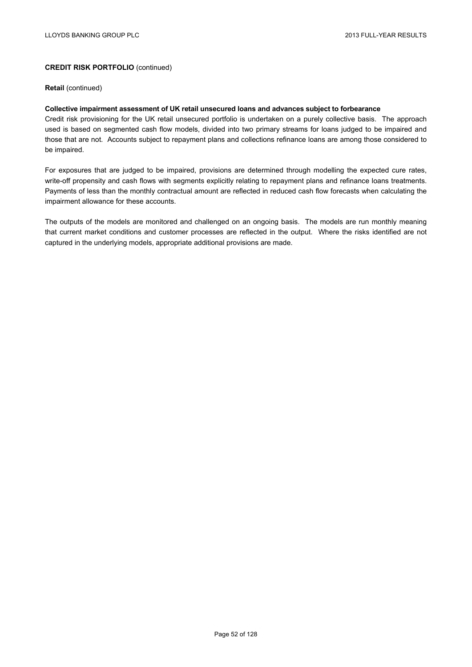**Retail** (continued)

# **Collective impairment assessment of UK retail unsecured loans and advances subject to forbearance**

Credit risk provisioning for the UK retail unsecured portfolio is undertaken on a purely collective basis. The approach used is based on segmented cash flow models, divided into two primary streams for loans judged to be impaired and those that are not. Accounts subject to repayment plans and collections refinance loans are among those considered to be impaired.

For exposures that are judged to be impaired, provisions are determined through modelling the expected cure rates, write-off propensity and cash flows with segments explicitly relating to repayment plans and refinance loans treatments. Payments of less than the monthly contractual amount are reflected in reduced cash flow forecasts when calculating the impairment allowance for these accounts.

The outputs of the models are monitored and challenged on an ongoing basis. The models are run monthly meaning that current market conditions and customer processes are reflected in the output. Where the risks identified are not captured in the underlying models, appropriate additional provisions are made.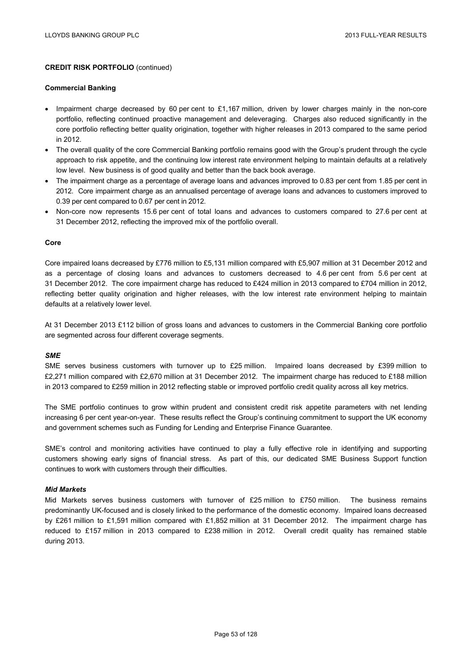#### **Commercial Banking**

- Impairment charge decreased by 60 per cent to £1,167 million, driven by lower charges mainly in the non-core portfolio, reflecting continued proactive management and deleveraging. Charges also reduced significantly in the core portfolio reflecting better quality origination, together with higher releases in 2013 compared to the same period in 2012.
- The overall quality of the core Commercial Banking portfolio remains good with the Group's prudent through the cycle approach to risk appetite, and the continuing low interest rate environment helping to maintain defaults at a relatively low level. New business is of good quality and better than the back book average.
- The impairment charge as a percentage of average loans and advances improved to 0.83 per cent from 1.85 per cent in 2012. Core impairment charge as an annualised percentage of average loans and advances to customers improved to 0.39 per cent compared to 0.67 per cent in 2012.
- Non-core now represents 15.6 per cent of total loans and advances to customers compared to 27.6 per cent at 31 December 2012, reflecting the improved mix of the portfolio overall.

### **Core**

Core impaired loans decreased by £776 million to £5,131 million compared with £5,907 million at 31 December 2012 and as a percentage of closing loans and advances to customers decreased to 4.6 per cent from 5.6 per cent at 31 December 2012. The core impairment charge has reduced to £424 million in 2013 compared to £704 million in 2012, reflecting better quality origination and higher releases, with the low interest rate environment helping to maintain defaults at a relatively lower level.

At 31 December 2013 £112 billion of gross loans and advances to customers in the Commercial Banking core portfolio are segmented across four different coverage segments.

### *SME*

SME serves business customers with turnover up to £25 million. Impaired loans decreased by £399 million to £2,271 million compared with £2,670 million at 31 December 2012. The impairment charge has reduced to £188 million in 2013 compared to £259 million in 2012 reflecting stable or improved portfolio credit quality across all key metrics.

The SME portfolio continues to grow within prudent and consistent credit risk appetite parameters with net lending increasing 6 per cent year-on-year. These results reflect the Group's continuing commitment to support the UK economy and government schemes such as Funding for Lending and Enterprise Finance Guarantee.

SME's control and monitoring activities have continued to play a fully effective role in identifying and supporting customers showing early signs of financial stress. As part of this, our dedicated SME Business Support function continues to work with customers through their difficulties.

## *Mid Markets*

Mid Markets serves business customers with turnover of £25 million to £750 million. The business remains predominantly UK-focused and is closely linked to the performance of the domestic economy. Impaired loans decreased by £261 million to £1,591 million compared with £1,852 million at 31 December 2012. The impairment charge has reduced to £157 million in 2013 compared to £238 million in 2012. Overall credit quality has remained stable during 2013.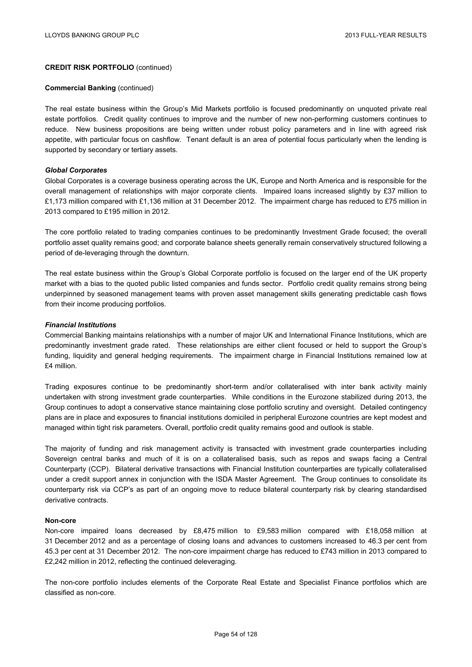#### **Commercial Banking** (continued)

The real estate business within the Group's Mid Markets portfolio is focused predominantly on unquoted private real estate portfolios. Credit quality continues to improve and the number of new non-performing customers continues to reduce. New business propositions are being written under robust policy parameters and in line with agreed risk appetite, with particular focus on cashflow. Tenant default is an area of potential focus particularly when the lending is supported by secondary or tertiary assets.

### *Global Corporates*

Global Corporates is a coverage business operating across the UK, Europe and North America and is responsible for the overall management of relationships with major corporate clients. Impaired loans increased slightly by £37 million to £1,173 million compared with £1,136 million at 31 December 2012. The impairment charge has reduced to £75 million in 2013 compared to £195 million in 2012.

The core portfolio related to trading companies continues to be predominantly Investment Grade focused; the overall portfolio asset quality remains good; and corporate balance sheets generally remain conservatively structured following a period of de-leveraging through the downturn.

The real estate business within the Group's Global Corporate portfolio is focused on the larger end of the UK property market with a bias to the quoted public listed companies and funds sector. Portfolio credit quality remains strong being underpinned by seasoned management teams with proven asset management skills generating predictable cash flows from their income producing portfolios.

### *Financial Institutions*

Commercial Banking maintains relationships with a number of major UK and International Finance Institutions, which are predominantly investment grade rated. These relationships are either client focused or held to support the Group's funding, liquidity and general hedging requirements. The impairment charge in Financial Institutions remained low at £4 million.

Trading exposures continue to be predominantly short-term and/or collateralised with inter bank activity mainly undertaken with strong investment grade counterparties. While conditions in the Eurozone stabilized during 2013, the Group continues to adopt a conservative stance maintaining close portfolio scrutiny and oversight. Detailed contingency plans are in place and exposures to financial institutions domiciled in peripheral Eurozone countries are kept modest and managed within tight risk parameters. Overall, portfolio credit quality remains good and outlook is stable.

The majority of funding and risk management activity is transacted with investment grade counterparties including Sovereign central banks and much of it is on a collateralised basis, such as repos and swaps facing a Central Counterparty (CCP). Bilateral derivative transactions with Financial Institution counterparties are typically collateralised under a credit support annex in conjunction with the ISDA Master Agreement. The Group continues to consolidate its counterparty risk via CCP's as part of an ongoing move to reduce bilateral counterparty risk by clearing standardised derivative contracts.

### **Non-core**

Non-core impaired loans decreased by £8,475 million to £9,583 million compared with £18,058 million at 31 December 2012 and as a percentage of closing loans and advances to customers increased to 46.3 per cent from 45.3 per cent at 31 December 2012. The non-core impairment charge has reduced to £743 million in 2013 compared to £2,242 million in 2012, reflecting the continued deleveraging.

The non-core portfolio includes elements of the Corporate Real Estate and Specialist Finance portfolios which are classified as non-core.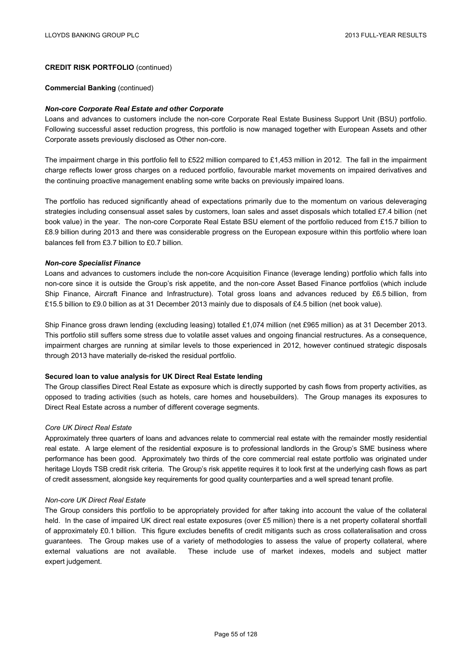#### **Commercial Banking** (continued)

#### *Non-core Corporate Real Estate and other Corporate*

Loans and advances to customers include the non-core Corporate Real Estate Business Support Unit (BSU) portfolio. Following successful asset reduction progress, this portfolio is now managed together with European Assets and other Corporate assets previously disclosed as Other non-core.

The impairment charge in this portfolio fell to £522 million compared to £1,453 million in 2012. The fall in the impairment charge reflects lower gross charges on a reduced portfolio, favourable market movements on impaired derivatives and the continuing proactive management enabling some write backs on previously impaired loans.

The portfolio has reduced significantly ahead of expectations primarily due to the momentum on various deleveraging strategies including consensual asset sales by customers, loan sales and asset disposals which totalled £7.4 billion (net book value) in the year. The non-core Corporate Real Estate BSU element of the portfolio reduced from £15.7 billion to £8.9 billion during 2013 and there was considerable progress on the European exposure within this portfolio where loan balances fell from £3.7 billion to £0.7 billion.

#### *Non-core Specialist Finance*

Loans and advances to customers include the non-core Acquisition Finance (leverage lending) portfolio which falls into non-core since it is outside the Group's risk appetite, and the non-core Asset Based Finance portfolios (which include Ship Finance, Aircraft Finance and Infrastructure). Total gross loans and advances reduced by £6.5 billion, from £15.5 billion to £9.0 billion as at 31 December 2013 mainly due to disposals of £4.5 billion (net book value).

Ship Finance gross drawn lending (excluding leasing) totalled £1,074 million (net £965 million) as at 31 December 2013. This portfolio still suffers some stress due to volatile asset values and ongoing financial restructures. As a consequence, impairment charges are running at similar levels to those experienced in 2012, however continued strategic disposals through 2013 have materially de-risked the residual portfolio.

#### **Secured loan to value analysis for UK Direct Real Estate lending**

The Group classifies Direct Real Estate as exposure which is directly supported by cash flows from property activities, as opposed to trading activities (such as hotels, care homes and housebuilders). The Group manages its exposures to Direct Real Estate across a number of different coverage segments.

### *Core UK Direct Real Estate*

Approximately three quarters of loans and advances relate to commercial real estate with the remainder mostly residential real estate. A large element of the residential exposure is to professional landlords in the Group's SME business where performance has been good. Approximately two thirds of the core commercial real estate portfolio was originated under heritage Lloyds TSB credit risk criteria. The Group's risk appetite requires it to look first at the underlying cash flows as part of credit assessment, alongside key requirements for good quality counterparties and a well spread tenant profile.

#### *Non-core UK Direct Real Estate*

The Group considers this portfolio to be appropriately provided for after taking into account the value of the collateral held. In the case of impaired UK direct real estate exposures (over £5 million) there is a net property collateral shortfall of approximately £0.1 billion. This figure excludes benefits of credit mitigants such as cross collateralisation and cross guarantees. The Group makes use of a variety of methodologies to assess the value of property collateral, where external valuations are not available. These include use of market indexes, models and subject matter expert judgement.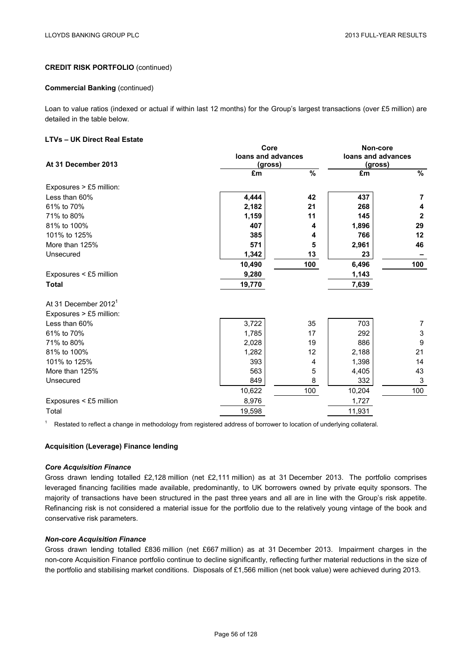#### **Commercial Banking (continued)**

Loan to value ratios (indexed or actual if within last 12 months) for the Group's largest transactions (over £5 million) are detailed in the table below.

## **LTVs – UK Direct Real Estate**

|                                  | Core               | Non-core                 |         |               |
|----------------------------------|--------------------|--------------------------|---------|---------------|
|                                  | loans and advances | loans and advances       |         |               |
| At 31 December 2013              | (gross)            |                          | (gross) |               |
|                                  | £m                 | $\overline{\frac{9}{6}}$ | £m      | $\frac{9}{6}$ |
| Exposures > £5 million:          |                    |                          |         |               |
| Less than 60%                    | 4,444              | 42                       | 437     | 7             |
| 61% to 70%                       | 2,182              | 21                       | 268     | 4             |
| 71% to 80%                       | 1,159              | 11                       | 145     | $\mathbf{2}$  |
| 81% to 100%                      | 407                | 4                        | 1,896   | 29            |
| 101% to 125%                     | 385                | 4                        | 766     | 12            |
| More than 125%                   | 571                | 5                        | 2,961   | 46            |
| Unsecured                        | 1,342              | 13                       | 23      |               |
|                                  | 10,490             | 100                      | 6,496   | 100           |
| Exposures < £5 million           | 9,280              |                          | 1,143   |               |
| <b>Total</b>                     | 19,770             |                          | 7,639   |               |
| At 31 December 2012 <sup>1</sup> |                    |                          |         |               |
| Exposures > £5 million:          |                    |                          |         |               |
| Less than 60%                    | 3,722              | 35                       | 703     | 7             |
| 61% to 70%                       | 1,785              | 17                       | 292     | 3             |
| 71% to 80%                       | 2,028              | 19                       | 886     | 9             |
| 81% to 100%                      | 1,282              | 12                       | 2,188   | 21            |
| 101% to 125%                     | 393                | 4                        | 1,398   | 14            |
| More than 125%                   | 563                | 5                        | 4,405   | 43            |
| Unsecured                        | 849                | 8                        | 332     | 3             |
|                                  | 10,622             | 100                      | 10,204  | 100           |
| Exposures < £5 million           | 8,976              |                          | 1,727   |               |
| Total                            | 19,598             |                          | 11,931  |               |

<sup>1</sup> Restated to reflect a change in methodology from registered address of borrower to location of underlying collateral.

### **Acquisition (Leverage) Finance lending**

#### *Core Acquisition Finance*

Gross drawn lending totalled £2,128 million (net £2,111 million) as at 31 December 2013. The portfolio comprises leveraged financing facilities made available, predominantly, to UK borrowers owned by private equity sponsors. The majority of transactions have been structured in the past three years and all are in line with the Group's risk appetite. Refinancing risk is not considered a material issue for the portfolio due to the relatively young vintage of the book and conservative risk parameters.

### *Non-core Acquisition Finance*

Gross drawn lending totalled £836 million (net £667 million) as at 31 December 2013. Impairment charges in the non-core Acquisition Finance portfolio continue to decline significantly, reflecting further material reductions in the size of the portfolio and stabilising market conditions. Disposals of £1,566 million (net book value) were achieved during 2013.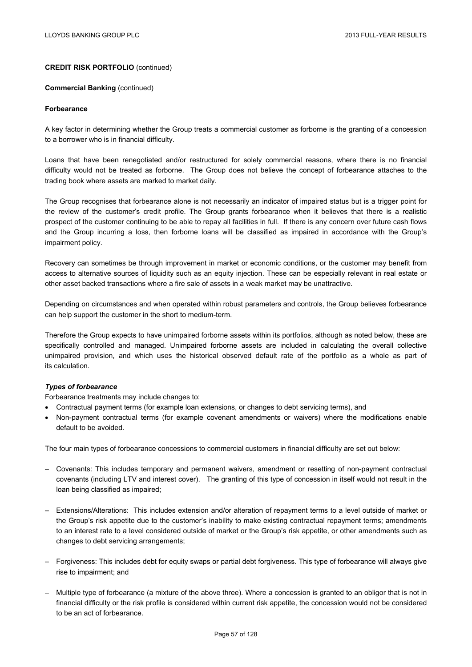#### **Commercial Banking (continued)**

#### **Forbearance**

A key factor in determining whether the Group treats a commercial customer as forborne is the granting of a concession to a borrower who is in financial difficulty.

Loans that have been renegotiated and/or restructured for solely commercial reasons, where there is no financial difficulty would not be treated as forborne. The Group does not believe the concept of forbearance attaches to the trading book where assets are marked to market daily.

The Group recognises that forbearance alone is not necessarily an indicator of impaired status but is a trigger point for the review of the customer's credit profile. The Group grants forbearance when it believes that there is a realistic prospect of the customer continuing to be able to repay all facilities in full. If there is any concern over future cash flows and the Group incurring a loss, then forborne loans will be classified as impaired in accordance with the Group's impairment policy.

Recovery can sometimes be through improvement in market or economic conditions, or the customer may benefit from access to alternative sources of liquidity such as an equity injection. These can be especially relevant in real estate or other asset backed transactions where a fire sale of assets in a weak market may be unattractive.

Depending on circumstances and when operated within robust parameters and controls, the Group believes forbearance can help support the customer in the short to medium-term.

Therefore the Group expects to have unimpaired forborne assets within its portfolios, although as noted below, these are specifically controlled and managed. Unimpaired forborne assets are included in calculating the overall collective unimpaired provision, and which uses the historical observed default rate of the portfolio as a whole as part of its calculation.

### *Types of forbearance*

Forbearance treatments may include changes to:

- Contractual payment terms (for example loan extensions, or changes to debt servicing terms), and
- Non-payment contractual terms (for example covenant amendments or waivers) where the modifications enable default to be avoided.

The four main types of forbearance concessions to commercial customers in financial difficulty are set out below:

- Covenants: This includes temporary and permanent waivers, amendment or resetting of non-payment contractual covenants (including LTV and interest cover). The granting of this type of concession in itself would not result in the loan being classified as impaired;
- Extensions/Alterations: This includes extension and/or alteration of repayment terms to a level outside of market or the Group's risk appetite due to the customer's inability to make existing contractual repayment terms; amendments to an interest rate to a level considered outside of market or the Group's risk appetite, or other amendments such as changes to debt servicing arrangements;
- Forgiveness: This includes debt for equity swaps or partial debt forgiveness. This type of forbearance will always give rise to impairment; and
- Multiple type of forbearance (a mixture of the above three). Where a concession is granted to an obligor that is not in financial difficulty or the risk profile is considered within current risk appetite, the concession would not be considered to be an act of forbearance.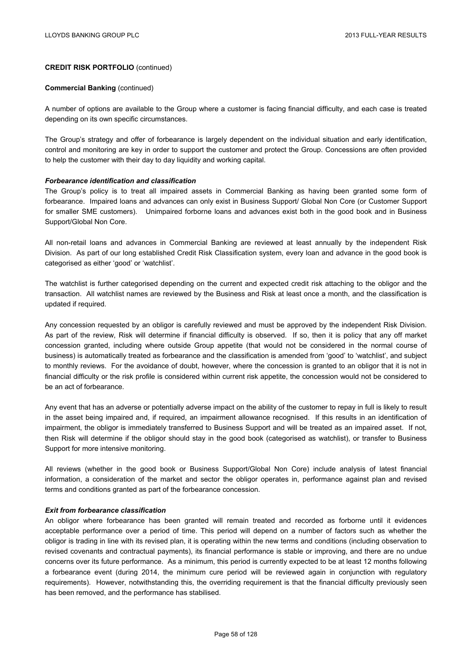#### **Commercial Banking** (continued)

A number of options are available to the Group where a customer is facing financial difficulty, and each case is treated depending on its own specific circumstances.

The Group's strategy and offer of forbearance is largely dependent on the individual situation and early identification, control and monitoring are key in order to support the customer and protect the Group. Concessions are often provided to help the customer with their day to day liquidity and working capital.

#### *Forbearance identification and classification*

The Group's policy is to treat all impaired assets in Commercial Banking as having been granted some form of forbearance. Impaired loans and advances can only exist in Business Support/ Global Non Core (or Customer Support for smaller SME customers). Unimpaired forborne loans and advances exist both in the good book and in Business Support/Global Non Core.

All non-retail loans and advances in Commercial Banking are reviewed at least annually by the independent Risk Division. As part of our long established Credit Risk Classification system, every loan and advance in the good book is categorised as either 'good' or 'watchlist'.

The watchlist is further categorised depending on the current and expected credit risk attaching to the obligor and the transaction. All watchlist names are reviewed by the Business and Risk at least once a month, and the classification is updated if required.

Any concession requested by an obligor is carefully reviewed and must be approved by the independent Risk Division. As part of the review, Risk will determine if financial difficulty is observed. If so, then it is policy that any off market concession granted, including where outside Group appetite (that would not be considered in the normal course of business) is automatically treated as forbearance and the classification is amended from 'good' to 'watchlist', and subject to monthly reviews. For the avoidance of doubt, however, where the concession is granted to an obligor that it is not in financial difficulty or the risk profile is considered within current risk appetite, the concession would not be considered to be an act of forbearance.

Any event that has an adverse or potentially adverse impact on the ability of the customer to repay in full is likely to result in the asset being impaired and, if required, an impairment allowance recognised. If this results in an identification of impairment, the obligor is immediately transferred to Business Support and will be treated as an impaired asset. If not, then Risk will determine if the obligor should stay in the good book (categorised as watchlist), or transfer to Business Support for more intensive monitoring.

All reviews (whether in the good book or Business Support/Global Non Core) include analysis of latest financial information, a consideration of the market and sector the obligor operates in, performance against plan and revised terms and conditions granted as part of the forbearance concession.

### *Exit from forbearance classification*

An obligor where forbearance has been granted will remain treated and recorded as forborne until it evidences acceptable performance over a period of time. This period will depend on a number of factors such as whether the obligor is trading in line with its revised plan, it is operating within the new terms and conditions (including observation to revised covenants and contractual payments), its financial performance is stable or improving, and there are no undue concerns over its future performance. As a minimum, this period is currently expected to be at least 12 months following a forbearance event (during 2014, the minimum cure period will be reviewed again in conjunction with regulatory requirements). However, notwithstanding this, the overriding requirement is that the financial difficulty previously seen has been removed, and the performance has stabilised.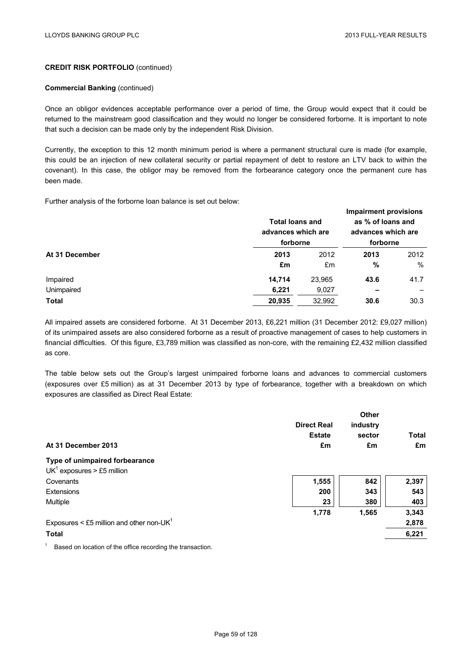#### **Commercial Banking (continued)**

Once an obligor evidences acceptable performance over a period of time, the Group would expect that it could be returned to the mainstream good classification and they would no longer be considered forborne. It is important to note that such a decision can be made only by the independent Risk Division.

Currently, the exception to this 12 month minimum period is where a permanent structural cure is made (for example, this could be an injection of new collateral security or partial repayment of debt to restore an LTV back to within the covenant). In this case, the obligor may be removed from the forbearance category once the permanent cure has been made.

Further analysis of the forborne loan balance is set out below:

| At 31 December |        | <b>Total loans and</b><br>advances which are<br>forborne |      |      |
|----------------|--------|----------------------------------------------------------|------|------|
|                | 2013   | 2012                                                     | 2013 | 2012 |
|                | £m     | £m                                                       | %    | $\%$ |
| Impaired       | 14.714 | 23,965                                                   | 43.6 | 41.7 |
| Unimpaired     | 6,221  | 9,027                                                    |      |      |
| <b>Total</b>   | 20,935 | 32.992                                                   | 30.6 | 30.3 |

All impaired assets are considered forborne. At 31 December 2013, £6,221 million (31 December 2012: £9,027 million) of its unimpaired assets are also considered forborne as a result of proactive management of cases to help customers in financial difficulties. Of this figure, £3,789 million was classified as non-core, with the remaining £2,432 million classified as core.

The table below sets out the Group's largest unimpaired forborne loans and advances to commercial customers (exposures over £5 million) as at 31 December 2013 by type of forbearance, together with a breakdown on which exposures are classified as Direct Real Estate:

| At 31 December 2013                                            | <b>Direct Real</b><br><b>Estate</b><br>£m | <b>Other</b><br>industry<br>sector<br>£m | <b>Total</b><br>£m |
|----------------------------------------------------------------|-------------------------------------------|------------------------------------------|--------------------|
| Type of unimpaired forbearance<br>$UK1$ exposures > £5 million |                                           |                                          |                    |
| Covenants                                                      | 1,555                                     | 842                                      | 2,397              |
| Extensions                                                     | 200                                       | 343                                      | 543                |
| Multiple                                                       | 23                                        | 380                                      | 403                |
|                                                                | 1,778                                     | 1,565                                    | 3,343              |
| Exposures < £5 million and other non-UK $1$                    |                                           |                                          | 2,878              |
| <b>Total</b>                                                   |                                           |                                          | 6,221              |

 $1$  Based on location of the office recording the transaction.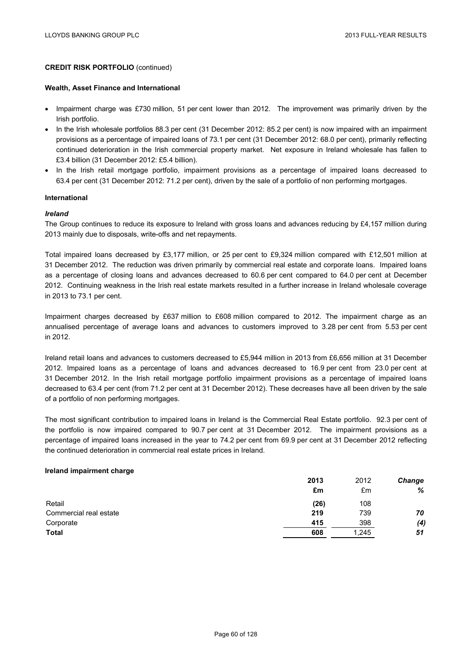#### **Wealth, Asset Finance and International**

- Impairment charge was £730 million, 51 per cent lower than 2012. The improvement was primarily driven by the Irish portfolio.
- In the Irish wholesale portfolios 88.3 per cent (31 December 2012: 85.2 per cent) is now impaired with an impairment provisions as a percentage of impaired loans of 73.1 per cent (31 December 2012: 68.0 per cent), primarily reflecting continued deterioration in the Irish commercial property market. Net exposure in Ireland wholesale has fallen to £3.4 billion (31 December 2012: £5.4 billion).
- In the Irish retail mortgage portfolio, impairment provisions as a percentage of impaired loans decreased to 63.4 per cent (31 December 2012: 71.2 per cent), driven by the sale of a portfolio of non performing mortgages.

#### **International**

#### *Ireland*

The Group continues to reduce its exposure to Ireland with gross loans and advances reducing by £4,157 million during 2013 mainly due to disposals, write-offs and net repayments.

Total impaired loans decreased by £3,177 million, or 25 per cent to £9,324 million compared with £12,501 million at 31 December 2012. The reduction was driven primarily by commercial real estate and corporate loans. Impaired loans as a percentage of closing loans and advances decreased to 60.6 per cent compared to 64.0 per cent at December 2012. Continuing weakness in the Irish real estate markets resulted in a further increase in Ireland wholesale coverage in 2013 to 73.1 per cent.

Impairment charges decreased by £637 million to £608 million compared to 2012. The impairment charge as an annualised percentage of average loans and advances to customers improved to 3.28 per cent from 5.53 per cent in 2012.

Ireland retail loans and advances to customers decreased to £5,944 million in 2013 from £6,656 million at 31 December 2012. Impaired loans as a percentage of loans and advances decreased to 16.9 per cent from 23.0 per cent at 31 December 2012. In the Irish retail mortgage portfolio impairment provisions as a percentage of impaired loans decreased to 63.4 per cent (from 71.2 per cent at 31 December 2012). These decreases have all been driven by the sale of a portfolio of non performing mortgages.

The most significant contribution to impaired loans in Ireland is the Commercial Real Estate portfolio. 92.3 per cent of the portfolio is now impaired compared to 90.7 per cent at 31 December 2012. The impairment provisions as a percentage of impaired loans increased in the year to 74.2 per cent from 69.9 per cent at 31 December 2012 reflecting the continued deterioration in commercial real estate prices in Ireland.

#### **Ireland impairment charge**

|                        | 2013 | 2012  | Change |
|------------------------|------|-------|--------|
|                        | £m   | £m    | %      |
| Retail                 | (26) | 108   |        |
| Commercial real estate | 219  | 739   | 70     |
| Corporate              | 415  | 398   | (4)    |
| <b>Total</b>           | 608  | 1,245 | 51     |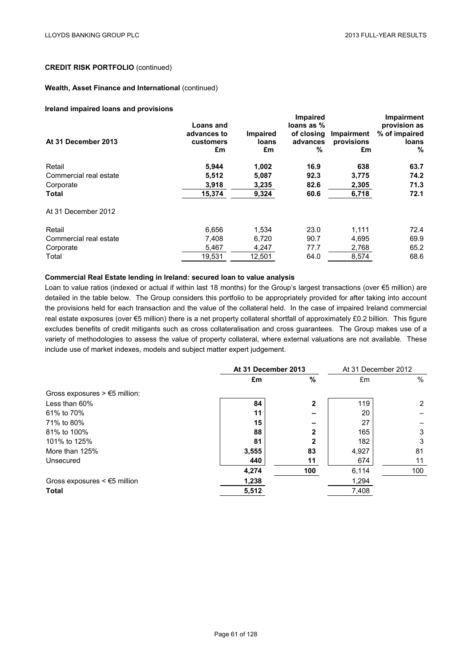### **Wealth, Asset Finance and International** (continued)

#### **Ireland impaired loans and provisions**

|                        |                  |                 | <b>Impaired</b> |            | <b>Impairment</b> |  |
|------------------------|------------------|-----------------|-----------------|------------|-------------------|--|
|                        | <b>Loans and</b> |                 | loans as %      |            | provision as      |  |
|                        | advances to      | <b>Impaired</b> | of closing      | Impairment | % of impaired     |  |
| At 31 December 2013    | customers        | loans           | advances        | provisions | loans             |  |
|                        | £m               | £m              | %               | £m         | $\frac{0}{0}$     |  |
| Retail                 | 5,944            | 1,002           | 16.9            | 638        | 63.7              |  |
| Commercial real estate | 5,512            | 5,087           | 92.3            | 3,775      | 74.2              |  |
| Corporate              | 3,918            | 3,235           | 82.6            | 2,305      | 71.3              |  |
| <b>Total</b>           | 15,374           | 9,324           | 60.6            | 6,718      | 72.1              |  |
| At 31 December 2012    |                  |                 |                 |            |                   |  |
| Retail                 | 6,656            | 1,534           | 23.0            | 1,111      | 72.4              |  |
| Commercial real estate | 7,408            | 6.720           | 90.7            | 4,695      | 69.9              |  |
| Corporate              | 5,467            | 4,247           | 77.7            | 2,768      | 65.2              |  |
| Total                  | 19,531           | 12,501          | 64.0            | 8,574      | 68.6              |  |

#### **Commercial Real Estate lending in Ireland: secured loan to value analysis**

Loan to value ratios (indexed or actual if within last 18 months) for the Group's largest transactions (over €5 million) are detailed in the table below. The Group considers this portfolio to be appropriately provided for after taking into account the provisions held for each transaction and the value of the collateral held. In the case of impaired Ireland commercial real estate exposures (over €5 million) there is a net property collateral shortfall of approximately £0.2 billion. This figure excludes benefits of credit mitigants such as cross collateralisation and cross guarantees. The Group makes use of a variety of methodologies to assess the value of property collateral, where external valuations are not available. These include use of market indexes, models and subject matter expert judgement.

|                                                        | At 31 December 2013 |              | At 31 December 2012 |                      |
|--------------------------------------------------------|---------------------|--------------|---------------------|----------------------|
|                                                        | £m                  | %            | £m                  | $\%$                 |
| Gross exposures $> \text{\ensuremath{\in}} 5$ million: |                     |              |                     |                      |
| Less than 60%                                          | 84                  | $\mathbf{2}$ | 119                 | $\mathbf{2}^{\circ}$ |
| 61% to 70%                                             | 11                  |              | 20                  |                      |
| 71% to 80%                                             | 15                  |              | 27                  |                      |
| 81% to 100%                                            | 88                  | 2            | 165                 | 3                    |
| 101% to 125%                                           | 81                  | $\mathbf{2}$ | 182                 | 3                    |
| More than 125%                                         | 3,555               | 83           | 4,927               | 81                   |
| Unsecured                                              | 440                 | 11           | 674                 | 11                   |
|                                                        | 4,274               | 100          | 6,114               | 100                  |
| Gross exposures $\leq$ 5 million                       | 1,238               |              | 1,294               |                      |
| <b>Total</b>                                           | 5,512               |              | 7,408               |                      |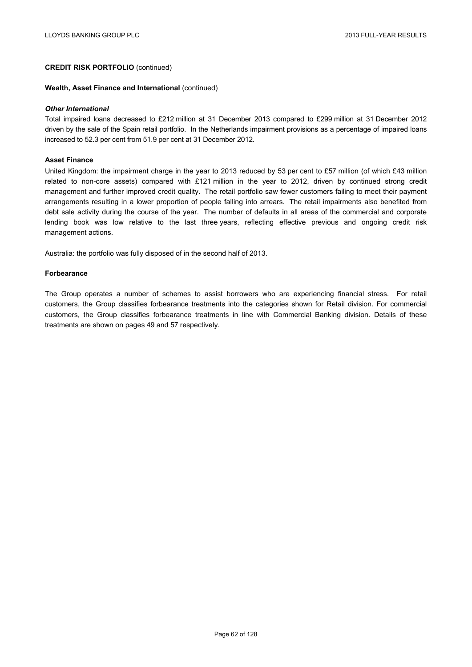#### **Wealth, Asset Finance and International** (continued)

#### *Other International*

Total impaired loans decreased to £212 million at 31 December 2013 compared to £299 million at 31 December 2012 driven by the sale of the Spain retail portfolio. In the Netherlands impairment provisions as a percentage of impaired loans increased to 52.3 per cent from 51.9 per cent at 31 December 2012.

### **Asset Finance**

United Kingdom: the impairment charge in the year to 2013 reduced by 53 per cent to £57 million (of which £43 million related to non-core assets) compared with £121 million in the year to 2012, driven by continued strong credit management and further improved credit quality. The retail portfolio saw fewer customers failing to meet their payment arrangements resulting in a lower proportion of people falling into arrears. The retail impairments also benefited from debt sale activity during the course of the year. The number of defaults in all areas of the commercial and corporate lending book was low relative to the last three years, reflecting effective previous and ongoing credit risk management actions.

Australia: the portfolio was fully disposed of in the second half of 2013.

### **Forbearance**

The Group operates a number of schemes to assist borrowers who are experiencing financial stress. For retail customers, the Group classifies forbearance treatments into the categories shown for Retail division. For commercial customers, the Group classifies forbearance treatments in line with Commercial Banking division. Details of these treatments are shown on pages 49 and 57 respectively.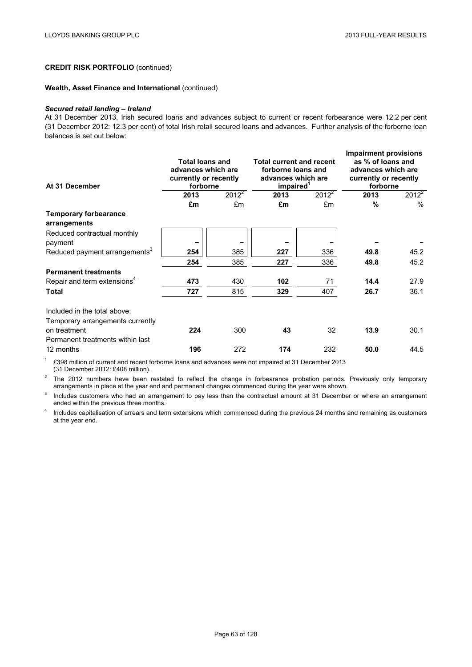### **Wealth, Asset Finance and International** (continued)

#### *Secured retail lending – Ireland*

At 31 December 2013, Irish secured loans and advances subject to current or recent forbearance were 12.2 per cent (31 December 2012: 12.3 per cent) of total Irish retail secured loans and advances. Further analysis of the forborne loan balances is set out below:

| At 31 December                                                   | <b>Total loans and</b><br>advances which are<br>currently or recently<br>forborne |          | <b>Total current and recent</b><br>forborne loans and<br>advances which are<br>impaired <sup>1</sup> |          | <b>Impairment provisions</b><br>as % of loans and<br>advances which are<br>currently or recently<br>forborne |               |
|------------------------------------------------------------------|-----------------------------------------------------------------------------------|----------|------------------------------------------------------------------------------------------------------|----------|--------------------------------------------------------------------------------------------------------------|---------------|
|                                                                  | 2013                                                                              | $2012^2$ | 2013                                                                                                 | $2012^2$ | 2013                                                                                                         | $2012^2$      |
|                                                                  | £m                                                                                | £m       | £m                                                                                                   | £m       | %                                                                                                            | $\frac{0}{0}$ |
| <b>Temporary forbearance</b><br>arrangements                     |                                                                                   |          |                                                                                                      |          |                                                                                                              |               |
| Reduced contractual monthly<br>payment                           |                                                                                   |          |                                                                                                      |          |                                                                                                              |               |
| Reduced payment arrangements <sup>3</sup>                        | 254                                                                               | 385      | 227                                                                                                  | 336      | 49.8                                                                                                         | 45.2          |
|                                                                  | 254                                                                               | 385      | 227                                                                                                  | 336      | 49.8                                                                                                         | 45.2          |
| <b>Permanent treatments</b>                                      |                                                                                   |          |                                                                                                      |          |                                                                                                              |               |
| Repair and term extensions <sup>4</sup>                          | 473                                                                               | 430      | 102                                                                                                  | 71       | 14.4                                                                                                         | 27.9          |
| Total                                                            | 727                                                                               | 815      | 329                                                                                                  | 407      | 26.7                                                                                                         | 36.1          |
| Included in the total above:<br>Temporary arrangements currently |                                                                                   |          |                                                                                                      |          |                                                                                                              |               |
| on treatment<br>Permanent treatments within last                 | 224                                                                               | 300      | 43                                                                                                   | 32       | 13.9                                                                                                         | 30.1          |
| 12 months                                                        | 196                                                                               | 272      | 174                                                                                                  | 232      | 50.0                                                                                                         | 44.5          |

<sup>1</sup> £398 million of current and recent forborne loans and advances were not impaired at 31 December 2013 (31 December 2012: £408 million).

 $2$  The 2012 numbers have been restated to reflect the change in forbearance probation periods. Previously only temporary arrangements in place at the year end and permanent changes commenced during the year were shown.

<sup>3</sup> Includes customers who had an arrangement to pay less than the contractual amount at 31 December or where an arrangement ended within the previous three months.

<sup>4</sup> Includes capitalisation of arrears and term extensions which commenced during the previous 24 months and remaining as customers at the year end.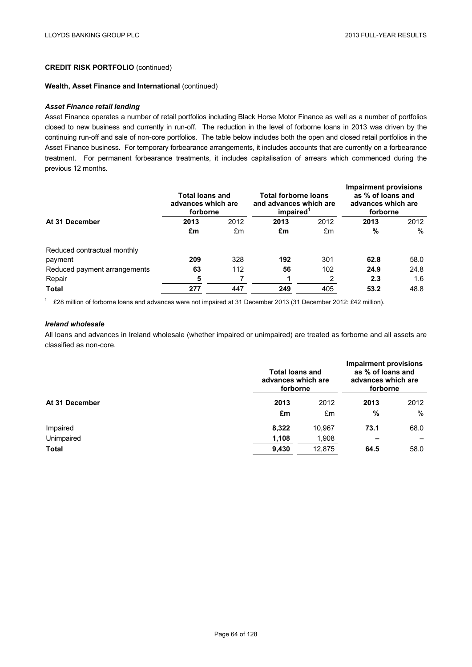#### **Wealth, Asset Finance and International** (continued)

### *Asset Finance retail lending*

Asset Finance operates a number of retail portfolios including Black Horse Motor Finance as well as a number of portfolios closed to new business and currently in run-off. The reduction in the level of forborne loans in 2013 was driven by the continuing run-off and sale of non-core portfolios. The table below includes both the open and closed retail portfolios in the Asset Finance business. For temporary forbearance arrangements, it includes accounts that are currently on a forbearance treatment. For permanent forbearance treatments, it includes capitalisation of arrears which commenced during the previous 12 months.

|                              | <b>Total loans and</b><br>advances which are<br>forborne |      | Total forborne loans<br>and advances which are<br>impaired <sup>1</sup> |      | <b>Impairment provisions</b><br>as % of loans and<br>advances which are<br>forborne |      |
|------------------------------|----------------------------------------------------------|------|-------------------------------------------------------------------------|------|-------------------------------------------------------------------------------------|------|
| At 31 December               | 2013                                                     | 2012 | 2013                                                                    | 2012 | 2013                                                                                | 2012 |
|                              | £m                                                       | £m   | £m                                                                      | £m   | %                                                                                   | $\%$ |
| Reduced contractual monthly  |                                                          |      |                                                                         |      |                                                                                     |      |
| payment                      | 209                                                      | 328  | 192                                                                     | 301  | 62.8                                                                                | 58.0 |
| Reduced payment arrangements | 63                                                       | 112  | 56                                                                      | 102  | 24.9                                                                                | 24.8 |
| Repair                       | 5                                                        |      |                                                                         | 2    | 2.3                                                                                 | 1.6  |
| <b>Total</b>                 | 277                                                      | 447  | 249                                                                     | 405  | 53.2                                                                                | 48.8 |

<sup>1</sup> £28 million of forborne loans and advances were not impaired at 31 December 2013 (31 December 2012: £42 million).

# *Ireland wholesale*

All loans and advances in Ireland wholesale (whether impaired or unimpaired) are treated as forborne and all assets are classified as non-core.

|                | <b>Total loans and</b><br>advances which are<br>forborne | <b>Impairment provisions</b><br>as % of loans and<br>advances which are<br>forborne |      |      |
|----------------|----------------------------------------------------------|-------------------------------------------------------------------------------------|------|------|
| At 31 December | 2013                                                     |                                                                                     | 2013 | 2012 |
|                | £m                                                       | £m                                                                                  | $\%$ | $\%$ |
| Impaired       | 8,322                                                    | 10,967                                                                              | 73.1 | 68.0 |
| Unimpaired     | 1,108                                                    | 1,908                                                                               |      |      |
| <b>Total</b>   | 9,430                                                    | 12,875                                                                              | 64.5 | 58.0 |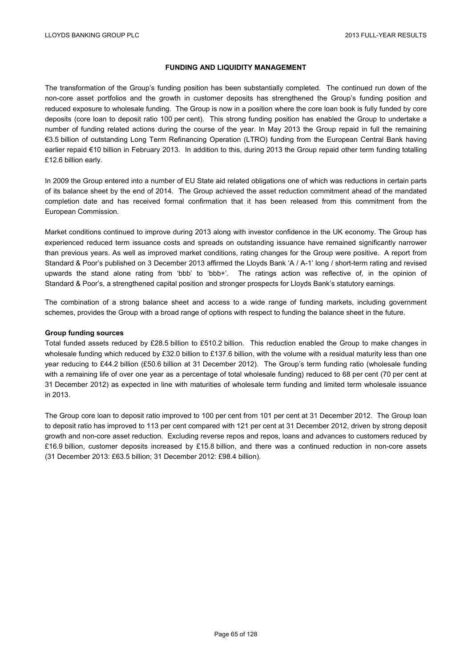# **FUNDING AND LIQUIDITY MANAGEMENT**

The transformation of the Group's funding position has been substantially completed. The continued run down of the non-core asset portfolios and the growth in customer deposits has strengthened the Group's funding position and reduced exposure to wholesale funding. The Group is now in a position where the core loan book is fully funded by core deposits (core loan to deposit ratio 100 per cent). This strong funding position has enabled the Group to undertake a number of funding related actions during the course of the year. In May 2013 the Group repaid in full the remaining €3.5 billion of outstanding Long Term Refinancing Operation (LTRO) funding from the European Central Bank having earlier repaid €10 billion in February 2013. In addition to this, during 2013 the Group repaid other term funding totalling £12.6 billion early.

In 2009 the Group entered into a number of EU State aid related obligations one of which was reductions in certain parts of its balance sheet by the end of 2014. The Group achieved the asset reduction commitment ahead of the mandated completion date and has received formal confirmation that it has been released from this commitment from the European Commission.

Market conditions continued to improve during 2013 along with investor confidence in the UK economy. The Group has experienced reduced term issuance costs and spreads on outstanding issuance have remained significantly narrower than previous years. As well as improved market conditions, rating changes for the Group were positive. A report from Standard & Poor's published on 3 December 2013 affirmed the Lloyds Bank 'A / A-1' long / short-term rating and revised upwards the stand alone rating from 'bbb' to 'bbb+'. The ratings action was reflective of, in the opinion of Standard & Poor's, a strengthened capital position and stronger prospects for Lloyds Bank's statutory earnings.

The combination of a strong balance sheet and access to a wide range of funding markets, including government schemes, provides the Group with a broad range of options with respect to funding the balance sheet in the future.

#### **Group funding sources**

Total funded assets reduced by £28.5 billion to £510.2 billion. This reduction enabled the Group to make changes in wholesale funding which reduced by £32.0 billion to £137.6 billion, with the volume with a residual maturity less than one year reducing to £44.2 billion (£50.6 billion at 31 December 2012). The Group's term funding ratio (wholesale funding with a remaining life of over one year as a percentage of total wholesale funding) reduced to 68 per cent (70 per cent at 31 December 2012) as expected in line with maturities of wholesale term funding and limited term wholesale issuance in 2013.

The Group core loan to deposit ratio improved to 100 per cent from 101 per cent at 31 December 2012. The Group loan to deposit ratio has improved to 113 per cent compared with 121 per cent at 31 December 2012, driven by strong deposit growth and non-core asset reduction. Excluding reverse repos and repos, loans and advances to customers reduced by £16.9 billion, customer deposits increased by £15.8 billion, and there was a continued reduction in non-core assets (31 December 2013: £63.5 billion; 31 December 2012: £98.4 billion).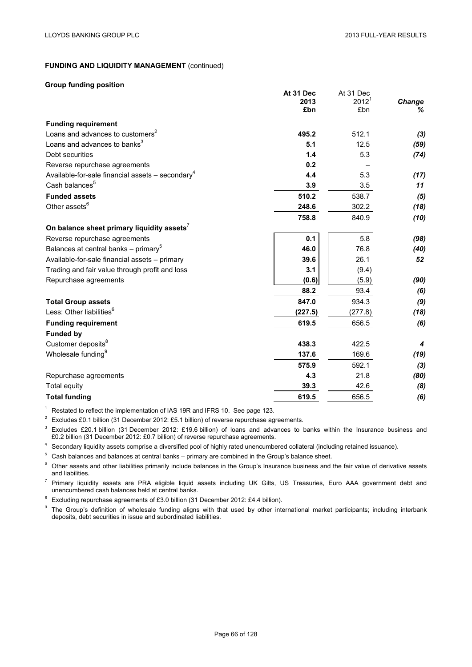### **Group funding position**

|                                                                | At 31 Dec<br>2013<br>£bn | At 31 Dec<br>$2012^1$<br>£bn | Change<br>% |
|----------------------------------------------------------------|--------------------------|------------------------------|-------------|
| <b>Funding requirement</b>                                     |                          |                              |             |
| Loans and advances to customers <sup>2</sup>                   | 495.2                    | 512.1                        | (3)         |
| Loans and advances to banks <sup>3</sup>                       | 5.1                      | 12.5                         | (59)        |
| Debt securities                                                | 1.4                      | 5.3                          | (74)        |
| Reverse repurchase agreements                                  | 0.2                      |                              |             |
| Available-for-sale financial assets $-$ secondary <sup>4</sup> | 4.4                      | 5.3                          | (17)        |
| Cash balances <sup>5</sup>                                     | 3.9                      | 3.5                          | 11          |
| <b>Funded assets</b>                                           | 510.2                    | 538.7                        | (5)         |
| Other assets <sup>6</sup>                                      | 248.6                    | 302.2                        | (18)        |
|                                                                | 758.8                    | 840.9                        | (10)        |
| On balance sheet primary liquidity assets <sup>7</sup>         |                          |                              |             |
| Reverse repurchase agreements                                  | 0.1                      | 5.8                          | (98)        |
| Balances at central banks - primary <sup>5</sup>               | 46.0                     | 76.8                         | (40)        |
| Available-for-sale financial assets - primary                  | 39.6                     | 26.1                         | 52          |
| Trading and fair value through profit and loss                 | 3.1                      | (9.4)                        |             |
| Repurchase agreements                                          | (0.6)                    | (5.9)                        | (90)        |
|                                                                | 88.2                     | 93.4                         | (6)         |
| <b>Total Group assets</b>                                      | 847.0                    | 934.3                        | (9)         |
| Less: Other liabilities <sup>6</sup>                           | (227.5)                  | (277.8)                      | (18)        |
| <b>Funding requirement</b>                                     | 619.5                    | 656.5                        | (6)         |
| <b>Funded by</b>                                               |                          |                              |             |
| Customer deposits <sup>8</sup>                                 | 438.3                    | 422.5                        | 4           |
| Wholesale funding <sup>9</sup>                                 | 137.6                    | 169.6                        | (19)        |
|                                                                | 575.9                    | 592.1                        | (3)         |
| Repurchase agreements                                          | 4.3                      | 21.8                         | (80)        |
| Total equity                                                   | 39.3                     | 42.6                         | (8)         |
| <b>Total funding</b>                                           | 619.5                    | 656.5                        | (6)         |

<sup>1</sup> Restated to reflect the implementation of IAS 19R and IFRS 10. See page 123.

<sup>2</sup> Excludes £0.1 billion (31 December 2012: £5.1 billion) of reverse repurchase agreements.

<sup>3</sup> Excludes £20.1 billion (31 December 2012: £19.6 billion) of loans and advances to banks within the Insurance business and £0.2 billion (31 December 2012: £0.7 billion) of reverse repurchase agreements.

<sup>4</sup> Secondary liquidity assets comprise a diversified pool of highly rated unencumbered collateral (including retained issuance).

<sup>5</sup> Cash balances and balances at central banks – primary are combined in the Group's balance sheet.

<sup>6</sup> Other assets and other liabilities primarily include balances in the Group's Insurance business and the fair value of derivative assets and liabilities.

<sup>7</sup> Primary liquidity assets are PRA eligible liquid assets including UK Gilts, US Treasuries, Euro AAA government debt and unencumbered cash balances held at central banks.

<sup>8</sup> Excluding repurchase agreements of £3.0 billion (31 December 2012: £4.4 billion).

<sup>9</sup> The Group's definition of wholesale funding aligns with that used by other international market participants; including interbank deposits, debt securities in issue and subordinated liabilities.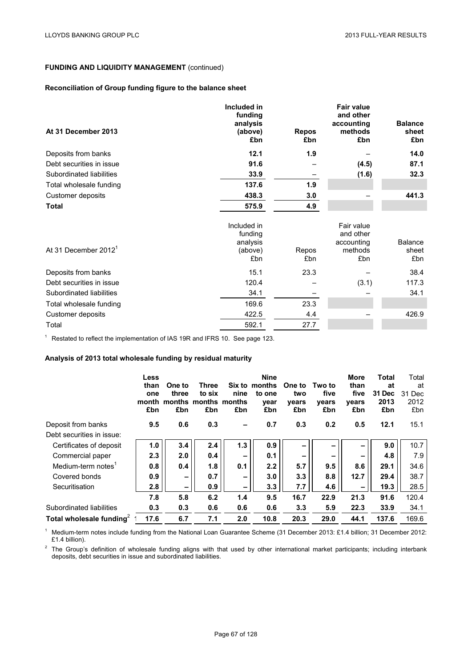# **Reconciliation of Group funding figure to the balance sheet**

| At 31 December 2013              | Included in<br>funding<br>analysis<br>(above)<br>£bn | <b>Repos</b><br>£bn | <b>Fair value</b><br>and other<br>accounting<br>methods<br>£bn | <b>Balance</b><br>sheet<br>£bn |
|----------------------------------|------------------------------------------------------|---------------------|----------------------------------------------------------------|--------------------------------|
| Deposits from banks              | 12.1                                                 | 1.9                 |                                                                | 14.0                           |
| Debt securities in issue         | 91.6                                                 |                     | (4.5)                                                          | 87.1                           |
| Subordinated liabilities         | 33.9                                                 |                     | (1.6)                                                          | 32.3                           |
| Total wholesale funding          | 137.6                                                | 1.9                 |                                                                |                                |
| Customer deposits                | 438.3                                                | 3.0                 |                                                                | 441.3                          |
| <b>Total</b>                     | 575.9                                                | 4.9                 |                                                                |                                |
| At 31 December 2012 <sup>1</sup> | Included in<br>funding<br>analysis<br>(above)<br>£bn | Repos<br>£bn        | Fair value<br>and other<br>accounting<br>methods<br>£bn        | Balance<br>sheet<br>£bn        |
| Deposits from banks              | 15.1                                                 | 23.3                |                                                                | 38.4                           |
| Debt securities in issue         | 120.4                                                |                     | (3.1)                                                          | 117.3                          |
| Subordinated liabilities         | 34.1                                                 |                     |                                                                | 34.1                           |
| Total wholesale funding          | 169.6                                                | 23.3                |                                                                |                                |
| Customer deposits                | 422.5                                                | 4.4                 |                                                                | 426.9                          |
| Total                            | 592.1                                                | 27.7                |                                                                |                                |

<sup>1</sup> Restated to reflect the implementation of IAS 19R and IFRS 10. See page 123.

# **Analysis of 2013 total wholesale funding by residual maturity**

|                                      | Less<br>than<br>one<br>month<br>£bn | One to<br>three<br>months months months<br>£bn | Three<br>to six<br>£bn | nine<br>£bn              | <b>Nine</b><br>Six to months<br>to one<br>vear<br>£bn | One to<br>two<br>vears<br>£bn | Two to<br>five<br>vears<br>£bn | More<br>than<br>five<br>vears<br>£bn | <b>Total</b><br>at<br>31 Dec<br>2013<br>£bn | Total<br>at<br>31 Dec<br>2012<br>£bn |
|--------------------------------------|-------------------------------------|------------------------------------------------|------------------------|--------------------------|-------------------------------------------------------|-------------------------------|--------------------------------|--------------------------------------|---------------------------------------------|--------------------------------------|
| Deposit from banks                   | 9.5                                 | 0.6                                            | 0.3                    | $\overline{\phantom{0}}$ | 0.7                                                   | 0.3                           | 0.2                            | 0.5                                  | 12.1                                        | 15.1                                 |
| Debt securities in issue:            |                                     |                                                |                        |                          |                                                       |                               |                                |                                      |                                             |                                      |
| Certificates of deposit              | 1.0                                 | 3.4                                            | 2.4                    | 1.3                      | 0.9                                                   | $\overline{\phantom{0}}$      | -                              | -                                    | 9.0                                         | 10.7                                 |
| Commercial paper                     | 2.3                                 | 2.0                                            | 0.4                    | -                        | 0.1                                                   | -                             | -                              | -                                    | 4.8                                         | 7.9                                  |
| Medium-term notes <sup>1</sup>       | 0.8                                 | 0.4                                            | 1.8                    | 0.1                      | 2.2                                                   | 5.7                           | 9.5                            | 8.6                                  | 29.1                                        | 34.6                                 |
| Covered bonds                        | 0.9                                 | $\overline{\phantom{0}}$                       | 0.7                    | -                        | 3.0                                                   | 3.3                           | 8.8                            | 12.7                                 | 29.4                                        | 38.7                                 |
| Securitisation                       | 2.8                                 | $\overline{\phantom{a}}$                       | 0.9                    | $\overline{\phantom{0}}$ | 3.3                                                   | 7.7                           | 4.6                            | $\qquad \qquad$                      | 19.3                                        | 28.5                                 |
|                                      | 7.8                                 | 5.8                                            | 6.2                    | 1.4                      | 9.5                                                   | 16.7                          | 22.9                           | 21.3                                 | 91.6                                        | 120.4                                |
| Subordinated liabilities             | 0.3                                 | 0.3                                            | 0.6                    | 0.6                      | 0.6                                                   | 3.3                           | 5.9                            | 22.3                                 | 33.9                                        | 34.1                                 |
| Total wholesale funding <sup>2</sup> | 17.6                                | 6.7                                            | 7.1                    | 2.0                      | 10.8                                                  | 20.3                          | 29.0                           | 44.1                                 | 137.6                                       | 169.6                                |

<sup>1</sup> Medium-term notes include funding from the National Loan Guarantee Scheme (31 December 2013: £1.4 billion; 31 December 2012: £1.4 billion).

 $2$  The Group's definition of wholesale funding aligns with that used by other international market participants; including interbank deposits, debt securities in issue and subordinated liabilities.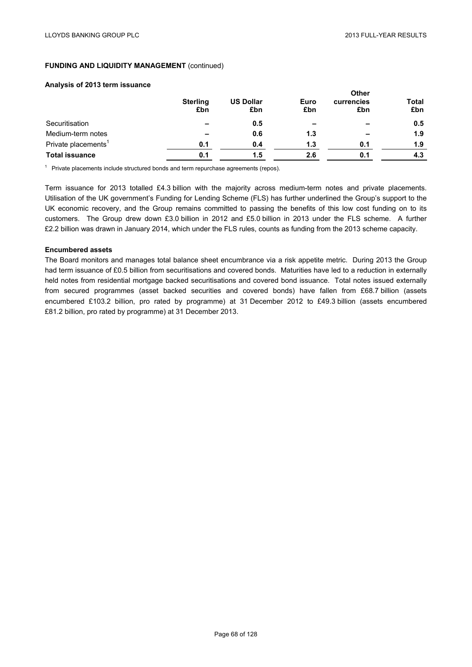### **Analysis of 2013 term issuance**

|                                 | <b>Sterling</b><br>£bn   | <b>US Dollar</b><br>£bn | Euro<br>£bn              | Other<br>currencies<br>£bn | <b>Total</b><br>£bn |
|---------------------------------|--------------------------|-------------------------|--------------------------|----------------------------|---------------------|
| Securitisation                  | $\overline{\phantom{a}}$ | 0.5                     | $\overline{\phantom{0}}$ | $\overline{\phantom{0}}$   | 0.5                 |
| Medium-term notes               | $\qquad \qquad$          | 0.6                     | 1.3                      | $\overline{\phantom{0}}$   | 1.9                 |
| Private placements <sup>1</sup> | 0.1                      | 0.4                     | 1.3                      | 0.1                        | 1.9                 |
| <b>Total issuance</b>           | 0.1                      | 1.5                     | 2.6                      | 0.1                        | 4.3                 |

 $1$  Private placements include structured bonds and term repurchase agreements (repos).

Term issuance for 2013 totalled £4.3 billion with the majority across medium-term notes and private placements. Utilisation of the UK government's Funding for Lending Scheme (FLS) has further underlined the Group's support to the UK economic recovery, and the Group remains committed to passing the benefits of this low cost funding on to its customers. The Group drew down £3.0 billion in 2012 and £5.0 billion in 2013 under the FLS scheme. A further £2.2 billion was drawn in January 2014, which under the FLS rules, counts as funding from the 2013 scheme capacity.

### **Encumbered assets**

The Board monitors and manages total balance sheet encumbrance via a risk appetite metric. During 2013 the Group had term issuance of £0.5 billion from securitisations and covered bonds. Maturities have led to a reduction in externally held notes from residential mortgage backed securitisations and covered bond issuance. Total notes issued externally from secured programmes (asset backed securities and covered bonds) have fallen from £68.7 billion (assets encumbered £103.2 billion, pro rated by programme) at 31 December 2012 to £49.3 billion (assets encumbered £81.2 billion, pro rated by programme) at 31 December 2013.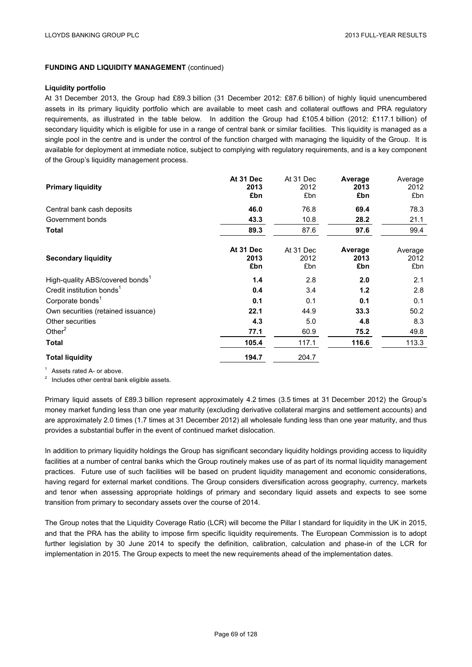#### **Liquidity portfolio**

At 31 December 2013, the Group had £89.3 billion (31 December 2012: £87.6 billion) of highly liquid unencumbered assets in its primary liquidity portfolio which are available to meet cash and collateral outflows and PRA regulatory requirements, as illustrated in the table below. In addition the Group had £105.4 billion (2012: £117.1 billion) of secondary liquidity which is eligible for use in a range of central bank or similar facilities. This liquidity is managed as a single pool in the centre and is under the control of the function charged with managing the liquidity of the Group. It is available for deployment at immediate notice, subject to complying with regulatory requirements, and is a key component of the Group's liquidity management process.

| <b>Primary liquidity</b>                    | At 31 Dec<br>2013<br>£bn | At 31 Dec<br>2012<br>£bn | Average<br>2013<br>£bn | Average<br>2012<br>£bn |
|---------------------------------------------|--------------------------|--------------------------|------------------------|------------------------|
| Central bank cash deposits                  | 46.0                     | 76.8                     | 69.4                   | 78.3                   |
| Government bonds                            | 43.3                     | 10.8                     | 28.2                   | 21.1                   |
| <b>Total</b>                                | 89.3                     | 87.6                     | 97.6                   | 99.4                   |
| <b>Secondary liquidity</b>                  | At 31 Dec<br>2013<br>£bn | At 31 Dec<br>2012<br>£bn | Average<br>2013<br>£bn | Average<br>2012<br>£bn |
| High-quality ABS/covered bonds <sup>1</sup> | 1.4                      | 2.8                      | 2.0                    | 2.1                    |
| Credit institution bonds <sup>1</sup>       | 0.4                      | 3.4                      | 1.2                    | 2.8                    |
| Corporate bonds <sup>1</sup>                | 0.1                      | 0.1                      | 0.1                    | 0.1                    |
| Own securities (retained issuance)          | 22.1                     | 44.9                     | 33.3                   | 50.2                   |
| Other securities                            | 4.3                      | 5.0                      | 4.8                    | 8.3                    |
| Other $2$                                   | 77.1                     | 60.9                     | 75.2                   | 49.8                   |
| <b>Total</b>                                | 105.4                    | 117.1                    | 116.6                  | 113.3                  |
| <b>Total liquidity</b>                      | 194.7                    | 204.7                    |                        |                        |

<sup>1</sup> Assets rated A- or above.<br><sup>2</sup> Includes other central bank eligible assets.

Primary liquid assets of £89.3 billion represent approximately 4.2 times (3.5 times at 31 December 2012) the Group's money market funding less than one year maturity (excluding derivative collateral margins and settlement accounts) and are approximately 2.0 times (1.7 times at 31 December 2012) all wholesale funding less than one year maturity, and thus provides a substantial buffer in the event of continued market dislocation.

In addition to primary liquidity holdings the Group has significant secondary liquidity holdings providing access to liquidity facilities at a number of central banks which the Group routinely makes use of as part of its normal liquidity management practices. Future use of such facilities will be based on prudent liquidity management and economic considerations, having regard for external market conditions. The Group considers diversification across geography, currency, markets and tenor when assessing appropriate holdings of primary and secondary liquid assets and expects to see some transition from primary to secondary assets over the course of 2014.

The Group notes that the Liquidity Coverage Ratio (LCR) will become the Pillar I standard for liquidity in the UK in 2015, and that the PRA has the ability to impose firm specific liquidity requirements. The European Commission is to adopt further legislation by 30 June 2014 to specify the definition, calibration, calculation and phase-in of the LCR for implementation in 2015. The Group expects to meet the new requirements ahead of the implementation dates.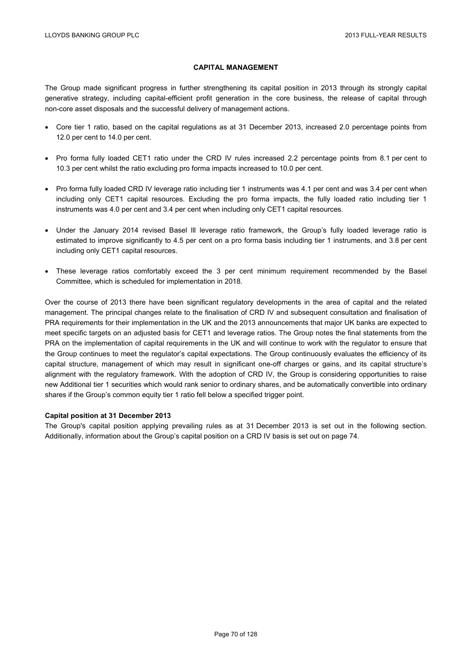### **CAPITAL MANAGEMENT**

The Group made significant progress in further strengthening its capital position in 2013 through its strongly capital generative strategy, including capital-efficient profit generation in the core business, the release of capital through non-core asset disposals and the successful delivery of management actions.

- Core tier 1 ratio, based on the capital regulations as at 31 December 2013, increased 2.0 percentage points from 12.0 per cent to 14.0 per cent.
- Pro forma fully loaded CET1 ratio under the CRD IV rules increased 2.2 percentage points from 8.1 per cent to 10.3 per cent whilst the ratio excluding pro forma impacts increased to 10.0 per cent.
- Pro forma fully loaded CRD IV leverage ratio including tier 1 instruments was 4.1 per cent and was 3.4 per cent when including only CET1 capital resources. Excluding the pro forma impacts, the fully loaded ratio including tier 1 instruments was 4.0 per cent and 3.4 per cent when including only CET1 capital resources.
- Under the January 2014 revised Basel lll leverage ratio framework, the Group's fully loaded leverage ratio is estimated to improve significantly to 4.5 per cent on a pro forma basis including tier 1 instruments, and 3.8 per cent including only CET1 capital resources.
- These leverage ratios comfortably exceed the 3 per cent minimum requirement recommended by the Basel Committee, which is scheduled for implementation in 2018.

Over the course of 2013 there have been significant regulatory developments in the area of capital and the related management. The principal changes relate to the finalisation of CRD IV and subsequent consultation and finalisation of PRA requirements for their implementation in the UK and the 2013 announcements that major UK banks are expected to meet specific targets on an adjusted basis for CET1 and leverage ratios. The Group notes the final statements from the PRA on the implementation of capital requirements in the UK and will continue to work with the regulator to ensure that the Group continues to meet the regulator's capital expectations. The Group continuously evaluates the efficiency of its capital structure, management of which may result in significant one-off charges or gains, and its capital structure's alignment with the regulatory framework. With the adoption of CRD IV, the Group is considering opportunities to raise new Additional tier 1 securities which would rank senior to ordinary shares, and be automatically convertible into ordinary shares if the Group's common equity tier 1 ratio fell below a specified trigger point.

#### **Capital position at 31 December 2013**

The Group's capital position applying prevailing rules as at 31 December 2013 is set out in the following section. Additionally, information about the Group's capital position on a CRD IV basis is set out on page 74.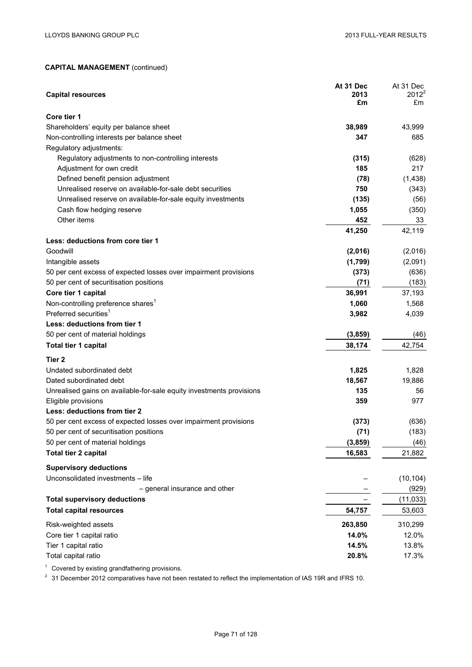| <b>Capital resources</b>                                                                         | At 31 Dec<br>2013<br>£m | At 31 Dec<br>$2012^2$<br>£m |
|--------------------------------------------------------------------------------------------------|-------------------------|-----------------------------|
| Core tier 1                                                                                      |                         |                             |
| Shareholders' equity per balance sheet                                                           | 38,989                  | 43,999                      |
| Non-controlling interests per balance sheet                                                      | 347                     | 685                         |
| Regulatory adjustments:                                                                          |                         |                             |
| Regulatory adjustments to non-controlling interests                                              | (315)                   | (628)                       |
| Adjustment for own credit                                                                        | 185                     | 217                         |
| Defined benefit pension adjustment                                                               | (78)                    | (1, 438)                    |
| Unrealised reserve on available-for-sale debt securities                                         | 750                     | (343)                       |
| Unrealised reserve on available-for-sale equity investments                                      | (135)                   | (56)                        |
| Cash flow hedging reserve                                                                        | 1,055                   | (350)                       |
| Other items                                                                                      | 452                     | 33                          |
|                                                                                                  | 41,250                  | 42,119                      |
| Less: deductions from core tier 1                                                                |                         |                             |
| Goodwill                                                                                         | (2,016)                 | (2,016)                     |
| Intangible assets                                                                                | (1,799)                 | (2,091)                     |
| 50 per cent excess of expected losses over impairment provisions                                 | (373)                   | (636)                       |
| 50 per cent of securitisation positions                                                          | (71)                    | (183)                       |
| Core tier 1 capital                                                                              | 36,991                  | 37,193                      |
| Non-controlling preference shares <sup>1</sup>                                                   | 1,060                   | 1,568                       |
| Preferred securities <sup>1</sup>                                                                | 3,982                   | 4,039                       |
| Less: deductions from tier 1                                                                     |                         |                             |
| 50 per cent of material holdings                                                                 | (3,859)                 | (46)                        |
| Total tier 1 capital                                                                             | 38,174                  | 42,754                      |
| Tier 2                                                                                           |                         |                             |
| Undated subordinated debt                                                                        | 1,825                   | 1,828                       |
| Dated subordinated debt                                                                          | 18,567                  | 19,886                      |
| Unrealised gains on available-for-sale equity investments provisions                             | 135                     | 56                          |
| Eligible provisions                                                                              | 359                     | 977                         |
| Less: deductions from tier 2<br>50 per cent excess of expected losses over impairment provisions | (373)                   | (636)                       |
| 50 per cent of securitisation positions                                                          | (71)                    | (183)                       |
| 50 per cent of material holdings                                                                 | (3, 859)                | (46)                        |
| <b>Total tier 2 capital</b>                                                                      | 16,583                  | 21,882                      |
|                                                                                                  |                         |                             |
| <b>Supervisory deductions</b>                                                                    |                         |                             |
| Unconsolidated investments - life                                                                |                         | (10, 104)                   |
| - general insurance and other                                                                    |                         | (929)                       |
| <b>Total supervisory deductions</b>                                                              |                         | (11, 033)                   |
| <b>Total capital resources</b>                                                                   | 54,757                  | 53,603                      |
| Risk-weighted assets                                                                             | 263,850                 | 310,299                     |
| Core tier 1 capital ratio                                                                        | 14.0%                   | 12.0%                       |
| Tier 1 capital ratio                                                                             | 14.5%                   | 13.8%                       |
| Total capital ratio                                                                              | 20.8%                   | 17.3%                       |

<sup>1</sup> Covered by existing grandfathering provisions.

<sup>2</sup> 31 December 2012 comparatives have not been restated to reflect the implementation of IAS 19R and IFRS 10.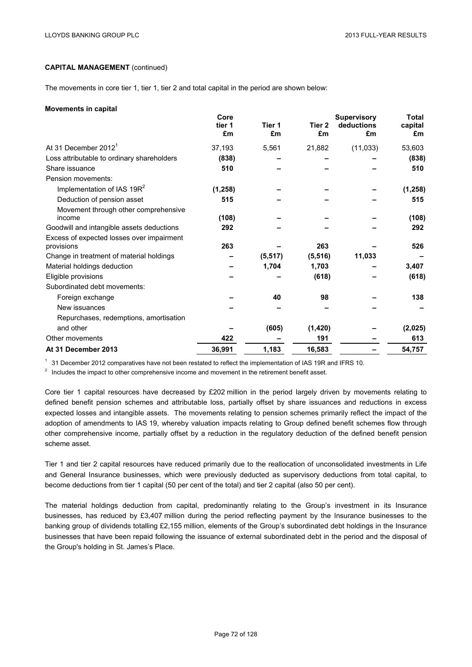The movements in core tier 1, tier 1, tier 2 and total capital in the period are shown below:

#### **Movements in capital**

|                                                         | Core<br>tier 1<br>£m | Tier 1<br>£m | Tier 2<br>£m | <b>Supervisory</b><br>deductions<br>£m | <b>Total</b><br>capital<br>£m |
|---------------------------------------------------------|----------------------|--------------|--------------|----------------------------------------|-------------------------------|
| At 31 December 2012 <sup>1</sup>                        | 37,193               | 5,561        | 21,882       | (11, 033)                              | 53,603                        |
| Loss attributable to ordinary shareholders              | (838)                |              |              |                                        | (838)                         |
| Share issuance                                          | 510                  |              |              |                                        | 510                           |
| Pension movements:                                      |                      |              |              |                                        |                               |
| Implementation of IAS 19R <sup>2</sup>                  | (1, 258)             |              |              |                                        | (1, 258)                      |
| Deduction of pension asset                              | 515                  |              |              |                                        | 515                           |
| Movement through other comprehensive<br>income          | (108)                |              |              |                                        | (108)                         |
| Goodwill and intangible assets deductions               | 292                  |              |              |                                        | 292                           |
| Excess of expected losses over impairment<br>provisions | 263                  |              | 263          |                                        | 526                           |
| Change in treatment of material holdings                |                      | (5, 517)     | (5, 516)     | 11,033                                 |                               |
| Material holdings deduction                             |                      | 1,704        | 1,703        |                                        | 3,407                         |
| Eligible provisions                                     |                      |              | (618)        |                                        | (618)                         |
| Subordinated debt movements:                            |                      |              |              |                                        |                               |
| Foreign exchange                                        |                      | 40           | 98           |                                        | 138                           |
| New issuances                                           |                      |              |              |                                        |                               |
| Repurchases, redemptions, amortisation                  |                      |              |              |                                        |                               |
| and other                                               |                      | (605)        | (1,420)      |                                        | (2,025)                       |
| Other movements                                         | 422                  |              | 191          |                                        | 613                           |
| At 31 December 2013                                     | 36,991               | 1,183        | 16,583       |                                        | 54,757                        |

 $1$  31 December 2012 comparatives have not been restated to reflect the implementation of IAS 19R and IFRS 10.

 $2\;\;$  Includes the impact to other comprehensive income and movement in the retirement benefit asset.

Core tier 1 capital resources have decreased by £202 million in the period largely driven by movements relating to defined benefit pension schemes and attributable loss, partially offset by share issuances and reductions in excess expected losses and intangible assets. The movements relating to pension schemes primarily reflect the impact of the adoption of amendments to IAS 19, whereby valuation impacts relating to Group defined benefit schemes flow through other comprehensive income, partially offset by a reduction in the regulatory deduction of the defined benefit pension scheme asset.

Tier 1 and tier 2 capital resources have reduced primarily due to the reallocation of unconsolidated investments in Life and General Insurance businesses, which were previously deducted as supervisory deductions from total capital, to become deductions from tier 1 capital (50 per cent of the total) and tier 2 capital (also 50 per cent).

The material holdings deduction from capital, predominantly relating to the Group's investment in its Insurance businesses, has reduced by £3,407 million during the period reflecting payment by the Insurance businesses to the banking group of dividends totalling £2,155 million, elements of the Group's subordinated debt holdings in the Insurance businesses that have been repaid following the issuance of external subordinated debt in the period and the disposal of the Group's holding in St. James's Place.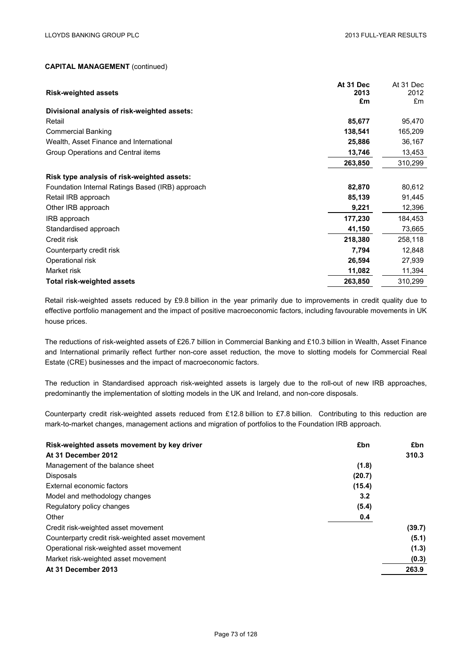|                                                  | At 31 Dec  | At 31 Dec  |
|--------------------------------------------------|------------|------------|
| <b>Risk-weighted assets</b>                      | 2013<br>£m | 2012<br>£m |
| Divisional analysis of risk-weighted assets:     |            |            |
| Retail                                           | 85,677     | 95,470     |
| <b>Commercial Banking</b>                        | 138,541    | 165,209    |
| Wealth, Asset Finance and International          | 25,886     | 36,167     |
| Group Operations and Central items               | 13,746     | 13,453     |
|                                                  | 263,850    | 310,299    |
| Risk type analysis of risk-weighted assets:      |            |            |
| Foundation Internal Ratings Based (IRB) approach | 82,870     | 80,612     |
| Retail IRB approach                              | 85,139     | 91,445     |
| Other IRB approach                               | 9,221      | 12,396     |
| IRB approach                                     | 177,230    | 184,453    |
| Standardised approach                            | 41,150     | 73,665     |
| Credit risk                                      | 218,380    | 258,118    |
| Counterparty credit risk                         | 7,794      | 12,848     |
| Operational risk                                 | 26,594     | 27,939     |
| Market risk                                      | 11,082     | 11,394     |
| <b>Total risk-weighted assets</b>                | 263,850    | 310,299    |

Retail risk-weighted assets reduced by £9.8 billion in the year primarily due to improvements in credit quality due to effective portfolio management and the impact of positive macroeconomic factors, including favourable movements in UK house prices.

The reductions of risk-weighted assets of £26.7 billion in Commercial Banking and £10.3 billion in Wealth, Asset Finance and International primarily reflect further non-core asset reduction, the move to slotting models for Commercial Real Estate (CRE) businesses and the impact of macroeconomic factors.

The reduction in Standardised approach risk-weighted assets is largely due to the roll-out of new IRB approaches, predominantly the implementation of slotting models in the UK and Ireland, and non-core disposals.

Counterparty credit risk-weighted assets reduced from £12.8 billion to £7.8 billion. Contributing to this reduction are mark-to-market changes, management actions and migration of portfolios to the Foundation IRB approach.

| £bn<br>Risk-weighted assets movement by key driver | £bn    |
|----------------------------------------------------|--------|
| At 31 December 2012                                | 310.3  |
| Management of the balance sheet<br>(1.8)           |        |
| <b>Disposals</b><br>(20.7)                         |        |
| External economic factors<br>(15.4)                |        |
| 3.2<br>Model and methodology changes               |        |
| Regulatory policy changes<br>(5.4)                 |        |
| Other<br>0.4                                       |        |
| Credit risk-weighted asset movement                | (39.7) |
| Counterparty credit risk-weighted asset movement   | (5.1)  |
| Operational risk-weighted asset movement           | (1.3)  |
| Market risk-weighted asset movement                | (0.3)  |
| At 31 December 2013                                | 263.9  |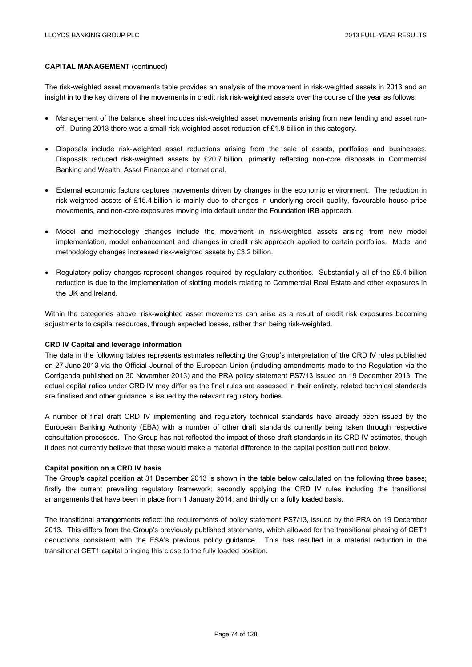The risk-weighted asset movements table provides an analysis of the movement in risk-weighted assets in 2013 and an insight in to the key drivers of the movements in credit risk risk-weighted assets over the course of the year as follows:

- Management of the balance sheet includes risk-weighted asset movements arising from new lending and asset runoff. During 2013 there was a small risk-weighted asset reduction of £1.8 billion in this category.
- Disposals include risk-weighted asset reductions arising from the sale of assets, portfolios and businesses. Disposals reduced risk-weighted assets by £20.7 billion, primarily reflecting non-core disposals in Commercial Banking and Wealth, Asset Finance and International.
- External economic factors captures movements driven by changes in the economic environment. The reduction in risk-weighted assets of £15.4 billion is mainly due to changes in underlying credit quality, favourable house price movements, and non-core exposures moving into default under the Foundation IRB approach.
- Model and methodology changes include the movement in risk-weighted assets arising from new model implementation, model enhancement and changes in credit risk approach applied to certain portfolios. Model and methodology changes increased risk-weighted assets by £3.2 billion.
- Regulatory policy changes represent changes required by regulatory authorities. Substantially all of the £5.4 billion reduction is due to the implementation of slotting models relating to Commercial Real Estate and other exposures in the UK and Ireland.

Within the categories above, risk-weighted asset movements can arise as a result of credit risk exposures becoming adjustments to capital resources, through expected losses, rather than being risk-weighted.

#### **CRD IV Capital and leverage information**

The data in the following tables represents estimates reflecting the Group's interpretation of the CRD IV rules published on 27 June 2013 via the Official Journal of the European Union (including amendments made to the Regulation via the Corrigenda published on 30 November 2013) and the PRA policy statement PS7/13 issued on 19 December 2013. The actual capital ratios under CRD IV may differ as the final rules are assessed in their entirety, related technical standards are finalised and other guidance is issued by the relevant regulatory bodies.

A number of final draft CRD IV implementing and regulatory technical standards have already been issued by the European Banking Authority (EBA) with a number of other draft standards currently being taken through respective consultation processes. The Group has not reflected the impact of these draft standards in its CRD IV estimates, though it does not currently believe that these would make a material difference to the capital position outlined below.

#### **Capital position on a CRD IV basis**

The Group's capital position at 31 December 2013 is shown in the table below calculated on the following three bases; firstly the current prevailing regulatory framework; secondly applying the CRD IV rules including the transitional arrangements that have been in place from 1 January 2014; and thirdly on a fully loaded basis.

The transitional arrangements reflect the requirements of policy statement PS7/13, issued by the PRA on 19 December 2013. This differs from the Group's previously published statements, which allowed for the transitional phasing of CET1 deductions consistent with the FSA's previous policy guidance. This has resulted in a material reduction in the transitional CET1 capital bringing this close to the fully loaded position.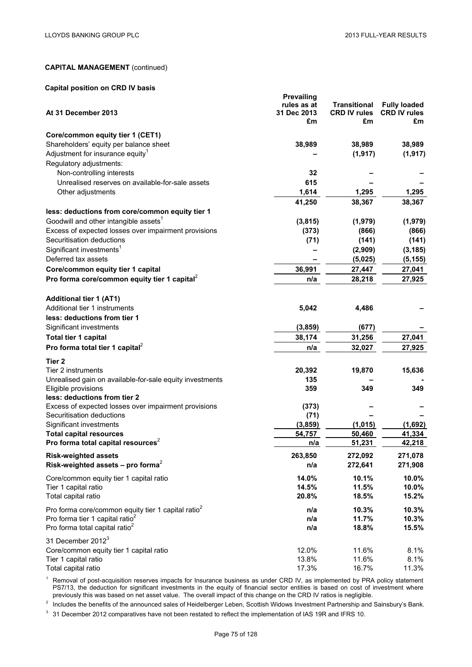## **Capital position on CRD IV basis**

| At 31 December 2013                                                               | <b>Prevailing</b><br>rules as at<br>31 Dec 2013<br>£m | <b>Transitional</b><br><b>CRD IV rules</b><br>£m | <b>Fully loaded</b><br><b>CRD IV rules</b><br>£m |
|-----------------------------------------------------------------------------------|-------------------------------------------------------|--------------------------------------------------|--------------------------------------------------|
| Core/common equity tier 1 (CET1)                                                  |                                                       |                                                  |                                                  |
| Shareholders' equity per balance sheet                                            | 38,989                                                | 38,989                                           | 38,989                                           |
| Adjustment for insurance equity <sup>1</sup>                                      |                                                       | (1, 917)                                         | (1, 917)                                         |
| Regulatory adjustments:                                                           |                                                       |                                                  |                                                  |
| Non-controlling interests                                                         | 32                                                    |                                                  |                                                  |
| Unrealised reserves on available-for-sale assets                                  | 615                                                   |                                                  |                                                  |
| Other adjustments                                                                 | 1,614                                                 | 1,295                                            | 1,295                                            |
|                                                                                   | 41,250                                                | 38,367                                           | 38,367                                           |
| less: deductions from core/common equity tier 1                                   |                                                       |                                                  |                                                  |
| Goodwill and other intangible assets <sup>1</sup>                                 | (3,815)                                               | (1,979)                                          | (1,979)                                          |
| Excess of expected losses over impairment provisions                              | (373)                                                 | (866)                                            | (866)                                            |
| Securitisation deductions                                                         | (71)                                                  | (141)                                            | (141)                                            |
| Significant investments <sup>1</sup>                                              |                                                       | (2,909)                                          | (3, 185)                                         |
| Deferred tax assets                                                               |                                                       | (5,025)                                          | (5, 155)                                         |
| Core/common equity tier 1 capital                                                 | 36,991                                                | 27,447                                           | 27,041                                           |
| Pro forma core/common equity tier 1 capital <sup>2</sup>                          | n/a                                                   | 28,218                                           | 27,925                                           |
|                                                                                   |                                                       |                                                  |                                                  |
| <b>Additional tier 1 (AT1)</b>                                                    |                                                       |                                                  |                                                  |
| Additional tier 1 instruments                                                     | 5,042                                                 | 4,486                                            |                                                  |
| less: deductions from tier 1                                                      |                                                       |                                                  |                                                  |
| Significant investments                                                           | (3, 859)                                              | (677)                                            |                                                  |
| Total tier 1 capital                                                              | 38,174                                                | 31,256                                           | 27,041                                           |
| Pro forma total tier 1 capital <sup>2</sup>                                       | n/a                                                   | 32,027                                           | 27,925                                           |
|                                                                                   |                                                       |                                                  |                                                  |
| Tier 2                                                                            |                                                       |                                                  |                                                  |
| Tier 2 instruments                                                                | 20,392                                                | 19,870                                           | 15,636                                           |
| Unrealised gain on available-for-sale equity investments                          | 135                                                   |                                                  |                                                  |
| Eligible provisions                                                               | 359                                                   | 349                                              | 349                                              |
| less: deductions from tier 2                                                      |                                                       |                                                  |                                                  |
| Excess of expected losses over impairment provisions<br>Securitisation deductions | (373)<br>(71)                                         |                                                  |                                                  |
| Significant investments                                                           | (3, 859)                                              | (1,015)                                          | (1,692)                                          |
| <b>Total capital resources</b>                                                    | 54,757                                                | 50,460                                           | 41,334                                           |
| Pro forma total capital resources <sup>2</sup>                                    | n/a                                                   | 51,231                                           | 42,218                                           |
|                                                                                   |                                                       |                                                  |                                                  |
| <b>Risk-weighted assets</b>                                                       | 263,850                                               | 272,092                                          | 271,078                                          |
| Risk-weighted assets - pro forma <sup>2</sup>                                     | n/a                                                   | 272,641                                          | 271,908                                          |
| Core/common equity tier 1 capital ratio                                           | 14.0%                                                 | 10.1%                                            | 10.0%                                            |
| Tier 1 capital ratio                                                              | 14.5%                                                 | 11.5%                                            | 10.0%                                            |
| Total capital ratio                                                               | 20.8%                                                 | 18.5%                                            | 15.2%                                            |
| Pro forma core/common equity tier 1 capital ratio <sup>2</sup>                    | n/a                                                   | 10.3%                                            | 10.3%                                            |
| Pro forma tier 1 capital ratio <sup>2</sup>                                       | n/a                                                   | 11.7%                                            | 10.3%                                            |
| Pro forma total capital ratio <sup>2</sup>                                        | n/a                                                   | 18.8%                                            | 15.5%                                            |
|                                                                                   |                                                       |                                                  |                                                  |
| 31 December 2012 <sup>3</sup>                                                     |                                                       |                                                  |                                                  |
| Core/common equity tier 1 capital ratio                                           | 12.0%                                                 | 11.6%                                            | 8.1%                                             |
| Tier 1 capital ratio                                                              | 13.8%                                                 | 11.6%                                            | 8.1%                                             |
| Total capital ratio                                                               | 17.3%                                                 | 16.7%                                            | 11.3%                                            |

<sup>1</sup> Removal of post-acquisition reserves impacts for Insurance business as under CRD IV, as implemented by PRA policy statement PS7/13, the deduction for significant investments in the equity of financial sector entities is based on cost of investment where previously this was based on net asset value. The overall impact of this change on the CRD IV ratios is negligible.

<sup>2</sup> Includes the benefits of the announced sales of Heidelberger Leben, Scottish Widows Investment Partnership and Sainsbury's Bank.

<sup>3</sup> 31 December 2012 comparatives have not been restated to reflect the implementation of IAS 19R and IFRS 10.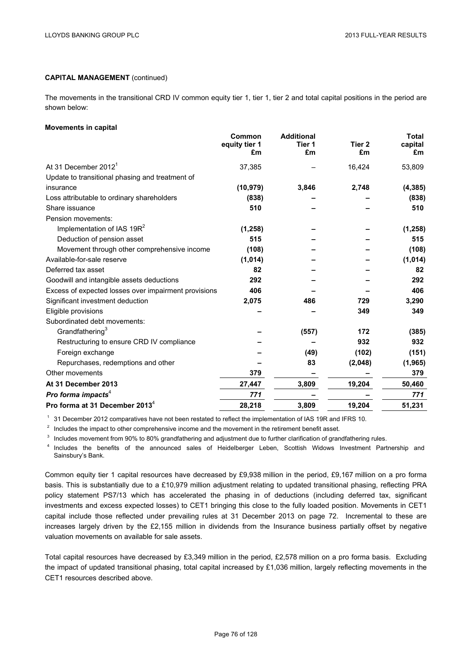The movements in the transitional CRD IV common equity tier 1, tier 1, tier 2 and total capital positions in the period are shown below:

#### **Movements in capital**

|                                                      | Common<br>equity tier 1<br>£m | <b>Additional</b><br>Tier 1<br>£m | Tier <sub>2</sub><br>£m | <b>Total</b><br>capital<br>£m |
|------------------------------------------------------|-------------------------------|-----------------------------------|-------------------------|-------------------------------|
| At 31 December 2012 <sup>1</sup>                     | 37,385                        |                                   | 16,424                  | 53,809                        |
| Update to transitional phasing and treatment of      |                               |                                   |                         |                               |
| insurance                                            | (10, 979)                     | 3,846                             | 2,748                   | (4, 385)                      |
| Loss attributable to ordinary shareholders           | (838)                         |                                   |                         | (838)                         |
| Share issuance                                       | 510                           |                                   |                         | 510                           |
| Pension movements:                                   |                               |                                   |                         |                               |
| Implementation of IAS 19R <sup>2</sup>               | (1, 258)                      |                                   |                         | (1, 258)                      |
| Deduction of pension asset                           | 515                           |                                   |                         | 515                           |
| Movement through other comprehensive income          | (108)                         |                                   |                         | (108)                         |
| Available-for-sale reserve                           | (1,014)                       |                                   |                         | (1,014)                       |
| Deferred tax asset                                   | 82                            |                                   |                         | 82                            |
| Goodwill and intangible assets deductions            | 292                           |                                   |                         | 292                           |
| Excess of expected losses over impairment provisions | 406                           |                                   |                         | 406                           |
| Significant investment deduction                     | 2,075                         | 486                               | 729                     | 3,290                         |
| Eligible provisions                                  |                               |                                   | 349                     | 349                           |
| Subordinated debt movements:                         |                               |                                   |                         |                               |
| Grandfathering <sup>3</sup>                          |                               | (557)                             | 172                     | (385)                         |
| Restructuring to ensure CRD IV compliance            |                               |                                   | 932                     | 932                           |
| Foreign exchange                                     |                               | (49)                              | (102)                   | (151)                         |
| Repurchases, redemptions and other                   |                               | 83                                | (2,048)                 | (1, 965)                      |
| Other movements                                      | 379                           |                                   |                         | 379                           |
| At 31 December 2013                                  | 27,447                        | 3,809                             | 19,204                  | 50,460                        |
| Pro forma impacts <sup>4</sup>                       | 771                           |                                   |                         | 771                           |
| Pro forma at 31 December 2013 <sup>4</sup>           | 28,218                        | 3,809                             | 19,204                  | 51,231                        |

 $1$  31 December 2012 comparatives have not been restated to reflect the implementation of IAS 19R and IFRS 10.

 $2\,$  Includes the impact to other comprehensive income and the movement in the retirement benefit asset.

<sup>3</sup> Includes movement from 90% to 80% grandfathering and adjustment due to further clarification of grandfathering rules.

<sup>4</sup> Includes the benefits of the announced sales of Heidelberger Leben, Scottish Widows Investment Partnership and Sainsbury's Bank.

Common equity tier 1 capital resources have decreased by £9,938 million in the period, £9,167 million on a pro forma basis. This is substantially due to a £10,979 million adjustment relating to updated transitional phasing, reflecting PRA policy statement PS7/13 which has accelerated the phasing in of deductions (including deferred tax, significant investments and excess expected losses) to CET1 bringing this close to the fully loaded position. Movements in CET1 capital include those reflected under prevailing rules at 31 December 2013 on page 72. Incremental to these are increases largely driven by the £2,155 million in dividends from the Insurance business partially offset by negative valuation movements on available for sale assets.

Total capital resources have decreased by £3,349 million in the period, £2,578 million on a pro forma basis. Excluding the impact of updated transitional phasing, total capital increased by £1,036 million, largely reflecting movements in the CET1 resources described above.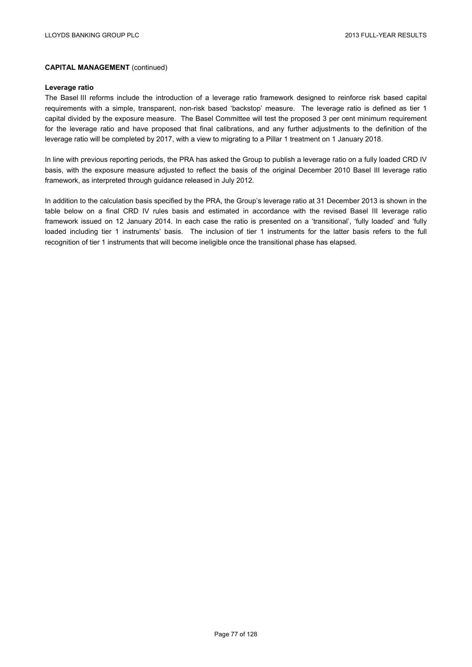#### **Leverage ratio**

The Basel III reforms include the introduction of a leverage ratio framework designed to reinforce risk based capital requirements with a simple, transparent, non-risk based 'backstop' measure. The leverage ratio is defined as tier 1 capital divided by the exposure measure. The Basel Committee will test the proposed 3 per cent minimum requirement for the leverage ratio and have proposed that final calibrations, and any further adjustments to the definition of the leverage ratio will be completed by 2017, with a view to migrating to a Pillar 1 treatment on 1 January 2018.

In line with previous reporting periods, the PRA has asked the Group to publish a leverage ratio on a fully loaded CRD IV basis, with the exposure measure adjusted to reflect the basis of the original December 2010 Basel III leverage ratio framework, as interpreted through guidance released in July 2012.

In addition to the calculation basis specified by the PRA, the Group's leverage ratio at 31 December 2013 is shown in the table below on a final CRD IV rules basis and estimated in accordance with the revised Basel III leverage ratio framework issued on 12 January 2014. In each case the ratio is presented on a 'transitional', 'fully loaded' and 'fully loaded including tier 1 instruments' basis. The inclusion of tier 1 instruments for the latter basis refers to the full recognition of tier 1 instruments that will become ineligible once the transitional phase has elapsed.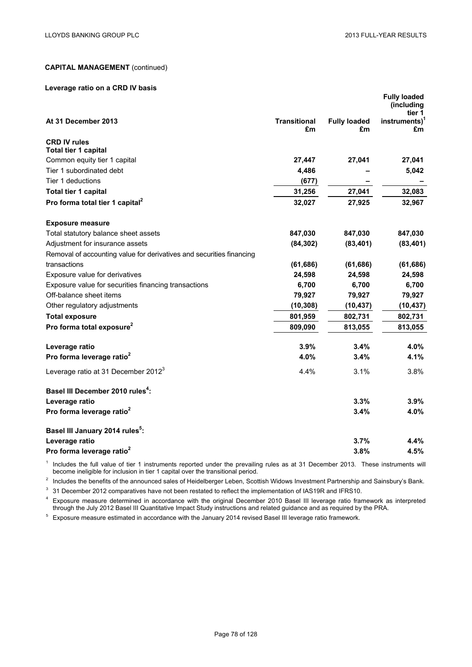#### **Leverage ratio on a CRD IV basis**

|                                                                      |                           |                           | <b>Fully loaded</b><br>(including<br>tier 1 |
|----------------------------------------------------------------------|---------------------------|---------------------------|---------------------------------------------|
| At 31 December 2013                                                  | <b>Transitional</b><br>£m | <b>Fully loaded</b><br>£m | instruments) <sup>1</sup><br>£m             |
| <b>CRD IV rules</b><br>Total tier 1 capital                          |                           |                           |                                             |
| Common equity tier 1 capital                                         | 27,447                    | 27,041                    | 27,041                                      |
| Tier 1 subordinated debt                                             | 4,486                     |                           | 5,042                                       |
| Tier 1 deductions                                                    | (677)                     |                           |                                             |
| Total tier 1 capital                                                 | 31,256                    | 27,041                    | 32,083                                      |
| Pro forma total tier 1 capital <sup>2</sup>                          | 32,027                    | 27,925                    | 32,967                                      |
| <b>Exposure measure</b>                                              |                           |                           |                                             |
| Total statutory balance sheet assets                                 | 847,030                   | 847,030                   | 847,030                                     |
| Adjustment for insurance assets                                      | (84, 302)                 | (83, 401)                 | (83, 401)                                   |
| Removal of accounting value for derivatives and securities financing |                           |                           |                                             |
| transactions                                                         | (61, 686)                 | (61, 686)                 | (61, 686)                                   |
| Exposure value for derivatives                                       | 24,598                    | 24,598                    | 24,598                                      |
| Exposure value for securities financing transactions                 | 6,700                     | 6,700                     | 6,700                                       |
| Off-balance sheet items                                              | 79,927                    | 79,927                    | 79,927                                      |
| Other regulatory adjustments                                         | (10, 308)                 | (10, 437)                 | (10, 437)                                   |
| <b>Total exposure</b>                                                | 801,959                   | 802,731                   | 802,731                                     |
| Pro forma total exposure <sup>2</sup>                                | 809,090                   | 813,055                   | 813,055                                     |
| Leverage ratio                                                       | 3.9%                      | 3.4%                      | 4.0%                                        |
| Pro forma leverage ratio <sup>2</sup>                                | 4.0%                      | 3.4%                      | 4.1%                                        |
| Leverage ratio at 31 December 2012 <sup>3</sup>                      | 4.4%                      | 3.1%                      | 3.8%                                        |
| Basel III December 2010 rules <sup>4</sup> :                         |                           |                           |                                             |
| Leverage ratio                                                       |                           | 3.3%                      | 3.9%                                        |
| Pro forma leverage ratio <sup>2</sup>                                |                           | 3.4%                      | 4.0%                                        |
| Basel III January 2014 rules <sup>5</sup> :                          |                           |                           |                                             |
| Leverage ratio                                                       |                           | 3.7%                      | 4.4%                                        |
| Pro forma leverage ratio <sup>2</sup>                                |                           | 3.8%                      | 4.5%                                        |

<sup>1</sup> Includes the full value of tier 1 instruments reported under the prevailing rules as at 31 December 2013. These instruments will become ineligible for inclusion in tier 1 capital over the transitional period.

<sup>2</sup> Includes the benefits of the announced sales of Heidelberger Leben, Scottish Widows Investment Partnership and Sainsbury's Bank.

<sup>3</sup> 31 December 2012 comparatives have not been restated to reflect the implementation of IAS19R and IFRS10.

<sup>4</sup> Exposure measure determined in accordance with the original December 2010 Basel III leverage ratio framework as interpreted through the July 2012 Basel III Quantitative Impact Study instructions and related guidance and as required by the PRA.

<sup>5</sup> Exposure measure estimated in accordance with the January 2014 revised Basel III leverage ratio framework.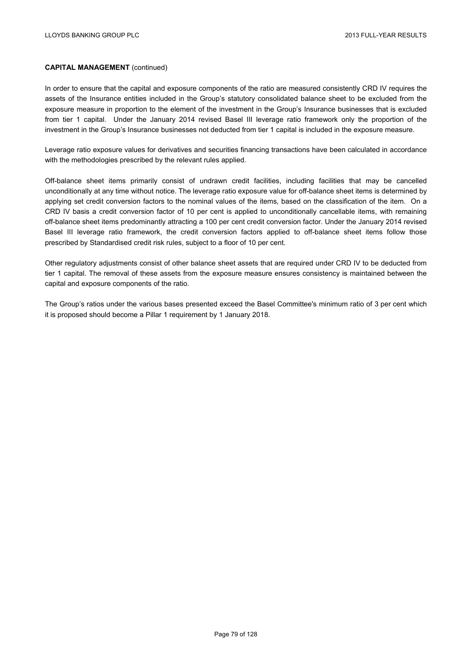In order to ensure that the capital and exposure components of the ratio are measured consistently CRD IV requires the assets of the Insurance entities included in the Group's statutory consolidated balance sheet to be excluded from the exposure measure in proportion to the element of the investment in the Group's Insurance businesses that is excluded from tier 1 capital. Under the January 2014 revised Basel III leverage ratio framework only the proportion of the investment in the Group's Insurance businesses not deducted from tier 1 capital is included in the exposure measure.

Leverage ratio exposure values for derivatives and securities financing transactions have been calculated in accordance with the methodologies prescribed by the relevant rules applied.

Off-balance sheet items primarily consist of undrawn credit facilities, including facilities that may be cancelled unconditionally at any time without notice. The leverage ratio exposure value for off-balance sheet items is determined by applying set credit conversion factors to the nominal values of the items, based on the classification of the item. On a CRD IV basis a credit conversion factor of 10 per cent is applied to unconditionally cancellable items, with remaining off-balance sheet items predominantly attracting a 100 per cent credit conversion factor. Under the January 2014 revised Basel III leverage ratio framework, the credit conversion factors applied to off-balance sheet items follow those prescribed by Standardised credit risk rules, subject to a floor of 10 per cent.

Other regulatory adjustments consist of other balance sheet assets that are required under CRD IV to be deducted from tier 1 capital. The removal of these assets from the exposure measure ensures consistency is maintained between the capital and exposure components of the ratio.

The Group's ratios under the various bases presented exceed the Basel Committee's minimum ratio of 3 per cent which it is proposed should become a Pillar 1 requirement by 1 January 2018.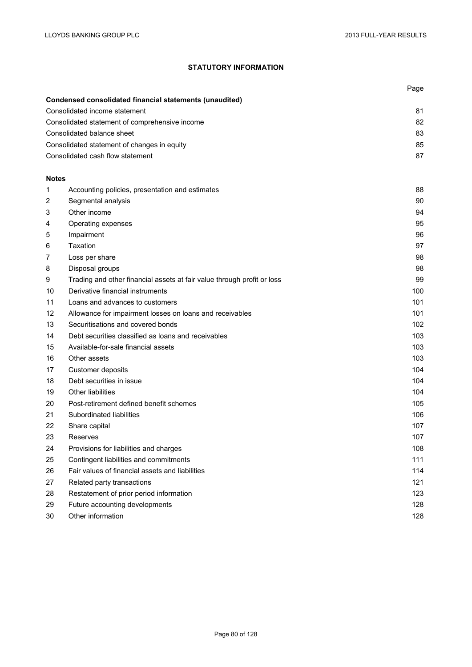# **STATUTORY INFORMATION**

|                |                                                                         | Page |
|----------------|-------------------------------------------------------------------------|------|
|                | <b>Condensed consolidated financial statements (unaudited)</b>          |      |
|                | Consolidated income statement                                           | 81   |
|                | Consolidated statement of comprehensive income                          | 82   |
|                | Consolidated balance sheet                                              | 83   |
|                | Consolidated statement of changes in equity                             | 85   |
|                | Consolidated cash flow statement                                        | 87   |
| <b>Notes</b>   |                                                                         |      |
| 1              | Accounting policies, presentation and estimates                         | 88   |
| $\overline{c}$ | Segmental analysis                                                      | 90   |
| 3              | Other income                                                            | 94   |
| 4              | Operating expenses                                                      | 95   |
| 5              | Impairment                                                              | 96   |
| 6              | Taxation                                                                | 97   |
| 7              | Loss per share                                                          | 98   |
| 8              | Disposal groups                                                         | 98   |
| 9              | Trading and other financial assets at fair value through profit or loss | 99   |
| 10             | Derivative financial instruments                                        | 100  |
| 11             | Loans and advances to customers                                         | 101  |
| 12             | Allowance for impairment losses on loans and receivables                | 101  |
| 13             | Securitisations and covered bonds                                       | 102  |
| 14             | Debt securities classified as loans and receivables                     | 103  |
| 15             | Available-for-sale financial assets                                     | 103  |
| 16             | Other assets                                                            | 103  |
| 17             | Customer deposits                                                       | 104  |
| 18             | Debt securities in issue                                                | 104  |
| 19             | <b>Other liabilities</b>                                                | 104  |
| 20             | Post-retirement defined benefit schemes                                 | 105  |
| 21             | Subordinated liabilities                                                | 106  |
| 22             | Share capital                                                           | 107  |
| 23             | Reserves                                                                | 107  |
| 24             | Provisions for liabilities and charges                                  | 108  |
| 25             | Contingent liabilities and commitments                                  | 111  |
| 26             | Fair values of financial assets and liabilities                         | 114  |
| 27             | Related party transactions                                              | 121  |
| 28             | Restatement of prior period information                                 | 123  |
| 29             | Future accounting developments                                          | 128  |
| 30             | Other information                                                       | 128  |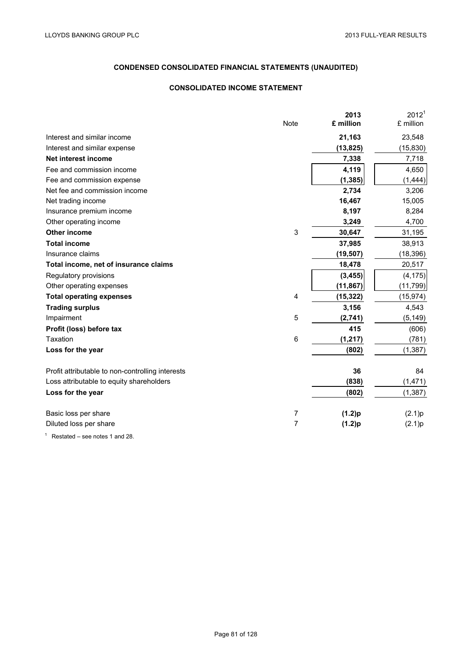### **CONSOLIDATED INCOME STATEMENT**

|                                                  | Note        | 2013<br>£ million | 2012 <sup>1</sup><br>£ million |
|--------------------------------------------------|-------------|-------------------|--------------------------------|
| Interest and similar income                      |             | 21,163            | 23,548                         |
| Interest and similar expense                     |             | (13, 825)         | (15, 830)                      |
| <b>Net interest income</b>                       |             | 7,338             | 7,718                          |
| Fee and commission income                        |             | 4,119             | 4,650                          |
| Fee and commission expense                       |             | (1, 385)          | (1, 444)                       |
| Net fee and commission income                    |             | 2,734             | 3,206                          |
| Net trading income                               |             | 16,467            | 15,005                         |
| Insurance premium income                         |             | 8,197             | 8,284                          |
| Other operating income                           |             | 3,249             | 4,700                          |
| Other income                                     | $\mathsf 3$ | 30,647            | 31,195                         |
| <b>Total income</b>                              |             | 37,985            | 38,913                         |
| Insurance claims                                 |             | (19, 507)         | (18, 396)                      |
| Total income, net of insurance claims            |             | 18,478            | 20,517                         |
| Regulatory provisions                            |             | (3, 455)          | (4, 175)                       |
| Other operating expenses                         |             | (11, 867)         | (11, 799)                      |
| <b>Total operating expenses</b>                  | 4           | (15, 322)         | (15, 974)                      |
| <b>Trading surplus</b>                           |             | 3,156             | 4,543                          |
| Impairment                                       | 5           | (2,741)           | (5, 149)                       |
| Profit (loss) before tax                         |             | 415               | (606)                          |
| Taxation                                         | 6           | (1, 217)          | (781)                          |
| Loss for the year                                |             | (802)             | (1, 387)                       |
| Profit attributable to non-controlling interests |             | 36                | 84                             |
| Loss attributable to equity shareholders         |             | (838)             | (1, 471)                       |
| Loss for the year                                |             | (802)             | (1, 387)                       |
| Basic loss per share                             | 7           | (1.2)p            | (2.1)p                         |
| Diluted loss per share                           | 7           | (1.2)p            | (2.1)p                         |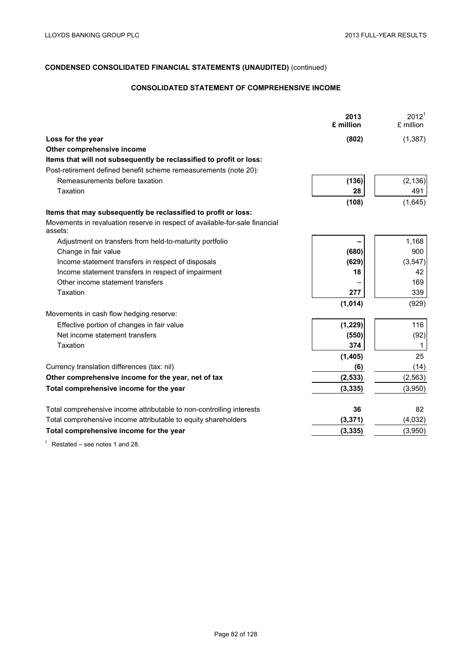# **CONSOLIDATED STATEMENT OF COMPREHENSIVE INCOME**

|                                                                                        | 2013<br>£ million | $2012^1$<br>£ million |
|----------------------------------------------------------------------------------------|-------------------|-----------------------|
| Loss for the year                                                                      | (802)             | (1, 387)              |
| Other comprehensive income                                                             |                   |                       |
| Items that will not subsequently be reclassified to profit or loss:                    |                   |                       |
| Post-retirement defined benefit scheme remeasurements (note 20):                       |                   |                       |
| Remeasurements before taxation                                                         | (136)             | (2, 136)              |
| Taxation                                                                               | 28                | 491                   |
|                                                                                        | (108)             | (1,645)               |
| Items that may subsequently be reclassified to profit or loss:                         |                   |                       |
| Movements in revaluation reserve in respect of available-for-sale financial<br>assets: |                   |                       |
| Adjustment on transfers from held-to-maturity portfolio                                |                   | 1,168                 |
| Change in fair value                                                                   | (680)             | 900                   |
| Income statement transfers in respect of disposals                                     | (629)             | (3, 547)              |
| Income statement transfers in respect of impairment                                    | 18                | 42                    |
| Other income statement transfers                                                       |                   | 169                   |
| Taxation                                                                               | 277               | 339                   |
|                                                                                        | (1,014)           | (929)                 |
| Movements in cash flow hedging reserve:                                                |                   |                       |
| Effective portion of changes in fair value                                             | (1, 229)          | 116                   |
| Net income statement transfers                                                         | (550)             | (92)                  |
| Taxation                                                                               | 374               | 1                     |
|                                                                                        | (1, 405)          | 25                    |
| Currency translation differences (tax: nil)                                            | (6)               | (14)                  |
| Other comprehensive income for the year, net of tax                                    | (2, 533)          | (2, 563)              |
| Total comprehensive income for the year                                                | (3, 335)          | (3,950)               |
| Total comprehensive income attributable to non-controlling interests                   | 36                | 82                    |
| Total comprehensive income attributable to equity shareholders                         | (3, 371)          | (4,032)               |
| Total comprehensive income for the year                                                | (3, 335)          | (3,950)               |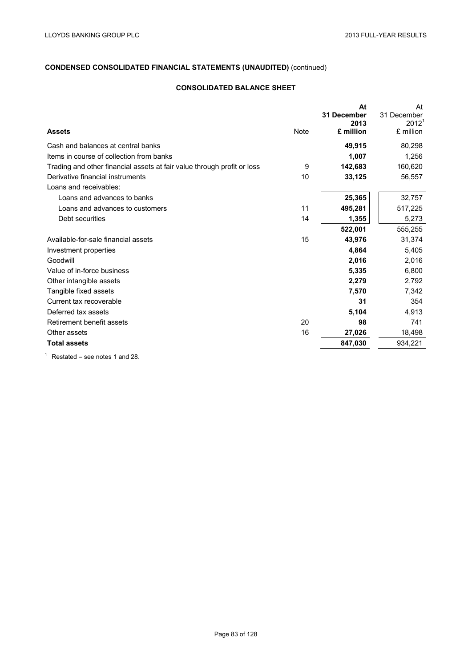## **CONSOLIDATED BALANCE SHEET**

|                                                                         |      | At<br>31 December<br>2013 | At<br>31 December<br>$2012^1$ |
|-------------------------------------------------------------------------|------|---------------------------|-------------------------------|
| <b>Assets</b>                                                           | Note | £ million                 | £ million                     |
| Cash and balances at central banks                                      |      | 49,915                    | 80,298                        |
| Items in course of collection from banks                                |      | 1,007                     | 1,256                         |
| Trading and other financial assets at fair value through profit or loss | 9    | 142,683                   | 160,620                       |
| Derivative financial instruments                                        | 10   | 33,125                    | 56,557                        |
| Loans and receivables:                                                  |      |                           |                               |
| Loans and advances to banks                                             |      | 25,365                    | 32,757                        |
| Loans and advances to customers                                         | 11   | 495,281                   | 517,225                       |
| Debt securities                                                         | 14   | 1,355                     | 5,273                         |
|                                                                         |      | 522,001                   | 555,255                       |
| Available-for-sale financial assets                                     | 15   | 43,976                    | 31,374                        |
| Investment properties                                                   |      | 4,864                     | 5,405                         |
| Goodwill                                                                |      | 2,016                     | 2,016                         |
| Value of in-force business                                              |      | 5,335                     | 6,800                         |
| Other intangible assets                                                 |      | 2,279                     | 2,792                         |
| Tangible fixed assets                                                   |      | 7,570                     | 7,342                         |
| Current tax recoverable                                                 |      | 31                        | 354                           |
| Deferred tax assets                                                     |      | 5,104                     | 4,913                         |
| Retirement benefit assets                                               | 20   | 98                        | 741                           |
| Other assets                                                            | 16   | 27,026                    | 18,498                        |
| <b>Total assets</b>                                                     |      | 847,030                   | 934,221                       |
|                                                                         |      |                           |                               |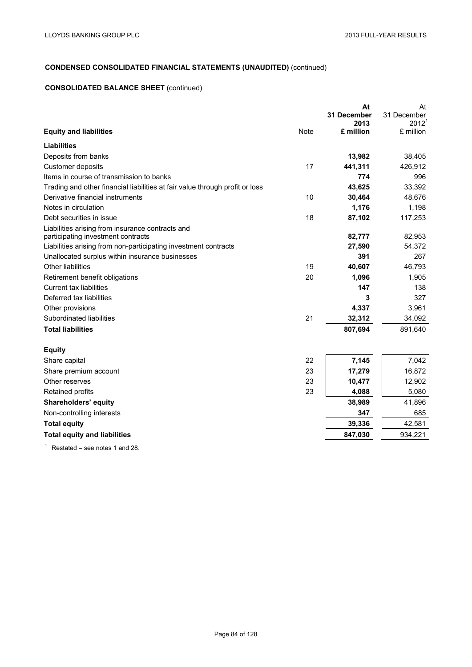## **CONSOLIDATED BALANCE SHEET** (continued)

|                                                                              | At<br>31 December | At<br>31 December |
|------------------------------------------------------------------------------|-------------------|-------------------|
|                                                                              | 2013              | 2012 <sup>1</sup> |
| <b>Note</b><br><b>Equity and liabilities</b>                                 | £ million         | £ million         |
| Liabilities                                                                  |                   |                   |
| Deposits from banks                                                          | 13,982            | 38,405            |
| 17<br>Customer deposits                                                      | 441,311           | 426,912           |
| Items in course of transmission to banks                                     | 774               | 996               |
| Trading and other financial liabilities at fair value through profit or loss | 43,625            | 33,392            |
| Derivative financial instruments<br>10                                       | 30,464            | 48,676            |
| Notes in circulation                                                         | 1,176             | 1,198             |
| Debt securities in issue<br>18                                               | 87,102            | 117,253           |
| Liabilities arising from insurance contracts and                             |                   |                   |
| participating investment contracts                                           | 82,777            | 82,953            |
| Liabilities arising from non-participating investment contracts              | 27,590            | 54,372            |
| Unallocated surplus within insurance businesses                              | 391               | 267               |
| 19<br>Other liabilities                                                      | 40,607            | 46,793            |
| 20<br>Retirement benefit obligations                                         | 1,096             | 1,905             |
| <b>Current tax liabilities</b>                                               | 147               | 138               |
| Deferred tax liabilities                                                     | 3                 | 327               |
| Other provisions                                                             | 4,337             | 3,961             |
| 21<br>Subordinated liabilities                                               | 32,312            | 34,092            |
| <b>Total liabilities</b>                                                     | 807,694           | 891,640           |
| <b>Equity</b>                                                                |                   |                   |
| 22<br>Share capital                                                          | 7,145             | 7,042             |
| 23<br>Share premium account                                                  | 17,279            | 16,872            |
| 23<br>Other reserves                                                         | 10,477            | 12,902            |
| 23<br>Retained profits                                                       | 4,088             | 5,080             |
| Shareholders' equity                                                         | 38,989            | 41,896            |
| Non-controlling interests                                                    | 347               | 685               |
| <b>Total equity</b>                                                          | 39,336            | 42,581            |
| <b>Total equity and liabilities</b>                                          | 847,030           | 934,221           |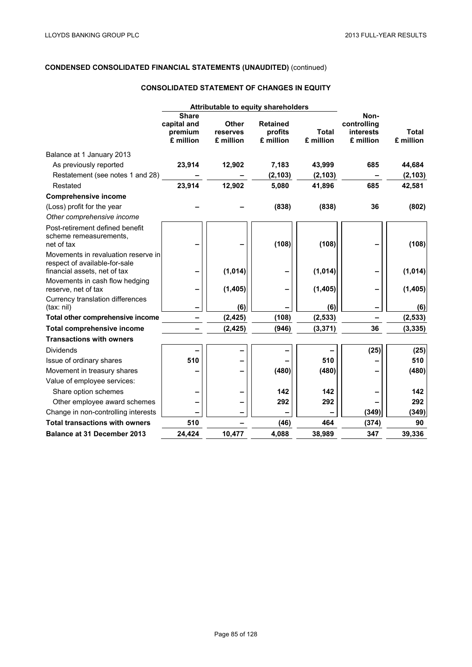## **CONSOLIDATED STATEMENT OF CHANGES IN EQUITY**

|                                                                                                      | Attributable to equity shareholders                 |                                       |                                         |                           |                                               |                           |
|------------------------------------------------------------------------------------------------------|-----------------------------------------------------|---------------------------------------|-----------------------------------------|---------------------------|-----------------------------------------------|---------------------------|
|                                                                                                      | <b>Share</b><br>capital and<br>premium<br>£ million | <b>Other</b><br>reserves<br>£ million | <b>Retained</b><br>profits<br>£ million | <b>Total</b><br>£ million | Non-<br>controlling<br>interests<br>£ million | <b>Total</b><br>£ million |
| Balance at 1 January 2013                                                                            |                                                     |                                       |                                         |                           |                                               |                           |
| As previously reported                                                                               | 23,914                                              | 12,902                                | 7,183                                   | 43,999                    | 685                                           | 44,684                    |
| Restatement (see notes 1 and 28)                                                                     |                                                     |                                       | (2, 103)                                | (2, 103)                  |                                               | (2, 103)                  |
| Restated                                                                                             | 23,914                                              | 12,902                                | 5,080                                   | 41,896                    | 685                                           | 42,581                    |
| <b>Comprehensive income</b>                                                                          |                                                     |                                       |                                         |                           |                                               |                           |
| (Loss) profit for the year                                                                           |                                                     |                                       | (838)                                   | (838)                     | 36                                            | (802)                     |
| Other comprehensive income                                                                           |                                                     |                                       |                                         |                           |                                               |                           |
| Post-retirement defined benefit<br>scheme remeasurements,<br>net of tax                              |                                                     |                                       | (108)                                   | (108)                     |                                               | (108)                     |
| Movements in revaluation reserve in<br>respect of available-for-sale<br>financial assets, net of tax |                                                     | (1, 014)                              |                                         | (1,014)                   |                                               | (1,014)                   |
| Movements in cash flow hedging<br>reserve, net of tax                                                |                                                     | (1, 405)                              |                                         | (1, 405)                  |                                               | (1, 405)                  |
| Currency translation differences<br>(tax: nil)                                                       |                                                     | (6)                                   |                                         | (6)                       |                                               | (6)                       |
| Total other comprehensive income                                                                     |                                                     | (2, 425)                              | (108)                                   | (2, 533)                  |                                               | (2, 533)                  |
| <b>Total comprehensive income</b>                                                                    |                                                     | (2, 425)                              | (946)                                   | (3, 371)                  | 36                                            | (3, 335)                  |
| <b>Transactions with owners</b>                                                                      |                                                     |                                       |                                         |                           |                                               |                           |
| <b>Dividends</b>                                                                                     |                                                     |                                       |                                         |                           | (25)                                          | (25)                      |
| Issue of ordinary shares                                                                             | 510                                                 |                                       |                                         | 510                       |                                               | 510                       |
| Movement in treasury shares                                                                          |                                                     | -                                     | (480)                                   | (480)                     |                                               | (480)                     |
| Value of employee services:                                                                          |                                                     |                                       |                                         |                           |                                               |                           |
| Share option schemes                                                                                 |                                                     |                                       | 142                                     | 142                       |                                               | 142                       |
| Other employee award schemes                                                                         |                                                     |                                       | 292                                     | 292                       |                                               | 292                       |
| Change in non-controlling interests                                                                  |                                                     |                                       |                                         |                           | (349)                                         | (349)                     |
| <b>Total transactions with owners</b>                                                                | 510                                                 |                                       | (46)                                    | 464                       | (374)                                         | 90                        |
| <b>Balance at 31 December 2013</b>                                                                   | 24,424                                              | 10,477                                | 4,088                                   | 38,989                    | 347                                           | 39,336                    |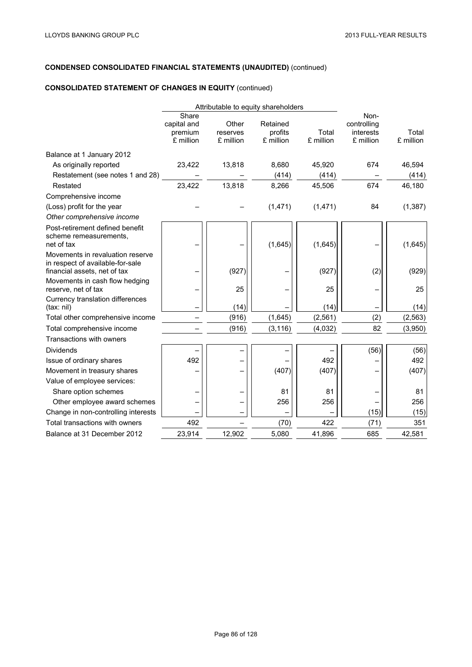## **CONSOLIDATED STATEMENT OF CHANGES IN EQUITY** (continued)

|                                                                                                      | Attributable to equity shareholders          |                                |                                  |                    |                                               |                    |
|------------------------------------------------------------------------------------------------------|----------------------------------------------|--------------------------------|----------------------------------|--------------------|-----------------------------------------------|--------------------|
|                                                                                                      | Share<br>capital and<br>premium<br>£ million | Other<br>reserves<br>£ million | Retained<br>profits<br>£ million | Total<br>£ million | Non-<br>controlling<br>interests<br>£ million | Total<br>£ million |
| Balance at 1 January 2012                                                                            |                                              |                                |                                  |                    |                                               |                    |
| As originally reported                                                                               | 23,422                                       | 13,818                         | 8,680                            | 45,920             | 674                                           | 46,594             |
| Restatement (see notes 1 and 28)                                                                     |                                              |                                | (414)                            | (414)              |                                               | (414)              |
| Restated                                                                                             | 23,422                                       | 13,818                         | 8,266                            | 45,506             | 674                                           | 46,180             |
| Comprehensive income                                                                                 |                                              |                                |                                  |                    |                                               |                    |
| (Loss) profit for the year                                                                           |                                              |                                | (1,471)                          | (1, 471)           | 84                                            | (1, 387)           |
| Other comprehensive income                                                                           |                                              |                                |                                  |                    |                                               |                    |
| Post-retirement defined benefit<br>scheme remeasurements,<br>net of tax                              |                                              |                                | (1,645)                          | (1,645)            |                                               | (1,645)            |
| Movements in revaluation reserve<br>in respect of available-for-sale<br>financial assets, net of tax |                                              | (927)                          |                                  | (927)              | (2)                                           | (929)              |
| Movements in cash flow hedging<br>reserve, net of tax                                                |                                              | 25                             |                                  | 25                 |                                               | 25                 |
| Currency translation differences<br>(tax: nil)                                                       |                                              | (14)                           |                                  | (14)               |                                               | (14)               |
| Total other comprehensive income                                                                     |                                              | (916)                          | (1,645)                          | (2, 561)           | (2)                                           | (2, 563)           |
| Total comprehensive income                                                                           |                                              | (916)                          | (3, 116)                         | (4,032)            | 82                                            | (3,950)            |
| Transactions with owners                                                                             |                                              |                                |                                  |                    |                                               |                    |
| Dividends                                                                                            |                                              |                                |                                  |                    | (56)                                          | (56)               |
| Issue of ordinary shares                                                                             | 492                                          |                                |                                  | 492                |                                               | 492                |
| Movement in treasury shares                                                                          |                                              |                                | (407)                            | (407)              |                                               | (407)              |
| Value of employee services:                                                                          |                                              |                                |                                  |                    |                                               |                    |
| Share option schemes                                                                                 |                                              |                                | 81                               | 81                 |                                               | 81                 |
| Other employee award schemes                                                                         |                                              |                                | 256                              | 256                |                                               | 256                |
| Change in non-controlling interests                                                                  |                                              |                                |                                  |                    | (15)                                          | (15)               |
| Total transactions with owners                                                                       | 492                                          |                                | (70)                             | 422                | (71)                                          | 351                |
| Balance at 31 December 2012                                                                          | 23,914                                       | 12,902                         | 5,080                            | 41,896             | 685                                           | 42,581             |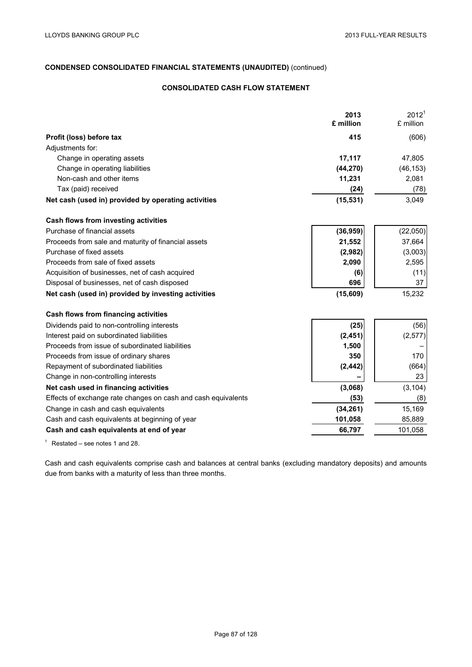## **CONSOLIDATED CASH FLOW STATEMENT**

| 2013<br>£ million                                                     | 2012 <sup>1</sup><br>£ million |
|-----------------------------------------------------------------------|--------------------------------|
|                                                                       |                                |
| 415<br>Profit (loss) before tax                                       | (606)                          |
| Adjustments for:                                                      |                                |
| Change in operating assets<br>17,117                                  | 47,805                         |
| Change in operating liabilities<br>(44, 270)                          | (46, 153)                      |
| Non-cash and other items<br>11,231                                    | 2,081                          |
| Tax (paid) received<br>(24)                                           | (78)                           |
| Net cash (used in) provided by operating activities<br>(15, 531)      | 3,049                          |
| Cash flows from investing activities                                  |                                |
| Purchase of financial assets<br>(36, 959)                             | (22,050)                       |
| Proceeds from sale and maturity of financial assets<br>21,552         | 37,664                         |
| Purchase of fixed assets<br>(2,982)                                   | (3,003)                        |
| Proceeds from sale of fixed assets<br>2,090                           | 2,595                          |
| Acquisition of businesses, net of cash acquired<br>(6)                | (11)                           |
| Disposal of businesses, net of cash disposed<br>696                   | 37                             |
| Net cash (used in) provided by investing activities<br>(15,609)       | 15,232                         |
| Cash flows from financing activities                                  |                                |
| Dividends paid to non-controlling interests<br>(25)                   | (56)                           |
| Interest paid on subordinated liabilities<br>(2, 451)                 | (2, 577)                       |
| Proceeds from issue of subordinated liabilities<br>1,500              |                                |
| Proceeds from issue of ordinary shares<br>350                         | 170                            |
| Repayment of subordinated liabilities<br>(2, 442)                     | (664)                          |
| Change in non-controlling interests                                   | 23                             |
| Net cash used in financing activities<br>(3,068)                      | (3, 104)                       |
| Effects of exchange rate changes on cash and cash equivalents<br>(53) | (8)                            |
| (34, 261)<br>Change in cash and cash equivalents                      | 15,169                         |
| Cash and cash equivalents at beginning of year<br>101,058             | 85,889                         |
| Cash and cash equivalents at end of year<br>66,797                    | 101,058                        |

 $1$  Restated – see notes 1 and 28.

Cash and cash equivalents comprise cash and balances at central banks (excluding mandatory deposits) and amounts due from banks with a maturity of less than three months.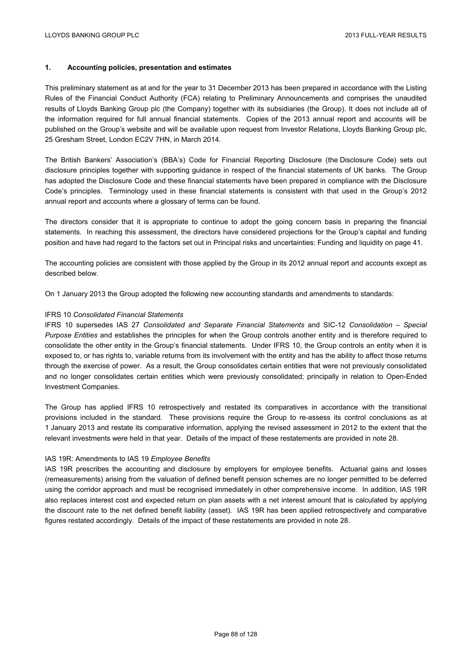### **1. Accounting policies, presentation and estimates**

This preliminary statement as at and for the year to 31 December 2013 has been prepared in accordance with the Listing Rules of the Financial Conduct Authority (FCA) relating to Preliminary Announcements and comprises the unaudited results of Lloyds Banking Group plc (the Company) together with its subsidiaries (the Group). It does not include all of the information required for full annual financial statements. Copies of the 2013 annual report and accounts will be published on the Group's website and will be available upon request from Investor Relations, Lloyds Banking Group plc, 25 Gresham Street, London EC2V 7HN, in March 2014.

The British Bankers' Association's (BBA's) Code for Financial Reporting Disclosure (the Disclosure Code) sets out disclosure principles together with supporting guidance in respect of the financial statements of UK banks. The Group has adopted the Disclosure Code and these financial statements have been prepared in compliance with the Disclosure Code's principles. Terminology used in these financial statements is consistent with that used in the Group's 2012 annual report and accounts where a glossary of terms can be found.

The directors consider that it is appropriate to continue to adopt the going concern basis in preparing the financial statements. In reaching this assessment, the directors have considered projections for the Group's capital and funding position and have had regard to the factors set out in Principal risks and uncertainties: Funding and liquidity on page 41.

The accounting policies are consistent with those applied by the Group in its 2012 annual report and accounts except as described below.

On 1 January 2013 the Group adopted the following new accounting standards and amendments to standards:

#### IFRS 10 *Consolidated Financial Statements*

IFRS 10 supersedes IAS 27 *Consolidated and Separate Financial Statements* and SIC-12 *Consolidation – Special Purpose Entities* and establishes the principles for when the Group controls another entity and is therefore required to consolidate the other entity in the Group's financial statements. Under IFRS 10, the Group controls an entity when it is exposed to, or has rights to, variable returns from its involvement with the entity and has the ability to affect those returns through the exercise of power. As a result, the Group consolidates certain entities that were not previously consolidated and no longer consolidates certain entities which were previously consolidated; principally in relation to Open-Ended Investment Companies.

The Group has applied IFRS 10 retrospectively and restated its comparatives in accordance with the transitional provisions included in the standard. These provisions require the Group to re-assess its control conclusions as at 1 January 2013 and restate its comparative information, applying the revised assessment in 2012 to the extent that the relevant investments were held in that year. Details of the impact of these restatements are provided in note 28.

### IAS 19R: Amendments to IAS 19 *Employee Benefits*

IAS 19R prescribes the accounting and disclosure by employers for employee benefits. Actuarial gains and losses (remeasurements) arising from the valuation of defined benefit pension schemes are no longer permitted to be deferred using the corridor approach and must be recognised immediately in other comprehensive income. In addition, IAS 19R also replaces interest cost and expected return on plan assets with a net interest amount that is calculated by applying the discount rate to the net defined benefit liability (asset). IAS 19R has been applied retrospectively and comparative figures restated accordingly. Details of the impact of these restatements are provided in note 28.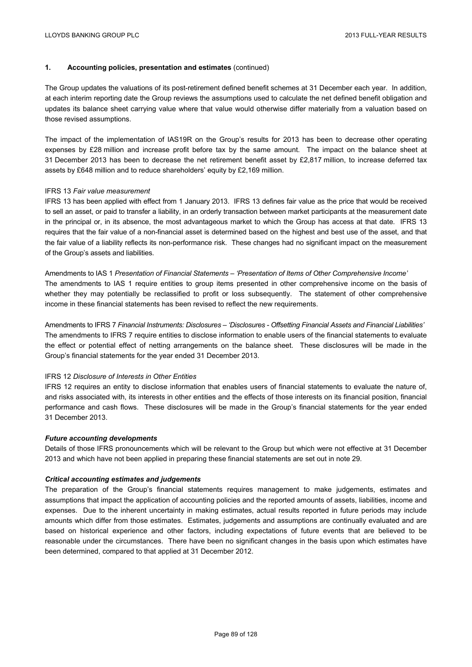### **1. Accounting policies, presentation and estimates** (continued)

The Group updates the valuations of its post-retirement defined benefit schemes at 31 December each year. In addition, at each interim reporting date the Group reviews the assumptions used to calculate the net defined benefit obligation and updates its balance sheet carrying value where that value would otherwise differ materially from a valuation based on those revised assumptions.

The impact of the implementation of IAS19R on the Group's results for 2013 has been to decrease other operating expenses by £28 million and increase profit before tax by the same amount. The impact on the balance sheet at 31 December 2013 has been to decrease the net retirement benefit asset by £2,817 million, to increase deferred tax assets by £648 million and to reduce shareholders' equity by £2,169 million.

#### IFRS 13 *Fair value measurement*

IFRS 13 has been applied with effect from 1 January 2013. IFRS 13 defines fair value as the price that would be received to sell an asset, or paid to transfer a liability, in an orderly transaction between market participants at the measurement date in the principal or, in its absence, the most advantageous market to which the Group has access at that date. IFRS 13 requires that the fair value of a non-financial asset is determined based on the highest and best use of the asset, and that the fair value of a liability reflects its non-performance risk. These changes had no significant impact on the measurement of the Group's assets and liabilities.

Amendments to IAS 1 *Presentation of Financial Statements – 'Presentation of Items of Other Comprehensive Income'*  The amendments to IAS 1 require entities to group items presented in other comprehensive income on the basis of whether they may potentially be reclassified to profit or loss subsequently. The statement of other comprehensive income in these financial statements has been revised to reflect the new requirements.

Amendments to IFRS 7 *Financial Instruments: Disclosures – 'Disclosures - Offsetting Financial Assets and Financial Liabilities'*  The amendments to IFRS 7 require entities to disclose information to enable users of the financial statements to evaluate the effect or potential effect of netting arrangements on the balance sheet. These disclosures will be made in the Group's financial statements for the year ended 31 December 2013.

#### IFRS 12 *Disclosure of Interests in Other Entities*

IFRS 12 requires an entity to disclose information that enables users of financial statements to evaluate the nature of, and risks associated with, its interests in other entities and the effects of those interests on its financial position, financial performance and cash flows. These disclosures will be made in the Group's financial statements for the year ended 31 December 2013.

#### *Future accounting developments*

Details of those IFRS pronouncements which will be relevant to the Group but which were not effective at 31 December 2013 and which have not been applied in preparing these financial statements are set out in note 29.

#### *Critical accounting estimates and judgements*

The preparation of the Group's financial statements requires management to make judgements, estimates and assumptions that impact the application of accounting policies and the reported amounts of assets, liabilities, income and expenses. Due to the inherent uncertainty in making estimates, actual results reported in future periods may include amounts which differ from those estimates. Estimates, judgements and assumptions are continually evaluated and are based on historical experience and other factors, including expectations of future events that are believed to be reasonable under the circumstances. There have been no significant changes in the basis upon which estimates have been determined, compared to that applied at 31 December 2012.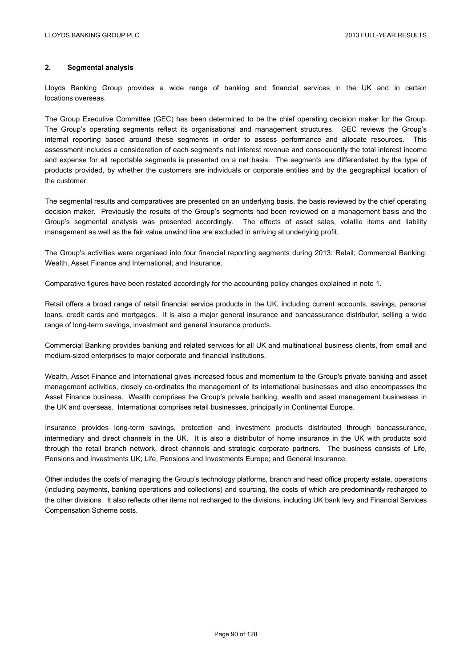### **2. Segmental analysis**

Lloyds Banking Group provides a wide range of banking and financial services in the UK and in certain locations overseas.

The Group Executive Committee (GEC) has been determined to be the chief operating decision maker for the Group. The Group's operating segments reflect its organisational and management structures. GEC reviews the Group's internal reporting based around these segments in order to assess performance and allocate resources. This assessment includes a consideration of each segment's net interest revenue and consequently the total interest income and expense for all reportable segments is presented on a net basis. The segments are differentiated by the type of products provided, by whether the customers are individuals or corporate entities and by the geographical location of the customer.

The segmental results and comparatives are presented on an underlying basis, the basis reviewed by the chief operating decision maker. Previously the results of the Group's segments had been reviewed on a management basis and the Group's segmental analysis was presented accordingly. The effects of asset sales, volatile items and liability management as well as the fair value unwind line are excluded in arriving at underlying profit.

The Group's activities were organised into four financial reporting segments during 2013: Retail; Commercial Banking; Wealth, Asset Finance and International; and Insurance.

Comparative figures have been restated accordingly for the accounting policy changes explained in note 1.

Retail offers a broad range of retail financial service products in the UK, including current accounts, savings, personal loans, credit cards and mortgages. It is also a major general insurance and bancassurance distributor, selling a wide range of long-term savings, investment and general insurance products.

Commercial Banking provides banking and related services for all UK and multinational business clients, from small and medium-sized enterprises to major corporate and financial institutions.

Wealth, Asset Finance and International gives increased focus and momentum to the Group's private banking and asset management activities, closely co-ordinates the management of its international businesses and also encompasses the Asset Finance business. Wealth comprises the Group's private banking, wealth and asset management businesses in the UK and overseas. International comprises retail businesses, principally in Continental Europe.

Insurance provides long-term savings, protection and investment products distributed through bancassurance, intermediary and direct channels in the UK. It is also a distributor of home insurance in the UK with products sold through the retail branch network, direct channels and strategic corporate partners. The business consists of Life, Pensions and Investments UK; Life, Pensions and Investments Europe; and General Insurance.

Other includes the costs of managing the Group's technology platforms, branch and head office property estate, operations (including payments, banking operations and collections) and sourcing, the costs of which are predominantly recharged to the other divisions. It also reflects other items not recharged to the divisions, including UK bank levy and Financial Services Compensation Scheme costs.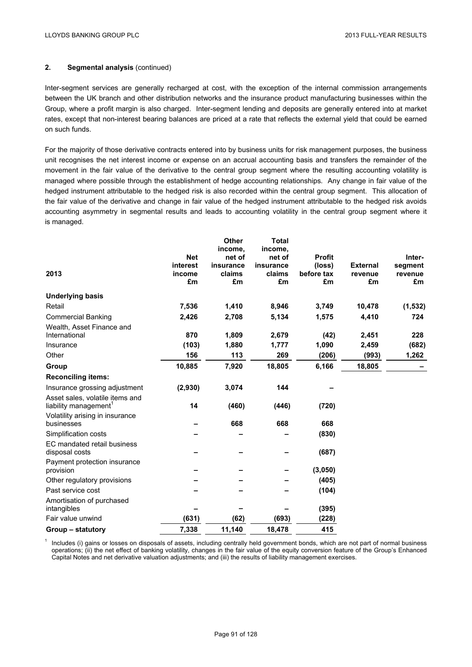### **2. Segmental analysis** (continued)

Inter-segment services are generally recharged at cost, with the exception of the internal commission arrangements between the UK branch and other distribution networks and the insurance product manufacturing businesses within the Group, where a profit margin is also charged. Inter-segment lending and deposits are generally entered into at market rates, except that non-interest bearing balances are priced at a rate that reflects the external yield that could be earned on such funds.

For the majority of those derivative contracts entered into by business units for risk management purposes, the business unit recognises the net interest income or expense on an accrual accounting basis and transfers the remainder of the movement in the fair value of the derivative to the central group segment where the resulting accounting volatility is managed where possible through the establishment of hedge accounting relationships. Any change in fair value of the hedged instrument attributable to the hedged risk is also recorded within the central group segment. This allocation of the fair value of the derivative and change in fair value of the hedged instrument attributable to the hedged risk avoids accounting asymmetry in segmental results and leads to accounting volatility in the central group segment where it is managed.

|                                                                      | <b>Net</b><br>interest | <b>Other</b><br>income,<br>net of<br>insurance | <b>Total</b><br>income,<br>net of<br>insurance | <b>Profit</b>        | <b>External</b> | Inter-             |
|----------------------------------------------------------------------|------------------------|------------------------------------------------|------------------------------------------------|----------------------|-----------------|--------------------|
| 2013                                                                 | income                 | claims                                         | claims                                         | (loss)<br>before tax | revenue         | segment<br>revenue |
|                                                                      | £m                     | £m                                             | £m                                             | £m                   | £m              | £m                 |
| <b>Underlying basis</b>                                              |                        |                                                |                                                |                      |                 |                    |
| Retail                                                               | 7,536                  | 1,410                                          | 8,946                                          | 3,749                | 10,478          | (1, 532)           |
| <b>Commercial Banking</b>                                            | 2,426                  | 2,708                                          | 5,134                                          | 1,575                | 4,410           | 724                |
| Wealth, Asset Finance and<br>International                           | 870                    | 1,809                                          | 2,679                                          | (42)                 | 2,451           | 228                |
| Insurance                                                            | (103)                  | 1,880                                          | 1,777                                          | 1,090                | 2,459           | (682)              |
| Other                                                                | 156                    | 113                                            | 269                                            | (206)                | (993)           | 1,262              |
| Group                                                                | 10,885                 | 7,920                                          | 18,805                                         | 6,166                | 18,805          |                    |
| <b>Reconciling items:</b>                                            |                        |                                                |                                                |                      |                 |                    |
| Insurance grossing adjustment                                        | (2,930)                | 3,074                                          | 144                                            |                      |                 |                    |
| Asset sales, volatile items and<br>liability management <sup>1</sup> | 14                     | (460)                                          | (446)                                          | (720)                |                 |                    |
| Volatility arising in insurance<br>businesses                        |                        | 668                                            | 668                                            | 668                  |                 |                    |
| Simplification costs                                                 |                        |                                                |                                                | (830)                |                 |                    |
| EC mandated retail business<br>disposal costs                        |                        |                                                |                                                | (687)                |                 |                    |
| Payment protection insurance<br>provision                            |                        |                                                |                                                | (3,050)              |                 |                    |
| Other regulatory provisions                                          |                        |                                                |                                                | (405)                |                 |                    |
| Past service cost                                                    |                        |                                                |                                                | (104)                |                 |                    |
| Amortisation of purchased<br>intangibles                             |                        |                                                |                                                | (395)                |                 |                    |
| Fair value unwind                                                    | (631)                  | (62)                                           | (693)                                          | (228)                |                 |                    |
| Group – statutory                                                    | 7,338                  | 11,140                                         | 18,478                                         | 415                  |                 |                    |

<sup>1</sup> Includes (i) gains or losses on disposals of assets, including centrally held government bonds, which are not part of normal business operations; (ii) the net effect of banking volatility, changes in the fair value of the equity conversion feature of the Group's Enhanced Capital Notes and net derivative valuation adjustments; and (iii) the results of liability management exercises.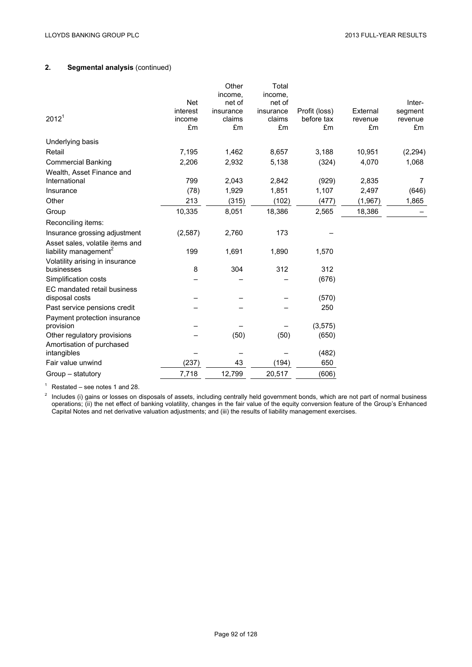## **2. Segmental analysis** (continued)

| 2012 <sup>1</sup>                                                        | <b>Net</b><br>interest<br>income<br>£m | Other<br>income,<br>net of<br>insurance<br>claims<br>£m | Total<br>income,<br>net of<br>insurance<br>claims<br>£m | Profit (loss)<br>before tax<br>£m | External<br>revenue<br>£m | Inter-<br>segment<br>revenue<br>£m |
|--------------------------------------------------------------------------|----------------------------------------|---------------------------------------------------------|---------------------------------------------------------|-----------------------------------|---------------------------|------------------------------------|
| Underlying basis                                                         |                                        |                                                         |                                                         |                                   |                           |                                    |
| Retail                                                                   | 7,195                                  | 1,462                                                   | 8,657                                                   | 3,188                             | 10,951                    | (2, 294)                           |
| <b>Commercial Banking</b>                                                | 2,206                                  | 2,932                                                   | 5,138                                                   | (324)                             | 4,070                     | 1,068                              |
| Wealth, Asset Finance and<br>International                               | 799                                    | 2,043                                                   | 2,842                                                   | (929)                             | 2,835                     | 7                                  |
| Insurance                                                                | (78)                                   | 1,929                                                   | 1,851                                                   | 1,107                             | 2,497                     | (646)                              |
| Other                                                                    | 213                                    | (315)                                                   | (102)                                                   | (477)                             | (1, 967)                  | 1,865                              |
| Group                                                                    | 10,335                                 | 8,051                                                   | 18,386                                                  | 2,565                             | 18,386                    |                                    |
| Reconciling items:                                                       |                                        |                                                         |                                                         |                                   |                           |                                    |
| Insurance grossing adjustment                                            | (2,587)                                | 2,760                                                   | 173                                                     |                                   |                           |                                    |
| Asset sales, volatile items and<br>liability management <sup>2</sup>     | 199                                    | 1,691                                                   | 1,890                                                   | 1,570                             |                           |                                    |
| Volatility arising in insurance<br>businesses                            | 8                                      | 304                                                     | 312                                                     | 312                               |                           |                                    |
| Simplification costs                                                     |                                        |                                                         |                                                         | (676)                             |                           |                                    |
| EC mandated retail business<br>disposal costs                            |                                        |                                                         |                                                         | (570)                             |                           |                                    |
| Past service pensions credit                                             |                                        |                                                         |                                                         | 250                               |                           |                                    |
| Payment protection insurance<br>provision<br>Other regulatory provisions |                                        | (50)                                                    | (50)                                                    | (3, 575)<br>(650)                 |                           |                                    |
| Amortisation of purchased<br>intangibles                                 |                                        |                                                         |                                                         | (482)                             |                           |                                    |
| Fair value unwind                                                        | (237)                                  | 43                                                      | (194)                                                   | 650                               |                           |                                    |
| Group - statutory                                                        | 7,718                                  | 12,799                                                  | 20,517                                                  | (606)                             |                           |                                    |

 $1$  Restated – see notes 1 and 28.

 $2$  Includes (i) gains or losses on disposals of assets, including centrally held government bonds, which are not part of normal business operations; (ii) the net effect of banking volatility, changes in the fair value of the equity conversion feature of the Group's Enhanced Capital Notes and net derivative valuation adjustments; and (iii) the results of liability management exercises.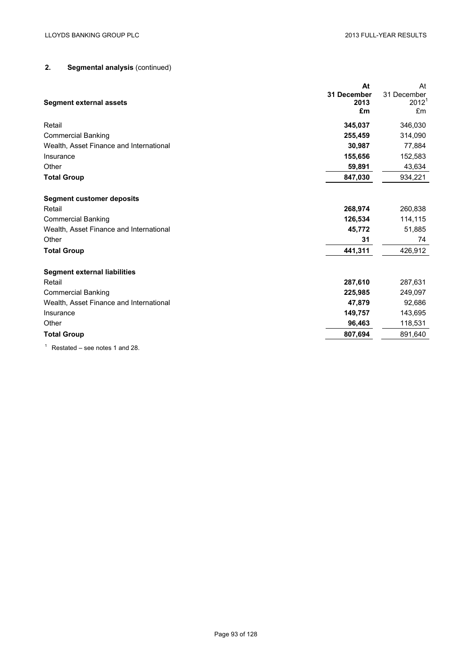# **2. Segmental analysis** (continued)

| <b>Segment external assets</b>          | At<br>31 December<br>2013<br>£m | At<br>31 December<br>2012 <sup>1</sup><br>£m |
|-----------------------------------------|---------------------------------|----------------------------------------------|
| Retail                                  | 345,037                         | 346,030                                      |
| <b>Commercial Banking</b>               | 255,459                         | 314,090                                      |
| Wealth, Asset Finance and International | 30.987                          | 77,884                                       |
| Insurance                               | 155,656                         | 152,583                                      |
| Other                                   | 59,891                          | 43,634                                       |
| <b>Total Group</b>                      | 847,030                         | 934,221                                      |
| <b>Segment customer deposits</b>        |                                 |                                              |
| Retail                                  | 268,974                         | 260,838                                      |
| <b>Commercial Banking</b>               | 126,534                         | 114,115                                      |
| Wealth, Asset Finance and International | 45,772                          | 51,885                                       |
| Other                                   | 31                              | 74                                           |
| <b>Total Group</b>                      | 441,311                         | 426,912                                      |
| <b>Segment external liabilities</b>     |                                 |                                              |
| Retail                                  | 287,610                         | 287,631                                      |
| <b>Commercial Banking</b>               | 225,985                         | 249,097                                      |
| Wealth, Asset Finance and International | 47,879                          | 92,686                                       |
| Insurance                               | 149,757                         | 143,695                                      |
| Other                                   | 96,463                          | 118,531                                      |
| <b>Total Group</b>                      | 807,694                         | 891,640                                      |
|                                         |                                 |                                              |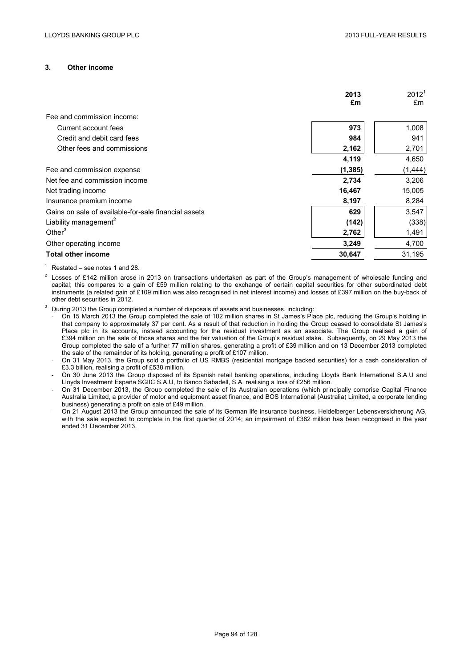#### **3. Other income**

|                                                      | 2013     | 2012 <sup>1</sup> |
|------------------------------------------------------|----------|-------------------|
|                                                      | £m       | £m                |
| Fee and commission income:                           |          |                   |
| Current account fees                                 | 973      | 1,008             |
| Credit and debit card fees                           | 984      | 941               |
| Other fees and commissions                           | 2,162    | 2,701             |
|                                                      | 4,119    | 4,650             |
| Fee and commission expense                           | (1, 385) | (1, 444)          |
| Net fee and commission income                        | 2,734    | 3,206             |
| Net trading income                                   | 16,467   | 15,005            |
| Insurance premium income                             | 8,197    | 8,284             |
| Gains on sale of available-for-sale financial assets | 629      | 3,547             |
| Liability management <sup>2</sup>                    | (142)    | (338)             |
| Other $3$                                            | 2,762    | 1,491             |
| Other operating income                               | 3,249    | 4,700             |
| <b>Total other income</b>                            | 30,647   | 31,195            |

- $1$  Restated see notes 1 and 28.
- $2$  Losses of £142 million arose in 2013 on transactions undertaken as part of the Group's management of wholesale funding and capital; this compares to a gain of £59 million relating to the exchange of certain capital securities for other subordinated debt instruments (a related gain of £109 million was also recognised in net interest income) and losses of £397 million on the buy-back of other debt securities in 2012.
- <sup>3</sup> During 2013 the Group completed a number of disposals of assets and businesses, including:
	- On 15 March 2013 the Group completed the sale of 102 million shares in St James's Place plc, reducing the Group's holding in that company to approximately 37 per cent. As a result of that reduction in holding the Group ceased to consolidate St James's Place plc in its accounts, instead accounting for the residual investment as an associate. The Group realised a gain of £394 million on the sale of those shares and the fair valuation of the Group's residual stake. Subsequently, on 29 May 2013 the Group completed the sale of a further 77 million shares, generating a profit of £39 million and on 13 December 2013 completed the sale of the remainder of its holding, generating a profit of £107 million.
	- On 31 May 2013, the Group sold a portfolio of US RMBS (residential mortgage backed securities) for a cash consideration of £3.3 billion, realising a profit of £538 million.
	- On 30 June 2013 the Group disposed of its Spanish retail banking operations, including Lloyds Bank International S.A.U and Lloyds Investment España SGIIC S.A.U, to Banco Sabadell, S.A. realising a loss of £256 million.
	- On 31 December 2013, the Group completed the sale of its Australian operations (which principally comprise Capital Finance Australia Limited, a provider of motor and equipment asset finance, and BOS International (Australia) Limited, a corporate lending business) generating a profit on sale of £49 million.
	- On 21 August 2013 the Group announced the sale of its German life insurance business, Heidelberger Lebensversicherung AG, with the sale expected to complete in the first quarter of 2014; an impairment of £382 million has been recognised in the year ended 31 December 2013.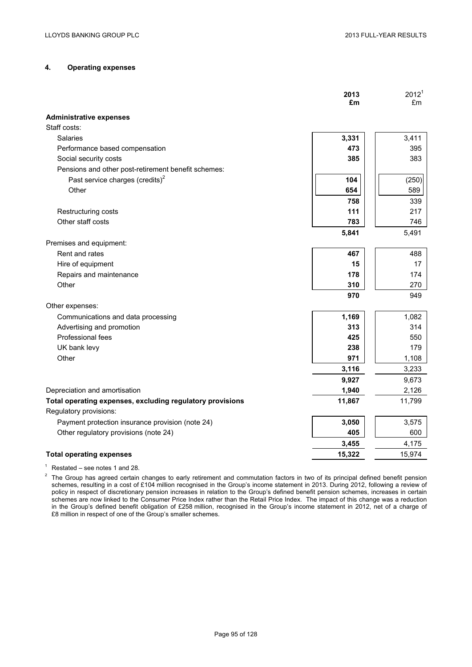### **4. Operating expenses**

|                                                           | 2013<br>£m | 2012 <sup>1</sup><br>£m |
|-----------------------------------------------------------|------------|-------------------------|
|                                                           |            |                         |
| <b>Administrative expenses</b><br>Staff costs:            |            |                         |
| Salaries                                                  | 3,331      | 3,411                   |
|                                                           | 473        |                         |
| Performance based compensation                            |            | 395                     |
| Social security costs                                     | 385        | 383                     |
| Pensions and other post-retirement benefit schemes:       |            |                         |
| Past service charges (credits) <sup>2</sup>               | 104        | (250)                   |
| Other                                                     | 654        | 589                     |
|                                                           | 758        | 339                     |
| Restructuring costs                                       | 111        | 217                     |
| Other staff costs                                         | 783        | 746                     |
|                                                           | 5,841      | 5,491                   |
| Premises and equipment:                                   |            |                         |
| Rent and rates                                            | 467        | 488                     |
| Hire of equipment                                         | 15         | 17                      |
| Repairs and maintenance                                   | 178        | 174                     |
| Other                                                     | 310        | 270                     |
|                                                           | 970        | 949                     |
| Other expenses:                                           |            |                         |
| Communications and data processing                        | 1,169      | 1,082                   |
| Advertising and promotion                                 | 313        | 314                     |
| Professional fees                                         | 425        | 550                     |
| UK bank levy                                              | 238        | 179                     |
| Other                                                     | 971        | 1,108                   |
|                                                           | 3,116      | 3,233                   |
|                                                           | 9,927      | 9,673                   |
| Depreciation and amortisation                             | 1,940      | 2,126                   |
| Total operating expenses, excluding regulatory provisions | 11,867     | 11,799                  |
| Regulatory provisions:                                    |            |                         |
| Payment protection insurance provision (note 24)          | 3,050      | 3,575                   |
| Other regulatory provisions (note 24)                     | 405        | 600                     |
|                                                           | 3,455      | 4,175                   |
| <b>Total operating expenses</b>                           | 15,322     | 15,974                  |
|                                                           |            |                         |

 $1$  Restated – see notes 1 and 28.

 $2$  The Group has agreed certain changes to early retirement and commutation factors in two of its principal defined benefit pension schemes, resulting in a cost of £104 million recognised in the Group's income statement in 2013. During 2012, following a review of policy in respect of discretionary pension increases in relation to the Group's defined benefit pension schemes, increases in certain schemes are now linked to the Consumer Price Index rather than the Retail Price Index. The impact of this change was a reduction in the Group's defined benefit obligation of £258 million, recognised in the Group's income statement in 2012, net of a charge of £8 million in respect of one of the Group's smaller schemes.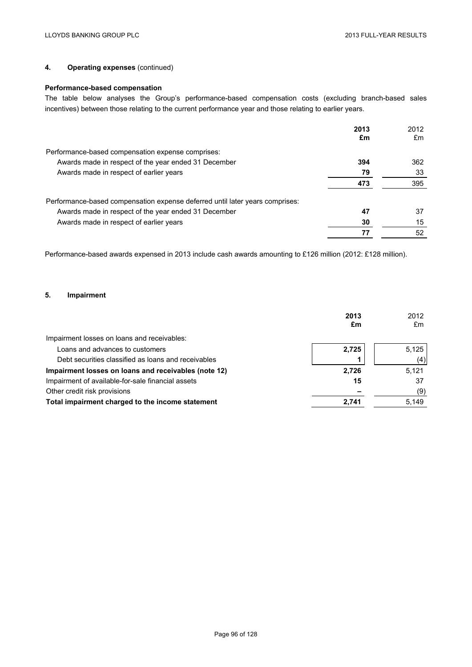## **4. Operating expenses** (continued)

## **Performance-based compensation**

The table below analyses the Group's performance-based compensation costs (excluding branch-based sales incentives) between those relating to the current performance year and those relating to earlier years.

|                                                                              | 2013 | 2012 |
|------------------------------------------------------------------------------|------|------|
|                                                                              | £m   | £m   |
| Performance-based compensation expense comprises:                            |      |      |
| Awards made in respect of the year ended 31 December                         | 394  | 362  |
| Awards made in respect of earlier years                                      | 79   | 33   |
|                                                                              | 473  | 395  |
| Performance-based compensation expense deferred until later years comprises: |      |      |
| Awards made in respect of the year ended 31 December                         | 47   | 37   |
| Awards made in respect of earlier years                                      | 30   | 15   |
|                                                                              | 77   | 52   |

Performance-based awards expensed in 2013 include cash awards amounting to £126 million (2012: £128 million).

#### **5. Impairment**

|                                                      | 2013<br>£m | 2012<br>£m |
|------------------------------------------------------|------------|------------|
| Impairment losses on loans and receivables:          |            |            |
| Loans and advances to customers                      | 2,725      | 5,125      |
| Debt securities classified as loans and receivables  |            | (4)        |
| Impairment losses on loans and receivables (note 12) | 2,726      | 5,121      |
| Impairment of available-for-sale financial assets    | 15         | 37         |
| Other credit risk provisions                         |            | (9)        |
| Total impairment charged to the income statement     | 2,741      | 5,149      |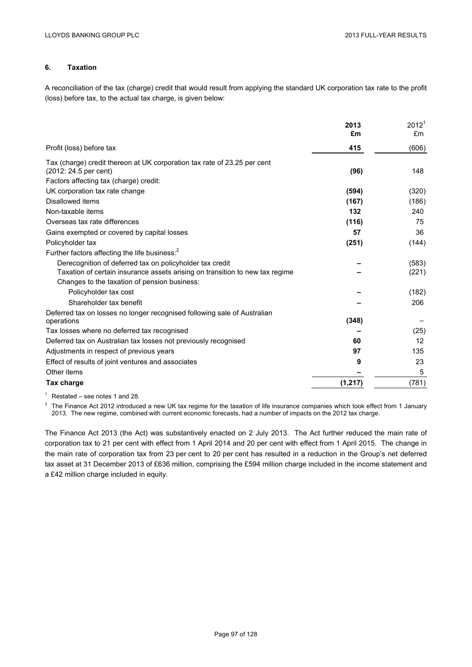### **6. Taxation**

A reconciliation of the tax (charge) credit that would result from applying the standard UK corporation tax rate to the profit (loss) before tax, to the actual tax charge, is given below:

|                                                                              | 2013     | 2012 <sup>1</sup> |
|------------------------------------------------------------------------------|----------|-------------------|
|                                                                              | £m       | £m                |
| Profit (loss) before tax                                                     | 415      | (606)             |
| Tax (charge) credit thereon at UK corporation tax rate of 23.25 per cent     |          |                   |
| (2012: 24.5 per cent)                                                        | (96)     | 148               |
| Factors affecting tax (charge) credit:                                       |          |                   |
| UK corporation tax rate change                                               | (594)    | (320)             |
| Disallowed items                                                             | (167)    | (186)             |
| Non-taxable items                                                            | 132      | 240               |
| Overseas tax rate differences                                                | (116)    | 75                |
| Gains exempted or covered by capital losses                                  | 57       | 36                |
| Policyholder tax                                                             | (251)    | (144)             |
| Further factors affecting the life business: <sup>2</sup>                    |          |                   |
| Derecognition of deferred tax on policyholder tax credit                     |          | (583)             |
| Taxation of certain insurance assets arising on transition to new tax regime |          | (221)             |
| Changes to the taxation of pension business:                                 |          |                   |
| Policyholder tax cost                                                        |          | (182)             |
| Shareholder tax benefit                                                      |          | 206               |
| Deferred tax on losses no longer recognised following sale of Australian     |          |                   |
| operations                                                                   | (348)    |                   |
| Tax losses where no deferred tax recognised                                  |          | (25)              |
| Deferred tax on Australian tax losses not previously recognised              | 60       | 12                |
| Adjustments in respect of previous years                                     | 97       | 135               |
| Effect of results of joint ventures and associates                           | 9        | 23                |
| Other items                                                                  |          | 5                 |
| Tax charge                                                                   | (1, 217) | (781)             |
|                                                                              |          |                   |

 $1$  Restated – see notes 1 and 28.

 $2$  The Finance Act 2012 introduced a new UK tax regime for the taxation of life insurance companies which took effect from 1 January 2013. The new regime, combined with current economic forecasts, had a number of impacts on the 2012 tax charge.

The Finance Act 2013 (the Act) was substantively enacted on 2 July 2013. The Act further reduced the main rate of corporation tax to 21 per cent with effect from 1 April 2014 and 20 per cent with effect from 1 April 2015. The change in the main rate of corporation tax from 23 per cent to 20 per cent has resulted in a reduction in the Group's net deferred tax asset at 31 December 2013 of £636 million, comprising the £594 million charge included in the income statement and a £42 million charge included in equity.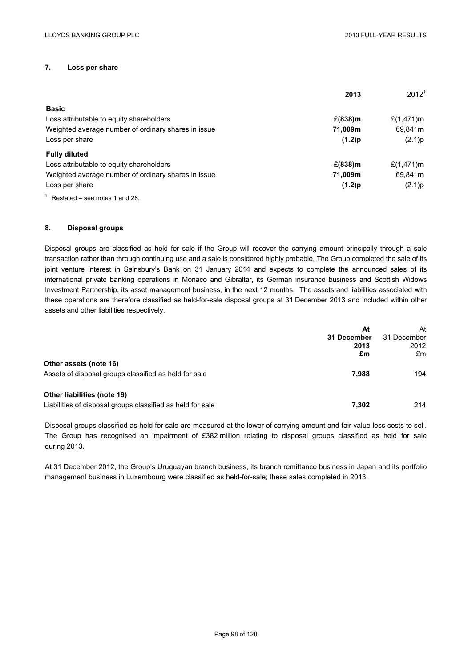## **7. Loss per share**

|                                                     | 2013       | 2012 <sup>1</sup> |
|-----------------------------------------------------|------------|-------------------|
| <b>Basic</b>                                        |            |                   |
| Loss attributable to equity shareholders            | $£(838)$ m | £ $(1,471)$ m     |
| Weighted average number of ordinary shares in issue | 71,009m    | 69,841m           |
| Loss per share                                      | (1.2)p     | (2.1)p            |
| <b>Fully diluted</b>                                |            |                   |
| Loss attributable to equity shareholders            | $E(838)$ m | £ $(1,471)$ m     |
| Weighted average number of ordinary shares in issue | 71,009m    | 69,841m           |
| Loss per share                                      | (1.2)p     | (2.1)p            |
| $1$ Restated – see notes 1 and 28.                  |            |                   |

#### **8. Disposal groups**

Disposal groups are classified as held for sale if the Group will recover the carrying amount principally through a sale transaction rather than through continuing use and a sale is considered highly probable. The Group completed the sale of its joint venture interest in Sainsbury's Bank on 31 January 2014 and expects to complete the announced sales of its international private banking operations in Monaco and Gibraltar, its German insurance business and Scottish Widows Investment Partnership, its asset management business, in the next 12 months. The assets and liabilities associated with these operations are therefore classified as held-for-sale disposal groups at 31 December 2013 and included within other assets and other liabilities respectively.

|                                                                                           | At<br>31 December<br>2013 | At<br>31 December<br>2012 |
|-------------------------------------------------------------------------------------------|---------------------------|---------------------------|
|                                                                                           | £m                        | £m                        |
| Other assets (note 16)<br>Assets of disposal groups classified as held for sale           | 7.988                     | 194                       |
| Other liabilities (note 19)<br>Liabilities of disposal groups classified as held for sale | 7,302                     | 214                       |

Disposal groups classified as held for sale are measured at the lower of carrying amount and fair value less costs to sell. The Group has recognised an impairment of £382 million relating to disposal groups classified as held for sale during 2013.

At 31 December 2012, the Group's Uruguayan branch business, its branch remittance business in Japan and its portfolio management business in Luxembourg were classified as held-for-sale; these sales completed in 2013.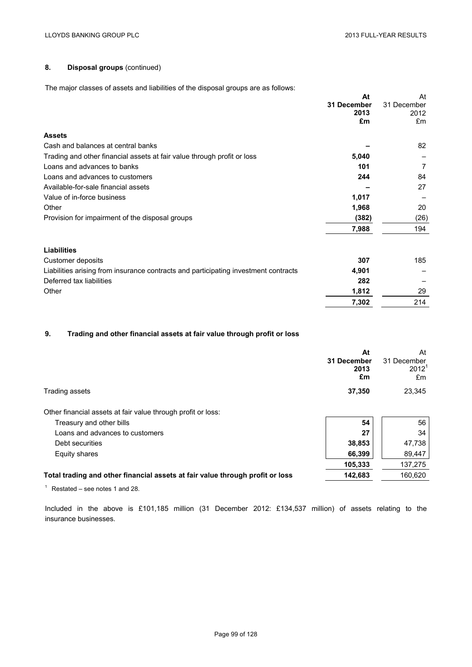## **8. Disposal groups** (continued)

The major classes of assets and liabilities of the disposal groups are as follows:

| cracted or accele and habilities or the disposal groups are as foll-                |             |             |
|-------------------------------------------------------------------------------------|-------------|-------------|
|                                                                                     | At          | At          |
|                                                                                     | 31 December | 31 December |
|                                                                                     | 2013        | 2012        |
|                                                                                     | £m          | £m          |
| <b>Assets</b>                                                                       |             |             |
| Cash and balances at central banks                                                  |             | 82          |
| Trading and other financial assets at fair value through profit or loss             | 5,040       |             |
| Loans and advances to banks                                                         | 101         | 7           |
| Loans and advances to customers                                                     | 244         | 84          |
| Available-for-sale financial assets                                                 |             | 27          |
| Value of in-force business                                                          | 1,017       |             |
| Other                                                                               | 1,968       | 20          |
| Provision for impairment of the disposal groups                                     | (382)       | (26)        |
|                                                                                     | 7,988       | 194         |
| <b>Liabilities</b>                                                                  |             |             |
| Customer deposits                                                                   | 307         | 185         |
| Liabilities arising from insurance contracts and participating investment contracts | 4,901       |             |
| Deferred tax liabilities                                                            | 282         |             |
| Other                                                                               | 1,812       | 29          |
|                                                                                     | 7,302       | 214         |

## **9. Trading and other financial assets at fair value through profit or loss**

|                                                                               | At<br>31 December<br>2013<br>£m | At<br>31 December<br>$2012^1$<br>£m |
|-------------------------------------------------------------------------------|---------------------------------|-------------------------------------|
| Trading assets                                                                | 37,350                          | 23,345                              |
| Other financial assets at fair value through profit or loss:                  |                                 |                                     |
| Treasury and other bills                                                      | 54                              | 56                                  |
| Loans and advances to customers                                               | 27                              | 34                                  |
| Debt securities                                                               | 38,853                          | 47,738                              |
| Equity shares                                                                 | 66,399                          | 89,447                              |
|                                                                               | 105,333                         | 137,275                             |
| Total trading and other financial assets at fair value through profit or loss | 142,683                         | 160,620                             |

 $1$  Restated – see notes 1 and 28.

Included in the above is £101,185 million (31 December 2012: £134,537 million) of assets relating to the insurance businesses.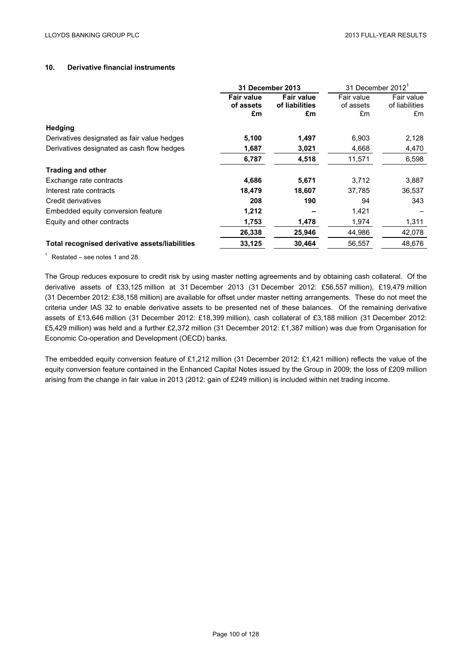## **10. Derivative financial instruments**

|                                                | <b>31 December 2013</b>                                                           |        | 31 December 2012 <sup>1</sup> |                                    |
|------------------------------------------------|-----------------------------------------------------------------------------------|--------|-------------------------------|------------------------------------|
|                                                | <b>Fair value</b><br><b>Fair value</b><br>of liabilities<br>of assets<br>£m<br>£m |        | Fair value<br>of assets<br>£m | Fair value<br>of liabilities<br>£m |
| <b>Hedging</b>                                 |                                                                                   |        |                               |                                    |
| Derivatives designated as fair value hedges    | 5,100                                                                             | 1,497  | 6,903                         | 2,128                              |
| Derivatives designated as cash flow hedges     | 1,687                                                                             | 3,021  | 4,668                         | 4,470                              |
|                                                | 6,787                                                                             | 4,518  | 11,571                        | 6,598                              |
| <b>Trading and other</b>                       |                                                                                   |        |                               |                                    |
| Exchange rate contracts                        | 4,686                                                                             | 5,671  | 3,712                         | 3,887                              |
| Interest rate contracts                        | 18,479                                                                            | 18,607 | 37,785                        | 36,537                             |
| Credit derivatives                             | 208                                                                               | 190    | 94                            | 343                                |
| Embedded equity conversion feature             | 1,212                                                                             |        | 1,421                         |                                    |
| Equity and other contracts                     | 1,753                                                                             | 1,478  | 1,974                         | 1,311                              |
|                                                | 26,338                                                                            | 25,946 | 44,986                        | 42,078                             |
| Total recognised derivative assets/liabilities | 33,125                                                                            | 30,464 | 56,557                        | 48.676                             |

 $1$  Restated – see notes 1 and 28.

The Group reduces exposure to credit risk by using master netting agreements and by obtaining cash collateral. Of the derivative assets of £33,125 million at 31 December 2013 (31 December 2012: £56,557 million), £19,479 million (31 December 2012: £38,158 million) are available for offset under master netting arrangements. These do not meet the criteria under IAS 32 to enable derivative assets to be presented net of these balances. Of the remaining derivative assets of £13,646 million (31 December 2012: £18,399 million), cash collateral of £3,188 million (31 December 2012: £5,429 million) was held and a further £2,372 million (31 December 2012: £1,387 million) was due from Organisation for Economic Co-operation and Development (OECD) banks.

The embedded equity conversion feature of £1,212 million (31 December 2012: £1,421 million) reflects the value of the equity conversion feature contained in the Enhanced Capital Notes issued by the Group in 2009; the loss of £209 million arising from the change in fair value in 2013 (2012: gain of £249 million) is included within net trading income.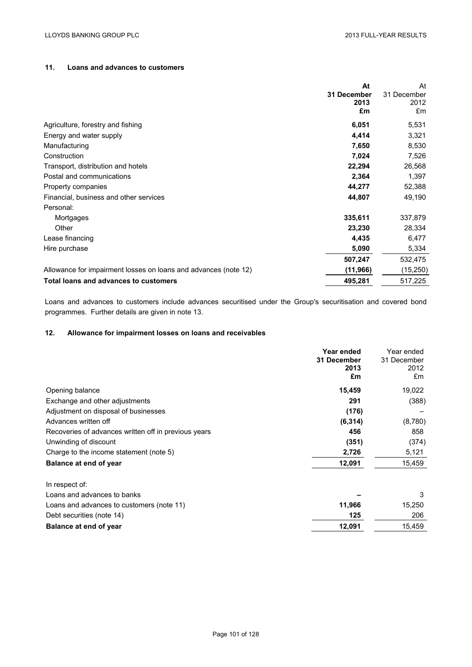### **11. Loans and advances to customers**

|                                                                 | At          | At          |
|-----------------------------------------------------------------|-------------|-------------|
|                                                                 | 31 December | 31 December |
|                                                                 | 2013        | 2012        |
|                                                                 | £m          | £m          |
| Agriculture, forestry and fishing                               | 6,051       | 5,531       |
| Energy and water supply                                         | 4,414       | 3,321       |
| Manufacturing                                                   | 7,650       | 8,530       |
| Construction                                                    | 7,024       | 7,526       |
| Transport, distribution and hotels                              | 22,294      | 26,568      |
| Postal and communications                                       | 2,364       | 1,397       |
| Property companies                                              | 44,277      | 52,388      |
| Financial, business and other services                          | 44,807      | 49,190      |
| Personal:                                                       |             |             |
| Mortgages                                                       | 335,611     | 337,879     |
| Other                                                           | 23,230      | 28,334      |
| Lease financing                                                 | 4,435       | 6,477       |
| Hire purchase                                                   | 5,090       | 5,334       |
|                                                                 | 507,247     | 532,475     |
| Allowance for impairment losses on loans and advances (note 12) | (11, 966)   | (15, 250)   |
| Total loans and advances to customers                           | 495,281     | 517,225     |

Loans and advances to customers include advances securitised under the Group's securitisation and covered bond programmes. Further details are given in note 13.

## **12. Allowance for impairment losses on loans and receivables**

|                                                      | Year ended<br>31 December<br>2013<br>£m | Year ended<br>31 December<br>2012<br>£m |
|------------------------------------------------------|-----------------------------------------|-----------------------------------------|
| Opening balance                                      | 15,459                                  | 19,022                                  |
| Exchange and other adjustments                       | 291                                     | (388)                                   |
| Adjustment on disposal of businesses                 | (176)                                   |                                         |
| Advances written off                                 | (6, 314)                                | (8,780)                                 |
| Recoveries of advances written off in previous years | 456                                     | 858                                     |
| Unwinding of discount                                | (351)                                   | (374)                                   |
| Charge to the income statement (note 5)              | 2,726                                   | 5,121                                   |
| Balance at end of year                               | 12,091                                  | 15,459                                  |
| In respect of:                                       |                                         |                                         |
| Loans and advances to banks                          |                                         | 3                                       |
| Loans and advances to customers (note 11)            | 11,966                                  | 15,250                                  |
| Debt securities (note 14)                            | 125                                     | 206                                     |
| Balance at end of year                               | 12,091                                  | 15,459                                  |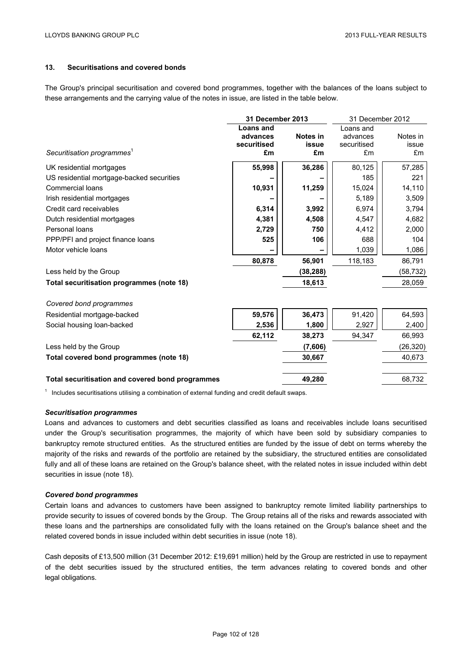### **13. Securitisations and covered bonds**

The Group's principal securitisation and covered bond programmes, together with the balances of the loans subject to these arrangements and the carrying value of the notes in issue, are listed in the table below.

|                                                  | 31 December 2013 |           | 31 December 2012 |           |
|--------------------------------------------------|------------------|-----------|------------------|-----------|
|                                                  | Loans and        |           | Loans and        |           |
|                                                  | advances         | Notes in  | advances         | Notes in  |
|                                                  | securitised      | issue     | securitised      | issue     |
| Securitisation programmes <sup>1</sup>           | £m               | £m        | £m               | £m        |
| UK residential mortgages                         | 55,998           | 36,286    | 80,125           | 57,285    |
| US residential mortgage-backed securities        |                  |           | 185              | 221       |
| Commercial loans                                 | 10,931           | 11,259    | 15,024           | 14,110    |
| Irish residential mortgages                      |                  |           | 5,189            | 3,509     |
| Credit card receivables                          | 6,314            | 3,992     | 6,974            | 3,794     |
| Dutch residential mortgages                      | 4,381            | 4,508     | 4,547            | 4,682     |
| Personal loans                                   | 2,729            | 750       | 4,412            | 2,000     |
| PPP/PFI and project finance loans                | 525              | 106       | 688              | 104       |
| Motor vehicle loans                              |                  |           | 1,039            | 1,086     |
|                                                  | 80,878           | 56,901    | 118,183          | 86,791    |
| Less held by the Group                           |                  | (38, 288) |                  | (58, 732) |
| Total securitisation programmes (note 18)        |                  | 18,613    |                  | 28,059    |
| Covered bond programmes                          |                  |           |                  |           |
| Residential mortgage-backed                      | 59,576           | 36,473    | 91,420           | 64,593    |
| Social housing loan-backed                       | 2,536            | 1,800     | 2,927            | 2,400     |
|                                                  | 62,112           | 38,273    | 94.347           | 66,993    |
| Less held by the Group                           |                  | (7,606)   |                  | (26, 320) |
| Total covered bond programmes (note 18)          |                  | 30,667    |                  | 40,673    |
| Total securitisation and covered bond programmes |                  | 49,280    |                  | 68,732    |

 $1$  Includes securitisations utilising a combination of external funding and credit default swaps.

#### *Securitisation programmes*

Loans and advances to customers and debt securities classified as loans and receivables include loans securitised under the Group's securitisation programmes, the majority of which have been sold by subsidiary companies to bankruptcy remote structured entities. As the structured entities are funded by the issue of debt on terms whereby the majority of the risks and rewards of the portfolio are retained by the subsidiary, the structured entities are consolidated fully and all of these loans are retained on the Group's balance sheet, with the related notes in issue included within debt securities in issue (note 18).

#### *Covered bond programmes*

Certain loans and advances to customers have been assigned to bankruptcy remote limited liability partnerships to provide security to issues of covered bonds by the Group. The Group retains all of the risks and rewards associated with these loans and the partnerships are consolidated fully with the loans retained on the Group's balance sheet and the related covered bonds in issue included within debt securities in issue (note 18).

Cash deposits of £13,500 million (31 December 2012: £19,691 million) held by the Group are restricted in use to repayment of the debt securities issued by the structured entities, the term advances relating to covered bonds and other legal obligations.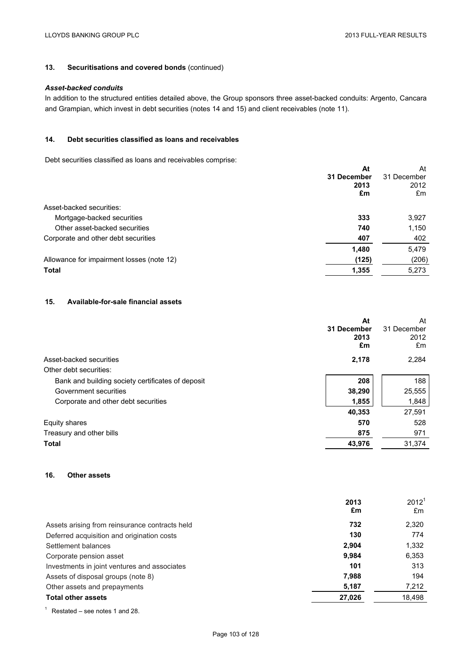## **13. Securitisations and covered bonds** (continued)

### *Asset-backed conduits*

In addition to the structured entities detailed above, the Group sponsors three asset-backed conduits: Argento, Cancara and Grampian, which invest in debt securities (notes 14 and 15) and client receivables (note 11).

### **14. Debt securities classified as loans and receivables**

Debt securities classified as loans and receivables comprise:

|                                           | At<br>31 December<br>2013<br>£m | At<br>31 December<br>2012<br>£m |
|-------------------------------------------|---------------------------------|---------------------------------|
| Asset-backed securities:                  |                                 |                                 |
| Mortgage-backed securities                | 333                             | 3,927                           |
| Other asset-backed securities             | 740                             | 1,150                           |
| Corporate and other debt securities       | 407                             | 402                             |
|                                           | 1,480                           | 5,479                           |
| Allowance for impairment losses (note 12) | (125)                           | (206)                           |
| <b>Total</b>                              | 1,355                           | 5,273                           |
|                                           |                                 |                                 |

### **15. Available-for-sale financial assets**

|                                                   | At          | At          |
|---------------------------------------------------|-------------|-------------|
|                                                   | 31 December | 31 December |
|                                                   | 2013        | 2012        |
|                                                   | £m          | £m          |
| Asset-backed securities                           | 2,178       | 2,284       |
| Other debt securities:                            |             |             |
| Bank and building society certificates of deposit | 208         | 188         |
| Government securities                             | 38,290      | 25,555      |
| Corporate and other debt securities               | 1,855       | 1,848       |
|                                                   | 40,353      | 27,591      |
| Equity shares                                     | 570         | 528         |
| Treasury and other bills                          | 875         | 971         |
| <b>Total</b>                                      | 43,976      | 31,374      |

## **16. Other assets**

|                                                | 2013<br>£m | 2012 <sup>1</sup><br>£m |
|------------------------------------------------|------------|-------------------------|
| Assets arising from reinsurance contracts held | 732        | 2,320                   |
| Deferred acquisition and origination costs     | 130        | 774                     |
| Settlement balances                            | 2,904      | 1,332                   |
| Corporate pension asset                        | 9,984      | 6,353                   |
| Investments in joint ventures and associates   | 101        | 313                     |
| Assets of disposal groups (note 8)             | 7,988      | 194                     |
| Other assets and prepayments                   | 5,187      | 7,212                   |
| <b>Total other assets</b>                      | 27,026     | 18,498                  |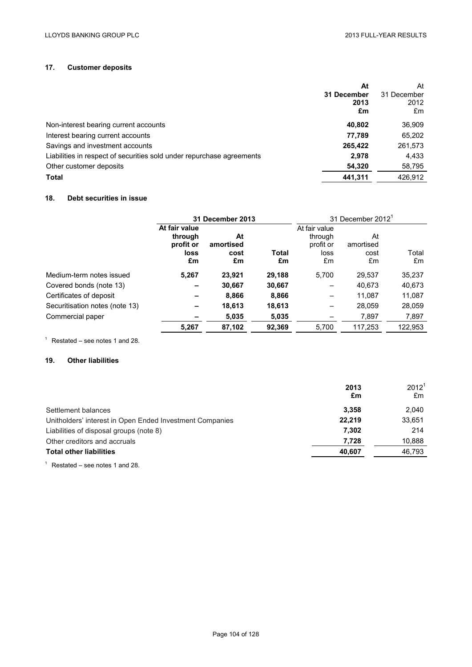## **17. Customer deposits**

|                                                                       | At          | At          |
|-----------------------------------------------------------------------|-------------|-------------|
|                                                                       | 31 December | 31 December |
|                                                                       | 2013        | 2012        |
|                                                                       | £m          | £m          |
| Non-interest bearing current accounts                                 | 40.802      | 36,909      |
| Interest bearing current accounts                                     | 77.789      | 65,202      |
| Savings and investment accounts                                       | 265,422     | 261,573     |
| Liabilities in respect of securities sold under repurchase agreements | 2.978       | 4,433       |
| Other customer deposits                                               | 54,320      | 58,795      |
| <b>Total</b>                                                          | 441.311     | 426.912     |

## **18. Debt securities in issue**

|                                |                                                     | 31 December 2013              |             |                                                     | 31 December 2012 <sup>1</sup> |             |
|--------------------------------|-----------------------------------------------------|-------------------------------|-------------|-----------------------------------------------------|-------------------------------|-------------|
|                                | At fair value<br>through<br>profit or<br>loss<br>£m | At<br>amortised<br>cost<br>£m | Total<br>£m | At fair value<br>through<br>profit or<br>loss<br>£m | At<br>amortised<br>cost<br>£m | Total<br>£m |
| Medium-term notes issued       | 5.267                                               | 23,921                        | 29,188      | 5.700                                               | 29,537                        | 35,237      |
| Covered bonds (note 13)        |                                                     | 30,667                        | 30,667      |                                                     | 40.673                        | 40,673      |
| Certificates of deposit        |                                                     | 8,866                         | 8,866       | -                                                   | 11.087                        | 11,087      |
| Securitisation notes (note 13) | $\overline{\phantom{0}}$                            | 18,613                        | 18,613      |                                                     | 28,059                        | 28,059      |
| Commercial paper               |                                                     | 5,035                         | 5,035       |                                                     | 7,897                         | 7,897       |
|                                | 5,267                                               | 87,102                        | 92,369      | 5,700                                               | 117,253                       | 122,953     |

 $1$  Restated – see notes 1 and 28.

## **19. Other liabilities**

|                                                          | 2013<br>£m | 2012 <sup>1</sup><br>£m |
|----------------------------------------------------------|------------|-------------------------|
| Settlement balances                                      | 3.358      | 2,040                   |
| Unitholders' interest in Open Ended Investment Companies | 22,219     | 33,651                  |
| Liabilities of disposal groups (note 8)                  | 7.302      | 214                     |
| Other creditors and accruals                             | 7.728      | 10,888                  |
| <b>Total other liabilities</b>                           | 40,607     | 46,793                  |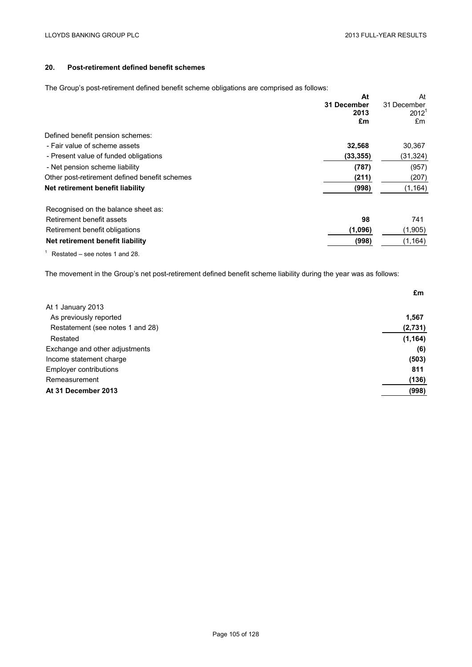## **20. Post-retirement defined benefit schemes**

The Group's post-retirement defined benefit scheme obligations are comprised as follows:

| The energy experiment admitted benefit contented obligations are comprised as relients. |                     |                         |
|-----------------------------------------------------------------------------------------|---------------------|-------------------------|
|                                                                                         | At                  | At                      |
|                                                                                         | 31 December<br>2013 | 31 December<br>$2012^1$ |
|                                                                                         |                     |                         |
|                                                                                         | £m                  | £m                      |
| Defined benefit pension schemes:                                                        |                     |                         |
| - Fair value of scheme assets                                                           | 32,568              | 30,367                  |
| - Present value of funded obligations                                                   | (33, 355)           | (31,324)                |
| - Net pension scheme liability                                                          | (787)               | (957)                   |
| Other post-retirement defined benefit schemes                                           | (211)               | (207)                   |
| Net retirement benefit liability                                                        | (998)               | (1, 164)                |
| Recognised on the balance sheet as:                                                     |                     |                         |
| Retirement benefit assets                                                               | 98                  | 741                     |
| Retirement benefit obligations                                                          | (1,096)             | (1,905)                 |
| Net retirement benefit liability                                                        | (998)               | (1, 164)                |
| Restated – see notes 1 and 28.                                                          |                     |                         |

The movement in the Group's net post-retirement defined benefit scheme liability during the year was as follows:

|                                  | £m       |
|----------------------------------|----------|
| At 1 January 2013                |          |
| As previously reported           | 1,567    |
| Restatement (see notes 1 and 28) | (2,731)  |
| Restated                         | (1, 164) |
| Exchange and other adjustments   | (6)      |
| Income statement charge          | (503)    |
| <b>Employer contributions</b>    | 811      |
| Remeasurement                    | (136)    |
| At 31 December 2013              | (998)    |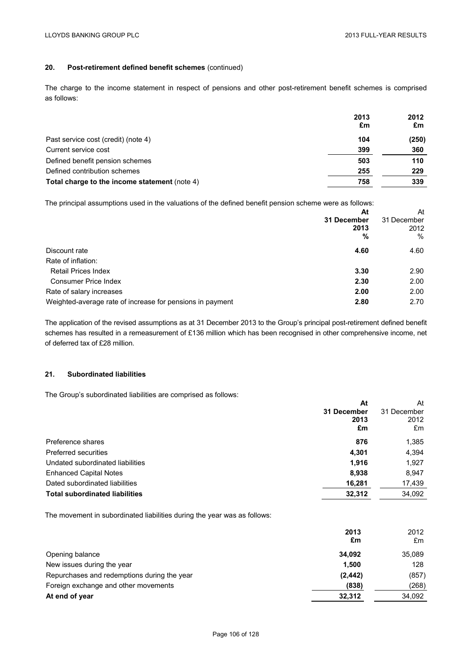# **20. Post-retirement defined benefit schemes** (continued)

The charge to the income statement in respect of pensions and other post-retirement benefit schemes is comprised as follows:

|                                               | 2013<br>£m | 2012<br>£m |
|-----------------------------------------------|------------|------------|
| Past service cost (credit) (note 4)           | 104        | (250)      |
| Current service cost                          | 399        | 360        |
| Defined benefit pension schemes               | 503        | 110        |
| Defined contribution schemes                  | 255        | 229        |
| Total charge to the income statement (note 4) | 758        | 339        |

The principal assumptions used in the valuations of the defined benefit pension scheme were as follows:

|                                                           | At          | At          |
|-----------------------------------------------------------|-------------|-------------|
|                                                           | 31 December | 31 December |
|                                                           | 2013        | 2012        |
|                                                           | %           | $\%$        |
| Discount rate                                             | 4.60        | 4.60        |
| Rate of inflation:                                        |             |             |
| <b>Retail Prices Index</b>                                | 3.30        | 2.90        |
| <b>Consumer Price Index</b>                               | 2.30        | 2.00        |
| Rate of salary increases                                  | 2.00        | 2.00        |
| Weighted-average rate of increase for pensions in payment | 2.80        | 2.70        |

The application of the revised assumptions as at 31 December 2013 to the Group's principal post-retirement defined benefit schemes has resulted in a remeasurement of £136 million which has been recognised in other comprehensive income, net of deferred tax of £28 million.

# **21. Subordinated liabilities**

The Group's subordinated liabilities are comprised as follows:

|                                       | At          | At          |
|---------------------------------------|-------------|-------------|
|                                       | 31 December | 31 December |
|                                       | 2013        | 2012        |
|                                       | £m          | £m          |
| Preference shares                     | 876         | 1,385       |
| Preferred securities                  | 4,301       | 4,394       |
| Undated subordinated liabilities      | 1.916       | 1,927       |
| <b>Enhanced Capital Notes</b>         | 8,938       | 8,947       |
| Dated subordinated liabilities        | 16,281      | 17,439      |
| <b>Total subordinated liabilities</b> | 32,312      | 34,092      |
|                                       |             |             |

The movement in subordinated liabilities during the year was as follows:

|                                             | 2013<br>£m | 2012<br>£m |
|---------------------------------------------|------------|------------|
| Opening balance                             | 34,092     | 35,089     |
| New issues during the year                  | 1,500      | 128        |
| Repurchases and redemptions during the year | (2, 442)   | (857)      |
| Foreign exchange and other movements        | (838)      | (268)      |
| At end of year                              | 32,312     | 34,092     |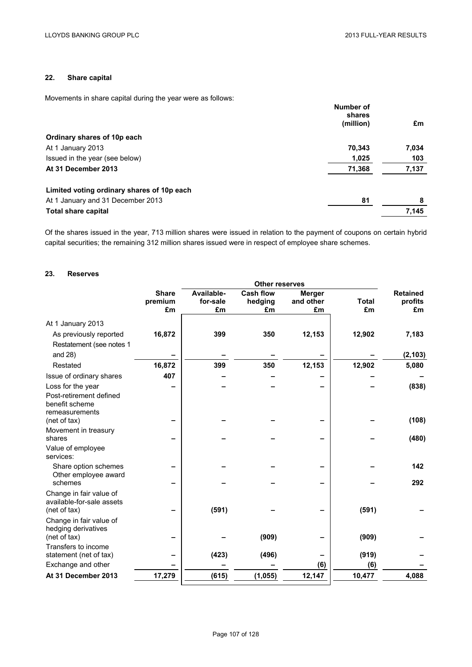# **22. Share capital**

Movements in share capital during the year were as follows:

|                                            | Number of<br>shares |       |
|--------------------------------------------|---------------------|-------|
|                                            | (million)           | £m    |
| Ordinary shares of 10p each                |                     |       |
| At 1 January 2013                          | 70,343              | 7,034 |
| Issued in the year (see below)             | 1,025               | 103   |
| At 31 December 2013                        | 71,368              | 7,137 |
| Limited voting ordinary shares of 10p each |                     |       |
| At 1 January and 31 December 2013          | 81                  | 8     |
| <b>Total share capital</b>                 |                     | 7,145 |

Of the shares issued in the year, 713 million shares were issued in relation to the payment of coupons on certain hybrid capital securities; the remaining 312 million shares issued were in respect of employee share schemes.

## **23. Reserves**

|                                                      |               | <b>Other reserves</b> |                  |                 |                    |                 |
|------------------------------------------------------|---------------|-----------------------|------------------|-----------------|--------------------|-----------------|
|                                                      | <b>Share</b>  | Available-            | <b>Cash flow</b> | <b>Merger</b>   |                    | <b>Retained</b> |
|                                                      | premium<br>£m | for-sale              | hedging          | and other<br>£m | <b>Total</b><br>£m | profits<br>£m   |
|                                                      |               | £m                    | £m               |                 |                    |                 |
| At 1 January 2013                                    |               |                       |                  |                 |                    |                 |
| As previously reported                               | 16,872        | 399                   | 350              | 12,153          | 12,902             | 7,183           |
| Restatement (see notes 1                             |               |                       |                  |                 |                    |                 |
| and $28$ )                                           |               |                       |                  |                 |                    | (2, 103)        |
| Restated                                             | 16,872        | 399                   | 350              | 12,153          | 12,902             | 5,080           |
| Issue of ordinary shares                             | 407           |                       |                  |                 |                    |                 |
| Loss for the year                                    |               |                       |                  |                 |                    | (838)           |
| Post-retirement defined                              |               |                       |                  |                 |                    |                 |
| benefit scheme                                       |               |                       |                  |                 |                    |                 |
| remeasurements<br>(net of tax)                       |               |                       |                  |                 |                    | (108)           |
| Movement in treasury                                 |               |                       |                  |                 |                    |                 |
| shares                                               |               |                       |                  |                 |                    | (480)           |
| Value of employee                                    |               |                       |                  |                 |                    |                 |
| services:                                            |               |                       |                  |                 |                    |                 |
| Share option schemes                                 |               |                       |                  |                 |                    | 142             |
| Other employee award                                 |               |                       |                  |                 |                    |                 |
| schemes                                              |               |                       |                  |                 |                    | 292             |
| Change in fair value of<br>available-for-sale assets |               |                       |                  |                 |                    |                 |
| (net of tax)                                         |               | (591)                 |                  |                 | (591)              |                 |
| Change in fair value of                              |               |                       |                  |                 |                    |                 |
| hedging derivatives                                  |               |                       |                  |                 |                    |                 |
| (net of tax)                                         |               |                       | (909)            |                 | (909)              |                 |
| Transfers to income                                  |               |                       |                  |                 |                    |                 |
| statement (net of tax)                               |               | (423)                 | (496)            |                 | (919)              |                 |
| Exchange and other                                   |               |                       |                  | (6)             | (6)                |                 |
| At 31 December 2013                                  | 17,279        | (615)                 | (1, 055)         | 12,147          | 10,477             | 4,088           |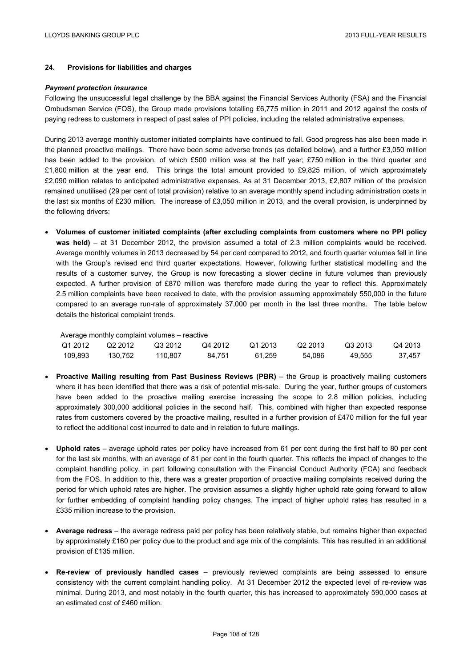# **24. Provisions for liabilities and charges**

#### *Payment protection insurance*

Following the unsuccessful legal challenge by the BBA against the Financial Services Authority (FSA) and the Financial Ombudsman Service (FOS), the Group made provisions totalling £6,775 million in 2011 and 2012 against the costs of paying redress to customers in respect of past sales of PPI policies, including the related administrative expenses.

During 2013 average monthly customer initiated complaints have continued to fall. Good progress has also been made in the planned proactive mailings. There have been some adverse trends (as detailed below), and a further £3,050 million has been added to the provision, of which £500 million was at the half year; £750 million in the third quarter and £1,800 million at the year end. This brings the total amount provided to £9,825 million, of which approximately £2,090 million relates to anticipated administrative expenses. As at 31 December 2013, £2,807 million of the provision remained unutilised (29 per cent of total provision) relative to an average monthly spend including administration costs in the last six months of £230 million. The increase of £3,050 million in 2013, and the overall provision, is underpinned by the following drivers:

 **Volumes of customer initiated complaints (after excluding complaints from customers where no PPI policy was held)** – at 31 December 2012, the provision assumed a total of 2.3 million complaints would be received. Average monthly volumes in 2013 decreased by 54 per cent compared to 2012, and fourth quarter volumes fell in line with the Group's revised end third quarter expectations. However, following further statistical modelling and the results of a customer survey, the Group is now forecasting a slower decline in future volumes than previously expected. A further provision of £870 million was therefore made during the year to reflect this. Approximately 2.5 million complaints have been received to date, with the provision assuming approximately 550,000 in the future compared to an average run-rate of approximately 37,000 per month in the last three months. The table below details the historical complaint trends.

|         |         | Average monthly complaint volumes – reactive |         |         |                     |         |         |
|---------|---------|----------------------------------------------|---------|---------|---------------------|---------|---------|
| Q1 2012 | Q2 2012 | Q3 2012                                      | Q4 2012 | Q1 2013 | Q <sub>2</sub> 2013 | Q3 2013 | Q4 2013 |
| 109.893 | 130.752 | 110.807                                      | 84.751  | 61.259  | 54.086              | 49.555  | 37.457  |

- **Proactive Mailing resulting from Past Business Reviews (PBR)** the Group is proactively mailing customers where it has been identified that there was a risk of potential mis-sale. During the year, further groups of customers have been added to the proactive mailing exercise increasing the scope to 2.8 million policies, including approximately 300,000 additional policies in the second half. This, combined with higher than expected response rates from customers covered by the proactive mailing, resulted in a further provision of £470 million for the full year to reflect the additional cost incurred to date and in relation to future mailings.
- **Uphold rates** average uphold rates per policy have increased from 61 per cent during the first half to 80 per cent for the last six months, with an average of 81 per cent in the fourth quarter. This reflects the impact of changes to the complaint handling policy, in part following consultation with the Financial Conduct Authority (FCA) and feedback from the FOS. In addition to this, there was a greater proportion of proactive mailing complaints received during the period for which uphold rates are higher. The provision assumes a slightly higher uphold rate going forward to allow for further embedding of complaint handling policy changes. The impact of higher uphold rates has resulted in a £335 million increase to the provision.
- **Average redress** the average redress paid per policy has been relatively stable, but remains higher than expected by approximately £160 per policy due to the product and age mix of the complaints. This has resulted in an additional provision of £135 million.
- **Re-review of previously handled cases** previously reviewed complaints are being assessed to ensure consistency with the current complaint handling policy. At 31 December 2012 the expected level of re-review was minimal. During 2013, and most notably in the fourth quarter, this has increased to approximately 590,000 cases at an estimated cost of £460 million.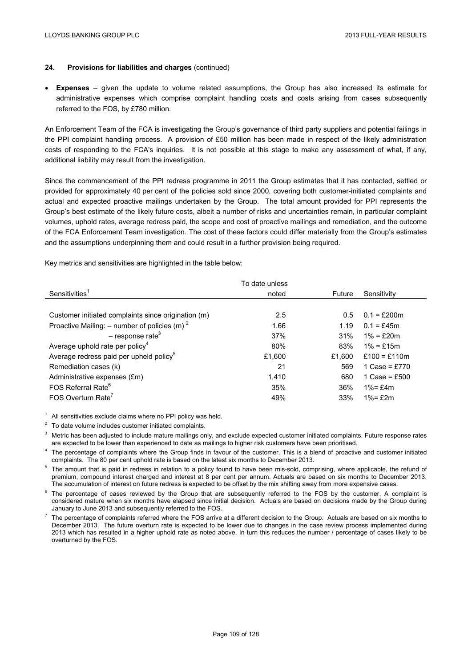# **24. Provisions for liabilities and charges** (continued)

 **Expenses** – given the update to volume related assumptions, the Group has also increased its estimate for administrative expenses which comprise complaint handling costs and costs arising from cases subsequently referred to the FOS, by £780 million.

An Enforcement Team of the FCA is investigating the Group's governance of third party suppliers and potential failings in the PPI complaint handling process. A provision of £50 million has been made in respect of the likely administration costs of responding to the FCA's inquiries. It is not possible at this stage to make any assessment of what, if any, additional liability may result from the investigation.

Since the commencement of the PPI redress programme in 2011 the Group estimates that it has contacted, settled or provided for approximately 40 per cent of the policies sold since 2000, covering both customer-initiated complaints and actual and expected proactive mailings undertaken by the Group. The total amount provided for PPI represents the Group's best estimate of the likely future costs, albeit a number of risks and uncertainties remain, in particular complaint volumes, uphold rates, average redress paid, the scope and cost of proactive mailings and remediation, and the outcome of the FCA Enforcement Team investigation. The cost of these factors could differ materially from the Group's estimates and the assumptions underpinning them and could result in a further provision being required.

Key metrics and sensitivities are highlighted in the table below:

|                                                            | To date unless |        |                 |
|------------------------------------------------------------|----------------|--------|-----------------|
| Sensitivities <sup>1</sup>                                 | noted          | Future | Sensitivity     |
|                                                            |                |        |                 |
| Customer initiated complaints since origination (m)        | 2.5            | 0.5    | $0.1 = f200m$   |
| Proactive Mailing: $-$ number of policies (m) <sup>2</sup> | 1.66           | 1.19   | $0.1 = f45m$    |
| $-$ response rate <sup>3</sup>                             | 37%            | 31%    | $1\% = f20m$    |
| Average uphold rate per policy <sup>4</sup>                | 80%            | 83%    | $1\% = f15m$    |
| Average redress paid per upheld policy <sup>5</sup>        | £1.600         | £1.600 | £100 = £110m    |
| Remediation cases (k)                                      | 21             | 569    | 1 Case = £770   |
| Administrative expenses (£m)                               | 1.410          | 680    | 1 Case = $£500$ |
| FOS Referral Rate <sup>6</sup>                             | 35%            | 36%    | $1\% = £4m$     |
| FOS Overturn Rate <sup>7</sup>                             | 49%            | 33%    | $1\% = £2m$     |

 $1$  All sensitivities exclude claims where no PPI policy was held.

 $2^2$  To date volume includes customer initiated complaints.

<sup>3</sup> Metric has been adjusted to include mature mailings only, and exclude expected customer initiated complaints. Future response rates are expected to be lower than experienced to date as mailings to higher risk customers have been prioritised.

<sup>4</sup> The percentage of complaints where the Group finds in favour of the customer. This is a blend of proactive and customer initiated complaints. The 80 per cent uphold rate is based on the latest six months to December 2013.

<sup>5</sup> The amount that is paid in redress in relation to a policy found to have been mis-sold, comprising, where applicable, the refund of premium, compound interest charged and interest at 8 per cent per annum. Actuals are based on six months to December 2013. The accumulation of interest on future redress is expected to be offset by the mix shifting away from more expensive cases.

 $6$  The percentage of cases reviewed by the Group that are subsequently referred to the FOS by the customer. A complaint is considered mature when six months have elapsed since initial decision. Actuals are based on decisions made by the Group during January to June 2013 and subsequently referred to the FOS.

<sup>7</sup> The percentage of complaints referred where the FOS arrive at a different decision to the Group. Actuals are based on six months to December 2013. The future overturn rate is expected to be lower due to changes in the case review process implemented during 2013 which has resulted in a higher uphold rate as noted above. In turn this reduces the number / percentage of cases likely to be overturned by the FOS.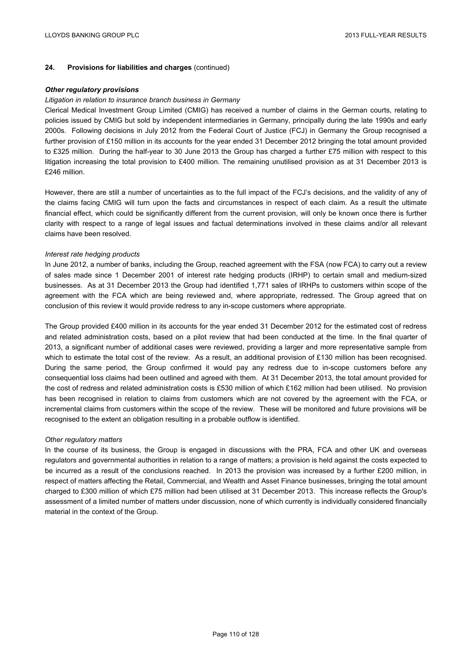## **24. Provisions for liabilities and charges** (continued)

#### *Other regulatory provisions*

#### *Litigation in relation to insurance branch business in Germany*

Clerical Medical Investment Group Limited (CMIG) has received a number of claims in the German courts, relating to policies issued by CMIG but sold by independent intermediaries in Germany, principally during the late 1990s and early 2000s. Following decisions in July 2012 from the Federal Court of Justice (FCJ) in Germany the Group recognised a further provision of £150 million in its accounts for the year ended 31 December 2012 bringing the total amount provided to £325 million. During the half-year to 30 June 2013 the Group has charged a further £75 million with respect to this litigation increasing the total provision to £400 million. The remaining unutilised provision as at 31 December 2013 is £246 million.

However, there are still a number of uncertainties as to the full impact of the FCJ's decisions, and the validity of any of the claims facing CMIG will turn upon the facts and circumstances in respect of each claim. As a result the ultimate financial effect, which could be significantly different from the current provision, will only be known once there is further clarity with respect to a range of legal issues and factual determinations involved in these claims and/or all relevant claims have been resolved.

#### *Interest rate hedging products*

In June 2012, a number of banks, including the Group, reached agreement with the FSA (now FCA) to carry out a review of sales made since 1 December 2001 of interest rate hedging products (IRHP) to certain small and medium-sized businesses. As at 31 December 2013 the Group had identified 1,771 sales of IRHPs to customers within scope of the agreement with the FCA which are being reviewed and, where appropriate, redressed. The Group agreed that on conclusion of this review it would provide redress to any in-scope customers where appropriate.

The Group provided £400 million in its accounts for the year ended 31 December 2012 for the estimated cost of redress and related administration costs, based on a pilot review that had been conducted at the time. In the final quarter of 2013, a significant number of additional cases were reviewed, providing a larger and more representative sample from which to estimate the total cost of the review. As a result, an additional provision of £130 million has been recognised. During the same period, the Group confirmed it would pay any redress due to in-scope customers before any consequential loss claims had been outlined and agreed with them. At 31 December 2013, the total amount provided for the cost of redress and related administration costs is £530 million of which £162 million had been utilised. No provision has been recognised in relation to claims from customers which are not covered by the agreement with the FCA, or incremental claims from customers within the scope of the review. These will be monitored and future provisions will be recognised to the extent an obligation resulting in a probable outflow is identified.

#### *Other regulatory matters*

In the course of its business, the Group is engaged in discussions with the PRA, FCA and other UK and overseas regulators and governmental authorities in relation to a range of matters; a provision is held against the costs expected to be incurred as a result of the conclusions reached. In 2013 the provision was increased by a further £200 million, in respect of matters affecting the Retail, Commercial, and Wealth and Asset Finance businesses, bringing the total amount charged to £300 million of which £75 million had been utilised at 31 December 2013. This increase reflects the Group's assessment of a limited number of matters under discussion, none of which currently is individually considered financially material in the context of the Group.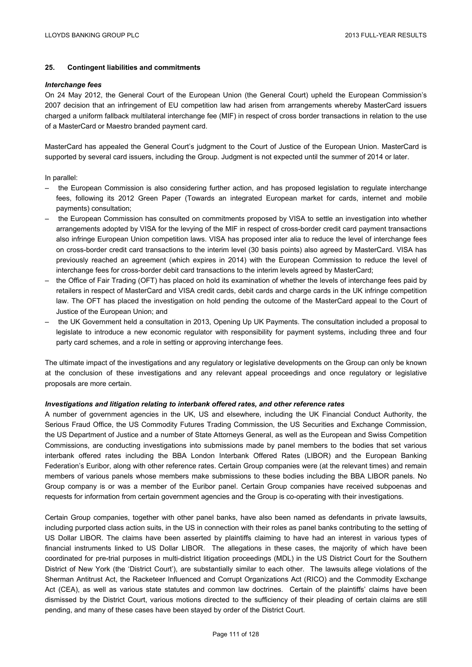# **25. Contingent liabilities and commitments**

#### *Interchange fees*

On 24 May 2012, the General Court of the European Union (the General Court) upheld the European Commission's 2007 decision that an infringement of EU competition law had arisen from arrangements whereby MasterCard issuers charged a uniform fallback multilateral interchange fee (MIF) in respect of cross border transactions in relation to the use of a MasterCard or Maestro branded payment card.

MasterCard has appealed the General Court's judgment to the Court of Justice of the European Union. MasterCard is supported by several card issuers, including the Group. Judgment is not expected until the summer of 2014 or later.

In parallel:

- the European Commission is also considering further action, and has proposed legislation to regulate interchange fees, following its 2012 Green Paper (Towards an integrated European market for cards, internet and mobile payments) consultation;
- the European Commission has consulted on commitments proposed by VISA to settle an investigation into whether arrangements adopted by VISA for the levying of the MIF in respect of cross-border credit card payment transactions also infringe European Union competition laws. VISA has proposed inter alia to reduce the level of interchange fees on cross-border credit card transactions to the interim level (30 basis points) also agreed by MasterCard. VISA has previously reached an agreement (which expires in 2014) with the European Commission to reduce the level of interchange fees for cross-border debit card transactions to the interim levels agreed by MasterCard;
- the Office of Fair Trading (OFT) has placed on hold its examination of whether the levels of interchange fees paid by retailers in respect of MasterCard and VISA credit cards, debit cards and charge cards in the UK infringe competition law. The OFT has placed the investigation on hold pending the outcome of the MasterCard appeal to the Court of Justice of the European Union; and
- the UK Government held a consultation in 2013, Opening Up UK Payments. The consultation included a proposal to legislate to introduce a new economic regulator with responsibility for payment systems, including three and four party card schemes, and a role in setting or approving interchange fees.

The ultimate impact of the investigations and any regulatory or legislative developments on the Group can only be known at the conclusion of these investigations and any relevant appeal proceedings and once regulatory or legislative proposals are more certain.

#### *Investigations and litigation relating to interbank offered rates, and other reference rates*

A number of government agencies in the UK, US and elsewhere, including the UK Financial Conduct Authority, the Serious Fraud Office, the US Commodity Futures Trading Commission, the US Securities and Exchange Commission, the US Department of Justice and a number of State Attorneys General, as well as the European and Swiss Competition Commissions, are conducting investigations into submissions made by panel members to the bodies that set various interbank offered rates including the BBA London Interbank Offered Rates (LIBOR) and the European Banking Federation's Euribor, along with other reference rates. Certain Group companies were (at the relevant times) and remain members of various panels whose members make submissions to these bodies including the BBA LIBOR panels. No Group company is or was a member of the Euribor panel. Certain Group companies have received subpoenas and requests for information from certain government agencies and the Group is co-operating with their investigations.

Certain Group companies, together with other panel banks, have also been named as defendants in private lawsuits, including purported class action suits, in the US in connection with their roles as panel banks contributing to the setting of US Dollar LIBOR. The claims have been asserted by plaintiffs claiming to have had an interest in various types of financial instruments linked to US Dollar LIBOR. The allegations in these cases, the majority of which have been coordinated for pre-trial purposes in multi-district litigation proceedings (MDL) in the US District Court for the Southern District of New York (the 'District Court'), are substantially similar to each other. The lawsuits allege violations of the Sherman Antitrust Act, the Racketeer Influenced and Corrupt Organizations Act (RICO) and the Commodity Exchange Act (CEA), as well as various state statutes and common law doctrines. Certain of the plaintiffs' claims have been dismissed by the District Court, various motions directed to the sufficiency of their pleading of certain claims are still pending, and many of these cases have been stayed by order of the District Court.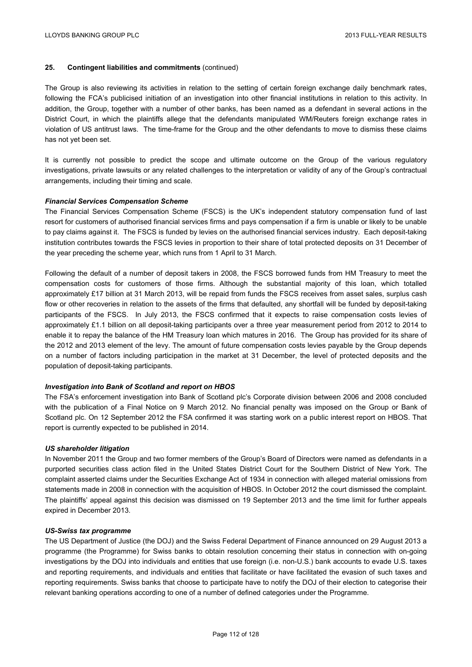# **25. Contingent liabilities and commitments** (continued)

The Group is also reviewing its activities in relation to the setting of certain foreign exchange daily benchmark rates, following the FCA's publicised initiation of an investigation into other financial institutions in relation to this activity. In addition, the Group, together with a number of other banks, has been named as a defendant in several actions in the District Court, in which the plaintiffs allege that the defendants manipulated WM/Reuters foreign exchange rates in violation of US antitrust laws. The time-frame for the Group and the other defendants to move to dismiss these claims has not yet been set.

It is currently not possible to predict the scope and ultimate outcome on the Group of the various regulatory investigations, private lawsuits or any related challenges to the interpretation or validity of any of the Group's contractual arrangements, including their timing and scale.

## *Financial Services Compensation Scheme*

The Financial Services Compensation Scheme (FSCS) is the UK's independent statutory compensation fund of last resort for customers of authorised financial services firms and pays compensation if a firm is unable or likely to be unable to pay claims against it. The FSCS is funded by levies on the authorised financial services industry. Each deposit-taking institution contributes towards the FSCS levies in proportion to their share of total protected deposits on 31 December of the year preceding the scheme year, which runs from 1 April to 31 March.

Following the default of a number of deposit takers in 2008, the FSCS borrowed funds from HM Treasury to meet the compensation costs for customers of those firms. Although the substantial majority of this loan, which totalled approximately £17 billion at 31 March 2013, will be repaid from funds the FSCS receives from asset sales, surplus cash flow or other recoveries in relation to the assets of the firms that defaulted, any shortfall will be funded by deposit-taking participants of the FSCS. In July 2013, the FSCS confirmed that it expects to raise compensation costs levies of approximately £1.1 billion on all deposit-taking participants over a three year measurement period from 2012 to 2014 to enable it to repay the balance of the HM Treasury loan which matures in 2016. The Group has provided for its share of the 2012 and 2013 element of the levy. The amount of future compensation costs levies payable by the Group depends on a number of factors including participation in the market at 31 December, the level of protected deposits and the population of deposit-taking participants.

#### *Investigation into Bank of Scotland and report on HBOS*

The FSA's enforcement investigation into Bank of Scotland plc's Corporate division between 2006 and 2008 concluded with the publication of a Final Notice on 9 March 2012. No financial penalty was imposed on the Group or Bank of Scotland plc. On 12 September 2012 the FSA confirmed it was starting work on a public interest report on HBOS. That report is currently expected to be published in 2014.

#### *US shareholder litigation*

In November 2011 the Group and two former members of the Group's Board of Directors were named as defendants in a purported securities class action filed in the United States District Court for the Southern District of New York. The complaint asserted claims under the Securities Exchange Act of 1934 in connection with alleged material omissions from statements made in 2008 in connection with the acquisition of HBOS. In October 2012 the court dismissed the complaint. The plaintiffs' appeal against this decision was dismissed on 19 September 2013 and the time limit for further appeals expired in December 2013.

#### *US-Swiss tax programme*

The US Department of Justice (the DOJ) and the Swiss Federal Department of Finance announced on 29 August 2013 a programme (the Programme) for Swiss banks to obtain resolution concerning their status in connection with on-going investigations by the DOJ into individuals and entities that use foreign (i.e. non-U.S.) bank accounts to evade U.S. taxes and reporting requirements, and individuals and entities that facilitate or have facilitated the evasion of such taxes and reporting requirements. Swiss banks that choose to participate have to notify the DOJ of their election to categorise their relevant banking operations according to one of a number of defined categories under the Programme.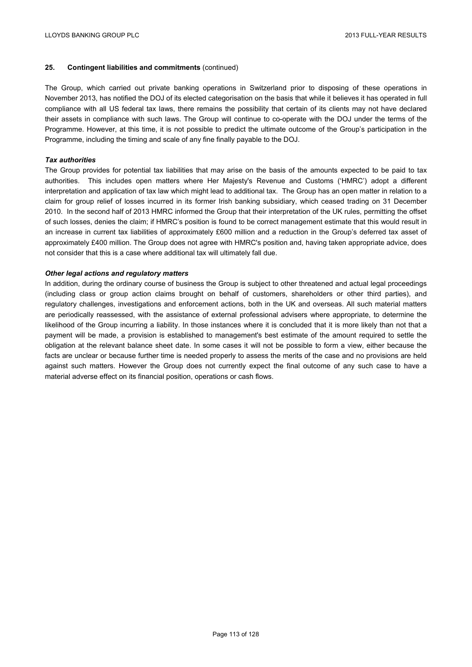# **25. Contingent liabilities and commitments** (continued)

The Group, which carried out private banking operations in Switzerland prior to disposing of these operations in November 2013, has notified the DOJ of its elected categorisation on the basis that while it believes it has operated in full compliance with all US federal tax laws, there remains the possibility that certain of its clients may not have declared their assets in compliance with such laws. The Group will continue to co-operate with the DOJ under the terms of the Programme. However, at this time, it is not possible to predict the ultimate outcome of the Group's participation in the Programme, including the timing and scale of any fine finally payable to the DOJ.

### *Tax authorities*

The Group provides for potential tax liabilities that may arise on the basis of the amounts expected to be paid to tax authorities. This includes open matters where Her Majesty's Revenue and Customs ('HMRC') adopt a different interpretation and application of tax law which might lead to additional tax. The Group has an open matter in relation to a claim for group relief of losses incurred in its former Irish banking subsidiary, which ceased trading on 31 December 2010. In the second half of 2013 HMRC informed the Group that their interpretation of the UK rules, permitting the offset of such losses, denies the claim; if HMRC's position is found to be correct management estimate that this would result in an increase in current tax liabilities of approximately £600 million and a reduction in the Group's deferred tax asset of approximately £400 million. The Group does not agree with HMRC's position and, having taken appropriate advice, does not consider that this is a case where additional tax will ultimately fall due.

# *Other legal actions and regulatory matters*

In addition, during the ordinary course of business the Group is subject to other threatened and actual legal proceedings (including class or group action claims brought on behalf of customers, shareholders or other third parties), and regulatory challenges, investigations and enforcement actions, both in the UK and overseas. All such material matters are periodically reassessed, with the assistance of external professional advisers where appropriate, to determine the likelihood of the Group incurring a liability. In those instances where it is concluded that it is more likely than not that a payment will be made, a provision is established to management's best estimate of the amount required to settle the obligation at the relevant balance sheet date. In some cases it will not be possible to form a view, either because the facts are unclear or because further time is needed properly to assess the merits of the case and no provisions are held against such matters. However the Group does not currently expect the final outcome of any such case to have a material adverse effect on its financial position, operations or cash flows.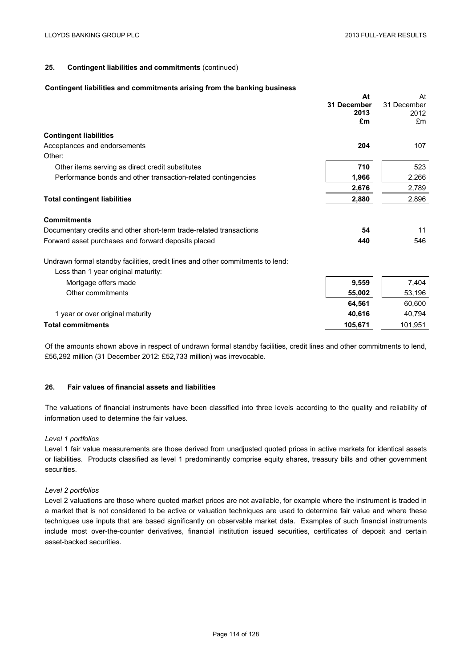# **25. Contingent liabilities and commitments** (continued)

#### **Contingent liabilities and commitments arising from the banking business**

|                                                                                | At          | At          |
|--------------------------------------------------------------------------------|-------------|-------------|
|                                                                                | 31 December | 31 December |
|                                                                                | 2013        | 2012        |
|                                                                                | £m          | £m          |
| <b>Contingent liabilities</b>                                                  |             |             |
| Acceptances and endorsements                                                   | 204         | 107         |
| Other:                                                                         |             |             |
| Other items serving as direct credit substitutes                               | 710         | 523         |
| Performance bonds and other transaction-related contingencies                  | 1,966       | 2,266       |
|                                                                                | 2,676       | 2,789       |
| <b>Total contingent liabilities</b>                                            | 2,880       | 2,896       |
| <b>Commitments</b>                                                             |             |             |
| Documentary credits and other short-term trade-related transactions            | 54          | 11          |
| Forward asset purchases and forward deposits placed                            | 440         | 546         |
| Undrawn formal standby facilities, credit lines and other commitments to lend: |             |             |
| Less than 1 year original maturity:                                            |             |             |
| Mortgage offers made                                                           | 9,559       | 7,404       |
| Other commitments                                                              | 55,002      | 53,196      |
|                                                                                | 64,561      | 60,600      |
| 1 year or over original maturity                                               | 40,616      | 40,794      |
| <b>Total commitments</b>                                                       | 105,671     | 101,951     |

Of the amounts shown above in respect of undrawn formal standby facilities, credit lines and other commitments to lend, £56,292 million (31 December 2012: £52,733 million) was irrevocable.

## **26. Fair values of financial assets and liabilities**

The valuations of financial instruments have been classified into three levels according to the quality and reliability of information used to determine the fair values.

## *Level 1 portfolios*

Level 1 fair value measurements are those derived from unadjusted quoted prices in active markets for identical assets or liabilities. Products classified as level 1 predominantly comprise equity shares, treasury bills and other government securities.

#### *Level 2 portfolios*

Level 2 valuations are those where quoted market prices are not available, for example where the instrument is traded in a market that is not considered to be active or valuation techniques are used to determine fair value and where these techniques use inputs that are based significantly on observable market data. Examples of such financial instruments include most over-the-counter derivatives, financial institution issued securities, certificates of deposit and certain asset-backed securities.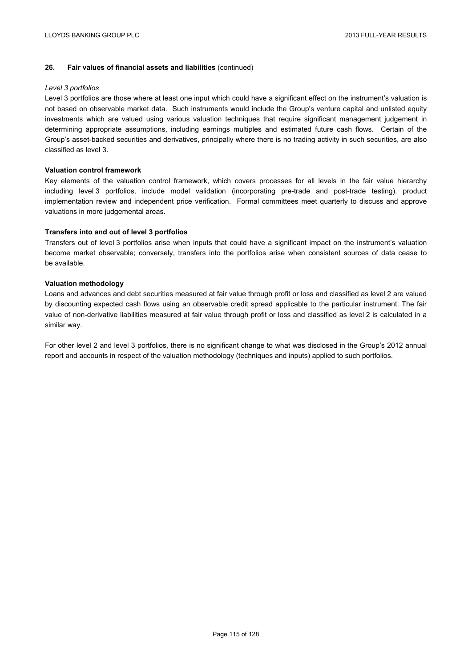#### *Level 3 portfolios*

Level 3 portfolios are those where at least one input which could have a significant effect on the instrument's valuation is not based on observable market data. Such instruments would include the Group's venture capital and unlisted equity investments which are valued using various valuation techniques that require significant management judgement in determining appropriate assumptions, including earnings multiples and estimated future cash flows. Certain of the Group's asset-backed securities and derivatives, principally where there is no trading activity in such securities, are also classified as level 3.

### **Valuation control framework**

Key elements of the valuation control framework, which covers processes for all levels in the fair value hierarchy including level 3 portfolios, include model validation (incorporating pre-trade and post-trade testing), product implementation review and independent price verification. Formal committees meet quarterly to discuss and approve valuations in more judgemental areas.

# **Transfers into and out of level 3 portfolios**

Transfers out of level 3 portfolios arise when inputs that could have a significant impact on the instrument's valuation become market observable; conversely, transfers into the portfolios arise when consistent sources of data cease to be available.

## **Valuation methodology**

Loans and advances and debt securities measured at fair value through profit or loss and classified as level 2 are valued by discounting expected cash flows using an observable credit spread applicable to the particular instrument. The fair value of non-derivative liabilities measured at fair value through profit or loss and classified as level 2 is calculated in a similar way.

For other level 2 and level 3 portfolios, there is no significant change to what was disclosed in the Group's 2012 annual report and accounts in respect of the valuation methodology (techniques and inputs) applied to such portfolios.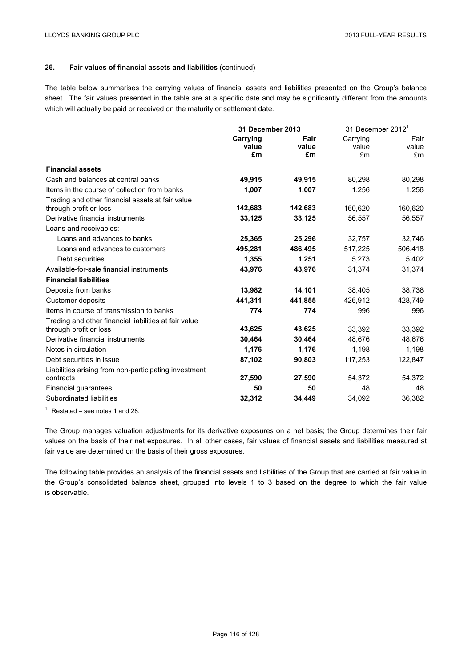The table below summarises the carrying values of financial assets and liabilities presented on the Group's balance sheet. The fair values presented in the table are at a specific date and may be significantly different from the amounts which will actually be paid or received on the maturity or settlement date.

|                                                       | <b>31 December 2013</b> |         |          | 31 December 2012 <sup>1</sup> |  |
|-------------------------------------------------------|-------------------------|---------|----------|-------------------------------|--|
|                                                       | Carrying                | Fair    | Carrying | Fair                          |  |
|                                                       | value                   | value   | value    | value                         |  |
|                                                       | £m                      | £m      | £m       | £m                            |  |
| <b>Financial assets</b>                               |                         |         |          |                               |  |
| Cash and balances at central banks                    | 49,915                  | 49,915  | 80,298   | 80,298                        |  |
| Items in the course of collection from banks          | 1,007                   | 1,007   | 1,256    | 1,256                         |  |
| Trading and other financial assets at fair value      |                         |         |          |                               |  |
| through profit or loss                                | 142,683                 | 142,683 | 160,620  | 160,620                       |  |
| Derivative financial instruments                      | 33,125                  | 33,125  | 56,557   | 56,557                        |  |
| Loans and receivables:                                |                         |         |          |                               |  |
| Loans and advances to banks                           | 25,365                  | 25,296  | 32,757   | 32,746                        |  |
| Loans and advances to customers                       | 495,281                 | 486,495 | 517,225  | 506,418                       |  |
| Debt securities                                       | 1,355                   | 1,251   | 5,273    | 5,402                         |  |
| Available-for-sale financial instruments              | 43,976                  | 43,976  | 31,374   | 31,374                        |  |
| <b>Financial liabilities</b>                          |                         |         |          |                               |  |
| Deposits from banks                                   | 13,982                  | 14,101  | 38,405   | 38,738                        |  |
| <b>Customer deposits</b>                              | 441,311                 | 441,855 | 426,912  | 428,749                       |  |
| Items in course of transmission to banks              | 774                     | 774     | 996      | 996                           |  |
| Trading and other financial liabilities at fair value |                         |         |          |                               |  |
| through profit or loss                                | 43,625                  | 43,625  | 33,392   | 33,392                        |  |
| Derivative financial instruments                      | 30,464                  | 30,464  | 48,676   | 48,676                        |  |
| Notes in circulation                                  | 1,176                   | 1,176   | 1,198    | 1,198                         |  |
| Debt securities in issue                              | 87,102                  | 90,803  | 117,253  | 122,847                       |  |
| Liabilities arising from non-participating investment |                         |         |          |                               |  |
| contracts                                             | 27,590                  | 27,590  | 54,372   | 54,372                        |  |
| Financial guarantees                                  | 50                      | 50      | 48       | 48                            |  |
| Subordinated liabilities                              | 32,312                  | 34,449  | 34,092   | 36,382                        |  |

 $1$  Restated – see notes 1 and 28.

The Group manages valuation adjustments for its derivative exposures on a net basis; the Group determines their fair values on the basis of their net exposures. In all other cases, fair values of financial assets and liabilities measured at fair value are determined on the basis of their gross exposures.

The following table provides an analysis of the financial assets and liabilities of the Group that are carried at fair value in the Group's consolidated balance sheet, grouped into levels 1 to 3 based on the degree to which the fair value is observable.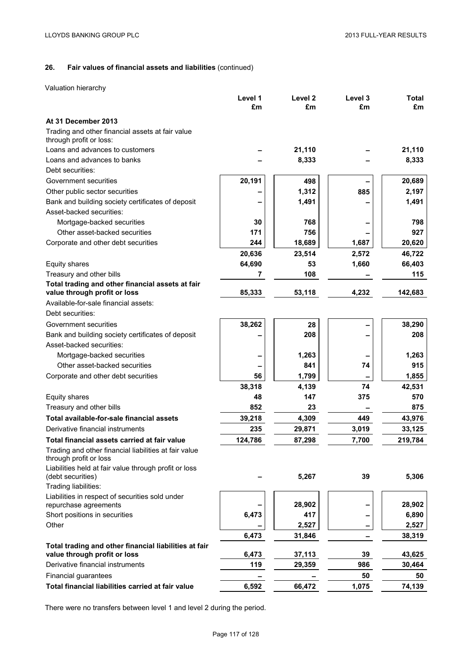Valuation hierarchy

|                                                                                 | Level 1 | Level <sub>2</sub> | Level 3 | <b>Total</b> |
|---------------------------------------------------------------------------------|---------|--------------------|---------|--------------|
|                                                                                 | £m      | £m                 | £m      | £m           |
| At 31 December 2013                                                             |         |                    |         |              |
| Trading and other financial assets at fair value<br>through profit or loss:     |         |                    |         |              |
| Loans and advances to customers                                                 |         | 21,110             |         | 21,110       |
| Loans and advances to banks                                                     |         | 8,333              |         | 8,333        |
| Debt securities:                                                                |         |                    |         |              |
| Government securities                                                           | 20,191  | 498                |         | 20,689       |
| Other public sector securities                                                  |         | 1,312              | 885     | 2,197        |
| Bank and building society certificates of deposit                               |         | 1,491              |         | 1,491        |
| Asset-backed securities:                                                        |         |                    |         |              |
| Mortgage-backed securities                                                      | 30      | 768                |         | 798          |
| Other asset-backed securities                                                   | 171     | 756                |         | 927          |
| Corporate and other debt securities                                             | 244     | 18,689             | 1,687   | 20,620       |
|                                                                                 | 20,636  | 23,514             | 2,572   | 46,722       |
| Equity shares                                                                   | 64,690  | 53                 | 1,660   | 66,403       |
| Treasury and other bills                                                        | 7       | 108                |         | 115          |
| Total trading and other financial assets at fair                                |         |                    |         |              |
| value through profit or loss                                                    | 85,333  | 53,118             | 4,232   | 142,683      |
| Available-for-sale financial assets:                                            |         |                    |         |              |
| Debt securities:                                                                |         |                    |         |              |
| Government securities                                                           | 38,262  | 28                 |         | 38,290       |
| Bank and building society certificates of deposit                               |         | 208                |         | 208          |
| Asset-backed securities:                                                        |         |                    |         |              |
| Mortgage-backed securities                                                      |         | 1,263              |         | 1,263        |
| Other asset-backed securities                                                   |         | 841                | 74      | 915          |
| Corporate and other debt securities                                             | 56      | 1,799              |         | 1,855        |
|                                                                                 | 38,318  | 4,139              | 74      | 42,531       |
| Equity shares                                                                   | 48      | 147                | 375     | 570          |
| Treasury and other bills                                                        | 852     | 23                 |         | 875          |
| Total available-for-sale financial assets                                       | 39,218  | 4,309              | 449     | 43,976       |
| Derivative financial instruments                                                | 235     | 29,871             | 3,019   | 33,125       |
| Total financial assets carried at fair value                                    | 124,786 | 87,298             | 7,700   | 219,784      |
| Trading and other financial liabilities at fair value<br>through profit or loss |         |                    |         |              |
| Liabilities held at fair value through profit or loss<br>(debt securities)      |         | 5,267              | 39      | 5,306        |
| Trading liabilities:                                                            |         |                    |         |              |
| Liabilities in respect of securities sold under<br>repurchase agreements        |         | 28,902             |         | 28,902       |
| Short positions in securities                                                   | 6,473   | 417                |         | 6,890        |
| Other                                                                           |         | 2,527              |         | 2,527        |
|                                                                                 | 6,473   | 31,846             |         | 38,319       |
| Total trading and other financial liabilities at fair                           |         |                    |         |              |
| value through profit or loss                                                    | 6,473   | 37,113             | 39      | 43,625       |
| Derivative financial instruments                                                | 119     | 29,359             | 986     | 30,464       |
| Financial guarantees                                                            |         |                    | 50      | 50           |
| Total financial liabilities carried at fair value                               | 6,592   | 66,472             | 1,075   | 74,139       |

There were no transfers between level 1 and level 2 during the period.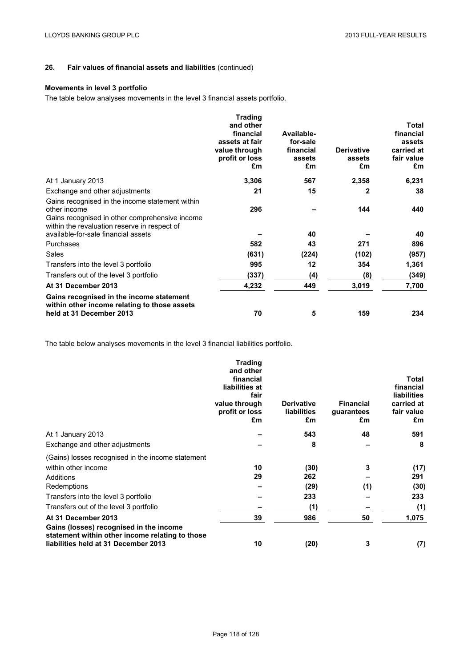# **Movements in level 3 portfolio**

The table below analyses movements in the level 3 financial assets portfolio.

|                                                                                                                                                                   | <b>Trading</b><br>and other<br>financial<br>assets at fair<br>value through<br>profit or loss<br>£m | Available-<br>for-sale<br>financial<br>assets<br>£m | <b>Derivative</b><br>assets<br>£m | <b>Total</b><br>financial<br>assets<br>carried at<br>fair value<br>£m |
|-------------------------------------------------------------------------------------------------------------------------------------------------------------------|-----------------------------------------------------------------------------------------------------|-----------------------------------------------------|-----------------------------------|-----------------------------------------------------------------------|
| At 1 January 2013                                                                                                                                                 | 3,306                                                                                               | 567                                                 | 2,358                             | 6,231                                                                 |
| Exchange and other adjustments                                                                                                                                    | 21                                                                                                  | 15                                                  | 2                                 | 38                                                                    |
| Gains recognised in the income statement within<br>other income<br>Gains recognised in other comprehensive income<br>within the revaluation reserve in respect of | 296                                                                                                 |                                                     | 144                               | 440                                                                   |
| available-for-sale financial assets                                                                                                                               |                                                                                                     | 40                                                  |                                   | 40                                                                    |
| Purchases                                                                                                                                                         | 582                                                                                                 | 43                                                  | 271                               | 896                                                                   |
| Sales                                                                                                                                                             | (631)                                                                                               | (224)                                               | (102)                             | (957)                                                                 |
| Transfers into the level 3 portfolio                                                                                                                              | 995                                                                                                 | 12                                                  | 354                               | 1,361                                                                 |
| Transfers out of the level 3 portfolio                                                                                                                            | (337)                                                                                               | (4)                                                 | (8)                               | (349)                                                                 |
| At 31 December 2013                                                                                                                                               | 4,232                                                                                               | 449                                                 | 3,019                             | 7,700                                                                 |
| Gains recognised in the income statement<br>within other income relating to those assets<br>held at 31 December 2013                                              | 70                                                                                                  | 5                                                   | 159                               | 234                                                                   |

The table below analyses movements in the level 3 financial liabilities portfolio.

|                                                                                                                                    | <b>Trading</b><br>and other<br>financial<br>liabilities at<br>fair<br>value through<br>profit or loss<br>£m | <b>Derivative</b><br><b>liabilities</b><br>£m | <b>Financial</b><br>guarantees<br>£m | Total<br>financial<br><b>liabilities</b><br>carried at<br>fair value<br>£m |
|------------------------------------------------------------------------------------------------------------------------------------|-------------------------------------------------------------------------------------------------------------|-----------------------------------------------|--------------------------------------|----------------------------------------------------------------------------|
| At 1 January 2013                                                                                                                  |                                                                                                             | 543                                           | 48                                   | 591                                                                        |
| Exchange and other adjustments                                                                                                     |                                                                                                             | 8                                             |                                      | 8                                                                          |
| (Gains) losses recognised in the income statement                                                                                  |                                                                                                             |                                               |                                      |                                                                            |
| within other income                                                                                                                | 10                                                                                                          | (30)                                          | 3                                    | (17)                                                                       |
| Additions                                                                                                                          | 29                                                                                                          | 262                                           |                                      | 291                                                                        |
| Redemptions                                                                                                                        |                                                                                                             | (29)                                          | (1)                                  | (30)                                                                       |
| Transfers into the level 3 portfolio                                                                                               |                                                                                                             | 233                                           |                                      | 233                                                                        |
| Transfers out of the level 3 portfolio                                                                                             |                                                                                                             | (1)                                           |                                      | (1)                                                                        |
| At 31 December 2013                                                                                                                | 39                                                                                                          | 986                                           | 50                                   | 1,075                                                                      |
| Gains (losses) recognised in the income<br>statement within other income relating to those<br>liabilities held at 31 December 2013 | 10                                                                                                          | (20)                                          | 3                                    | (7)                                                                        |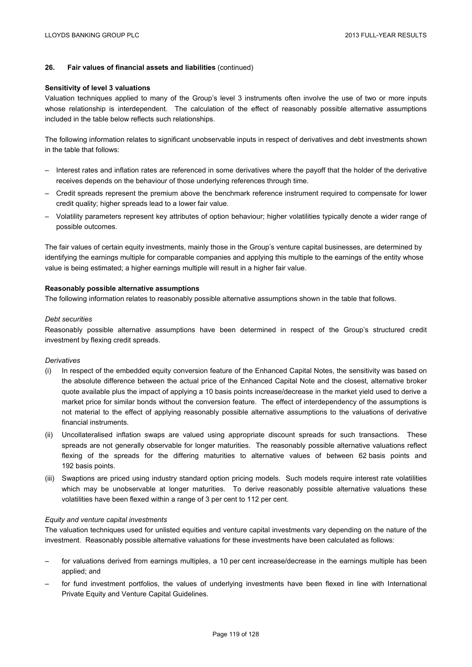#### **Sensitivity of level 3 valuations**

Valuation techniques applied to many of the Group's level 3 instruments often involve the use of two or more inputs whose relationship is interdependent. The calculation of the effect of reasonably possible alternative assumptions included in the table below reflects such relationships.

The following information relates to significant unobservable inputs in respect of derivatives and debt investments shown in the table that follows:

- Interest rates and inflation rates are referenced in some derivatives where the payoff that the holder of the derivative receives depends on the behaviour of those underlying references through time.
- Credit spreads represent the premium above the benchmark reference instrument required to compensate for lower credit quality; higher spreads lead to a lower fair value.
- Volatility parameters represent key attributes of option behaviour; higher volatilities typically denote a wider range of possible outcomes.

The fair values of certain equity investments, mainly those in the Group's venture capital businesses, are determined by identifying the earnings multiple for comparable companies and applying this multiple to the earnings of the entity whose value is being estimated; a higher earnings multiple will result in a higher fair value.

#### **Reasonably possible alternative assumptions**

The following information relates to reasonably possible alternative assumptions shown in the table that follows.

#### *Debt securities*

Reasonably possible alternative assumptions have been determined in respect of the Group's structured credit investment by flexing credit spreads.

### *Derivatives*

- (i) In respect of the embedded equity conversion feature of the Enhanced Capital Notes, the sensitivity was based on the absolute difference between the actual price of the Enhanced Capital Note and the closest, alternative broker quote available plus the impact of applying a 10 basis points increase/decrease in the market yield used to derive a market price for similar bonds without the conversion feature. The effect of interdependency of the assumptions is not material to the effect of applying reasonably possible alternative assumptions to the valuations of derivative financial instruments.
- (ii) Uncollateralised inflation swaps are valued using appropriate discount spreads for such transactions. These spreads are not generally observable for longer maturities. The reasonably possible alternative valuations reflect flexing of the spreads for the differing maturities to alternative values of between 62 basis points and 192 basis points.
- (iii) Swaptions are priced using industry standard option pricing models. Such models require interest rate volatilities which may be unobservable at longer maturities. To derive reasonably possible alternative valuations these volatilities have been flexed within a range of 3 per cent to 112 per cent.

#### *Equity and venture capital investments*

The valuation techniques used for unlisted equities and venture capital investments vary depending on the nature of the investment. Reasonably possible alternative valuations for these investments have been calculated as follows:

- for valuations derived from earnings multiples, a 10 per cent increase/decrease in the earnings multiple has been applied; and
- for fund investment portfolios, the values of underlying investments have been flexed in line with International Private Equity and Venture Capital Guidelines.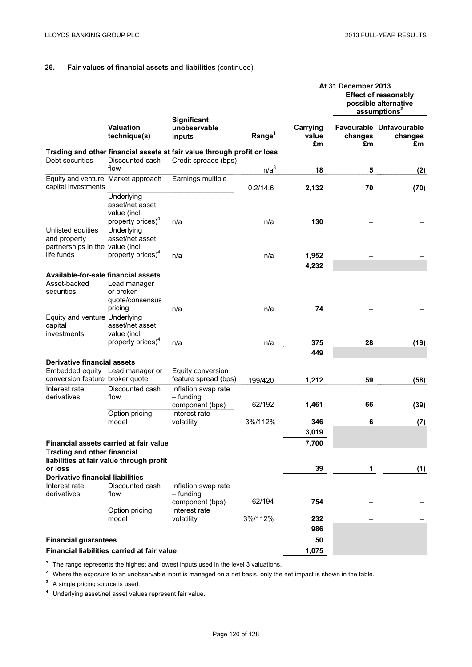|                                                                       |                                                         |                                                                         |                    | At 31 December 2013     |               |                                                                                 |
|-----------------------------------------------------------------------|---------------------------------------------------------|-------------------------------------------------------------------------|--------------------|-------------------------|---------------|---------------------------------------------------------------------------------|
|                                                                       |                                                         |                                                                         |                    |                         |               | <b>Effect of reasonably</b><br>possible alternative<br>assumptions <sup>2</sup> |
|                                                                       | <b>Valuation</b><br>technique(s)                        | <b>Significant</b><br>unobservable<br>inputs                            | Range <sup>1</sup> | Carrying<br>value<br>£m | changes<br>£m | Favourable Unfavourable<br>changes<br>£m                                        |
|                                                                       |                                                         | Trading and other financial assets at fair value through profit or loss |                    |                         |               |                                                                                 |
| Debt securities                                                       | Discounted cash<br>flow                                 | Credit spreads (bps)                                                    | n/a <sup>3</sup>   |                         |               |                                                                                 |
| Equity and venture Market approach                                    |                                                         | Earnings multiple                                                       |                    | 18                      | 5             | (2)                                                                             |
| capital investments                                                   |                                                         |                                                                         | 0.2/14.6           | 2,132                   | 70            | (70)                                                                            |
|                                                                       | Underlying<br>asset/net asset<br>value (incl.           |                                                                         |                    |                         |               |                                                                                 |
|                                                                       | property prices) <sup>4</sup>                           | n/a                                                                     | n/a                | 130                     |               |                                                                                 |
| Unlisted equities<br>and property<br>partnerships in the value (incl. | Underlying<br>asset/net asset                           |                                                                         |                    |                         |               |                                                                                 |
| life funds                                                            | property prices) <sup>4</sup>                           | n/a                                                                     | n/a                | 1,952                   |               |                                                                                 |
|                                                                       |                                                         |                                                                         |                    | 4,232                   |               |                                                                                 |
| Available-for-sale financial assets<br>Asset-backed<br>securities     | Lead manager<br>or broker<br>quote/consensus<br>pricing | n/a                                                                     | n/a                | 74                      |               |                                                                                 |
| Equity and venture Underlying                                         |                                                         |                                                                         |                    |                         |               |                                                                                 |
| capital<br>investments                                                | asset/net asset<br>value (incl.                         |                                                                         |                    |                         |               |                                                                                 |
|                                                                       | property prices) <sup>4</sup>                           | n/a                                                                     | n/a                | 375                     | 28            | (19)                                                                            |
|                                                                       |                                                         |                                                                         |                    | 449                     |               |                                                                                 |
| <b>Derivative financial assets</b>                                    |                                                         |                                                                         |                    |                         |               |                                                                                 |
| Embedded equity Lead manager or<br>conversion feature broker quote    |                                                         | Equity conversion<br>feature spread (bps)                               | 199/420            | 1,212                   | 59            |                                                                                 |
| Interest rate<br>derivatives                                          | Discounted cash<br>flow                                 | Inflation swap rate<br>- funding                                        |                    |                         |               | (58)                                                                            |
|                                                                       | Option pricing                                          | component (bps)<br>Interest rate                                        | 62/192             | 1,461                   | 66            | (39)                                                                            |
|                                                                       | model                                                   | volatility                                                              | 3%/112%            | 346                     | 6             | (7)                                                                             |
|                                                                       |                                                         |                                                                         |                    | 3,019                   |               |                                                                                 |
|                                                                       | Financial assets carried at fair value                  |                                                                         |                    | 7,700                   |               |                                                                                 |
| <b>Trading and other financial</b>                                    | liabilities at fair value through profit                |                                                                         |                    |                         |               |                                                                                 |
| or loss<br><b>Derivative financial liabilities</b>                    |                                                         |                                                                         |                    | 39                      | 1             | (1)                                                                             |
| Interest rate<br>derivatives                                          | Discounted cash<br>flow                                 | Inflation swap rate<br>– funding                                        |                    |                         |               |                                                                                 |
|                                                                       | Option pricing                                          | component (bps)<br>Interest rate                                        | 62/194             | 754                     |               |                                                                                 |
|                                                                       | model                                                   | volatility                                                              | 3%/112%            | 232                     |               |                                                                                 |
|                                                                       |                                                         |                                                                         |                    | 986                     |               |                                                                                 |
| <b>Financial guarantees</b>                                           |                                                         |                                                                         |                    | 50                      |               |                                                                                 |
|                                                                       | Financial liabilities carried at fair value             |                                                                         |                    | 1,075                   |               |                                                                                 |

**<sup>1</sup>** The range represents the highest and lowest inputs used in the level 3 valuations.

**<sup>2</sup>** Where the exposure to an unobservable input is managed on a net basis, only the net impact is shown in the table.

**<sup>3</sup>** A single pricing source is used.

**<sup>4</sup>** Underlying asset/net asset values represent fair value.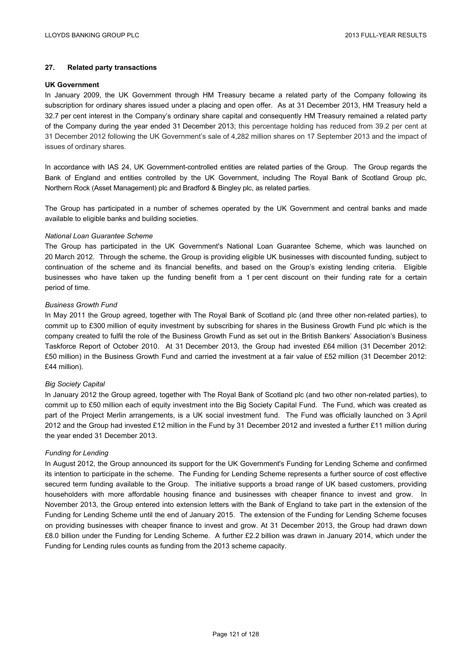# **27. Related party transactions**

#### **UK Government**

In January 2009, the UK Government through HM Treasury became a related party of the Company following its subscription for ordinary shares issued under a placing and open offer. As at 31 December 2013, HM Treasury held a 32.7 per cent interest in the Company's ordinary share capital and consequently HM Treasury remained a related party of the Company during the year ended 31 December 2013; this percentage holding has reduced from 39.2 per cent at 31 December 2012 following the UK Government's sale of 4,282 million shares on 17 September 2013 and the impact of issues of ordinary shares.

In accordance with IAS 24, UK Government-controlled entities are related parties of the Group. The Group regards the Bank of England and entities controlled by the UK Government, including The Royal Bank of Scotland Group plc, Northern Rock (Asset Management) plc and Bradford & Bingley plc, as related parties.

The Group has participated in a number of schemes operated by the UK Government and central banks and made available to eligible banks and building societies.

## *National Loan Guarantee Scheme*

The Group has participated in the UK Government's National Loan Guarantee Scheme, which was launched on 20 March 2012. Through the scheme, the Group is providing eligible UK businesses with discounted funding, subject to continuation of the scheme and its financial benefits, and based on the Group's existing lending criteria. Eligible businesses who have taken up the funding benefit from a 1 per cent discount on their funding rate for a certain period of time.

## *Business Growth Fund*

In May 2011 the Group agreed, together with The Royal Bank of Scotland plc (and three other non-related parties), to commit up to £300 million of equity investment by subscribing for shares in the Business Growth Fund plc which is the company created to fulfil the role of the Business Growth Fund as set out in the British Bankers' Association's Business Taskforce Report of October 2010. At 31 December 2013, the Group had invested £64 million (31 December 2012: £50 million) in the Business Growth Fund and carried the investment at a fair value of £52 million (31 December 2012: £44 million).

#### *Big Society Capital*

In January 2012 the Group agreed, together with The Royal Bank of Scotland plc (and two other non-related parties), to commit up to £50 million each of equity investment into the Big Society Capital Fund. The Fund, which was created as part of the Project Merlin arrangements, is a UK social investment fund. The Fund was officially launched on 3 April 2012 and the Group had invested £12 million in the Fund by 31 December 2012 and invested a further £11 million during the year ended 31 December 2013.

#### *Funding for Lending*

In August 2012, the Group announced its support for the UK Government's Funding for Lending Scheme and confirmed its intention to participate in the scheme. The Funding for Lending Scheme represents a further source of cost effective secured term funding available to the Group. The initiative supports a broad range of UK based customers, providing householders with more affordable housing finance and businesses with cheaper finance to invest and grow. In November 2013, the Group entered into extension letters with the Bank of England to take part in the extension of the Funding for Lending Scheme until the end of January 2015. The extension of the Funding for Lending Scheme focuses on providing businesses with cheaper finance to invest and grow. At 31 December 2013, the Group had drawn down £8.0 billion under the Funding for Lending Scheme. A further £2.2 billion was drawn in January 2014, which under the Funding for Lending rules counts as funding from the 2013 scheme capacity.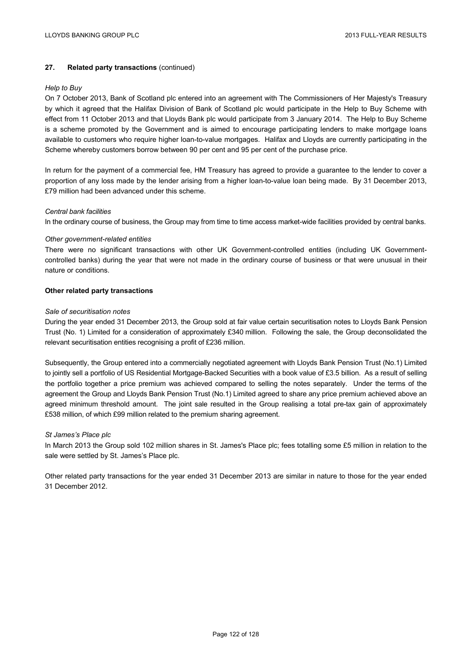# **27. Related party transactions** (continued)

#### *Help to Buy*

On 7 October 2013, Bank of Scotland plc entered into an agreement with The Commissioners of Her Majesty's Treasury by which it agreed that the Halifax Division of Bank of Scotland plc would participate in the Help to Buy Scheme with effect from 11 October 2013 and that Lloyds Bank plc would participate from 3 January 2014. The Help to Buy Scheme is a scheme promoted by the Government and is aimed to encourage participating lenders to make mortgage loans available to customers who require higher loan-to-value mortgages. Halifax and Lloyds are currently participating in the Scheme whereby customers borrow between 90 per cent and 95 per cent of the purchase price.

In return for the payment of a commercial fee, HM Treasury has agreed to provide a guarantee to the lender to cover a proportion of any loss made by the lender arising from a higher loan-to-value loan being made. By 31 December 2013, £79 million had been advanced under this scheme.

#### *Central bank facilities*

In the ordinary course of business, the Group may from time to time access market-wide facilities provided by central banks.

#### *Other government-related entities*

There were no significant transactions with other UK Government-controlled entities (including UK Governmentcontrolled banks) during the year that were not made in the ordinary course of business or that were unusual in their nature or conditions.

#### **Other related party transactions**

### *Sale of securitisation notes*

During the year ended 31 December 2013, the Group sold at fair value certain securitisation notes to Lloyds Bank Pension Trust (No. 1) Limited for a consideration of approximately £340 million. Following the sale, the Group deconsolidated the relevant securitisation entities recognising a profit of £236 million.

Subsequently, the Group entered into a commercially negotiated agreement with Lloyds Bank Pension Trust (No.1) Limited to jointly sell a portfolio of US Residential Mortgage-Backed Securities with a book value of £3.5 billion. As a result of selling the portfolio together a price premium was achieved compared to selling the notes separately. Under the terms of the agreement the Group and Lloyds Bank Pension Trust (No.1) Limited agreed to share any price premium achieved above an agreed minimum threshold amount. The joint sale resulted in the Group realising a total pre-tax gain of approximately £538 million, of which £99 million related to the premium sharing agreement.

#### *St James's Place plc*

In March 2013 the Group sold 102 million shares in St. James's Place plc; fees totalling some £5 million in relation to the sale were settled by St. James's Place plc.

Other related party transactions for the year ended 31 December 2013 are similar in nature to those for the year ended 31 December 2012.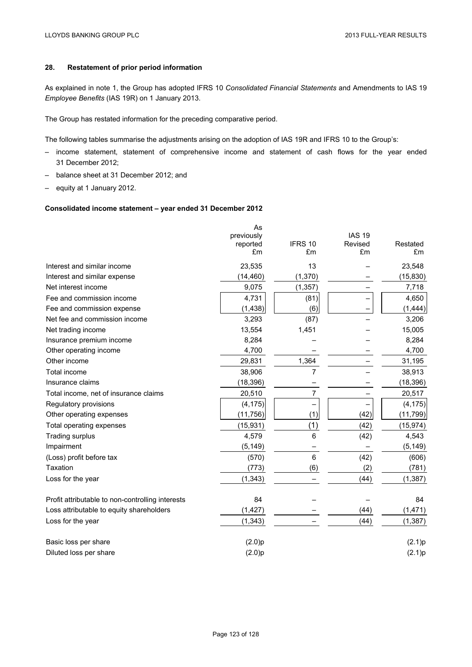# **28. Restatement of prior period information**

As explained in note 1, the Group has adopted IFRS 10 *Consolidated Financial Statements* and Amendments to IAS 19 *Employee Benefits* (IAS 19R) on 1 January 2013.

The Group has restated information for the preceding comparative period.

The following tables summarise the adjustments arising on the adoption of IAS 19R and IFRS 10 to the Group's:

- income statement, statement of comprehensive income and statement of cash flows for the year ended 31 December 2012;
- balance sheet at 31 December 2012; and
- equity at 1 January 2012.

## **Consolidated income statement – year ended 31 December 2012**

|                                                  | As<br>previously<br>reported<br>£m | IFRS 10<br>£m | <b>IAS 19</b><br>Revised<br>£m | Restated<br>£m |
|--------------------------------------------------|------------------------------------|---------------|--------------------------------|----------------|
| Interest and similar income                      | 23,535                             | 13            |                                | 23,548         |
| Interest and similar expense                     | (14, 460)                          | (1, 370)      |                                | (15, 830)      |
| Net interest income                              | 9,075                              | (1, 357)      |                                | 7,718          |
| Fee and commission income                        | 4,731                              | (81)          |                                | 4,650          |
| Fee and commission expense                       | (1, 438)                           | (6)           |                                | (1, 444)       |
| Net fee and commission income                    | 3,293                              | (87)          |                                | 3,206          |
| Net trading income                               | 13,554                             | 1,451         |                                | 15,005         |
| Insurance premium income                         | 8,284                              |               |                                | 8,284          |
| Other operating income                           | 4,700                              |               |                                | 4,700          |
| Other income                                     | 29,831                             | 1,364         |                                | 31,195         |
| Total income                                     | 38,906                             | 7             |                                | 38,913         |
| Insurance claims                                 | (18, 396)                          |               |                                | (18, 396)      |
| Total income, net of insurance claims            | 20,510                             | 7             |                                | 20,517         |
| Regulatory provisions                            | (4, 175)                           |               |                                | (4, 175)       |
| Other operating expenses                         | (11, 756)                          | (1)           | (42)                           | (11, 799)      |
| Total operating expenses                         | (15, 931)                          | (1)           | (42)                           | (15, 974)      |
| <b>Trading surplus</b>                           | 4,579                              | 6             | (42)                           | 4,543          |
| Impairment                                       | (5, 149)                           |               |                                | (5, 149)       |
| (Loss) profit before tax                         | (570)                              | 6             | (42)                           | (606)          |
| Taxation                                         | (773)                              | (6)           | (2)                            | (781)          |
| Loss for the year                                | (1, 343)                           |               | (44)                           | (1, 387)       |
| Profit attributable to non-controlling interests | 84                                 |               |                                | 84             |
| Loss attributable to equity shareholders         | (1, 427)                           |               | (44)                           | (1, 471)       |
| Loss for the year                                | (1, 343)                           |               | (44)                           | (1, 387)       |
| Basic loss per share                             | (2.0)p                             |               |                                | (2.1)p         |
| Diluted loss per share                           | (2.0)p                             |               |                                | (2.1)p         |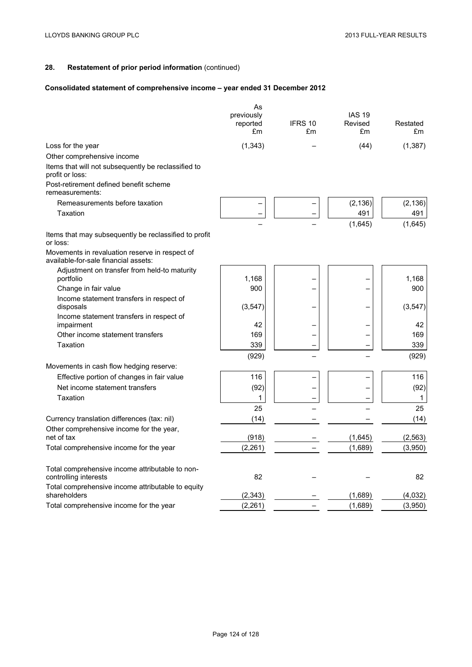# **Consolidated statement of comprehensive income – year ended 31 December 2012**

|                                                                                        | As<br>previously<br>reported<br>£m | IFRS 10<br>£m | <b>IAS 19</b><br>Revised<br>£m | Restated<br>£m |
|----------------------------------------------------------------------------------------|------------------------------------|---------------|--------------------------------|----------------|
| Loss for the year                                                                      | (1, 343)                           |               | (44)                           | (1, 387)       |
| Other comprehensive income                                                             |                                    |               |                                |                |
| Items that will not subsequently be reclassified to<br>profit or loss:                 |                                    |               |                                |                |
| Post-retirement defined benefit scheme<br>remeasurements:                              |                                    |               |                                |                |
| Remeasurements before taxation                                                         |                                    |               | (2, 136)                       | (2, 136)       |
| Taxation                                                                               |                                    |               | 491                            | 491            |
|                                                                                        |                                    |               | (1,645)                        | (1,645)        |
| Items that may subsequently be reclassified to profit<br>or loss:                      |                                    |               |                                |                |
| Movements in revaluation reserve in respect of<br>available-for-sale financial assets: |                                    |               |                                |                |
| Adjustment on transfer from held-to maturity<br>portfolio                              | 1,168                              |               |                                | 1,168          |
| Change in fair value                                                                   | 900                                |               |                                | 900            |
| Income statement transfers in respect of<br>disposals                                  | (3, 547)                           |               |                                | (3, 547)       |
| Income statement transfers in respect of                                               |                                    |               |                                |                |
| impairment                                                                             | 42                                 |               |                                | 42             |
| Other income statement transfers                                                       | 169                                |               |                                | 169            |
| Taxation                                                                               | 339                                |               |                                | 339            |
|                                                                                        | (929)                              |               |                                | (929)          |
| Movements in cash flow hedging reserve:                                                |                                    |               |                                |                |
| Effective portion of changes in fair value                                             | 116                                |               |                                | 116            |
| Net income statement transfers                                                         | (92)                               |               |                                | (92)           |
| Taxation                                                                               | 1                                  |               |                                | 1              |
|                                                                                        | 25                                 |               |                                | 25             |
| Currency translation differences (tax: nil)                                            | (14)                               |               |                                | (14)           |
| Other comprehensive income for the year,<br>net of tax                                 | (918)                              |               | (1,645)                        | (2, 563)       |
| Total comprehensive income for the year                                                | (2, 261)                           |               | (1,689)                        | (3,950)        |
| Total comprehensive income attributable to non-<br>controlling interests               | 82                                 |               |                                | 82             |
| Total comprehensive income attributable to equity<br>shareholders                      | (2, 343)                           |               | (1,689)                        | (4,032)        |
| Total comprehensive income for the year                                                | (2, 261)                           |               | (1,689)                        | (3,950)        |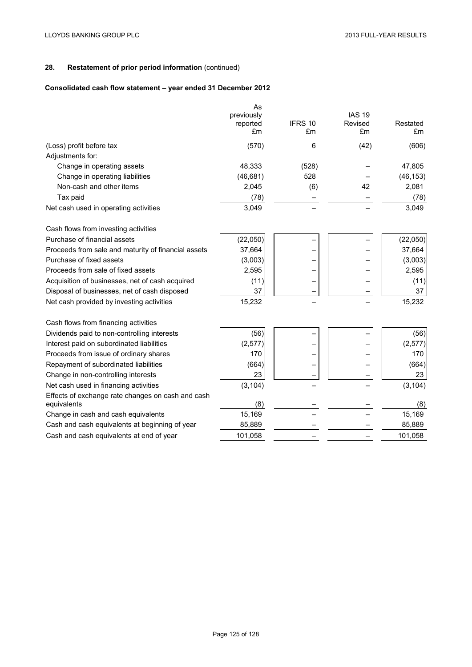# **Consolidated cash flow statement – year ended 31 December 2012**

|                                                                  | As<br>previously<br>reported<br>£m | IFRS 10<br>£m | <b>IAS 19</b><br>Revised<br>£m | Restated<br>£m |
|------------------------------------------------------------------|------------------------------------|---------------|--------------------------------|----------------|
| (Loss) profit before tax                                         | (570)                              | 6             | (42)                           | (606)          |
| Adjustments for:                                                 |                                    |               |                                |                |
| Change in operating assets                                       | 48,333                             | (528)         |                                | 47,805         |
| Change in operating liabilities                                  | (46, 681)                          | 528           |                                | (46, 153)      |
| Non-cash and other items                                         | 2,045                              | (6)           | 42                             | 2,081          |
| Tax paid                                                         | (78)                               |               |                                | (78)           |
| Net cash used in operating activities                            | 3,049                              |               |                                | 3,049          |
| Cash flows from investing activities                             |                                    |               |                                |                |
| Purchase of financial assets                                     | (22,050)                           |               |                                | (22,050)       |
| Proceeds from sale and maturity of financial assets              | 37,664                             |               |                                | 37,664         |
| Purchase of fixed assets                                         | (3,003)                            |               |                                | (3,003)        |
| Proceeds from sale of fixed assets                               | 2,595                              |               |                                | 2,595          |
| Acquisition of businesses, net of cash acquired                  | (11)                               |               |                                | (11)           |
| Disposal of businesses, net of cash disposed                     | 37                                 |               |                                | 37             |
| Net cash provided by investing activities                        | 15,232                             |               |                                | 15,232         |
| Cash flows from financing activities                             |                                    |               |                                |                |
| Dividends paid to non-controlling interests                      | (56)                               |               |                                | (56)           |
| Interest paid on subordinated liabilities                        | (2, 577)                           |               |                                | (2, 577)       |
| Proceeds from issue of ordinary shares                           | 170                                |               |                                | 170            |
| Repayment of subordinated liabilities                            | (664)                              |               |                                | (664)          |
| Change in non-controlling interests                              | 23                                 |               |                                | 23             |
| Net cash used in financing activities                            | (3, 104)                           |               |                                | (3, 104)       |
| Effects of exchange rate changes on cash and cash<br>equivalents | (8)                                |               |                                | (8)            |
| Change in cash and cash equivalents                              | 15,169                             |               |                                | 15,169         |
| Cash and cash equivalents at beginning of year                   | 85,889                             |               |                                | 85,889         |
| Cash and cash equivalents at end of year                         | 101,058                            |               |                                | 101,058        |
|                                                                  |                                    |               |                                |                |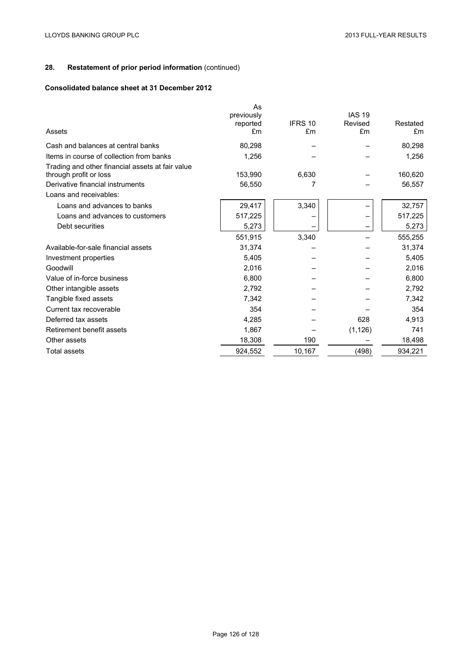# **Consolidated balance sheet at 31 December 2012**

| Assets                                                                     | As<br>previously<br>reported<br>£m | IFRS 10<br>£m | <b>IAS 19</b><br>Revised<br>£m | Restated<br>£m |
|----------------------------------------------------------------------------|------------------------------------|---------------|--------------------------------|----------------|
| Cash and balances at central banks                                         | 80,298                             |               |                                | 80,298         |
| Items in course of collection from banks                                   | 1,256                              |               |                                | 1,256          |
| Trading and other financial assets at fair value<br>through profit or loss | 153,990                            | 6,630         |                                | 160,620        |
| Derivative financial instruments                                           | 56,550                             | 7             |                                | 56,557         |
| Loans and receivables:                                                     |                                    |               |                                |                |
| Loans and advances to banks                                                | 29,417                             | 3,340         |                                | 32,757         |
| Loans and advances to customers                                            | 517,225                            |               |                                | 517,225        |
| Debt securities                                                            | 5,273                              |               |                                | 5,273          |
|                                                                            | 551,915                            | 3,340         |                                | 555,255        |
| Available-for-sale financial assets                                        | 31,374                             |               |                                | 31,374         |
| Investment properties                                                      | 5,405                              |               |                                | 5,405          |
| Goodwill                                                                   | 2,016                              |               |                                | 2,016          |
| Value of in-force business                                                 | 6,800                              |               |                                | 6,800          |
| Other intangible assets                                                    | 2,792                              |               |                                | 2,792          |
| Tangible fixed assets                                                      | 7,342                              |               |                                | 7,342          |
| Current tax recoverable                                                    | 354                                |               |                                | 354            |
| Deferred tax assets                                                        | 4,285                              |               | 628                            | 4,913          |
| Retirement benefit assets                                                  | 1,867                              |               | (1, 126)                       | 741            |
| Other assets                                                               | 18,308                             | 190           |                                | 18,498         |
| <b>Total assets</b>                                                        | 924,552                            | 10,167        | (498)                          | 934,221        |
|                                                                            |                                    |               |                                |                |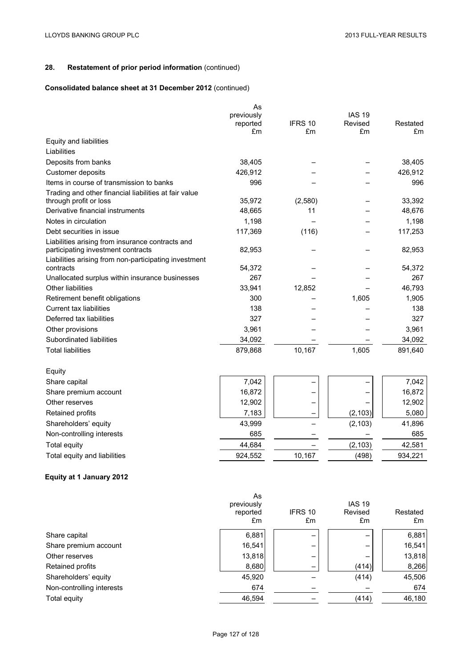# **Consolidated balance sheet at 31 December 2012** (continued)

|                                                       | As         |         |               |          |
|-------------------------------------------------------|------------|---------|---------------|----------|
|                                                       | previously |         | <b>IAS 19</b> |          |
|                                                       | reported   | IFRS 10 | Revised       | Restated |
|                                                       | £m         | £m      | £m            | £m       |
| Equity and liabilities                                |            |         |               |          |
| Liabilities                                           |            |         |               |          |
| Deposits from banks                                   | 38,405     |         |               | 38,405   |
| Customer deposits                                     | 426,912    |         |               | 426,912  |
| Items in course of transmission to banks              | 996        |         |               | 996      |
| Trading and other financial liabilities at fair value |            |         |               |          |
| through profit or loss                                | 35,972     | (2,580) |               | 33,392   |
| Derivative financial instruments                      | 48,665     | 11      |               | 48,676   |
| Notes in circulation                                  | 1,198      |         |               | 1,198    |
| Debt securities in issue                              | 117,369    | (116)   |               | 117,253  |
| Liabilities arising from insurance contracts and      |            |         |               |          |
| participating investment contracts                    | 82,953     |         |               | 82,953   |
| Liabilities arising from non-participating investment |            |         |               |          |
| contracts                                             | 54,372     |         |               | 54,372   |
| Unallocated surplus within insurance businesses       | 267        |         |               | 267      |
| Other liabilities                                     | 33,941     | 12,852  |               | 46,793   |
| Retirement benefit obligations                        | 300        |         | 1,605         | 1,905    |
| Current tax liabilities                               | 138        |         |               | 138      |
| Deferred tax liabilities                              | 327        |         |               | 327      |
| Other provisions                                      | 3,961      |         |               | 3,961    |
| Subordinated liabilities                              | 34,092     |         |               | 34,092   |
| <b>Total liabilities</b>                              | 879,868    | 10,167  | 1,605         | 891,640  |
| Equity                                                |            |         |               |          |
| Share capital                                         | 7,042      |         |               | 7,042    |
| Share premium account                                 | 16,872     |         |               | 16,872   |
| Other reserves                                        | 12,902     |         |               | 12,902   |
| Retained profits                                      | 7,183      |         | (2, 103)      | 5,080    |
| Shareholders' equity                                  | 43,999     |         | (2, 103)      | 41,896   |
| Non-controlling interests                             | 685        |         |               | 685      |
| <b>Total equity</b>                                   | 44,684     |         | (2, 103)      | 42,581   |
| Total equity and liabilities                          | 924,552    | 10,167  | (498)         | 934,221  |
|                                                       |            |         |               |          |

# **Equity at 1 January 2012**

|                           | As<br>previously<br>reported | IFRS 10 | <b>IAS 19</b><br>Revised | Restated |
|---------------------------|------------------------------|---------|--------------------------|----------|
|                           | £m                           | £m      | £m                       | £m       |
| Share capital             | 6,881                        | -       | —                        | 6,881    |
| Share premium account     | 16,541                       |         |                          | 16,541   |
| Other reserves            | 13,818                       | -       |                          | 13,818   |
| Retained profits          | 8,680                        |         | (414)                    | 8,266    |
| Shareholders' equity      | 45,920                       |         | (414)                    | 45,506   |
| Non-controlling interests | 674                          |         |                          | 674      |
| Total equity              | 46,594                       |         | (414)                    | 46,180   |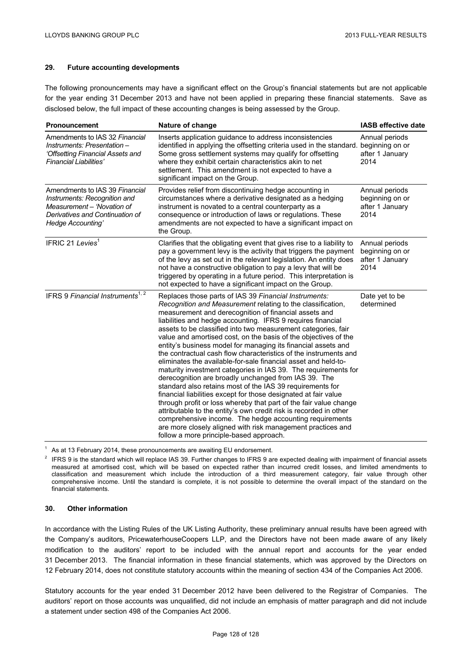# **29. Future accounting developments**

The following pronouncements may have a significant effect on the Group's financial statements but are not applicable for the year ending 31 December 2013 and have not been applied in preparing these financial statements. Save as disclosed below, the full impact of these accounting changes is being assessed by the Group.

| <b>Pronouncement</b>                                                                                                                                 | Nature of change                                                                                                                                                                                                                                                                                                                                                                                                                                                                                                                                                                                                                                                                                                                                                                                                                                                                                                                                                                                                                                                                                                                                                 | IASB effective date                                          |
|------------------------------------------------------------------------------------------------------------------------------------------------------|------------------------------------------------------------------------------------------------------------------------------------------------------------------------------------------------------------------------------------------------------------------------------------------------------------------------------------------------------------------------------------------------------------------------------------------------------------------------------------------------------------------------------------------------------------------------------------------------------------------------------------------------------------------------------------------------------------------------------------------------------------------------------------------------------------------------------------------------------------------------------------------------------------------------------------------------------------------------------------------------------------------------------------------------------------------------------------------------------------------------------------------------------------------|--------------------------------------------------------------|
| Amendments to IAS 32 Financial<br>Instruments: Presentation -<br>'Offsetting Financial Assets and<br>Financial Liabilities'                          | Inserts application guidance to address inconsistencies<br>identified in applying the offsetting criteria used in the standard. beginning on or<br>Some gross settlement systems may qualify for offsetting<br>where they exhibit certain characteristics akin to net<br>settlement. This amendment is not expected to have a<br>significant impact on the Group.                                                                                                                                                                                                                                                                                                                                                                                                                                                                                                                                                                                                                                                                                                                                                                                                | Annual periods<br>after 1 January<br>2014                    |
| Amendments to IAS 39 Financial<br>Instruments: Recognition and<br>Measurement - 'Novation of<br>Derivatives and Continuation of<br>Hedge Accounting' | Provides relief from discontinuing hedge accounting in<br>circumstances where a derivative designated as a hedging<br>instrument is novated to a central counterparty as a<br>consequence or introduction of laws or regulations. These<br>amendments are not expected to have a significant impact on<br>the Group.                                                                                                                                                                                                                                                                                                                                                                                                                                                                                                                                                                                                                                                                                                                                                                                                                                             | Annual periods<br>beginning on or<br>after 1 January<br>2014 |
| IFRIC 21 Levies <sup>1</sup>                                                                                                                         | Clarifies that the obligating event that gives rise to a liability to<br>pay a government levy is the activity that triggers the payment<br>of the levy as set out in the relevant legislation. An entity does<br>not have a constructive obligation to pay a levy that will be<br>triggered by operating in a future period. This interpretation is<br>not expected to have a significant impact on the Group.                                                                                                                                                                                                                                                                                                                                                                                                                                                                                                                                                                                                                                                                                                                                                  | Annual periods<br>beginning on or<br>after 1 January<br>2014 |
| IFRS 9 Financial Instruments <sup>1, 2</sup>                                                                                                         | Replaces those parts of IAS 39 Financial Instruments:<br>Recognition and Measurement relating to the classification,<br>measurement and derecognition of financial assets and<br>liabilities and hedge accounting. IFRS 9 requires financial<br>assets to be classified into two measurement categories, fair<br>value and amortised cost, on the basis of the objectives of the<br>entity's business model for managing its financial assets and<br>the contractual cash flow characteristics of the instruments and<br>eliminates the available-for-sale financial asset and held-to-<br>maturity investment categories in IAS 39. The requirements for<br>derecognition are broadly unchanged from IAS 39. The<br>standard also retains most of the IAS 39 requirements for<br>financial liabilities except for those designated at fair value<br>through profit or loss whereby that part of the fair value change<br>attributable to the entity's own credit risk is recorded in other<br>comprehensive income. The hedge accounting requirements<br>are more closely aligned with risk management practices and<br>follow a more principle-based approach. | Date yet to be<br>determined                                 |

As at 13 February 2014, these pronouncements are awaiting EU endorsement.

<sup>2</sup> IFRS 9 is the standard which will replace IAS 39. Further changes to IFRS 9 are expected dealing with impairment of financial assets measured at amortised cost, which will be based on expected rather than incurred credit losses, and limited amendments to classification and measurement which include the introduction of a third measurement category, fair value through other comprehensive income. Until the standard is complete, it is not possible to determine the overall impact of the standard on the financial statements.

## **30. Other information**

In accordance with the Listing Rules of the UK Listing Authority, these preliminary annual results have been agreed with the Company's auditors, PricewaterhouseCoopers LLP, and the Directors have not been made aware of any likely modification to the auditors' report to be included with the annual report and accounts for the year ended 31 December 2013. The financial information in these financial statements, which was approved by the Directors on 12 February 2014, does not constitute statutory accounts within the meaning of section 434 of the Companies Act 2006.

Statutory accounts for the year ended 31 December 2012 have been delivered to the Registrar of Companies. The auditors' report on those accounts was unqualified, did not include an emphasis of matter paragraph and did not include a statement under section 498 of the Companies Act 2006.